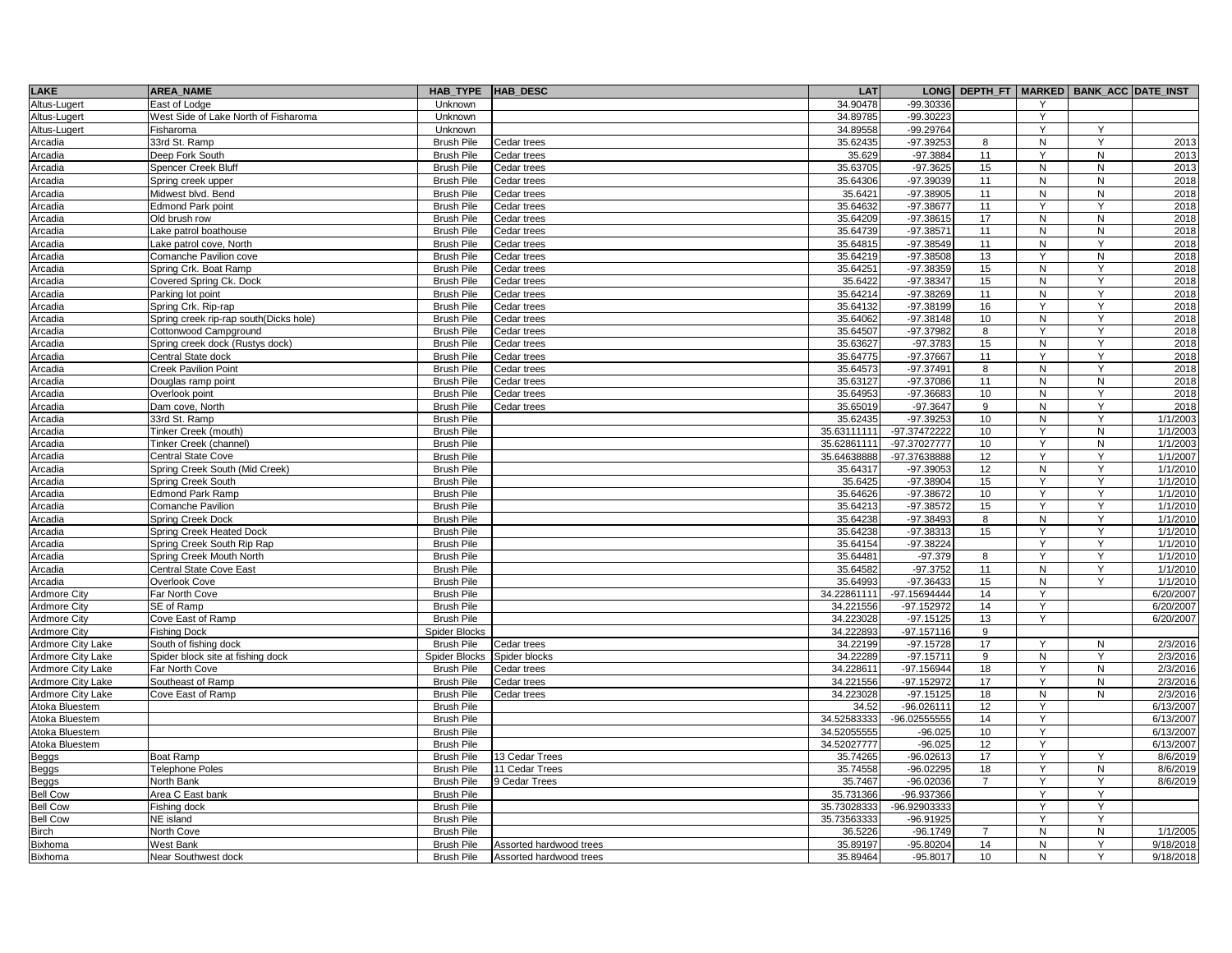| <b>LAKE</b>                      | <b>AREA NAME</b>                           | <b>HAB TYPE</b>                        | HAB_DESC                         | LAT                        |                            | LONG DEPTH_FT  |              | MARKED   BANK_ACC DATE_INST |                        |
|----------------------------------|--------------------------------------------|----------------------------------------|----------------------------------|----------------------------|----------------------------|----------------|--------------|-----------------------------|------------------------|
| Altus-Lugert                     | East of Lodge                              | Unknown                                |                                  | 34.90478                   | -99.30336                  |                |              |                             |                        |
| Altus-Lugert                     | West Side of Lake North of Fisharoma       | Unknown                                |                                  | 34.89785                   | $-99.30223$                |                | Y            |                             |                        |
| Altus-Lugert                     | Fisharoma                                  | Unknown                                |                                  | 34.89558                   | -99.29764                  |                | Y            | Y                           |                        |
| Arcadia                          | 33rd St. Ramp                              | <b>Brush Pile</b>                      | Cedar trees                      | 35.62435                   | $-97.39253$                | 8              | N            | Y                           | 2013                   |
| Arcadia                          | Deep Fork South                            | <b>Brush Pile</b>                      | Cedar trees                      | 35.629                     | $-97.3884$                 | 11             | Y            | ${\sf N}$                   | 2013                   |
| Arcadia                          | Spencer Creek Bluff                        | <b>Brush Pile</b>                      | Cedar trees                      | 35.63705                   | $-97.3625$                 | 15             | N            | N                           | 2013                   |
| Arcadia                          | Spring creek upper                         | <b>Brush Pile</b>                      | Cedar trees                      | 35.64306                   | -97.39039                  | 11             | N            | N                           | 2018                   |
| Arcadia                          | Midwest blvd. Bend                         | <b>Brush Pile</b>                      | Cedar trees                      | 35.6421                    | $-97.38905$                | 11             | N            | N                           | 2018                   |
| Arcadia                          | <b>Edmond Park point</b>                   | <b>Brush Pile</b>                      | Cedar trees                      | 35.64632                   | -97.38677                  | 11             | Y            | Y                           | 2018                   |
| Arcadia                          | Old brush row                              | <b>Brush Pile</b>                      | Cedar trees                      | 35.64209                   | $-97.38615$                | 17             | N            | N                           | 2018                   |
| Arcadia                          | Lake patrol boathouse                      | <b>Brush Pile</b>                      | Cedar trees                      | 35.64739                   | $-97.38571$                | 11             | N            | N                           | 2018                   |
| Arcadia                          | Lake patrol cove, North                    | <b>Brush Pile</b>                      | Cedar trees                      | 35.64815                   | -97.38549                  | 11             | N            | Y                           | 2018                   |
| Arcadia                          | Comanche Pavilion cove                     | <b>Brush Pile</b>                      | Cedar trees                      | 35.64219                   | -97.38508                  | 13             | Y            | N                           | 2018                   |
| Arcadia                          | Spring Crk. Boat Ramp                      | <b>Brush Pile</b>                      | Cedar trees                      | 35.64251                   | -97.38359                  | 15             | ${\sf N}$    | Y                           | 2018                   |
| Arcadia                          | Covered Spring Ck. Dock                    | <b>Brush Pile</b>                      | Cedar trees                      | 35.6422                    | $-97.38347$                | 15             | N            | Ÿ                           | 2018                   |
| Arcadia                          | Parking lot point                          | <b>Brush Pile</b>                      | Cedar trees                      | 35.64214                   | -97.38269                  | 11             | N            | Y                           | 2018                   |
| Arcadia                          | Spring Crk. Rip-rap                        | <b>Brush Pile</b>                      | Cedar trees                      | 35.64132                   | -97.38199                  | 16             | Y            | Υ                           | 2018                   |
| Arcadia                          | Spring creek rip-rap south(Dicks hole)     | <b>Brush Pile</b>                      | Cedar trees                      | 35.64062                   | $-97.38148$                | 10             | N            | Y                           | 2018                   |
| Arcadia                          | Cottonwood Campground                      | <b>Brush Pile</b>                      | Cedar trees                      | 35.64507                   | -97.37982                  | 8              | Y            | Y                           | 2018                   |
| Arcadia                          | Spring creek dock (Rustys dock)            | <b>Brush Pile</b>                      | Cedar trees                      | 35.63627                   | $-97.3783$                 | 15             | N            | Y                           | 2018                   |
| Arcadia                          | Central State dock                         | Brush Pile                             | Cedar trees                      | 35.64775                   | $-97.37667$                | 11             |              | Y                           | 2018                   |
| Arcadia                          | <b>Creek Pavilion Point</b>                | <b>Brush Pile</b>                      | Cedar trees                      | 35.64573                   | -97.37491                  | 8              | N            | Υ                           | 2018                   |
| Arcadia                          | Douglas ramp point                         | <b>Brush Pile</b>                      | Cedar trees                      | 35.63127                   | -97.37086                  | 11             | N            | N                           | 2018                   |
| Arcadia                          | Overlook point                             | <b>Brush Pile</b>                      | Cedar trees                      | 35.64953                   | -97.36683                  | 10             | N            | Y                           | 2018                   |
| Arcadia                          | Dam cove, North                            | <b>Brush Pile</b>                      | Cedar trees                      | 35.65019                   | $-97.3647$                 | 9              | N            | Y                           | 2018                   |
| Arcadia                          | 33rd St. Ramp                              | <b>Brush Pile</b>                      |                                  | 35.62435                   | $-97.39253$                | 10             | N            | Y                           | 1/1/2003               |
| Arcadia                          | Tinker Creek (mouth)                       | <b>Brush Pile</b>                      |                                  | 35.63111111                | -97.37472222               | 10             | Y            | N                           | 1/1/2003               |
| Arcadia                          | Tinker Creek (channel)                     | <b>Brush Pile</b>                      |                                  | 35.62861111                | -97.37027777               | 10             | Y            | N                           | 1/1/2003               |
| Arcadia                          | <b>Central State Cove</b>                  | <b>Brush Pile</b>                      |                                  | 35.64638888                | -97.37638888               | 12             | Y            | Y                           | 1/1/2007               |
| Arcadia                          | Spring Creek South (Mid Creek)             | <b>Brush Pile</b>                      |                                  | 35.64317                   | $-97.39053$                | 12             | N            | Y                           | 1/1/2010               |
| Arcadia                          | Spring Creek South                         | <b>Brush Pile</b>                      |                                  | 35.6425                    | $-97.38904$                | 15             | Y            | Y                           | 1/1/2010               |
| Arcadia                          | <b>Edmond Park Ramp</b>                    | <b>Brush Pile</b>                      |                                  | 35.64626                   | -97.38672                  | 10             | Y            | Y                           | 1/1/2010               |
| Arcadia                          | Comanche Pavilion                          | <b>Brush Pile</b>                      |                                  | 35.64213                   | -97.38572                  | 15             | $\checkmark$ | Y                           | 1/1/2010               |
| Arcadia                          | <b>Spring Creek Dock</b>                   | <b>Brush Pile</b>                      |                                  | 35.64238                   | $-97.38493$                | 8              | N            | Y                           | 1/1/2010               |
| Arcadia                          | <b>Spring Creek Heated Dock</b>            | <b>Brush Pile</b>                      |                                  | 35.64238                   | $-97.38313$                | 15             | Y            | Y                           | 1/1/2010               |
| Arcadia                          | Spring Creek South Rip Rap                 | <b>Brush Pile</b>                      |                                  | 35.64154                   | $-97.38224$                |                | Y            | Υ                           | 1/1/2010               |
| Arcadia                          | Spring Creek Mouth North                   | <b>Brush Pile</b>                      |                                  | 35.64481                   | $-97.379$                  | 8              | Y            | Y                           | 1/1/2010               |
| Arcadia                          | Central State Cove East                    | <b>Brush Pile</b>                      |                                  | 35.64582                   | $-97.3752$                 | 11             | N            | Y                           | 1/1/2010               |
| Arcadia                          | Overlook Cove                              | <b>Brush Pile</b>                      |                                  | 35.64993                   | $-97.36433$                | 15             | N            | Y                           | 1/1/2010               |
| Ardmore City                     | Far North Cove                             | <b>Brush Pile</b>                      |                                  | 34.22861111                | -97.15694444               | 14             | Y            |                             | 6/20/2007              |
| Ardmore City                     | SE of Ramp                                 | <b>Brush Pile</b>                      |                                  | 34.221556                  | $-97.152972$               | 14             | Y            |                             | 6/20/2007              |
| <b>Ardmore City</b>              | Cove East of Ramp                          | <b>Brush Pile</b>                      |                                  | 34.223028                  | $-97.15125$                | 13             | Y            |                             | 6/20/2007              |
| Ardmore City                     | <b>Fishing Dock</b>                        | Spider Blocks                          |                                  | 34.222893                  | $-97.157116$               | 9              |              |                             |                        |
| Ardmore City Lake                | South of fishing dock                      | <b>Brush Pile</b>                      | Cedar trees                      | 34.22199                   | $-97.15728$                | 17             | Y            | N                           | 2/3/2016               |
| Ardmore City Lake                | Spider block site at fishing dock          | <b>Spider Blocks</b>                   | Spider blocks                    | 34.22289                   | $-97.15711$                | 9              | N            | Y                           | 2/3/2016               |
| Ardmore City Lake                | Far North Cove                             | <b>Brush Pile</b>                      | Cedar trees                      | 34.228611                  | -97.156944                 | 18             | Y<br>Y       | N                           | 2/3/2016               |
| Ardmore City Lake                | Southeast of Ramp                          | <b>Brush Pile</b>                      | Cedar trees                      | 34.221556                  | -97.152972                 | 17<br>18       |              | N                           | 2/3/2016               |
| Ardmore City Lake                | Cove East of Ramp                          | <b>Brush Pile</b>                      | Cedar trees                      | 34.223028                  | $-97.15125$                |                | N<br>Y       | N                           | 2/3/2016               |
| Atoka Bluestem                   |                                            | <b>Brush Pile</b>                      |                                  | 34.52                      | -96.026111                 | 12             | Y            |                             | 6/13/2007              |
| Atoka Bluestem                   |                                            | <b>Brush Pile</b><br><b>Brush Pile</b> |                                  | 34.52583333<br>34.52055555 | -96.02555555               | 14<br>10       | Y            |                             | 6/13/2007<br>6/13/2007 |
| Atoka Bluestem<br>Atoka Bluestem |                                            | <b>Brush Pile</b>                      |                                  | 34.52027777                | $-96.025$<br>$-96.025$     | 12             | Y            |                             | 6/13/2007              |
|                                  |                                            |                                        |                                  |                            |                            |                | Y            | Υ                           | 8/6/2019               |
| Beggs                            | <b>Boat Ramp</b><br><b>Telephone Poles</b> | <b>Brush Pile</b><br><b>Brush Pile</b> | 13 Cedar Trees<br>11 Cedar Trees | 35.74265<br>35.74558       | $-96.02613$<br>$-96.02295$ | 17<br>18       | Y            | N                           | 8/6/2019               |
| Beggs                            |                                            | <b>Brush Pile</b>                      |                                  |                            |                            | $\overline{7}$ | Y            | Y                           |                        |
| Beggs<br><b>Bell Cow</b>         | North Bank<br>Area C East bank             | <b>Brush Pile</b>                      | <b>Cedar Trees</b>               | 35.7467<br>35.731366       | $-96.02036$<br>-96.937366  |                | Y            | Y                           | 8/6/2019               |
| <b>Bell Cow</b>                  |                                            | <b>Brush Pile</b>                      |                                  | 35.73028333                | -96.92903333               |                | Y            | Y                           |                        |
| <b>Bell Cow</b>                  | Fishing dock<br>NE island                  | <b>Brush Pile</b>                      |                                  | 35.73563333                | $-96.91925$                |                |              | Υ                           |                        |
|                                  |                                            |                                        |                                  | 36.5226                    |                            | $\overline{7}$ | N            |                             |                        |
| <b>Birch</b><br>Bixhoma          | North Cove<br>West Bank                    | <b>Brush Pile</b><br><b>Brush Pile</b> | Assorted hardwood trees          | 35.89197                   | $-96.1749$                 | 14             | N            | ${\sf N}$<br>Y              | 1/1/2005<br>9/18/2018  |
| Bixhoma                          | Near Southwest dock                        | <b>Brush Pile</b>                      | Assorted hardwood trees          | 35.89464                   | -95.80204<br>$-95.8017$    | 10             | N            | Y                           | 9/18/2018              |
|                                  |                                            |                                        |                                  |                            |                            |                |              |                             |                        |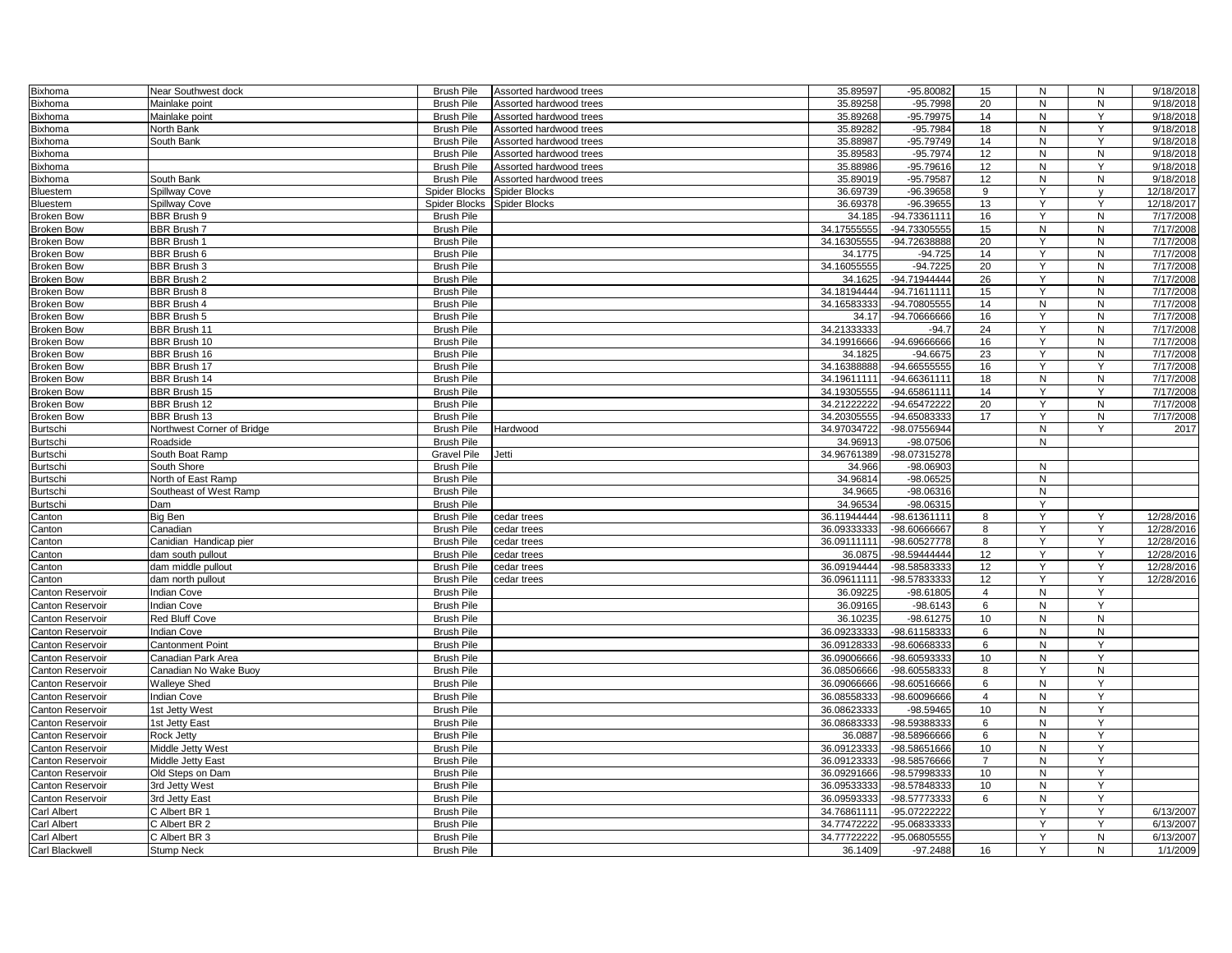| Bixhoma                 | Near Southwest dock        | <b>Brush Pile</b>  | Assorted hardwood trees | 35.89597    | -95.80082      | 15             | N            | ${\sf N}$    | 9/18/2018  |
|-------------------------|----------------------------|--------------------|-------------------------|-------------|----------------|----------------|--------------|--------------|------------|
| <b>Bixhoma</b>          | Mainlake point             | <b>Brush Pile</b>  | Assorted hardwood trees | 35.89258    | $-95.7998$     | 20             | N            | N            | 9/18/2018  |
| Bixhoma                 | Mainlake point             | <b>Brush Pile</b>  | Assorted hardwood trees | 35.89268    | $-95.79975$    | 14             | N            | Y            | 9/18/2018  |
| Bixhoma                 | North Bank                 | <b>Brush Pile</b>  | Assorted hardwood trees | 35.89282    | -95.7984       | 18             | N            | Y            | 9/18/2018  |
| Bixhoma                 | South Bank                 | <b>Brush Pile</b>  | Assorted hardwood trees | 35.88987    | $-95.79749$    | 14             | N            | Y            | 9/18/2018  |
| <b>Bixhoma</b>          |                            | <b>Brush Pile</b>  | Assorted hardwood trees | 35.89583    | $-95.7974$     | 12             | N            | ${\sf N}$    | 9/18/2018  |
| Bixhoma                 |                            | <b>Brush Pile</b>  | Assorted hardwood trees | 35.88986    | $-95.79616$    | 12             | N            | Y            | 9/18/2018  |
| Bixhoma                 | South Bank                 | <b>Brush Pile</b>  | Assorted hardwood trees | 35.89019    | $-95.79587$    | 12             | $\mathsf{N}$ | N            | 9/18/2018  |
| <b>Bluestem</b>         | Spillway Cove              | Spider Blocks      | Spider Blocks           | 36.69739    | $-96.39658$    | 9              | Y            | $\mathsf{v}$ | 12/18/2017 |
|                         |                            |                    |                         |             |                |                | Y            |              |            |
| Bluestem                | Spillway Cove              | Spider Blocks      | <b>Spider Blocks</b>    | 36.69378    | -96.39655      | 13             |              | Υ            | 12/18/2017 |
| <b>Broken Bow</b>       | BBR Brush 9                | <b>Brush Pile</b>  |                         | 34.185      | -94.73361111   | 16             |              | ${\sf N}$    | 7/17/2008  |
| <b>Broken Bow</b>       | <b>BBR Brush 7</b>         | <b>Brush Pile</b>  |                         | 34.17555555 | -94.73305555   | 15             | N            | ${\sf N}$    | 7/17/2008  |
| <b>Broken Bow</b>       | <b>BBR Brush 1</b>         | <b>Brush Pile</b>  |                         | 34.1630555  | -94.72638888   | 20             | Y            | N            | 7/17/2008  |
| Broken Bow              | BBR Brush 6                | <b>Brush Pile</b>  |                         | 34.1775     | $-94.725$      | 14             | Y            | ${\sf N}$    | 7/17/2008  |
| <b>Broken Bow</b>       | <b>BBR Brush 3</b>         | <b>Brush Pile</b>  |                         | 34.16055555 | $-94.7225$     | 20             | Y            | N            | 7/17/2008  |
| <b>Broken Bow</b>       | <b>BBR Brush 2</b>         | <b>Brush Pile</b>  |                         | 34.1625     | -94.71944444   | 26             |              | N            | 7/17/2008  |
| <b>Broken Bow</b>       | BBR Brush 8                | <b>Brush Pile</b>  |                         | 34.18194444 | -94.71611111   | 15             |              | N            | 7/17/2008  |
| <b>Broken Bow</b>       | <b>BBR Brush 4</b>         | <b>Brush Pile</b>  |                         | 34.16583333 | -94.70805555   | 14             | N            | ${\sf N}$    | 7/17/2008  |
| <b>Broken Bow</b>       | <b>BBR Brush 5</b>         | <b>Brush Pile</b>  |                         | 34.17       | -94.70666666   | 16             | Y            | N            | 7/17/2008  |
| Broken Bow              | BBR Brush 11               | <b>Brush Pile</b>  |                         | 34.21333333 | $-94.7$        | 24             | Y            | N            | 7/17/2008  |
| <b>Broken Bow</b>       | <b>BBR Brush 10</b>        | <b>Brush Pile</b>  |                         | 34.19916666 | -94.69666666   | 16             | Y            | N            | 7/17/2008  |
| <b>Broken Bow</b>       | <b>BBR Brush 16</b>        | <b>Brush Pile</b>  |                         | 34.182      | $-94.6675$     | 23             | Y            | ${\sf N}$    | 7/17/2008  |
| <b>Broken Bow</b>       | <b>BBR Brush 17</b>        | <b>Brush Pile</b>  |                         | 34.16388888 | -94.66555555   | 16             | Y            | Y            | 7/17/2008  |
| Broken Bow              | <b>BBR Brush 14</b>        | <b>Brush Pile</b>  |                         | 34.19611111 | -94.66361111   | 18             | N            | ${\sf N}$    | 7/17/2008  |
| <b>Broken Bow</b>       | <b>BBR Brush 15</b>        | <b>Brush Pile</b>  |                         | 34.19305555 | -94.65861111   | 14             | Y            | Y            | 7/17/2008  |
|                         |                            |                    |                         |             |                |                |              |              |            |
| <b>Broken Bow</b>       | <b>BBR Brush 12</b>        | <b>Brush Pile</b>  |                         | 34.21222222 | -94.65472222   | 20             | Y            | N            | 7/17/2008  |
| <b>Broken Bow</b>       | BBR Brush 13               | <b>Brush Pile</b>  |                         | 34.20305555 | -94.65083333   | 17             | Y            | N            | 7/17/2008  |
| Burtschi                | Northwest Corner of Bridge | <b>Brush Pile</b>  | Hardwood                | 34.97034722 | -98.07556944   |                | N            | Y            | 2017       |
| Burtschi                | Roadside                   | <b>Brush Pile</b>  |                         | 34.9691     | -98.07506      |                | N            |              |            |
| Burtschi                | South Boat Ramp            | <b>Gravel Pile</b> | Jetti                   | 34.96761389 | -98.07315278   |                |              |              |            |
| Burtschi                | South Shore                | <b>Brush Pile</b>  |                         | 34.966      | -98.06903      |                | N            |              |            |
| Burtschi                | North of East Ramp         | <b>Brush Pile</b>  |                         | 34.96814    | $-98.06525$    |                | N            |              |            |
| Burtschi                | Southeast of West Ramp     | <b>Brush Pile</b>  |                         | 34.9665     | -98.06316      |                | N            |              |            |
| Burtschi                | Dam                        | <b>Brush Pile</b>  |                         | 34.96534    | $-98.06315$    |                | Y            |              |            |
| Canton                  | Big Ben                    | <b>Brush Pile</b>  | cedar trees             | 36.11944444 | -98.61361111   | 8              | Y            | Y            | 12/28/2016 |
| Canton                  | Canadian                   | <b>Brush Pile</b>  | cedar trees             | 36.09333333 | $-98.60666667$ | 8              | Y            | Y            | 12/28/2016 |
| Canton                  | Canidian Handicap pier     | <b>Brush Pile</b>  | cedar trees             | 36.09111111 | -98.60527778   | 8              | Y            | Y            | 12/28/2016 |
| Canton                  | dam south pullout          | <b>Brush Pile</b>  | cedar trees             | 36.0875     | -98.59444444   | 12             | Y            | Y            | 12/28/2016 |
| Canton                  | dam middle pullout         | <b>Brush Pile</b>  | cedar trees             | 36.09194444 | -98.58583333   | 12             | Y            | Y            | 12/28/2016 |
|                         | dam north pullout          | <b>Brush Pile</b>  | cedar trees             | 36.09611111 | -98.57833333   | 12             |              | Υ            | 12/28/2016 |
| Canton                  |                            |                    |                         |             |                |                |              | Y            |            |
| <b>Canton Reservoir</b> | Indian Cove                | <b>Brush Pile</b>  |                         | 36.0922     | $-98.61805$    | $\overline{4}$ | N            |              |            |
| Canton Reservoir        | Indian Cove                | <b>Brush Pile</b>  |                         | 36.09165    | $-98.6143$     | 6              | N            | Y            |            |
| Canton Reservoir        | Red Bluff Cove             | <b>Brush Pile</b>  |                         | 36.10235    | $-98.61275$    | 10             | N            | ${\sf N}$    |            |
| Canton Reservoir        | ndian Cove                 | <b>Brush Pile</b>  |                         | 36.09233333 | -98.61158333   | 6              | N            | $\mathsf{N}$ |            |
| Canton Reservoir        | <b>Cantonment Point</b>    | <b>Brush Pile</b>  |                         | 36.09128333 | -98.60668333   | 6              | N            | Y            |            |
| Canton Reservoir        | Canadian Park Area         | <b>Brush Pile</b>  |                         | 36.09006666 | -98.60593333   | 10             | N            | Y            |            |
| Canton Reservoir        | Canadian No Wake Buoy      | <b>Brush Pile</b>  |                         | 36.08506666 | -98.60558333   | 8              | Y            | ${\sf N}$    |            |
| Canton Reservoir        | Walleye Shed               | <b>Brush Pile</b>  |                         | 36.09066666 | -98.60516666   | 6              | N            | Y            |            |
| Canton Reservoir        | ndian Cove                 | <b>Brush Pile</b>  |                         | 36.08558333 | -98.60096666   | $\overline{4}$ | N            | Y            |            |
|                         |                            | <b>Brush Pile</b>  |                         | 36.08623333 |                |                |              | Y            |            |
| Canton Reservoir        | 1st Jetty West             |                    |                         |             | -98.59465      | 10             | N            |              |            |
| Canton Reservoir        | 1st Jetty East             | <b>Brush Pile</b>  |                         | 36.08683333 | -98.59388333   | 6              | N            | Y            |            |
| Canton Reservoir        | Rock Jetty                 | <b>Brush Pile</b>  |                         | 36.0887     | -98.58966666   | 6              | N            | Y            |            |
| Canton Reservoir        | Middle Jetty West          | <b>Brush Pile</b>  |                         | 36.09123333 | -98.58651666   | 10             | N            | Y            |            |
| Canton Reservoir        | Middle Jetty East          | <b>Brush Pile</b>  |                         | 36.09123333 | -98.58576666   | $\overline{7}$ | N            | Y            |            |
| Canton Reservoir        | Old Steps on Dam           | <b>Brush Pile</b>  |                         | 36.09291666 | -98.57998333   | 10             | N            | Y            |            |
| Canton Reservoir        | 3rd Jetty West             | <b>Brush Pile</b>  |                         | 36.09533333 | -98.57848333   | 10             | N            | Y            |            |
| Canton Reservoir        | 3rd Jetty East             | <b>Brush Pile</b>  |                         | 36.09593333 | -98.57773333   | 6              | ${\sf N}$    | Y            |            |
| Carl Albert             | C Albert BR 1              | <b>Brush Pile</b>  |                         | 34.76861111 | -95.07222222   |                | Y            | Y            | 6/13/2007  |
| Carl Albert             | C Albert BR 2              | <b>Brush Pile</b>  |                         | 34.77472222 | -95.06833333   |                | Y            | Y            | 6/13/2007  |
| Carl Albert             | C Albert BR 3              | <b>Brush Pile</b>  |                         | 34.77722222 | -95.06805555   |                |              | N            | 6/13/2007  |
| Carl Blackwell          | <b>Stump Neck</b>          | <b>Brush Pile</b>  |                         | 36.1409     | $-97.2488$     | 16             | Y            | N            | 1/1/2009   |
|                         |                            |                    |                         |             |                |                |              |              |            |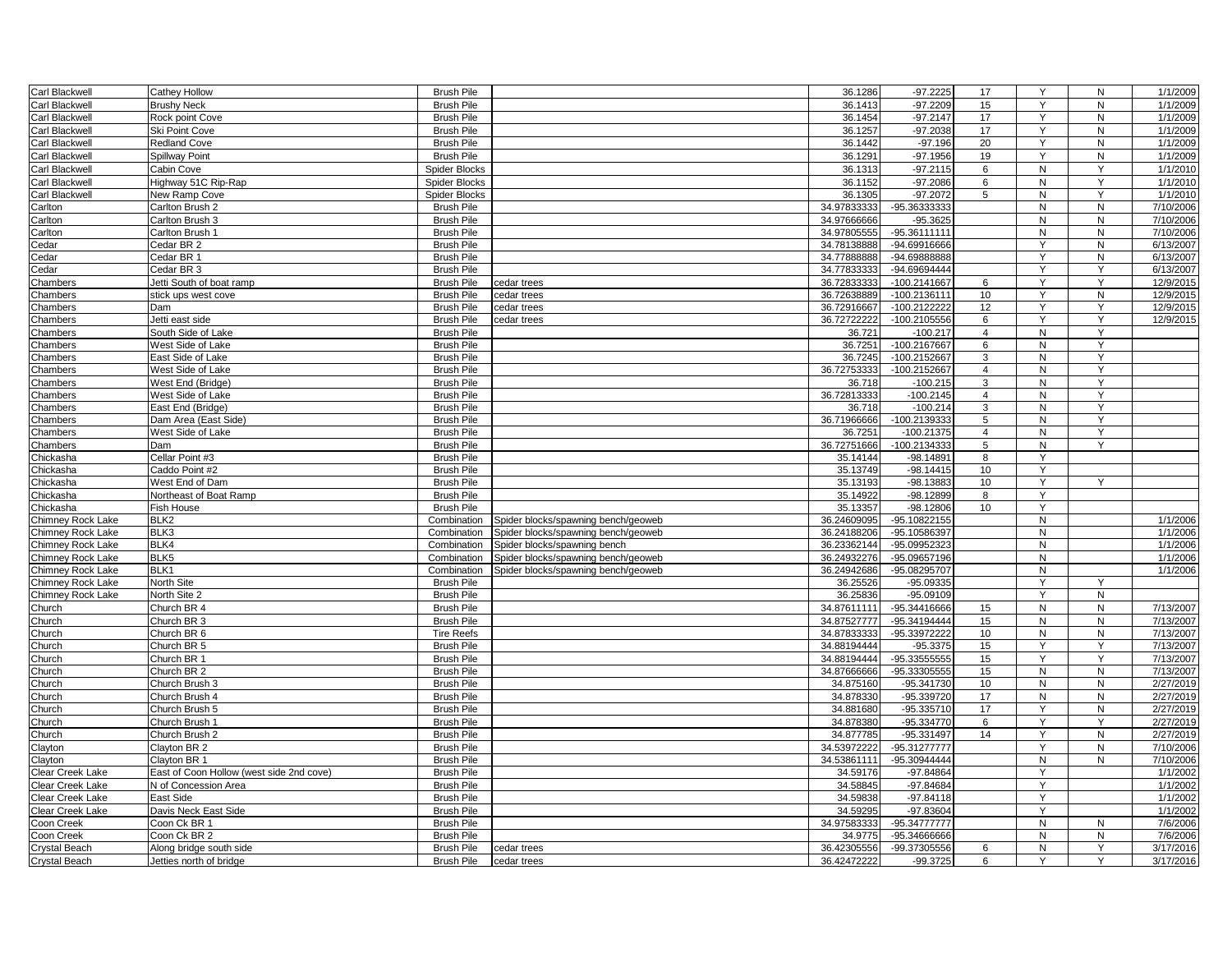| Carl Blackwell           | Cathey Hollow                            | <b>Brush Pile</b>                      |                                     | 36.1286               | $-97.2225$                    | 17             | Y                 | ${\sf N}$           | 1/1/2009             |
|--------------------------|------------------------------------------|----------------------------------------|-------------------------------------|-----------------------|-------------------------------|----------------|-------------------|---------------------|----------------------|
| Carl Blackwell           | <b>Brushy Neck</b>                       | <b>Brush Pile</b>                      |                                     | 36.1413               | $-97.2209$                    | 15             | Y                 | N                   | 1/1/2009             |
| Carl Blackwell           | Rock point Cove                          | <b>Brush Pile</b>                      |                                     | 36.1454               | $-97.2147$                    | 17             | Y                 | N                   | 1/1/2009             |
| Carl Blackwell           | Ski Point Cove                           | <b>Brush Pile</b>                      |                                     | 36.1257               | $-97.2038$                    | 17             | Y                 | N                   | 1/1/2009             |
| Carl Blackwell           | <b>Redland Cove</b>                      | <b>Brush Pile</b>                      |                                     | 36.1442               | $-97.196$                     | 20             | Y                 | ${\sf N}$           | 1/1/2009             |
| Carl Blackwell           | Spillway Point                           | <b>Brush Pile</b>                      |                                     | 36.1291               | $-97.1956$                    | 19             | Y                 | N                   | $\frac{1}{1/1/2009}$ |
| Carl Blackwell           | Cabin Cove                               | <b>Spider Blocks</b>                   |                                     | 36.1313               | $-97.2115$                    | 6              | N                 | Y                   | 1/1/2010             |
| Carl Blackwell           | Highway 51C Rip-Rap                      | <b>Spider Blocks</b>                   |                                     | 36.1152               | $-97.2086$                    | 6              | N                 | Y                   | 1/1/2010             |
| Carl Blackwell           | New Ramp Cove                            | <b>Spider Blocks</b>                   |                                     | 36.1305               | $-97.2072$                    | 5              | N                 | Y                   | 1/1/2010             |
| Carlton                  | Carlton Brush 2                          | <b>Brush Pile</b>                      |                                     | 34.97833333           | -95.36333333                  |                | N                 | N                   | 7/10/2006            |
| Carlton                  | Carlton Brush 3                          | <b>Brush Pile</b>                      |                                     | 34.97666666           | $-95.3625$                    |                | N                 | N                   | 7/10/2006            |
| Carlton                  | Carlton Brush 1                          | <b>Brush Pile</b>                      |                                     | 34.97805555           | $-95.36111111$                |                | N                 | N                   | 7/10/2006            |
| Cedar                    | Cedar BR 2                               | <b>Brush Pile</b>                      |                                     | 34.78138888           | -94.69916666                  |                | Y                 | N                   | 6/13/2007            |
| Cedar                    | Cedar BR 1                               | <b>Brush Pile</b>                      |                                     | 34.77888888           | -94.69888888                  |                | Y                 | N                   | 6/13/2007            |
| Cedar                    | Cedar BR 3                               | <b>Brush Pile</b>                      |                                     | 34.77833333           | -94.69694444                  |                | Y                 | Y                   | 6/13/2007            |
| Chambers                 | Jetti South of boat ramp                 | <b>Brush Pile</b>                      | cedar trees                         | 36.72833333           | -100.2141667                  | 6              | Y                 | Υ                   | 12/9/2015            |
| Chambers                 | stick ups west cove                      | <b>Brush Pile</b>                      | cedar trees                         | 36.72638889           | -100.2136111                  | 10             | Y                 | N                   | 12/9/2015            |
| Chambers                 | Dam                                      | <b>Brush Pile</b>                      | cedar trees                         | 36.72916667           | -100.2122222                  | 12             | Y                 | Y                   | 12/9/2015            |
| Chambers                 | Jetti east side                          | <b>Brush Pile</b>                      | cedar trees                         | 36.72722222           | -100.2105556                  | 6              | Υ                 | Y                   | 12/9/2015            |
| Chambers                 | South Side of Lake                       | <b>Brush Pile</b>                      |                                     | 36.721                | $-100.217$                    | $\overline{4}$ | N                 | Y                   |                      |
| Chambers                 | West Side of Lake                        | <b>Brush Pile</b>                      |                                     | 36.7251               | -100.2167667                  | 6              | N                 | Y                   |                      |
| Chambers                 | East Side of Lake                        | <b>Brush Pile</b>                      |                                     | 36.7245               | -100.2152667                  | 3              | N                 | Y                   |                      |
| Chambers                 | West Side of Lake                        | <b>Brush Pile</b>                      |                                     | 36.72753333           | -100.2152667                  | $\overline{4}$ | N                 | Y                   |                      |
|                          |                                          | <b>Brush Pile</b>                      |                                     |                       | $-100.215$                    | 3              | N                 | Y                   |                      |
| Chambers                 | West End (Bridge)                        | <b>Brush Pile</b>                      |                                     | 36.718<br>36.72813333 | $-100.2145$                   | $\overline{4}$ | N                 | Y                   |                      |
| Chambers                 | West Side of Lake                        |                                        |                                     |                       |                               | 3              |                   | Y                   |                      |
| Chambers                 | East End (Bridge)                        | <b>Brush Pile</b>                      |                                     | 36.718<br>36.71966666 | $-100.214$<br>-100.2139333    |                | N                 | Υ                   |                      |
| Chambers                 | Dam Area (East Side)                     | <b>Brush Pile</b>                      |                                     |                       |                               | 5              | N<br>N            | Y                   |                      |
| Chambers                 | West Side of Lake                        | <b>Brush Pile</b>                      |                                     | 36.7251               | $-100.21375$                  | $\overline{4}$ |                   | Y                   |                      |
| Chambers                 | Dam                                      | <b>Brush Pile</b><br><b>Brush Pile</b> |                                     | 36.72751666           | $-100.2134333$<br>$-98.14891$ | 5              | N<br>Y            |                     |                      |
| Chickasha                | Cellar Point #3<br>Caddo Point #2        | <b>Brush Pile</b>                      |                                     | 35.14144<br>35.13749  | $-98.14415$                   | 8<br>10        | Y                 |                     |                      |
| Chickasha                | West End of Dam                          | <b>Brush Pile</b>                      |                                     | 35.13193              | $-98.13883$                   | 10             | Y                 | Y                   |                      |
| Chickasha                |                                          |                                        |                                     |                       | $-98.12899$                   | 8              | Y                 |                     |                      |
| Chickasha                | Northeast of Boat Ramp                   | <b>Brush Pile</b>                      |                                     | 35.14922<br>35.13357  | $-98.12806$                   | 10             | Y                 |                     |                      |
| Chickasha                | Fish House<br>BLK <sub>2</sub>           | <b>Brush Pile</b>                      |                                     |                       |                               |                |                   |                     |                      |
| Chimney Rock Lake        |                                          | Combination                            | Spider blocks/spawning bench/geoweb | 36.24609095           | -95.10822155<br>-95.10586397  |                | $\mathsf{N}$<br>N |                     | 1/1/2006<br>1/1/2006 |
| Chimney Rock Lake        | BLK3                                     | Combination                            | Spider blocks/spawning bench/geoweb | 36.24188206           |                               |                |                   |                     |                      |
| Chimney Rock Lake        | BLK4                                     | Combination                            | Spider blocks/spawning bench        | 36.23362144           | -95.09952323                  |                | N                 |                     | 1/1/2006             |
| <b>Chimney Rock Lake</b> | BLK5<br>BLK1                             | Combination                            | Spider blocks/spawning bench/geoweb | 36.24932276           | -95.09657196                  |                | N<br>N            |                     | 1/1/2006<br>1/1/2006 |
| Chimney Rock Lake        |                                          | Combination                            | Spider blocks/spawning bench/geoweb | 36.24942686           | -95.08295707                  |                |                   |                     |                      |
| Chimney Rock Lake        | North Site                               | <b>Brush Pile</b><br><b>Brush Pile</b> |                                     | 36.25526<br>36.25836  | -95.09335<br>$-95.09109$      |                | Y<br>Y            | Y<br>$\overline{N}$ |                      |
| Chimney Rock Lake        | North Site 2                             |                                        |                                     |                       |                               |                |                   |                     |                      |
| Church                   | Church BR 4                              | <b>Brush Pile</b>                      |                                     | 34.87611111           | -95.34416666                  | 15             | N                 | N                   | 7/13/2007            |
| Church                   | Church BR 3                              | <b>Brush Pile</b>                      |                                     | 34.87527777           | -95.34194444                  | 15             | N                 | $\mathsf{N}$        | 7/13/2007            |
| Church                   | Church BR 6                              | <b>Tire Reefs</b>                      |                                     | 34.87833333           | -95.33972222                  | 10             | N                 | N                   | 7/13/2007            |
| Church                   | Church BR 5                              | <b>Brush Pile</b>                      |                                     | 34.88194444           | $-95.3375$                    | 15             | Y                 | Y                   | 7/13/2007            |
| Church                   | Church BR 1                              | <b>Brush Pile</b>                      |                                     | 34.88194444           | -95.335555555                 | 15             | Y                 | Y                   | 7/13/2007            |
| Church                   | Church BR 2                              | <b>Brush Pile</b>                      |                                     | 34.87666666           | -95.33305555                  | 15             | N                 | N                   | 7/13/2007            |
| Church                   | Church Brush 3                           | <b>Brush Pile</b>                      |                                     | 34.875160             | -95.341730                    | 10             | N                 | N                   | 2/27/2019            |
| Church                   | Church Brush 4                           | <b>Brush Pile</b>                      |                                     | 34.878330             | -95.339720                    | 17             | N                 | N                   | 2/27/2019            |
| Church                   | Church Brush 5                           | <b>Brush Pile</b>                      |                                     | 34.881680             | -95.335710                    | 17             | Y                 | $\mathsf{N}$        | 2/27/2019            |
| Church                   | Church Brush 1                           | <b>Brush Pile</b>                      |                                     | 34.878380             | $-95.334770$                  | 6              | Y                 | Y                   | 2/27/2019            |
| Church                   | Church Brush 2                           | <b>Brush Pile</b>                      |                                     | 34.877785             | -95.331497                    | 14             | Y                 | N                   | 2/27/2019            |
| Clayton                  | Clayton BR 2                             | <b>Brush Pile</b>                      |                                     | 34.53972222           | -95.31277777                  |                | Y                 | N                   | 7/10/2006            |
| Clayton                  | Clavton BR 1                             | <b>Brush Pile</b>                      |                                     | 34.53861111           | -95.30944444                  |                | N                 | N                   | 7/10/2006            |
| Clear Creek Lake         | East of Coon Hollow (west side 2nd cove) | <b>Brush Pile</b>                      |                                     | 34.59176              | $-97.84864$                   |                | Υ                 |                     | 1/1/2002             |
| Clear Creek Lake         | N of Concession Area                     | <b>Brush Pile</b>                      |                                     | 34.58845              | -97.84684                     |                | Y                 |                     | 1/1/2002             |
| Clear Creek Lake         | East Side                                | <b>Brush Pile</b>                      |                                     | 34.59838              | $-97.84118$                   |                | Y                 |                     | 1/1/2002             |
| Clear Creek Lake         | Davis Neck East Side                     | <b>Brush Pile</b>                      |                                     | 34.59295              | -97.83604                     |                | Y                 |                     | 1/1/2002             |
| Coon Creek               | Coon Ck BR 1                             | <b>Brush Pile</b>                      |                                     | 34.97583333           | -95.34777777                  |                | $\mathsf{N}$      | N                   | 7/6/2006             |
| Coon Creek               | Coon Ck BR 2                             | <b>Brush Pile</b>                      |                                     | 34.9775               | -95.34666666                  |                | N                 | N                   | 7/6/2006             |
| Crystal Beach            | Along bridge south side                  | <b>Brush Pile</b>                      | cedar trees                         | 36.42305556           | -99.37305556                  | 6              | N                 | Y                   | 3/17/2016            |
| <b>Crystal Beach</b>     | Jetties north of bridge                  | <b>Brush Pile</b>                      | cedar trees                         | 36.42472222           | -99.3725                      | 6              | Y                 | Y                   | 3/17/2016            |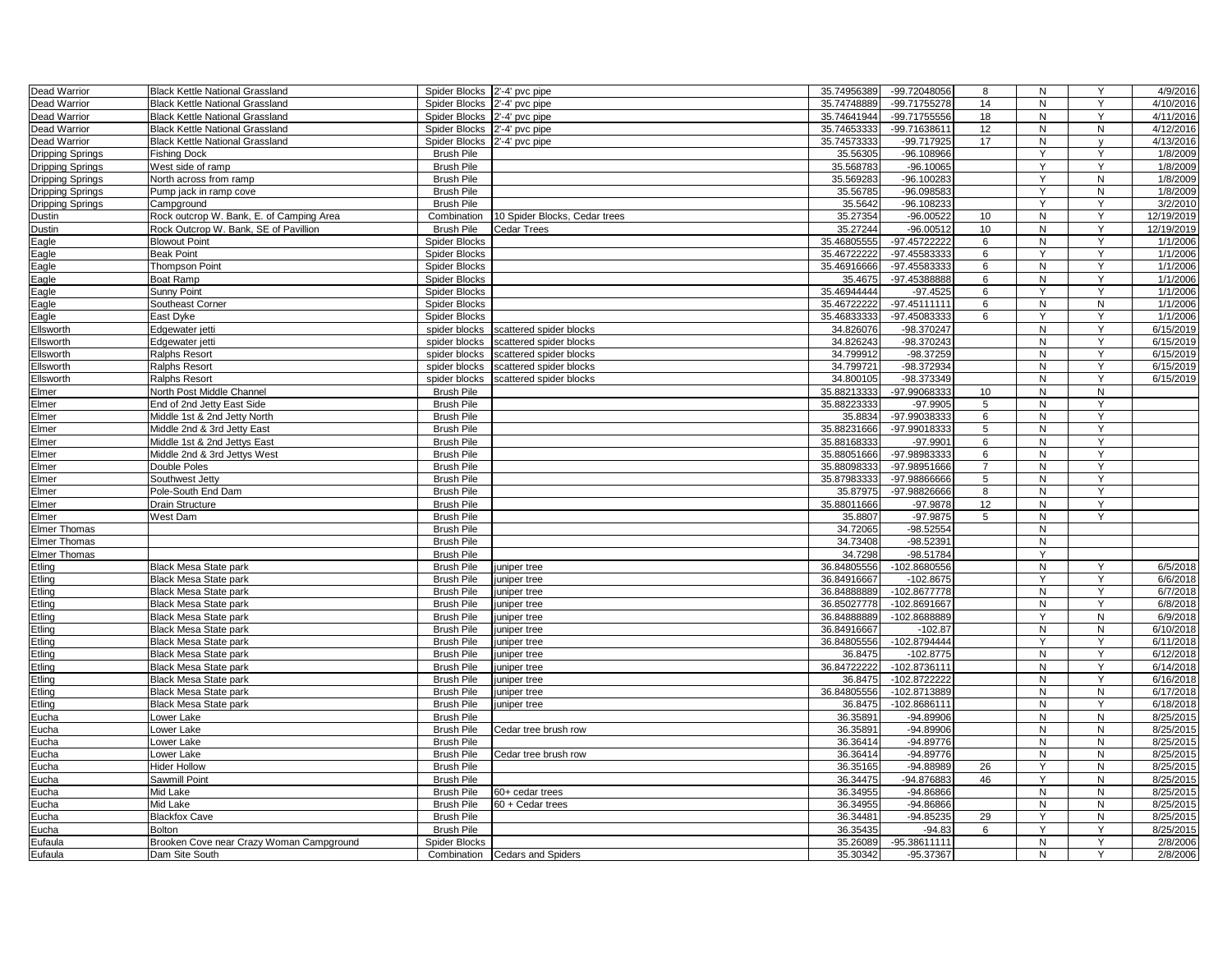| Dead Warrior            | <b>Black Kettle National Grassland</b>   | Spider Blocks 2'-4' pvc pipe |                                | 35.74956389 | -99.72048056                 | 8              | N            | Y                 | 4/9/2016   |
|-------------------------|------------------------------------------|------------------------------|--------------------------------|-------------|------------------------------|----------------|--------------|-------------------|------------|
| Dead Warrior            | <b>Black Kettle National Grassland</b>   | Spider Blocks 2'-4' pvc pipe |                                | 35.74748889 | -99.71755278                 | 14             | N            | Y                 | 4/10/2016  |
| Dead Warrior            | <b>Black Kettle National Grassland</b>   | Spider Blocks 2'-4' pvc pipe |                                | 35.74641944 | -99.71755556                 | 18             | N            | Y                 | 4/11/2016  |
| Dead Warrior            | <b>Black Kettle National Grassland</b>   | Spider Blocks                | 2'-4' pvc pipe                 | 35.74653333 | -99.71638611                 | 12             | N            | N                 | 4/12/2016  |
| Dead Warrior            | <b>Black Kettle National Grassland</b>   | Spider Blocks 2'-4' pvc pipe |                                | 35.74573333 | -99.717925                   | 17             | N            | V                 | 4/13/2016  |
| <b>Dripping Springs</b> | <b>Fishing Dock</b>                      | <b>Brush Pile</b>            |                                | 35.56305    | $-96.108966$                 |                | Y            | Y                 | 1/8/2009   |
| <b>Dripping Springs</b> | West side of ramp                        | <b>Brush Pile</b>            |                                | 35.568783   | $-96.10065$                  |                | Y            | Y                 | 1/8/2009   |
| <b>Dripping Springs</b> | North across from ramp                   | <b>Brush Pile</b>            |                                | 35.569283   | $-96.100283$                 |                | Y            | N                 | 1/8/2009   |
| <b>Dripping Springs</b> | Pump jack in ramp cove                   | <b>Brush Pile</b>            |                                | 35.56785    | $-96.098583$                 |                | Y            | ${\sf N}$         | 1/8/2009   |
| <b>Dripping Springs</b> | Campground                               | <b>Brush Pile</b>            |                                | 35.5642     | $-96.108233$                 |                | Y            | Y                 | 3/2/2010   |
| Dustin                  | Rock outcrop W. Bank, E. of Camping Area | Combination                  | 10 Spider Blocks, Cedar trees  | 35.27354    | $-96.00522$                  | 10             | N            | Y                 | 12/19/2019 |
| Dustin                  | Rock Outcrop W. Bank, SE of Pavillion    | <b>Brush Pile</b>            | <b>Cedar Trees</b>             | 35.27244    | $-96.00512$                  | 10             | N            | Y                 | 12/19/2019 |
| Eagle                   | <b>Blowout Point</b>                     | Spider Blocks                |                                | 35.46805555 | -97.45722222                 | 6              | N            | Y                 | 1/1/2006   |
|                         | <b>Beak Point</b>                        | <b>Spider Blocks</b>         |                                | 35.46722222 | -97.45583333                 | 6              | Y            | Y                 | 1/1/2006   |
| Eagle                   |                                          |                              |                                | 35.46916666 |                              |                | N            | Y                 | 1/1/2006   |
| Eagle                   | Thompson Point                           | <b>Spider Blocks</b>         |                                |             | -97.45583333<br>-97.45388888 | 6              |              | Y                 |            |
| Eagle                   | <b>Boat Ramp</b>                         | Spider Blocks                |                                | 35.4675     |                              | 6              | N<br>Y       | Y                 | 1/1/2006   |
| Eagle                   | <b>Sunny Point</b>                       | <b>Spider Blocks</b>         |                                | 35.46944444 | $-97.4525$                   | 6              |              |                   | 1/1/2006   |
| Eagle                   | Southeast Corner                         | <b>Spider Blocks</b>         |                                | 35.46722222 | -97.45111111                 | 6              | N            | N<br>$\mathsf{Y}$ | 1/1/2006   |
| Eagle                   | East Dvke                                | Spider Blocks                |                                | 35.46833333 | -97.45083333                 | 6              | Y            |                   | 1/1/2006   |
| Ellsworth               | Edgewater jetti                          | spider blocks                | scattered spider blocks        | 34.826076   | -98.370247                   |                | N            | Y                 | 6/15/2019  |
| Ellsworth               | Edgewater jetti                          | spider blocks                | scattered spider blocks        | 34.826243   | -98.370243                   |                | N            | Y                 | 6/15/2019  |
| Ellsworth               | Ralphs Resort                            | spider blocks                | scattered spider blocks        | 34.799912   | -98.37259                    |                | N            | Y                 | 6/15/2019  |
| Ellsworth               | <b>Ralphs Resort</b>                     | spider blocks                | scattered spider blocks        | 34.799721   | -98.372934                   |                | N            | Y                 | 6/15/2019  |
| Ellsworth               | <b>Ralphs Resort</b>                     | spider blocks                | scattered spider blocks        | 34.800105   | -98.373349                   |                | N            | Y                 | 6/15/2019  |
| Elmer                   | North Post Middle Channel                | <b>Brush Pile</b>            |                                | 35.88213333 | -97.99068333                 | 10             | N            | N                 |            |
| Elmer                   | End of 2nd Jetty East Side               | <b>Brush Pile</b>            |                                | 35.88223333 | -97.9905                     | 5              | N            | Y                 |            |
| Elmer                   | Middle 1st & 2nd Jetty North             | <b>Brush Pile</b>            |                                | 35.8834     | -97.99038333                 | 6              | N            | Y                 |            |
| Elmer                   | Middle 2nd & 3rd Jetty East              | <b>Brush Pile</b>            |                                | 35.88231666 | -97.99018333                 | 5              | $\mathsf{N}$ | Y                 |            |
| Elmer                   | Middle 1st & 2nd Jettys East             | <b>Brush Pile</b>            |                                | 35.88168333 | $-97.9901$                   | 6              | N            | $\overline{Y}$    |            |
| Elmer                   | Middle 2nd & 3rd Jettys West             | <b>Brush Pile</b>            |                                | 35.88051666 | -97.98983333                 | 6              | N            | Y                 |            |
| Elmer                   | Double Poles                             | <b>Brush Pile</b>            |                                | 35.88098333 | -97.98951666                 | $\overline{7}$ | N            | Y                 |            |
| Elmer                   | Southwest Jetty                          | <b>Brush Pile</b>            |                                | 35.87983333 | -97.98866666                 | 5              | N            | Y                 |            |
| Elmer                   | Pole-South End Dam                       | <b>Brush Pile</b>            |                                | 35.87975    | -97.98826666                 | 8              | N            | Y                 |            |
| Elmer                   | <b>Drain Structure</b>                   | <b>Brush Pile</b>            |                                | 35.88011666 | $-97.9878$                   | 12             | N            | Y                 |            |
| Elmer                   | West Dam                                 | <b>Brush Pile</b>            |                                | 35.8807     | $-97.9875$                   | 5              | $\mathsf{N}$ | Y                 |            |
| <b>Elmer Thomas</b>     |                                          | <b>Brush Pile</b>            |                                | 34.72065    | $-98.52554$                  |                | N            |                   |            |
| <b>Elmer Thomas</b>     |                                          | <b>Brush Pile</b>            |                                | 34.73408    | $-98.52391$                  |                | N            |                   |            |
| <b>Elmer Thomas</b>     |                                          | <b>Brush Pile</b>            |                                | 34.7298     | -98.51784                    |                | Y            |                   |            |
| Etling                  | Black Mesa State park                    | <b>Brush Pile</b>            | juniper tree                   | 36.84805556 | -102.8680556                 |                | N            | Y                 | 6/5/2018   |
| Etling                  | <b>Black Mesa State park</b>             | <b>Brush Pile</b>            | juniper tree                   | 36.84916667 | $-102.8675$                  |                | Y            | Y                 | 6/6/2018   |
| Etling                  | <b>Black Mesa State park</b>             | <b>Brush Pile</b>            | uniper tree                    | 36.84888889 | -102.8677778                 |                | N            | Y                 | 6/7/2018   |
| Etling                  | <b>Black Mesa State park</b>             | <b>Brush Pile</b>            | juniper tree                   | 36.85027778 | -102.8691667                 |                | N            | Y                 | 6/8/2018   |
| Etling                  | <b>Black Mesa State park</b>             | <b>Brush Pile</b>            | uniper tree                    | 36.84888889 | -102.8688889                 |                | Y            | $\overline{N}$    | 6/9/2018   |
| Etling                  | <b>Black Mesa State park</b>             | <b>Brush Pile</b>            | juniper tree                   | 36.84916667 | $-102.87$                    |                | N            | N                 | 6/10/2018  |
| Etlina                  | <b>Black Mesa State park</b>             | <b>Brush Pile</b>            | iuniper tree                   | 36.84805556 | -102.8794444                 |                | Y            | Y                 | 6/11/2018  |
| Etling                  | <b>Black Mesa State park</b>             | Brush Pile                   | juniper tree                   | 36.8475     | $-102.8775$                  |                | N            | Y                 | 6/12/2018  |
| Etling                  | <b>Black Mesa State park</b>             | <b>Brush Pile</b>            | juniper tree                   | 36.84722222 | -102.8736111                 |                | N            | Y                 | 6/14/2018  |
| Etling                  | <b>Black Mesa State park</b>             | <b>Brush Pile</b>            | uniper tree                    | 36.8475     | -102.8722222                 |                | N            | Y                 | 6/16/2018  |
| Etling                  | <b>Black Mesa State park</b>             | <b>Brush Pile</b>            | juniper tree                   | 36.84805556 | -102.8713889                 |                | N            | ${\sf N}$         | 6/17/2018  |
| Etling                  | Black Mesa State park                    | <b>Brush Pile</b>            | juniper tree                   | 36.8475     | -102.8686111                 |                | N            | Y                 | 6/18/2018  |
| Eucha                   | Lower Lake                               | <b>Brush Pile</b>            |                                | 36.35891    | $-94.89906$                  |                | N            | N                 | 8/25/2015  |
| Eucha                   | Lower Lake                               | <b>Brush Pile</b>            | Cedar tree brush row           | 36.35891    | $-94.89906$                  |                | N            | N                 | 8/25/2015  |
| Eucha                   | Lower Lake                               | <b>Brush Pile</b>            |                                | 36.36414    | $-94.89776$                  |                | N            | ${\sf N}$         | 8/25/2015  |
|                         |                                          | <b>Brush Pile</b>            |                                | 36.36414    | $-94.89776$                  |                | N            | ${\sf N}$         |            |
| Eucha                   | Lower Lake                               |                              | Cedar tree brush row           |             |                              |                |              |                   | 8/25/2015  |
| Eucha                   | <b>Hider Hollow</b>                      | <b>Brush Pile</b>            |                                | 36.35165    | $-94.88989$                  | 26             | Y            | N                 | 8/25/2015  |
| Eucha                   | Sawmill Point                            | <b>Brush Pile</b>            |                                | 36.34475    | -94.876883                   | 46             | Y            | ${\sf N}$         | 8/25/2015  |
| Eucha                   | Mid Lake                                 | <b>Brush Pile</b>            | 60+ cedar trees                | 36.34955    | $-94.86866$                  |                | N            | ${\sf N}$         | 8/25/2015  |
| Eucha                   | Mid Lake                                 | <b>Brush Pile</b>            | 60 + Cedar trees               | 36.34955    | $-94.86866$                  |                | N            | $\overline{N}$    | 8/25/2015  |
| Eucha                   | <b>Blackfox Cave</b>                     | <b>Brush Pile</b>            |                                | 36.34481    | $-94.85235$                  | 29             | Y            | N                 | 8/25/2015  |
| Eucha                   | <b>Bolton</b>                            | <b>Brush Pile</b>            |                                | 36.35435    | $-94.83$                     | 6              | Y            | Y                 | 8/25/2015  |
| Eufaula                 | Brooken Cove near Crazy Woman Campground | Spider Blocks                |                                | 35.26089    | -95.38611111                 |                | N            | Y                 | 2/8/2006   |
| Eufaula                 | Dam Site South                           |                              | Combination Cedars and Spiders | 35.30342    | -95.37367                    |                | $\mathsf{N}$ | $\mathsf{Y}$      | 2/8/2006   |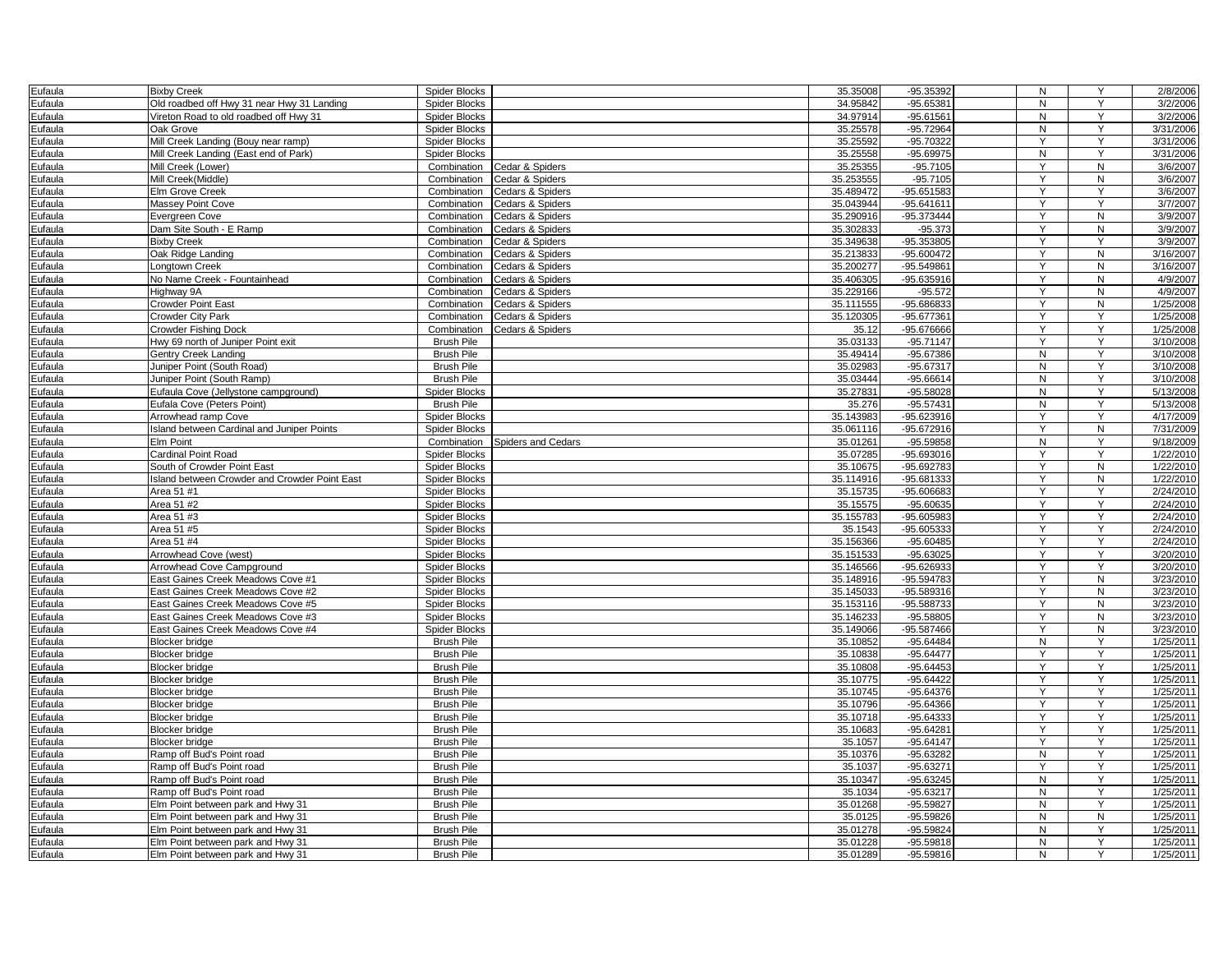| Eufaula | <b>Bixby Creek</b>                            | Spider Blocks        |                             | 35.35008  | -95.35392    | N | Y              | 2/8/2006  |
|---------|-----------------------------------------------|----------------------|-----------------------------|-----------|--------------|---|----------------|-----------|
| Eufaula | Old roadbed off Hwy 31 near Hwy 31 Landing    | <b>Spider Blocks</b> |                             | 34.95842  | $-95.65381$  | N | Y              | 3/2/2006  |
| Eufaula | Vireton Road to old roadbed off Hwy 31        | Spider Blocks        |                             | 34.97914  | $-95.61561$  | N | Y              | 3/2/2006  |
| Eufaula | Oak Grove                                     | <b>Spider Blocks</b> |                             | 35.25578  | $-95.72964$  | N | Y              | 3/31/2006 |
| Eufaula | Mill Creek Landing (Bouy near ramp)           | Spider Blocks        |                             | 35.25592  | -95.70322    | Y | Υ              | 3/31/2006 |
| Eufaula | Mill Creek Landing (East end of Park)         | Spider Blocks        |                             | 35.25558  | $-95.69975$  | N | Y              | 3/31/2006 |
| Eufaula | Mill Creek (Lower)                            | Combination          | Cedar & Spiders             | 35.25355  | $-95.7105$   | Y | N              | 3/6/2007  |
| Eufaula | Mill Creek(Middle)                            | Combination          | Cedar & Spiders             | 35.253555 | $-95.7105$   | Y | N              | 3/6/2007  |
| Eufaula | Elm Grove Creek                               | Combination          | <b>Cedars &amp; Spiders</b> | 35.489472 | $-95.651583$ | Ÿ | $\overline{Y}$ | 3/6/2007  |
| Eufaula | <b>Massey Point Cove</b>                      | Combination          | Cedars & Spiders            | 35.043944 | -95.641611   | Y | Y              | 3/7/2007  |
| Eufaula | Evergreen Cove                                | Combination          | Cedars & Spiders            | 35.290916 | -95.373444   | Y | N              | 3/9/2007  |
| Eufaula | Dam Site South - E Ramp                       | Combination          | Cedars & Spiders            | 35.30283  | $-95.373$    | Y | ${\sf N}$      | 3/9/2007  |
| Eufaula | <b>Bixby Creek</b>                            | Combination          | Cedar & Spiders             | 35.349638 | -95.353805   | Y | Y              | 3/9/2007  |
| Eufaula | Oak Ridge Landing                             | Combination          | Cedars & Spiders            | 35.213833 | -95.600472   | Y | N              | 3/16/2007 |
| Eufaula | Longtown Creek                                | Combination          | Cedars & Spiders            | 35.200277 | -95.549861   | Y | N              | 3/16/2007 |
| Eufaula | No Name Creek - Fountainhead                  | Combination          | Cedars & Spiders            | 35.406305 | -95.635916   | Y | N              | 4/9/2007  |
| Eufaula | Highway 9A                                    | Combination          | Cedars & Spiders            | 35.229166 | $-95.572$    | Y | N              | 4/9/2007  |
| Eufaula | <b>Crowder Point East</b>                     | Combination          | Cedars & Spiders            | 35.111555 | -95.686833   | Y | ${\sf N}$      | 1/25/2008 |
| Eufaula | Crowder City Park                             | Combination          | Cedars & Spiders            | 35.120305 | -95.677361   | Y | Y              | 1/25/2008 |
| Eufaula | <b>Crowder Fishing Dock</b>                   | Combination          | Cedars & Spiders            | 35.12     | -95.676666   | Y | Y              | 1/25/2008 |
| Eufaula | Hwy 69 north of Juniper Point exit            | <b>Brush Pile</b>    |                             | 35.03133  | $-95.71147$  | Y | Y              | 3/10/2008 |
| Eufaula | <b>Gentry Creek Landing</b>                   | <b>Brush Pile</b>    |                             | 35.49414  | $-95.67386$  | N | Υ              | 3/10/2008 |
| Eufaula | Juniper Point (South Road)                    | <b>Brush Pile</b>    |                             | 35.02983  | -95.67317    | N | Y              | 3/10/2008 |
| Eufaula | Juniper Point (South Ramp)                    | <b>Brush Pile</b>    |                             | 35.03444  | $-95.66614$  | N | Y              | 3/10/2008 |
| Eufaula | Eufaula Cove (Jellystone campground)          | Spider Blocks        |                             | 35.27831  | $-95.58028$  | N | Y              | 5/13/2008 |
| Eufaula | Eufala Cove (Peters Point)                    | <b>Brush Pile</b>    |                             | 35.276    | $-95.57431$  | N | Y              | 5/13/2008 |
| Eufaula | Arrowhead ramp Cove                           | <b>Spider Blocks</b> |                             | 35.143983 | -95.623916   |   | Υ              | 4/17/2009 |
| Eufaula | Island between Cardinal and Juniper Points    | <b>Spider Blocks</b> |                             | 35.061116 | -95.672916   | Y | N              | 7/31/2009 |
| Eufaula | <b>Elm Point</b>                              | Combination          | Spiders and Cedars          | 35.01261  | -95.59858    | N | Y              | 9/18/2009 |
| Eufaula | Cardinal Point Road                           | Spider Blocks        |                             | 35.07285  | -95.693016   | Y | Y              | 1/22/2010 |
| Eufaula | South of Crowder Point East                   | <b>Spider Blocks</b> |                             | 35.10675  | -95.692783   | Y | N              | 1/22/2010 |
| Eufaula | Island between Crowder and Crowder Point East | <b>Spider Blocks</b> |                             | 35.114916 | -95.681333   | Y | N              | 1/22/2010 |
| Eufaula | Area 51 #1                                    | <b>Spider Blocks</b> |                             | 35.15735  | -95.606683   | Y | Y              | 2/24/2010 |
| Eufaula | Area 51 #2                                    | <b>Spider Blocks</b> |                             | 35.15575  | $-95.60635$  | Y | Y              | 2/24/2010 |
| Eufaula | Area 51 #3                                    | Spider Blocks        |                             | 35.155783 | -95.605983   | Y | Y              | 2/24/2010 |
| Eufaula | Area 51 #5                                    | <b>Spider Blocks</b> |                             | 35.1543   | -95.605333   | Y | Y              | 2/24/2010 |
| Eufaula | Area 51 #4                                    | <b>Spider Blocks</b> |                             | 35.156366 | $-95.60485$  | Y | Y              | 2/24/2010 |
| Eufaula | Arrowhead Cove (west)                         | <b>Spider Blocks</b> |                             | 35.15153  | $-95.63025$  | Y | Y              | 3/20/2010 |
| Eufaula | Arrowhead Cove Campground                     | <b>Spider Blocks</b> |                             | 35.146566 | -95.626933   | Y | Υ              | 3/20/2010 |
| Eufaula | East Gaines Creek Meadows Cove #1             | Spider Blocks        |                             | 35.148916 | -95.594783   | Y | N              | 3/23/2010 |
| Eufaula | East Gaines Creek Meadows Cove #2             | Spider Blocks        |                             | 35.145033 | -95.589316   | Y | N              | 3/23/2010 |
| Eufaula | East Gaines Creek Meadows Cove #5             | <b>Spider Blocks</b> |                             | 35.153116 | -95.588733   | Y | N              | 3/23/2010 |
| Eufaula | East Gaines Creek Meadows Cove #3             | Spider Blocks        |                             | 35.14623  | $-95.58805$  | Y | N              | 3/23/2010 |
| Eufaula | East Gaines Creek Meadows Cove #4             | Spider Blocks        |                             | 35.149066 | -95.587466   | Y | N              | 3/23/2010 |
| Eufaula | <b>Blocker bridge</b>                         | <b>Brush Pile</b>    |                             | 35.10852  | $-95.64484$  | N | Y              | 1/25/2011 |
| Eufaula | <b>Blocker bridge</b>                         | <b>Brush Pile</b>    |                             | 35.10838  | $-95.64477$  | Y | Y              | 1/25/201' |
| Eufaula | <b>Blocker</b> bridge                         | <b>Brush Pile</b>    |                             | 35.10808  | $-95.64453$  | Y | Y              | 1/25/201  |
| Eufaula | <b>Blocker</b> bridge                         | <b>Brush Pile</b>    |                             | 35.10775  | $-95.64422$  | Y | Y              | 1/25/201  |
| Eufaula | <b>Blocker</b> bridge                         | <b>Brush Pile</b>    |                             | 35.10745  | $-95.64376$  | Y | Y              | 1/25/201' |
| Eufaula | <b>Blocker</b> bridge                         | <b>Brush Pile</b>    |                             | 35.10796  | $-95.64366$  | Y | Y              | 1/25/201  |
| Eufaula | <b>Blocker</b> bridge                         | <b>Brush Pile</b>    |                             | 35.10718  | $-95.64333$  | Y | Y              | 1/25/201' |
| Eufaula | <b>Blocker</b> bridge                         | <b>Brush Pile</b>    |                             | 35.10683  | $-95.64281$  | Υ | Y              | 1/25/201  |
| Eufaula | <b>Blocker bridge</b>                         | <b>Brush Pile</b>    |                             | 35.1057   | $-95.64147$  | Y | Y              | 1/25/201' |
| Eufaula | Ramp off Bud's Point road                     | <b>Brush Pile</b>    |                             | 35.10376  | -95.63282    | N | Y              | 1/25/2011 |
| Eufaula | Ramp off Bud's Point road                     | <b>Brush Pile</b>    |                             | 35.1037   | $-95.63271$  | Y | Y              | 1/25/201  |
| Eufaula | Ramp off Bud's Point road                     | <b>Brush Pile</b>    |                             | 35.10347  | $-95.63245$  | N | Y              | 1/25/2011 |
| Eufaula | Ramp off Bud's Point road                     | <b>Brush Pile</b>    |                             | 35.1034   | $-95.63217$  | N | Y              | 1/25/201  |
| Eufaula | Elm Point between park and Hwy 31             | <b>Brush Pile</b>    |                             | 35.01268  | $-95.59827$  | N | Y              | 1/25/201  |
| Eufaula | Elm Point between park and Hwy 31             | <b>Brush Pile</b>    |                             | 35.0125   | $-95.59826$  | N | N              | 1/25/2011 |
| Eufaula | Elm Point between park and Hwy 31             | <b>Brush Pile</b>    |                             | 35.01278  | -95.59824    | N | Υ              | 1/25/2011 |
| Eufaula | Elm Point between park and Hwy 31             | <b>Brush Pile</b>    |                             | 35.01228  | $-95.59818$  | N | Υ              | 1/25/2011 |
| Eufaula | Elm Point between park and Hwy 31             | <b>Brush Pile</b>    |                             | 35.01289  | $-95.59816$  | N | Y              | 1/25/2011 |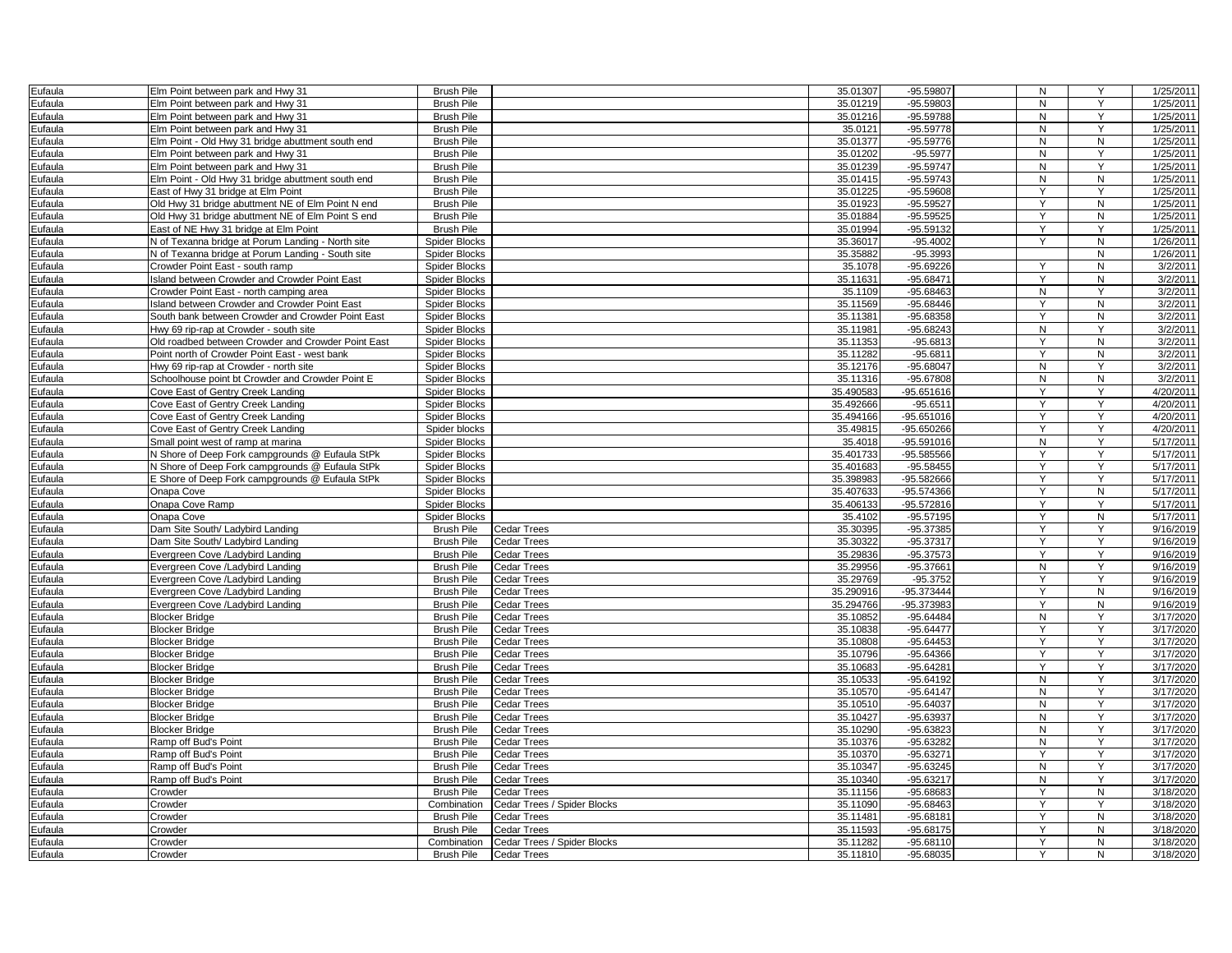| Eufaula | Elm Point between park and Hwy 31                  | <b>Brush Pile</b>    |                             | 35.01307               | -95.59807                  | N              | Y              | 1/25/2011              |
|---------|----------------------------------------------------|----------------------|-----------------------------|------------------------|----------------------------|----------------|----------------|------------------------|
| Eufaula | Elm Point between park and Hwy 31                  | <b>Brush Pile</b>    |                             | 35.01219               | -95.59803                  | N              | Y              | 1/25/2011              |
| Eufaula | Elm Point between park and Hwy 31                  | <b>Brush Pile</b>    |                             | 35.01216               | -95.59788                  | N              | Y              | 1/25/2011              |
| Eufaula | Elm Point between park and Hwy 31                  | <b>Brush Pile</b>    |                             | 35.0121                | $-95.59778$                | N              | Y              | 1/25/2011              |
| Eufaula | Elm Point - Old Hwy 31 bridge abuttment south end  | <b>Brush Pile</b>    |                             | 35.01377               | $-95.59776$                | N              | ${\sf N}$      | 1/25/2011              |
| Eufaula | Elm Point between park and Hwy 31                  | <b>Brush Pile</b>    |                             | 35.01202               | $-95.5977$                 | N              | Y              | 1/25/2011              |
| Eufaula | Elm Point between park and Hwy 31                  | <b>Brush Pile</b>    |                             | 35.01239               | -95.59747                  | N              | Y              | 1/25/2011              |
| Eufaula | Elm Point - Old Hwy 31 bridge abuttment south end  | <b>Brush Pile</b>    |                             | 35.01415               | $-95.59743$                | N              | ${\sf N}$      | 1/25/2011              |
| Eufaula | East of Hwy 31 bridge at Elm Point                 | <b>Brush Pile</b>    |                             | 35.01225               | $-95.59608$                | Y              | Y              | 1/25/2011              |
| Eufaula | Old Hwy 31 bridge abuttment NE of Elm Point N end  | <b>Brush Pile</b>    |                             | 35.01923               | -95.59527                  | Y              | N              | 1/25/2011              |
| Eufaula | Old Hwy 31 bridge abuttment NE of Elm Point S end  | <b>Brush Pile</b>    |                             | 35.01884               | $-95.59525$                | Y              | ${\sf N}$      | 1/25/2011              |
| Eufaula | East of NE Hwy 31 bridge at Elm Point              | <b>Brush Pile</b>    |                             | 35.01994               | -95.59132                  | Y              | Y              | 1/25/2011              |
| Eufaula | N of Texanna bridge at Porum Landing - North site  | Spider Blocks        |                             | 35.36017               | $-95.4002$                 | $\checkmark$   | N              | 1/26/2011              |
| Eufaula | N of Texanna bridge at Porum Landing - South site  | <b>Spider Blocks</b> |                             | 35.35882               | -95.3993                   |                | N              | 1/26/2011              |
| Eufaula | Crowder Point East - south ramp                    | Spider Blocks        |                             | 35.1078                | $-95.69226$                | Y              | N              | 3/2/2011               |
| Eufaula | sland between Crowder and Crowder Point East       | Spider Blocks        |                             | 35.11631               | $-95.68471$                | Y              | ${\sf N}$      | 3/2/2011               |
| Eufaula | Crowder Point East - north camping area            | Spider Blocks        |                             | 35.1109                | $-95.68463$                | N              | Y              | 3/2/2011               |
| Eufaula | Island between Crowder and Crowder Point East      | Spider Blocks        |                             | 35.11569               | $-95.68446$                | Υ              | N              | 3/2/2011               |
| Eufaula | South bank between Crowder and Crowder Point East  | Spider Blocks        |                             | 35.11381               | $-95.68358$                | Y              | N              | 3/2/2011               |
| Eufaula | Hwy 69 rip-rap at Crowder - south site             | Spider Blocks        |                             | 35.11981               | -95.68243                  | N              | Y              | 3/2/2011               |
| Eufaula | Old roadbed between Crowder and Crowder Point East | <b>Spider Blocks</b> |                             | 35.11353               | $-95.6813$                 | Y              | N              | 3/2/2011               |
| Eufaula | Point north of Crowder Point East - west bank      | Spider Blocks        |                             | 35.11282               | $-95.6811$                 | Y              | ${\sf N}$      | 3/2/2011               |
| Eufaula | Hwy 69 rip-rap at Crowder - north site             | <b>Spider Blocks</b> |                             | 35.12176               | $-95.68047$                | N              | Y              | 3/2/2011               |
| Eufaula | Schoolhouse point bt Crowder and Crowder Point E   | <b>Spider Blocks</b> |                             | 35.11316               | $-95.67808$                | N              | N              | 3/2/2011               |
| Eufaula | Cove East of Gentry Creek Landing                  | <b>Spider Blocks</b> |                             | 35.490583              | -95.651616                 | Y              | Y              | 4/20/2011              |
| Eufaula | Cove East of Gentry Creek Landing                  | Spider Blocks        |                             | 35.492666              | $-95.6511$                 | Y              | Y              | 4/20/2011              |
| Eufaula | Cove East of Gentry Creek Landing                  | Spider Blocks        |                             | 35.494166              | $-95.651016$               | Y              | Y              | 4/20/2011              |
| Eufaula | Cove East of Gentry Creek Landing                  | Spider blocks        |                             | 35.49815               | $-95.650266$               | Y              | Y              | 4/20/2011              |
| Eufaula | Small point west of ramp at marina                 | <b>Spider Blocks</b> |                             | 35.4018                | $-95.591016$               | $\overline{N}$ | $\overline{Y}$ | 5/17/2011              |
| Eufaula | N Shore of Deep Fork campgrounds @ Eufaula StPk    | <b>Spider Blocks</b> |                             | 35.401733              | -95.585566                 | Y              | Y              | 5/17/2011              |
|         | N Shore of Deep Fork campgrounds @ Eufaula StPk    | <b>Spider Blocks</b> |                             | 35.401683              | $-95.58455$                | Y              | Y              | 5/17/2011              |
| Eufaula |                                                    |                      |                             |                        | -95.582666                 | Y              | Y              |                        |
| Eufaula | E Shore of Deep Fork campgrounds @ Eufaula StPk    | Spider Blocks        |                             | 35.398983              |                            | Y              | ${\sf N}$      | 5/17/2011              |
| Eufaula | Onapa Cove                                         | Spider Blocks        |                             | 35.407633<br>35.406133 | -95.574366<br>-95.572816   | Y              | Y              | 5/17/2011<br>5/17/2011 |
| Eufaula | Onapa Cove Ramp                                    | Spider Blocks        |                             |                        |                            | Y              | N              |                        |
| Eufaula | Onapa Cove                                         | <b>Spider Blocks</b> |                             | 35.4102<br>35.30395    | $-95.57195$<br>$-95.37385$ | $\overline{Y}$ | $\overline{Y}$ | 5/17/2011<br>9/16/2019 |
| Eufaula | Dam Site South/ Ladybird Landing                   | <b>Brush Pile</b>    | Cedar Trees                 |                        |                            |                |                |                        |
| Eufaula | Dam Site South/ Ladybird Landing                   | <b>Brush Pile</b>    | Cedar Trees                 | 35.30322               | -95.37317                  | Υ              | Y              | 9/16/2019              |
| Eufaula | Evergreen Cove /Ladybird Landing                   | <b>Brush Pile</b>    | <b>Cedar Trees</b>          | 35.29836               | $-95.37573$                | Y              | Y              | 9/16/2019              |
| Eufaula | Evergreen Cove /Ladybird Landing                   | <b>Brush Pile</b>    | Cedar Trees                 | 35.29956               | -95.37661                  | N              | Y              | 9/16/2019              |
| Eufaula | Evergreen Cove /Ladybird Landing                   | <b>Brush Pile</b>    | Cedar Trees                 | 35.29769               | $-95.3752$                 | Y<br>Y         | Y              | 9/16/2019              |
| Eufaula | Evergreen Cove /Ladybird Landing                   | <b>Brush Pile</b>    | Cedar Trees                 | 35.290916              | $-95.373444$               |                | N              | 9/16/2019              |
| Eufaula | Evergreen Cove /Ladybird Landing                   | <b>Brush Pile</b>    | <b>Cedar Trees</b>          | 35.294766              | -95.373983                 |                | $\overline{N}$ | 9/16/2019              |
| Eufaula | <b>Blocker Bridge</b>                              | <b>Brush Pile</b>    | <b>Cedar Trees</b>          | 35.10852               | -95.64484                  | N              | Y              | 3/17/2020              |
| Eufaula | <b>Blocker Bridge</b>                              | <b>Brush Pile</b>    | Cedar Trees                 | 35.10838               | $-95.64477$                | Y              | Y              | 3/17/2020              |
| Eufaula | <b>Blocker Bridge</b>                              | <b>Brush Pile</b>    | Cedar Trees                 | 35.10808               | $-95.64453$                | Y              | Y              | 3/17/2020              |
| Eufaula | <b>Blocker Bridge</b>                              | <b>Brush Pile</b>    | Cedar Trees                 | 35.10796               | $-95.64366$                | Y              | Y              | 3/17/2020              |
| Eufaula | <b>Blocker Bridge</b>                              | <b>Brush Pile</b>    | Cedar Trees                 | 35.10683               | -95.64281                  |                | Y              | 3/17/2020              |
| Eufaula | <b>Blocker Bridge</b>                              | <b>Brush Pile</b>    | Cedar Trees                 | 35.10533               | -95.64192                  | N              | Y              | 3/17/2020              |
| Eufaula | <b>Blocker Bridge</b>                              | <b>Brush Pile</b>    | <b>Cedar Trees</b>          | 35.10570               | $-95.64147$                | N              | Y              | 3/17/2020              |
| Eufaula | <b>Blocker Bridge</b>                              | <b>Brush Pile</b>    | <b>Cedar Trees</b>          | 35.10510               | $-95.64037$                | N              | Y              | 3/17/2020              |
| Eufaula | <b>Blocker Bridge</b>                              | <b>Brush Pile</b>    | Cedar Trees                 | 35.10427               | -95.63937                  | N              | Y              | 3/17/2020              |
| Eufaula | Blocker Bridge                                     | <b>Brush Pile</b>    | Cedar Trees                 | 35.10290               | -95.63823                  | N              | Y              | 3/17/2020              |
| Eufaula | Ramp off Bud's Point                               | <b>Brush Pile</b>    | Cedar Trees                 | 35.10376               | -95.63282                  | N              | Y              | 3/17/2020              |
| Eufaula | Ramp off Bud's Point                               | <b>Brush Pile</b>    | <b>Cedar Trees</b>          | 35.10370               | -95.63271                  | Υ              | Y              | 3/17/2020              |
| Eufaula | Ramp off Bud's Point                               | <b>Brush Pile</b>    | <b>Cedar Trees</b>          | 35.10347               | $-95.63245$                | $\mathsf{N}$   | Y              | 3/17/2020              |
| Eufaula | Ramp off Bud's Point                               | <b>Brush Pile</b>    | Cedar Trees                 | 35.10340               | -95.63217                  | N              | Y              | 3/17/2020              |
| Eufaula | Crowder                                            | <b>Brush Pile</b>    | Cedar Trees                 | 35.11156               | -95.68683                  | Y              | N              | 3/18/2020              |
| Eufaula | Crowder                                            | Combination          | Cedar Trees / Spider Blocks | 35.11090               | $-95.68463$                | Y              | Y              | 3/18/2020              |
| Eufaula | Crowder                                            | <b>Brush Pile</b>    | Cedar Trees                 | 35.11481               | -95.68181                  | Y              | N              | 3/18/2020              |
| Eufaula | Crowder                                            | <b>Brush Pile</b>    | <b>Cedar Trees</b>          | 35.11593               | $-95.68175$                | Y              | ${\sf N}$      | 3/18/2020              |
| Eufaula | Crowder                                            | Combination          | Cedar Trees / Spider Blocks | 35.11282               | $-95.68110$                | Y              | N              | 3/18/2020              |
| Eufaula | Crowder                                            | <b>Brush Pile</b>    | <b>Cedar Trees</b>          | 35.11810               | -95.68035                  | Y              | N              | 3/18/2020              |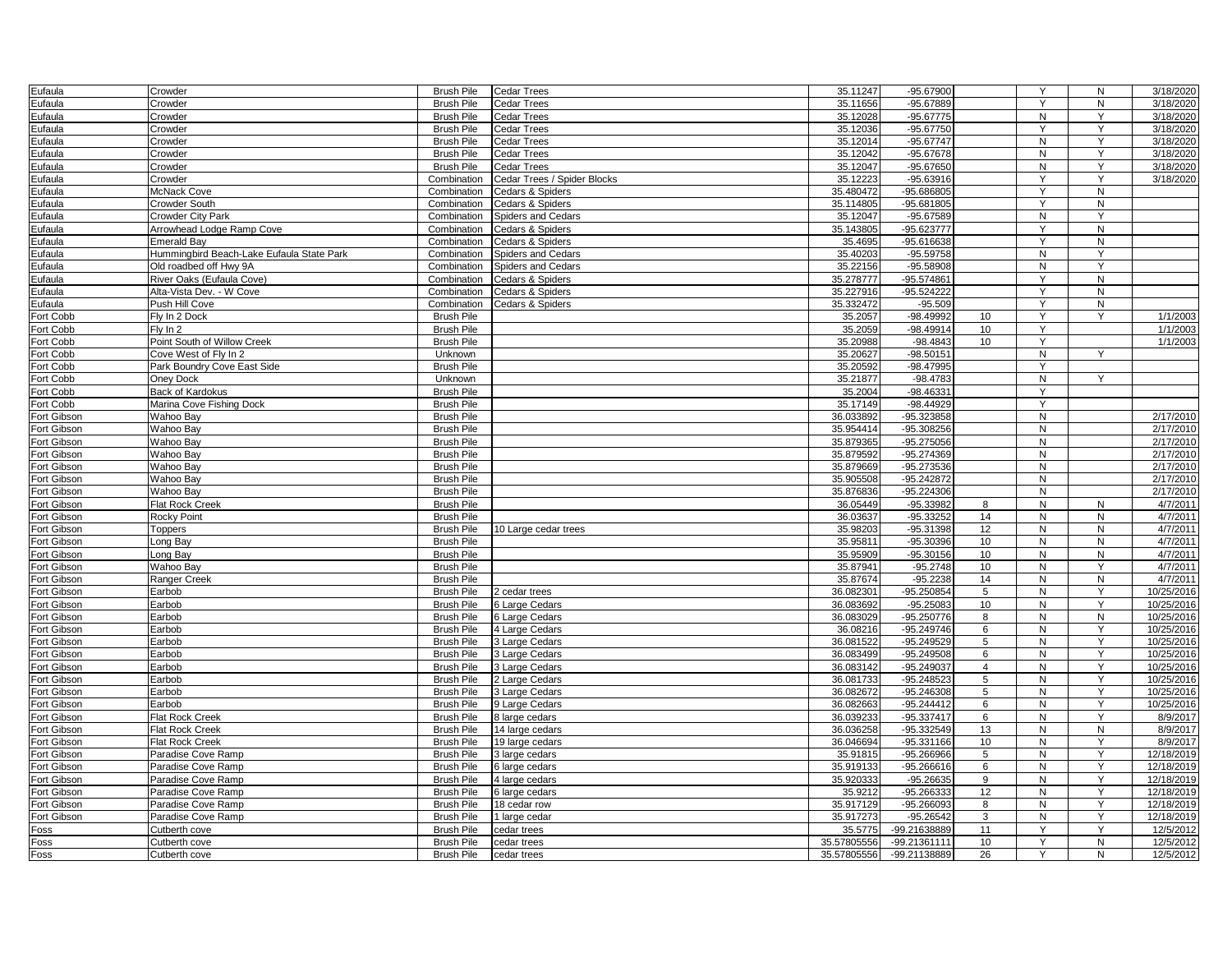| Eufaula                    | Crowder                                   | <b>Brush Pile</b>                      | <b>Cedar Trees</b>               | 35.11247               | -95.67900                    |                     | Y              | N            | 3/18/2020                |
|----------------------------|-------------------------------------------|----------------------------------------|----------------------------------|------------------------|------------------------------|---------------------|----------------|--------------|--------------------------|
| Eufaula                    | Crowder                                   | <b>Brush Pile</b>                      | Cedar Trees                      | 35.11656               | -95.67889                    |                     | $\overline{Y}$ | N            | 3/18/2020                |
| Eufaula                    | Crowder                                   | <b>Brush Pile</b>                      | Cedar Trees                      | 35.12028               | $-95.67775$                  |                     | N              | Y            | 3/18/2020                |
| Eufaula                    | Crowder                                   | <b>Brush Pile</b>                      | <b>Cedar Trees</b>               | 35.12036               | $-95.67750$                  |                     | Y              | Y            | 3/18/2020                |
| Eufaula                    | Crowder                                   | <b>Brush Pile</b>                      | Cedar Trees                      | 35.12014               | -95.67747                    |                     | N              | Y            | 3/18/2020                |
| Eufaula                    | Crowder                                   | <b>Brush Pile</b>                      | Cedar Trees                      | 35.12042               | $-95.67678$                  |                     | N              | Y            | 3/18/2020                |
| Eufaula                    | Crowder                                   | <b>Brush Pile</b>                      | Cedar Trees                      | 35.12047               | $-95.67650$                  |                     | N              | Y            | 3/18/2020                |
| Eufaula                    | Crowder                                   | Combination                            | Cedar Trees / Spider Blocks      | 35.12223               | $-95.63916$                  |                     | Y              | Y            | 3/18/2020                |
| Eufaula                    | McNack Cove                               | Combination                            | Cedars & Spiders                 | 35.480472              | -95.686805                   |                     | Y              | ${\sf N}$    |                          |
| Eufaula                    | Crowder South                             | Combination                            | Cedars & Spiders                 | 35.114805              | $-95.681805$                 |                     | Y              | N            |                          |
| Eufaula                    | Crowder City Park                         | Combination                            | Spiders and Cedars               | 35.12047               | $-95.67589$                  |                     | N              | Y            |                          |
| Eufaula                    | Arrowhead Lodge Ramp Cove                 | Combination                            | Cedars & Spiders                 | 35.143805              | -95.623777                   |                     | Y              | N            |                          |
| Eufaula                    | Emerald Bav                               | Combination                            | Cedars & Spiders                 | 35.4695                | $-95.616638$                 |                     | Y              | N            |                          |
| Eufaula                    | Hummingbird Beach-Lake Eufaula State Park | Combination                            | <b>Spiders and Cedars</b>        | 35.40203               | $-95.59758$                  |                     | N              | Y            |                          |
| Eufaula                    | Old roadbed off Hwy 9A                    | Combination                            | Spiders and Cedars               | 35.22156               | $-95.58906$                  |                     | N              | Y            |                          |
| Eufaula                    | River Oaks (Eufaula Cove)                 | Combination                            | Cedars & Spiders                 | 35.278777              | -95.574861                   |                     | Y              | ${\sf N}$    |                          |
| Eufaula                    | Alta-Vista Dev. - W Cove                  | Combination                            | Cedars & Spiders                 | 35.227916              | $-95.524222$                 |                     | Y              | ${\sf N}$    |                          |
| Eufaula                    | Push Hill Cove                            | Combination                            | <b>Cedars &amp; Spiders</b>      | 35.332472              | $-95.509$                    |                     | Υ              | N            |                          |
| Fort Cobb                  | Fly In 2 Dock                             | <b>Brush Pile</b>                      |                                  | 35.2057                | -98.49992                    | 10                  | Y              | $\mathsf{Y}$ | 1/1/2003                 |
| Fort Cobb                  | Fly In 2                                  | <b>Brush Pile</b>                      |                                  | 35.2059                | -98.49914                    | 10                  | Y              |              | 1/1/2003                 |
| Fort Cobb                  | Point South of Willow Creek               | <b>Brush Pile</b>                      |                                  | 35.20988               | $-98.4843$                   | 10                  | Y              |              | 1/1/2003                 |
| Fort Cobb                  | Cove West of Fly In 2                     | Unknown                                |                                  | 35.20627               | $-98.50151$                  |                     | N              | Y            |                          |
| Fort Cobb                  | Park Boundry Cove East Side               | <b>Brush Pile</b>                      |                                  | 35.20592               | -98.47995                    |                     | Y              |              |                          |
| Fort Cobb                  | Oney Dock                                 | Unknown                                |                                  | 35.21877               | $-98.4783$                   |                     | N              | Y            |                          |
| Fort Cobb                  | Back of Kardokus                          | <b>Brush Pile</b>                      |                                  | 35.2004                | -98.46331                    |                     | Y              |              |                          |
| Fort Cobb                  | Marina Cove Fishing Dock                  | <b>Brush Pile</b>                      |                                  | 35.17149               | $-98.44929$                  |                     | Y              |              |                          |
| Fort Gibson                | Wahoo Bay                                 | <b>Brush Pile</b>                      |                                  | 36.033892              | -95.323858                   |                     | $\mathsf{N}$   |              | 2/17/2010                |
| Fort Gibson                | Wahoo Bay                                 | <b>Brush Pile</b>                      |                                  | 35.954414              | $-95.308256$                 |                     | ${\sf N}$      |              | 2/17/2010                |
| Fort Gibson                | Wahoo Bay                                 | <b>Brush Pile</b>                      |                                  | 35.879365              | $-95.275056$                 |                     | N              |              | 2/17/2010                |
| Fort Gibson                | Wahoo Bay                                 | <b>Brush Pile</b>                      |                                  | 35.879592              | -95.274369                   |                     | N              |              | 2/17/2010                |
| Fort Gibson                | Wahoo Bay                                 | <b>Brush Pile</b>                      |                                  | 35.879669              | -95.273536                   |                     | N              |              | 2/17/2010                |
| Fort Gibson                | Wahoo Bav                                 | <b>Brush Pile</b>                      |                                  | 35.905508              | -95.242872                   |                     | N              |              | 2/17/2010                |
| Fort Gibson                | Wahoo Bay                                 | <b>Brush Pile</b>                      |                                  | 35.876836              | -95.224306                   |                     | N              |              | 2/17/2010                |
| Fort Gibson                | <b>Flat Rock Creek</b>                    | <b>Brush Pile</b>                      |                                  | 36.05449               | -95.33982                    | 8                   | N              | ${\sf N}$    | 4/7/2011                 |
| Fort Gibson                | <b>Rocky Point</b>                        | <b>Brush Pile</b>                      |                                  | 36.03637               | -95.33252                    | 14                  | N              | ${\sf N}$    | 4/7/2011                 |
| Fort Gibson                | Toppers                                   | <b>Brush Pile</b>                      | 10 Large cedar trees             | 35.98203               | -95.31398                    | 12                  | N              | N            | 4/7/2011                 |
| Fort Gibson                | Long Bay                                  | <b>Brush Pile</b>                      |                                  | 35.95811               | -95.30396                    | 10                  | N              | ${\sf N}$    | 4/7/2011                 |
| Fort Gibson                | Long Bay                                  | <b>Brush Pile</b>                      |                                  | 35.95909               | $-95.30156$                  | 10                  | N              | N            | 4/7/2011                 |
| Fort Gibson                | Wahoo Bay                                 | <b>Brush Pile</b>                      |                                  | 35.87941               | $-95.2748$                   | 10                  | N              | Y            | 4/7/2011                 |
| Fort Gibson                | Ranger Creek                              | <b>Brush Pile</b>                      |                                  | 35.87674               | $-95.2238$                   | 14                  | N              | ${\sf N}$    | 4/7/2011                 |
| Fort Gibson                | Earbob                                    | <b>Brush Pile</b>                      | cedar trees                      | 36.082301              | -95.250854                   | 5                   | N              | Y            | 10/25/2016               |
| Fort Gibson                | Earbob                                    | <b>Brush Pile</b>                      | 6 Large Cedars                   | 36.083692              | $-95.25083$                  | 10                  | N              | Y            | 10/25/2016               |
| Fort Gibson                | Earbob                                    | <b>Brush Pile</b>                      | 6 Large Cedars                   | 36.083029              | $-95.250776$                 | 8                   | N              | N            | 10/25/2016               |
| Fort Gibson                | Earbob                                    | <b>Brush Pile</b>                      |                                  | 36.08216               | -95.249746                   | 6                   | N              | Y            | 10/25/2016               |
| Fort Gibson                | Earbob                                    | <b>Brush Pile</b>                      | 4 Large Cedars<br>3 Large Cedars | 36.081522              | $-95.249529$                 | 5                   | N              | Y            | 10/25/2016               |
|                            |                                           |                                        |                                  |                        |                              |                     | N              | Y            |                          |
| Fort Gibson<br>Fort Gibson | Earbob<br>Earbob                          | <b>Brush Pile</b><br><b>Brush Pile</b> | 3 Large Cedars<br>3 Large Cedars | 36.083499<br>36.083142 | $-95.249508$<br>$-95.249037$ | 6<br>$\overline{4}$ | N              | Y            | 10/25/2016<br>10/25/2016 |
| Fort Gibson                | Earbob                                    | <b>Brush Pile</b>                      | 2 Large Cedars                   | 36.081733              | $-95.248523$                 | 5                   | N              | Y            | 10/25/2016               |
| Fort Gibson                | Earbob                                    | <b>Brush Pile</b>                      | 3 Large Cedars                   | 36.082672              | $-95.246308$                 | 5                   | N              | Y            | 10/25/2016               |
| Fort Gibson                | Earbob                                    | <b>Brush Pile</b>                      | 9 Large Cedars                   | 36.082663              | $-95.244412$                 | 6                   | N              | Y            | 10/25/2016               |
|                            |                                           |                                        |                                  |                        |                              |                     |                | Y            |                          |
| Fort Gibson                | Flat Rock Creek<br>Flat Rock Creek        | <b>Brush Pile</b>                      | 8 large cedars                   | 36.039233<br>36.036258 | -95.337417<br>-95.332549     | 6<br>13             | N<br>N         | N            | 8/9/2017                 |
| Fort Gibson                |                                           | <b>Brush Pile</b>                      | 14 large cedars                  |                        |                              |                     |                | Y            | 8/9/2017                 |
| Fort Gibson                | Flat Rock Creek                           | <b>Brush Pile</b>                      | 19 large cedars                  | 36.046694              | $-95.331166$                 | 10                  | N              | Y            | 8/9/2017                 |
| Fort Gibson                | Paradise Cove Ramp                        | <b>Brush Pile</b>                      | 3 large cedars                   | 35.91815               | $-95.266966$                 | 5                   | N              |              | 12/18/2019               |
| Fort Gibson                | Paradise Cove Ramp                        | <b>Brush Pile</b>                      | 6 large cedars                   | 35.919133              | $-95.266616$                 | 6                   | $\mathsf{N}$   | Y            | 12/18/2019               |
| Fort Gibson                | Paradise Cove Ramp                        | <b>Brush Pile</b>                      | 4 large cedars                   | 35.920333              | $-95.26635$                  | 9                   | N              | Y            | 12/18/2019               |
| Fort Gibson                | Paradise Cove Ramp                        | <b>Brush Pile</b>                      | 6 large cedars                   | 35.9212                | $-95.266333$                 | 12                  | N              | Y            | 12/18/2019               |
| Fort Gibson                | Paradise Cove Ramp                        | <b>Brush Pile</b>                      | 18 cedar row                     | 35.917129              | $-95.266093$                 | 8                   | N              | Ÿ            | 12/18/2019               |
| Fort Gibson                | Paradise Cove Ramp                        | <b>Brush Pile</b>                      | 1 large cedar                    | 35.917273              | -95.26542                    | 3                   | N              | Y            | 12/18/2019               |
| Foss                       | Cutberth cove                             | <b>Brush Pile</b>                      | cedar trees                      | 35.5775                | -99.21638889                 | 11                  | Y              | Y            | 12/5/2012                |
| Foss                       | Cutberth cove                             | <b>Brush Pile</b>                      | cedar trees                      | 35.57805556            | -99.21361111                 | 10                  | Y              | N            | 12/5/2012                |
| Foss                       | Cutberth cove                             | <b>Brush Pile</b>                      | cedar trees                      | 35.57805556            | -99.21138889                 | 26                  | Y              | N            | 12/5/2012                |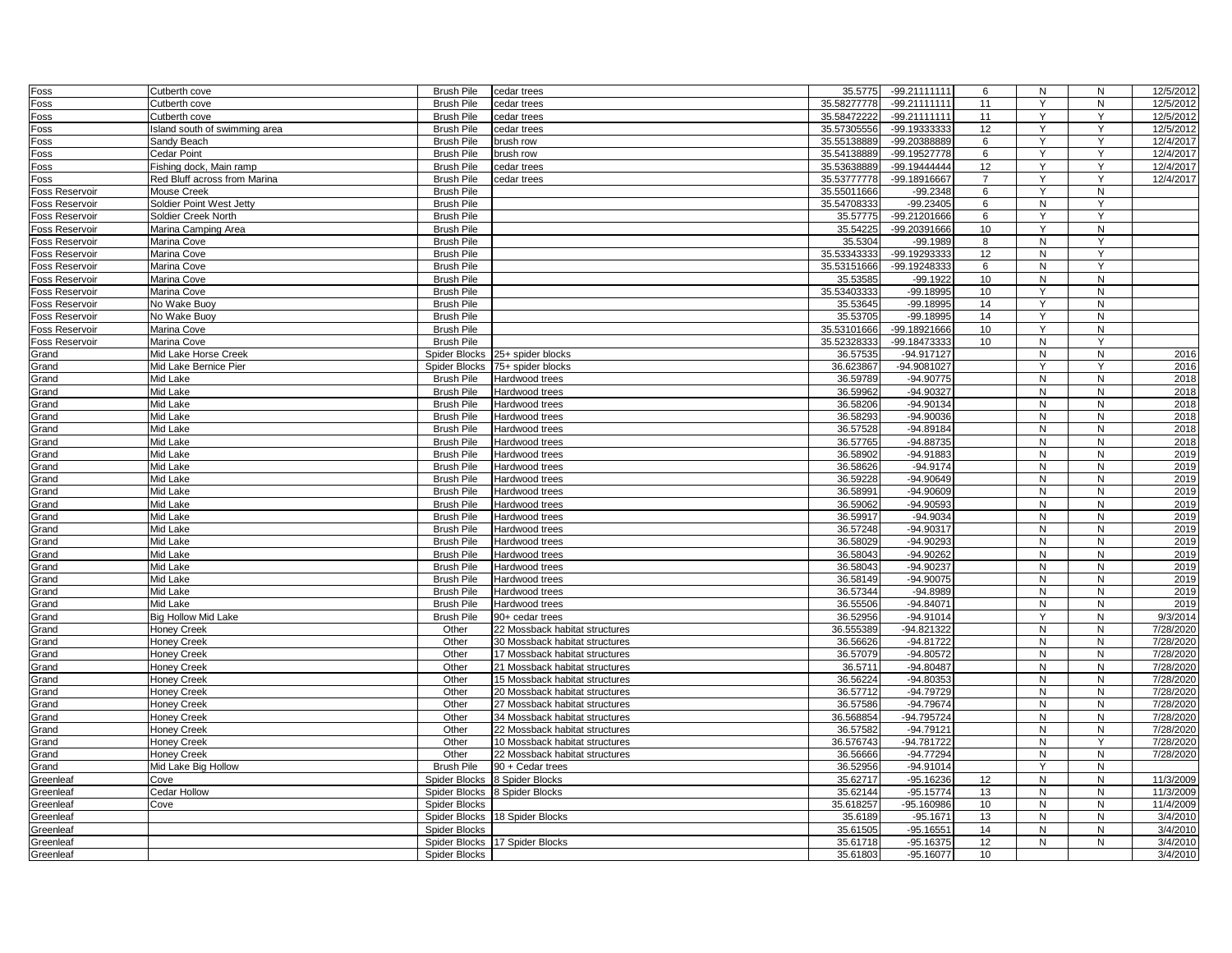| Foss                  | Cutberth cove                 | <b>Brush Pile</b>    | cedar trees                    | 35.5775     | $-99.21111111$         | 6               | N              | ${\sf N}$      | 12/5/2012    |
|-----------------------|-------------------------------|----------------------|--------------------------------|-------------|------------------------|-----------------|----------------|----------------|--------------|
| Foss                  | Cutberth cove                 | <b>Brush Pile</b>    | cedar trees                    | 35.58277778 | -99.21111111           | 11              | Y              | ${\sf N}$      | 12/5/2012    |
| Foss                  | Cutberth cove                 | <b>Brush Pile</b>    | cedar trees                    | 35.58472222 | -99.21111111           | 11              | Y              | Y              | 12/5/2012    |
| Foss                  | Island south of swimming area | <b>Brush Pile</b>    | cedar trees                    | 35.57305556 | -99.19333333           | 12              | Y              | Y              | 12/5/2012    |
| Foss                  | Sandy Beach                   | <b>Brush Pile</b>    | brush row                      | 35.55138889 | -99.20388889           | 6               | Y              | Y              | 12/4/2017    |
| Foss                  | Cedar Point                   | <b>Brush Pile</b>    | brush row                      | 35.54138889 | -99.19527778           | 6               | Y              | Y              | 12/4/2017    |
| Foss                  | Fishing dock, Main ramp       | <b>Brush Pile</b>    | cedar trees                    | 35.53638889 | -99.19444444           | 12              | Y              | Y              | 12/4/2017    |
| Foss                  | Red Bluff across from Marina  | <b>Brush Pile</b>    | cedar trees                    | 35.53777778 | -99.18916667           | $\overline{7}$  | Y              | Y              | 12/4/2017    |
| <b>Foss Reservoir</b> | <b>Mouse Creek</b>            | <b>Brush Pile</b>    |                                | 35.55011666 | $-99.2348$             | 6               | $\overline{Y}$ | $\overline{N}$ |              |
| <b>Foss Reservoir</b> | Soldier Point West Jetty      | <b>Brush Pile</b>    |                                | 35.54708333 | $-99.23405$            | 6               | N              | Y              |              |
| <b>Foss Reservoir</b> | Soldier Creek North           | <b>Brush Pile</b>    |                                | 35.57775    | -99.21201666           | 6               | Y              | Y              |              |
| Foss Reservoir        | Marina Camping Area           | <b>Brush Pile</b>    |                                | 35.54225    | -99.20391666           | 10              | Y              | ${\sf N}$      |              |
| <b>Foss Reservoir</b> | Marina Cove                   | <b>Brush Pile</b>    |                                | 35.5304     | $-99.1989$             | 8               | N              | Y              |              |
| Foss Reservoir        | Marina Cove                   | <b>Brush Pile</b>    |                                | 35.53343333 | -99.19293333           | 12              | N              | Y              |              |
| <b>Foss Reservoir</b> | Marina Cove                   | <b>Brush Pile</b>    |                                | 35.53151666 | -99.19248333           | 6               | N              | Y              |              |
| <b>Foss Reservoir</b> | Marina Cove                   | <b>Brush Pile</b>    |                                | 35.53585    | $-99.1922$             | 10              | N              | N              |              |
| <b>Foss Reservoir</b> | Marina Cove                   | <b>Brush Pile</b>    |                                | 35.53403333 | -99.18995              | 10 <sup>1</sup> | Y              | ${\sf N}$      |              |
| <b>Foss Reservoir</b> | No Wake Buoy                  | <b>Brush Pile</b>    |                                | 35.53645    | $-99.18995$            | 14              | Y              | ${\sf N}$      |              |
| <b>Foss Reservoir</b> | No Wake Buoy                  | <b>Brush Pile</b>    |                                | 35.53705    | $-99.18995$            | 14              | Y              | N              |              |
| <b>Foss Reservoir</b> | Marina Cove                   | <b>Brush Pile</b>    |                                | 35.53101666 | -99.18921666           | 10              | Y              | N              |              |
| Foss Reservoir        | Marina Cove                   | <b>Brush Pile</b>    |                                | 35.52328333 | -99.18473333           | 10              | N              | Y              |              |
| Grand                 | Mid Lake Horse Creek          | Spider Blocks        | 25+ spider blocks              | 36.57535    | -94.917127             |                 | N              | ${\sf N}$      | 2016         |
| Grand                 | Mid Lake Bernice Pier         | Spider Blocks        | 75+ spider blocks              | 36.623867   | -94.9081027            |                 | Y              | Y              | 2016         |
| Grand                 | Mid Lake                      | <b>Brush Pile</b>    | Hardwood trees                 | 36.59789    | $-94.90775$            |                 | N              | N              | 2018         |
| Grand                 | Mid Lake                      | <b>Brush Pile</b>    | Hardwood trees                 | 36.59962    | $-94.90327$            |                 | N              | N              | 2018         |
| Grand                 | Mid Lake                      | <b>Brush Pile</b>    | Hardwood trees                 | 36.58206    | $-94.90134$            |                 | N              | N              | 2018         |
| Grand                 | Mid Lake                      | <b>Brush Pile</b>    | Hardwood trees                 | 36.58293    | $-94.90036$            |                 | N              | ${\sf N}$      | 2018         |
| Grand                 | Mid Lake                      | <b>Brush Pile</b>    | Hardwood trees                 | 36.57528    | $-94.89184$            |                 | $\mathsf{N}$   | ${\sf N}$      | 2018         |
| Grand                 | Mid Lake                      | <b>Brush Pile</b>    | Hardwood trees                 | 36.57765    | $-94.88735$            |                 | N              | N              | 2018         |
|                       | Mid Lake                      | <b>Brush Pile</b>    | Hardwood trees                 | 36.58902    | -94.91883              |                 | $\mathsf{N}$   | ${\sf N}$      | 2019         |
| Grand                 | Mid Lake                      | <b>Brush Pile</b>    |                                | 36.58626    | $-94.9174$             |                 | N              | N              | 2019         |
| Grand                 |                               | <b>Brush Pile</b>    | Hardwood trees                 | 36.59228    | $-94.90649$            |                 |                | N              | 2019         |
| Grand                 | Mid Lake                      |                      | Hardwood trees                 |             |                        |                 | N              |                |              |
| Grand                 | Mid Lake                      | <b>Brush Pile</b>    | Hardwood trees                 | 36.58991    | -94.90609<br>-94.90593 |                 | N              | N              | 2019<br>2019 |
| Grand                 | Mid Lake                      | <b>Brush Pile</b>    | Hardwood trees                 | 36.59062    |                        |                 | N              | N              |              |
| Grand                 | Mid Lake                      | <b>Brush Pile</b>    | Hardwood trees                 | 36.59917    | $-94.9034$             |                 | N              | N<br>N         | 2019         |
| Grand                 | Mid Lake                      | <b>Brush Pile</b>    | Hardwood trees                 | 36.57248    | $-94.90317$            |                 | N              |                | 2019         |
| Grand                 | Mid Lake                      | <b>Brush Pile</b>    | Hardwood trees                 | 36.58029    | $-94.90293$            |                 | N              | ${\sf N}$      | 2019         |
| Grand                 | Mid Lake                      | <b>Brush Pile</b>    | Hardwood trees                 | 36.58043    | -94.90262              |                 | N              | N              | 2019         |
| Grand                 | Mid Lake                      | <b>Brush Pile</b>    | Hardwood trees                 | 36.58043    | -94.90237              |                 | N              | ${\sf N}$      | 2019         |
| Grand                 | Mid Lake                      | <b>Brush Pile</b>    | Hardwood trees                 | 36.58149    | $-94.90075$            |                 | N              | N              | 2019         |
| Grand                 | Mid Lake                      | <b>Brush Pile</b>    | Hardwood trees                 | 36.57344    | $-94.8989$             |                 | N              | N              | 2019         |
| Grand                 | Mid Lake                      | <b>Brush Pile</b>    | Hardwood trees                 | 36.55506    | $-94.84071$            |                 | N              | ${\sf N}$      | 2019         |
| Grand                 | <b>Big Hollow Mid Lake</b>    | <b>Brush Pile</b>    | 90+ cedar trees                | 36.52956    | $-94.91014$            |                 | Y              | N              | 9/3/2014     |
| Grand                 | <b>Honey Creek</b>            | Other                | 22 Mossback habitat structures | 36.555389   | -94.821322             |                 | N              | N              | 7/28/2020    |
| Grand                 | <b>Honey Creek</b>            | Other                | 30 Mossback habitat structures | 36.56626    | $-94.81722$            |                 | N              | ${\sf N}$      | 7/28/2020    |
| Grand                 | <b>Honey Creek</b>            | Other                | 17 Mossback habitat structures | 36.57079    | $-94.80572$            |                 | N              | N              | 7/28/2020    |
| Grand                 | <b>Honey Creek</b>            | Other                | 21 Mossback habitat structures | 36.5711     | $-94.80487$            |                 | N              | N              | 7/28/2020    |
| Grand                 | <b>Honey Creek</b>            | Other                | 15 Mossback habitat structures | 36.56224    | $-94.80353$            |                 | N              | N              | 7/28/2020    |
| Grand                 | <b>Honey Creek</b>            | Other                | 20 Mossback habitat structures | 36.57712    | -94.79729              |                 | N              | N              | 7/28/2020    |
| Grand                 | <b>Honey Creek</b>            | Other                | 27 Mossback habitat structures | 36.57586    | $-94.79674$            |                 | N              | ${\sf N}$      | 7/28/2020    |
| Grand                 | <b>Honey Creek</b>            | Other                | 34 Mossback habitat structures | 36.568854   | -94.795724             |                 | N              | ${\sf N}$      | 7/28/2020    |
| Grand                 | <b>Honey Creek</b>            | Other                | 22 Mossback habitat structures | 36.57582    | $-94.79121$            |                 | N              | ${\sf N}$      | 7/28/2020    |
| Grand                 | Honey Creek                   | Other                | 10 Mossback habitat structures | 36.576743   | -94.781722             |                 | N              | Y              | 7/28/2020    |
| Grand                 | <b>Honey Creek</b>            | Other                | 22 Mossback habitat structures | 36.56666    | $-94.77294$            |                 | N              | N              | 7/28/2020    |
| Grand                 | Mid Lake Big Hollow           | <b>Brush Pile</b>    | 90 + Cedar trees               | 36.52956    | $-94.91014$            |                 | Y              | ${\sf N}$      |              |
| Greenleaf             | Cove                          | Spider Blocks        | 8 Spider Blocks                | 35.62717    | $-95.16236$            | 12              | N              | ${\sf N}$      | 11/3/2009    |
| Greenleaf             | Cedar Hollow                  | Spider Blocks        | 8 Spider Blocks                | 35.62144    | $-95.15774$            | 13              | N              | ${\sf N}$      | 11/3/2009    |
| Greenleaf             | Cove                          | Spider Blocks        |                                | 35.618257   | $-95.160986$           | 10              | N              | N              | 11/4/2009    |
| Greenleaf             |                               |                      | Spider Blocks 18 Spider Blocks | 35.6189     | $-95.1671$             | 13              | N              | N              | 3/4/2010     |
| Greenleaf             |                               | Spider Blocks        |                                | 35.61505    | $-95.16551$            | 14              | N              | N              | 3/4/2010     |
| Greenleaf             |                               |                      | Spider Blocks 17 Spider Blocks | 35.61718    | $-95.16375$            | 12              | N              | N              | 3/4/2010     |
| Greenleaf             |                               | <b>Spider Blocks</b> |                                | 35.61803    | $-95.16077$            | 10              |                |                | 3/4/2010     |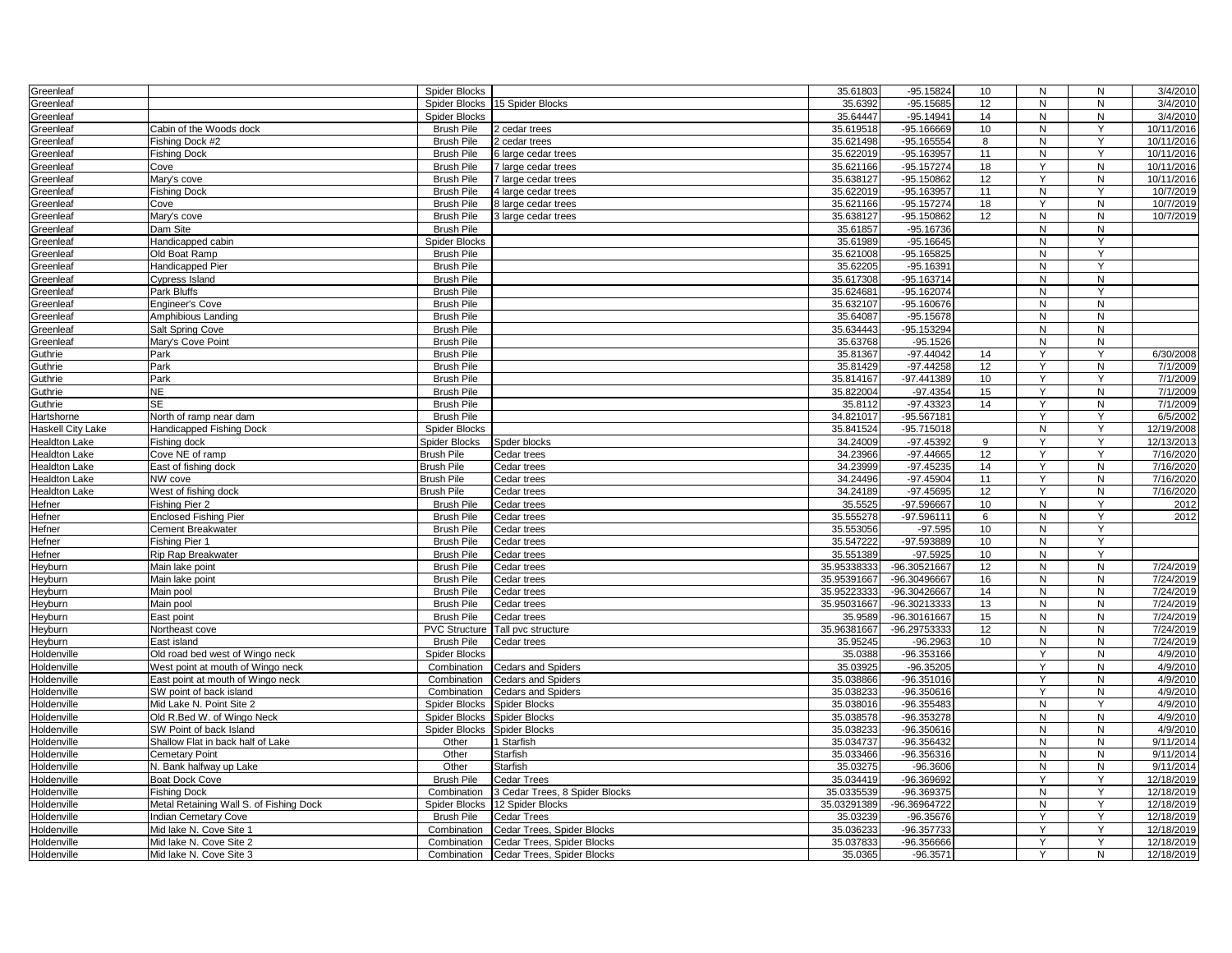| Greenleaf                |                                         | Spider Blocks                          |                                | 35.61803    | $-95.15824$                | 10      | N              | N              | 3/4/2010   |
|--------------------------|-----------------------------------------|----------------------------------------|--------------------------------|-------------|----------------------------|---------|----------------|----------------|------------|
| Greenleaf                |                                         | Spider Blocks                          | 15 Spider Blocks               | 35.6392     | $-95.15685$                | 12      | N              | N              | 3/4/2010   |
| Greenleaf                |                                         | <b>Spider Blocks</b>                   |                                | 35.64447    | $-95.14941$                | 14      | N              | ${\sf N}$      | 3/4/2010   |
| Greenleaf                | Cabin of the Woods dock                 | <b>Brush Pile</b>                      | 2 cedar trees                  | 35.619518   | $-95.166669$               | 10      | N              | Y              | 10/11/2016 |
| Greenleaf                | Fishing Dock #2                         | <b>Brush Pile</b>                      | 2 cedar trees                  | 35.621498   | $-95.165554$               | 8       | N              | Y              | 10/11/2016 |
| Greenleaf                | <b>Fishing Dock</b>                     | <b>Brush Pile</b>                      | 6 large cedar trees            | 35.622019   | -95.163957                 | 11      | N              | Y              | 10/11/2016 |
| Greenleaf                | Cove                                    | <b>Brush Pile</b>                      | 7 large cedar trees            | 35.621166   | $-95.157274$               | 18      | Y              | ${\sf N}$      | 10/11/2016 |
| Greenleaf                | Mary's cove                             | <b>Brush Pile</b>                      | 7 large cedar trees            | 35.638127   | -95.150862                 | 12      | Y              | $\overline{N}$ | 10/11/2016 |
| Greenleaf                | <b>Fishing Dock</b>                     | <b>Brush Pile</b>                      | 4 large cedar trees            | 35.622019   | $-95.163957$               | 11      | N              | Y              | 10/7/2019  |
| Greenleaf                | Cove                                    | <b>Brush Pile</b>                      | 8 large cedar trees            | 35.621166   | $-95.157274$               | 18      | Y              | ${\sf N}$      | 10/7/2019  |
| Greenleaf                | Mary's cove                             | <b>Brush Pile</b>                      | 3 large cedar trees            | 35.638127   | $-95.150862$               | 12      | N              | ${\sf N}$      | 10/7/2019  |
| Greenleaf                | Dam Site                                | <b>Brush Pile</b>                      |                                | 35.61857    | $-95.16736$                |         | N              | N              |            |
| Greenleaf                | Handicapped cabin                       | <b>Spider Blocks</b>                   |                                | 35.61989    | $-95.16645$                |         | N              | Y              |            |
| Greenleaf                | Old Boat Ramp                           | <b>Brush Pile</b>                      |                                | 35.621008   | -95.165825                 |         | N              | $\mathsf{Y}$   |            |
| Greenleaf                | Handicapped Pier                        | <b>Brush Pile</b>                      |                                | 35.62205    | $-95.16391$                |         | N              | Y              |            |
| Greenleaf                | Cypress Island                          | <b>Brush Pile</b>                      |                                | 35.617308   | $-95.163714$               |         | N              | $\mathsf{N}$   |            |
| Greenleaf                | Park Bluffs                             | <b>Brush Pile</b>                      |                                | 35.624681   | $-95.162074$               |         | N              | Y              |            |
| Greenleaf                | <b>Engineer's Cove</b>                  | <b>Brush Pile</b>                      |                                | 35.632107   | $-95.160676$               |         | N              | N              |            |
| Greenleaf                | Amphibious Landing                      | <b>Brush Pile</b>                      |                                | 35.64087    | $-95.15678$                |         | N              | N              |            |
| Greenleaf                | Salt Spring Cove                        | <b>Brush Pile</b>                      |                                | 35.634443   | -95.153294                 |         | N              | N              |            |
| Greenleaf                | Mary's Cove Point                       | <b>Brush Pile</b>                      |                                | 35.63768    | $-95.1526$                 |         | N              | N              |            |
| Guthrie                  | Park                                    | <b>Brush Pile</b>                      |                                | 35.81367    | $-97.44042$                | 14      | Y              | Y              | 6/30/2008  |
| Guthrie                  | Park                                    | <b>Brush Pile</b>                      |                                | 35.81429    | $-97.44258$                | 12      | Y              | ${\sf N}$      | 7/1/2009   |
| Guthrie                  | Park                                    | <b>Brush Pile</b>                      |                                | 35.814167   | -97.441389                 | 10      | Y              | Y              | 7/1/2009   |
| Guthrie                  | NE.                                     | <b>Brush Pile</b>                      |                                | 35.822004   | $-97.4354$                 | 15      | Y              | N              | 7/1/2009   |
| Guthrie                  | <b>SE</b>                               | <b>Brush Pile</b>                      |                                | 35.8112     | $-97.43323$                | 14      | Y              | N              | 7/1/2009   |
| lartshorne               | North of ramp near dam                  | <b>Brush Pile</b>                      |                                | 34.821017   | $-95.567181$               |         | Y              | Y              | 6/5/2002   |
| <b>Haskell City Lake</b> | Handicapped Fishing Dock                | Spider Blocks                          |                                | 35.841524   | $-95.715018$               |         | N              | Y              | 12/19/2008 |
| <b>Healdton Lake</b>     | Fishing dock                            | <b>Spider Blocks</b>                   | Spder blocks                   | 34.24009    | $-97.45392$                | 9       | Y              | Y              | 12/13/2013 |
| <b>Healdton Lake</b>     | Cove NE of ramp                         | <b>Brush Pile</b>                      |                                | 34.23966    | $-97.44665$                | 12      | Y              | Y              | 7/16/2020  |
| <b>Healdton Lake</b>     | East of fishing dock                    | <b>Brush Pile</b>                      | Cedar trees<br>Cedar trees     | 34.23999    | $-97.45235$                | 14      | Y              | ${\sf N}$      | 7/16/2020  |
| <b>Healdton Lake</b>     | NW cove                                 | <b>Brush Pile</b>                      | Cedar trees                    | 34.24496    | $-97.45904$                | 11      | Y              | N              | 7/16/2020  |
|                          | West of fishing dock                    |                                        |                                | 34.24189    | $-97.45695$                | 12      | Y              | ${\sf N}$      | 7/16/2020  |
| <b>Healdton Lake</b>     | Fishing Pier 2                          | <b>Brush Pile</b>                      | Cedar trees<br>Cedar trees     | 35.5525     | $-97.596667$               | 10      | N              | Y              | 2012       |
| Hefner                   | <b>Enclosed Fishing Pier</b>            | <b>Brush Pile</b><br><b>Brush Pile</b> |                                | 35.555278   | $-97.596111$               |         | N              | Y              | 2012       |
| Hefner<br>Hefner         | Cement Breakwater                       | <b>Brush Pile</b>                      | Cedar trees                    | 35.553056   | $-97.595$                  | 6<br>10 | $\overline{N}$ | Y              |            |
|                          |                                         |                                        | Cedar trees                    |             |                            |         |                | Y              |            |
| Hefner                   | Fishing Pier 1                          | <b>Brush Pile</b>                      | Cedar trees                    | 35.547222   | -97.593889                 | 10      | N<br>N         | Y              |            |
| Hefner                   | <b>Rip Rap Breakwater</b>               | <b>Brush Pile</b>                      | Cedar trees                    | 35.551389   | $-97.5925$<br>-96.30521667 | 10      |                |                |            |
| Heyburn                  | Main lake point                         | <b>Brush Pile</b>                      | Cedar trees                    | 35.95338333 |                            | 12      | N              | ${\sf N}$      | 7/24/2019  |
| Heyburn                  | Main lake point                         | <b>Brush Pile</b>                      | Cedar trees                    | 35.95391667 | -96.30496667               | 16      | N              | ${\sf N}$      | 7/24/2019  |
| <b>Heyburn</b>           | Main pool                               | <b>Brush Pile</b>                      | Cedar trees                    | 35.95223333 | -96.30426667               | 14      | ${\sf N}$      | N              | 7/24/2019  |
| Heyburn                  | Main pool                               | <b>Brush Pile</b>                      | Cedar trees                    | 35.95031667 | -96.30213333               | 13      | N              | $\overline{N}$ | 7/24/2019  |
| Heyburn                  | East point                              | <b>Brush Pile</b>                      | Cedar trees                    | 35.9589     | -96.30161667               | 15      | N              | N              | 7/24/2019  |
| Heyburn                  | Northeast cove                          | <b>PVC Structure</b>                   | Tall pvc structure             | 35.96381667 | -96.29753333               | 12      | N              | $\mathsf{N}$   | 7/24/2019  |
| Heyburn                  | East island                             | <b>Brush Pile</b>                      | Cedar trees                    | 35.95245    | $-96.2963$                 | 10      | N              | N              | 7/24/2019  |
| Holdenville              | Old road bed west of Wingo neck         | <b>Spider Blocks</b>                   |                                | 35.0388     | -96.353166                 |         | Y              | $\mathsf{N}$   | 4/9/2010   |
| Holdenville              | West point at mouth of Wingo neck       | Combination                            | <b>Cedars and Spiders</b>      | 35.03925    | $-96.35205$                |         | Υ              | ${\sf N}$      | 4/9/2010   |
| Holdenville              | East point at mouth of Wingo neck       | Combination                            | <b>Cedars and Spiders</b>      | 35.038866   | $-96.351016$               |         | Y              | N              | 4/9/2010   |
| Holdenville              | SW point of back island                 | Combination                            | <b>Cedars and Spiders</b>      | 35.038233   | $-96.350616$               |         | Y              | N              | 4/9/2010   |
| Holdenville              | Mid Lake N. Point Site 2                | Spider Blocks                          | <b>Spider Blocks</b>           | 35.038016   | $-96.355483$               |         | N              | Y              | 4/9/2010   |
| loldenville              | Old R.Bed W. of Wingo Neck              | Spider Blocks                          | Spider Blocks                  | 35.038578   | $-96.353278$               |         | $\mathsf{N}$   | N              | 4/9/2010   |
| Holdenville              | SW Point of back Island                 | Spider Blocks                          | Spider Blocks                  | 35.038233   | $-96.350616$               |         | N              | ${\sf N}$      | 4/9/2010   |
| <b>Ioldenville</b>       | Shallow Flat in back half of Lake       | Other                                  | 1 Starfish                     | 35.034737   | -96.356432                 |         | ${\sf N}$      | N              | 9/11/2014  |
| loldenville              | Cemetary Point                          | Other                                  | Starfish                       | 35.033466   | -96.356316                 |         | N              | N              | 9/11/2014  |
| Holdenville              | N. Bank halfway up Lake                 | Other                                  | Starfish                       | 35.03275    | $-96.3606$                 |         | $\mathsf{N}$   | ${\sf N}$      | 9/11/2014  |
| Holdenville              | <b>Boat Dock Cove</b>                   | <b>Brush Pile</b>                      | <b>Cedar Trees</b>             | 35.034419   | -96.369692                 |         | Y              | Y              | 12/18/2019 |
| Holdenville              | <b>Fishing Dock</b>                     | Combination                            | 3 Cedar Trees, 8 Spider Blocks | 35.0335539  | -96.369375                 |         | N              | Y              | 12/18/2019 |
| Holdenville              | Metal Retaining Wall S. of Fishing Dock | Spider Blocks                          | 12 Spider Blocks               | 35.03291389 | -96.36964722               |         | N              | Y              | 12/18/2019 |
| Holdenville              | Indian Cemetary Cove                    | <b>Brush Pile</b>                      | <b>Cedar Trees</b>             | 35.03239    | $-96.35676$                |         | Y              | Y              | 12/18/2019 |
| Holdenville              | Mid lake N. Cove Site 1                 | Combination                            | Cedar Trees, Spider Blocks     | 35.036233   | $-96.357733$               |         | Y              | Υ              | 12/18/2019 |
| Holdenville              | Mid lake N. Cove Site 2                 | Combination                            | Cedar Trees, Spider Blocks     | 35.037833   | -96.356666                 |         | Y              | Y              | 12/18/2019 |
| Holdenville              | Mid lake N. Cove Site 3                 | Combination                            | Cedar Trees, Spider Blocks     | 35.0365     | $-96.3571$                 |         | Y              | N              | 12/18/2019 |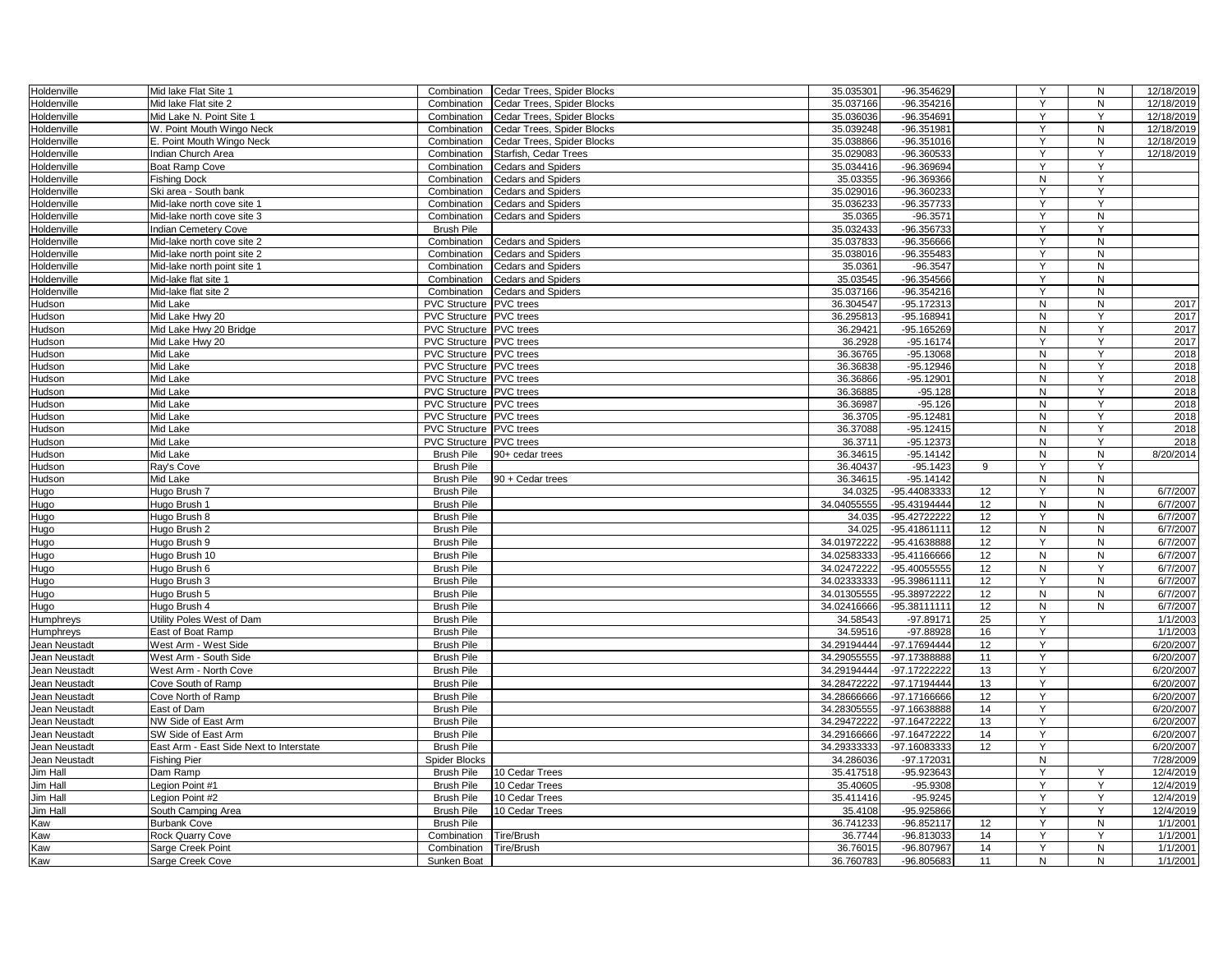| Holdenville      | Mid lake Flat Site 1                    | Combination                                               | Cedar Trees, Spider Blocks | 35.035301           | -96.354629                 |                 | Y                   | N         | 12/18/2019   |
|------------------|-----------------------------------------|-----------------------------------------------------------|----------------------------|---------------------|----------------------------|-----------------|---------------------|-----------|--------------|
| Holdenville      | Mid lake Flat site 2                    | Combination                                               | Cedar Trees, Spider Blocks | 35.037166           | $-96.354216$               |                 | Y                   | N         | 12/18/2019   |
| Holdenville      | Mid Lake N. Point Site 1                | Combination                                               | Cedar Trees, Spider Blocks | 35.036036           | -96.354691                 |                 | Y                   | Υ         | 12/18/2019   |
| Holdenville      | W. Point Mouth Wingo Neck               | Combination                                               | Cedar Trees, Spider Blocks | 35.039248           | -96.351981                 |                 | Y                   | N         | 12/18/2019   |
| Holdenville      | E. Point Mouth Wingo Neck               | Combination                                               | Cedar Trees, Spider Blocks | 35.038866           | -96.351016                 |                 | Y                   | N         | 12/18/2019   |
| Holdenville      | Indian Church Area                      | Combination                                               | Starfish, Cedar Trees      | 35.029083           | -96.360533                 |                 | Υ                   | Y         | 12/18/2019   |
| Holdenville      | Boat Ramp Cove                          | Combination                                               | <b>Cedars and Spiders</b>  | 35.034416           | -96.369694                 |                 | Y                   | Y         |              |
| Holdenville      | <b>Fishing Dock</b>                     | Combination                                               | <b>Cedars and Spiders</b>  | 35.03355            | -96.369366                 |                 | ${\sf N}$           | Y         |              |
| Holdenville      | Ski area - South bank                   | Combination                                               | <b>Cedars and Spiders</b>  | 35.029016           | -96.360233                 |                 | Y                   | Y         |              |
| Holdenville      | Mid-lake north cove site 1              | Combination                                               | <b>Cedars and Spiders</b>  | 35.036233           | -96.357733                 |                 | Y                   | Y         |              |
| Holdenville      | Mid-lake north cove site 3              | Combination                                               | <b>Cedars and Spiders</b>  | 35.0365             | $-96.3571$                 |                 | Y                   | N         |              |
| Holdenville      | <b>Indian Cemetery Cove</b>             | <b>Brush Pile</b>                                         |                            | 35.032433           | -96.356733                 |                 | Y                   | Y         |              |
| Holdenville      | Mid-lake north cove site 2              | Combination                                               | <b>Cedars and Spiders</b>  | 35.037833           | -96.356666                 |                 | Y                   | N         |              |
| Holdenville      | Mid-lake north point site 2             | Combination                                               | <b>Cedars and Spiders</b>  | 35.038016           | -96.355483                 |                 | Y                   | N         |              |
| Holdenville      | Mid-lake north point site 1             | Combination                                               | <b>Cedars and Spiders</b>  | 35.0361             | $-96.3547$                 |                 | Y                   | N         |              |
| Holdenville      | Mid-lake flat site 1                    | Combination                                               | <b>Cedars and Spiders</b>  | 35.03545            | -96.354566                 |                 | Υ                   | N         |              |
| Holdenville      | Mid-lake flat site 2                    | Combination                                               | <b>Cedars and Spiders</b>  | 35.037166           | -96.354216                 |                 | Y                   | N         |              |
| Hudson           | Mid Lake                                | <b>PVC Structure PVC trees</b>                            |                            | 36.304547           | -95.172313                 |                 | N                   | N         | 2017         |
| Hudson           | Mid Lake Hwy 20                         | <b>PVC Structure PVC trees</b>                            |                            | 36.29581            | -95.168941                 |                 | N                   | Y         | 2017         |
| Hudson           | Mid Lake Hwy 20 Bridge                  | <b>PVC Structure PVC trees</b>                            |                            | 36.29421            | -95.165269                 |                 | $\mathsf{N}$        | Y         | 2017         |
| Hudson           | Mid Lake Hwy 20                         | <b>PVC Structure PVC trees</b>                            |                            | 36.2928             | $-95.16174$                |                 | Y                   | Y         | 2017         |
| Hudson           | Mid Lake                                | <b>PVC Structure PVC trees</b>                            |                            | 36.36765            | $-95.13068$                |                 | N                   | Y         | 2018         |
| Hudson           | Mid Lake                                | <b>PVC Structure PVC trees</b>                            |                            | 36.36838            | $-95.12946$                |                 | N                   | Y         | 2018         |
| Hudson           | Mid Lake                                | <b>PVC Structure PVC trees</b>                            |                            | 36.36866            | $-95.12901$                |                 | N<br>$\overline{N}$ | Y<br>Ÿ    | 2018         |
| Hudson           | Mid Lake                                | <b>PVC Structure PVC trees</b>                            |                            | 36.36885            | $-95.128$                  |                 |                     |           | 2018         |
| Hudson           | Mid Lake                                | <b>PVC Structure PVC trees</b>                            |                            | 36.36987            | $-95.126$<br>$-95.12481$   |                 | N<br>N              | Y<br>Y    | 2018         |
| Hudson           | Mid Lake                                | <b>PVC Structure PVC trees</b>                            |                            | 36.3705             |                            |                 |                     | Y         | 2018         |
| Hudson           | Mid Lake<br>Mid Lake                    | PVC Structure PVC trees<br><b>PVC Structure PVC trees</b> |                            | 36.37088            | $-95.12415$<br>$-95.12373$ |                 | ${\sf N}$<br>N      | Y         | 2018<br>2018 |
| Hudson           | Mid Lake                                | <b>Brush Pile</b>                                         | 90+ cedar trees            | 36.3711<br>36.34615 | $-95.14142$                |                 | N                   | N         | 8/20/2014    |
| Hudson<br>Hudson | Ray's Cove                              | <b>Brush Pile</b>                                         |                            | 36.40437            | $-95.1423$                 | 9               |                     | Y         |              |
|                  | Mid Lake                                | <b>Brush Pile</b>                                         | 90 + Cedar trees           | 36.34615            | $-95.14142$                |                 | ${\sf N}$           | ${\sf N}$ |              |
| Hudson<br>Hugo   | Hugo Brush 7                            | <b>Brush Pile</b>                                         |                            | 34.0325             | -95.44083333               | 12 <sup>2</sup> | Y                   | N         | 6/7/2007     |
| Hugo             | Hugo Brush 1                            | <b>Brush Pile</b>                                         |                            | 34.04055555         | -95.43194444               | 12              | N                   | N         | 6/7/2007     |
| Hugo             | Hugo Brush 8                            | <b>Brush Pile</b>                                         |                            | 34.035              | -95.42722222               | 12              | Y                   | N         | 6/7/2007     |
| Hugo             | Hugo Brush 2                            | <b>Brush Pile</b>                                         |                            | 34.025              | -95.41861111               | 12              | N                   | N         | 6/7/2007     |
| Hugo             | Hugo Brush 9                            | <b>Brush Pile</b>                                         |                            | 34.01972222         | -95.41638888               | 12              | Υ                   | N         | 6/7/2007     |
| Hugo             | Hugo Brush 10                           | <b>Brush Pile</b>                                         |                            | 34.02583333         | -95.41166666               | 12              | N                   | N         | 6/7/2007     |
| Hugo             | Hugo Brush 6                            | <b>Brush Pile</b>                                         |                            | 34.02472222         | -95.40055555               | 12              | N                   | Y         | 6/7/2007     |
| Hugo             | Hugo Brush 3                            | <b>Brush Pile</b>                                         |                            | 34.02333333         | -95.39861111               | 12              | $\checkmark$        | N         | 6/7/2007     |
| Hugo             | Hugo Brush 5                            | <b>Brush Pile</b>                                         |                            | 34.01305555         | -95.38972222               | 12              | N                   | ${\sf N}$ | 6/7/2007     |
| Hugo             | Hugo Brush 4                            | <b>Brush Pile</b>                                         |                            | 34.02416666         | -95.38111111               | 12              | N                   | N         | 6/7/2007     |
| <b>Humphreys</b> | Utility Poles West of Dam               | <b>Brush Pile</b>                                         |                            | 34.58543            | $-97.89171$                | 25              | Y                   |           | 1/1/2003     |
| Humphreys        | East of Boat Ramp                       | <b>Brush Pile</b>                                         |                            | 34.59516            | $-97.88928$                | 16              | Y                   |           | 1/1/2003     |
| Jean Neustadt    | West Arm - West Side                    | <b>Brush Pile</b>                                         |                            | 34.29194444         | -97.17694444               | 12              | Y                   |           | 6/20/2007    |
| Jean Neustadt    | West Arm - South Side                   | <b>Brush Pile</b>                                         |                            | 34.29055555         | -97.17388888               | 11              | Y                   |           | 6/20/2007    |
| Jean Neustadt    | West Arm - North Cove                   | <b>Brush Pile</b>                                         |                            | 34.29194444         | -97.17222222               | 13              | Y                   |           | 6/20/2007    |
| Jean Neustadt    | Cove South of Ramp                      | <b>Brush Pile</b>                                         |                            | 34.28472222         | -97.17194444               | 13              | Y                   |           | 6/20/2007    |
| Jean Neustadt    | Cove North of Ramp                      | <b>Brush Pile</b>                                         |                            | 34.28666666         | -97.17166666               | 12              | $\vee$              |           | 6/20/2007    |
| Jean Neustadt    | East of Dam                             | <b>Brush Pile</b>                                         |                            | 34.28305555         | -97.16638888               | 14              | Y                   |           | 6/20/2007    |
| Jean Neustadt    | NW Side of East Arm                     | <b>Brush Pile</b>                                         |                            | 34.29472222         | -97.16472222               | 13              | Y                   |           | 6/20/2007    |
| Jean Neustadt    | SW Side of East Arm                     | <b>Brush Pile</b>                                         |                            | 34.29166666         | -97.16472222               | 14              | Y                   |           | 6/20/2007    |
| Jean Neustadt    | East Arm - East Side Next to Interstate | <b>Brush Pile</b>                                         |                            | 34.29333333         | -97.16083333               | 12              | Y                   |           | 6/20/2007    |
| Jean Neustadt    | <b>Fishing Pier</b>                     | <b>Spider Blocks</b>                                      |                            | 34.286036           | -97.172031                 |                 | N                   |           | 7/28/2009    |
| Jim Hall         | Dam Ramp                                | <b>Brush Pile</b>                                         | 10 Cedar Trees             | 35.417518           | -95.923643                 |                 | Y                   | Y         | 12/4/2019    |
| Jim Hall         | Legion Point #1                         | <b>Brush Pile</b>                                         | 10 Cedar Trees             | 35.40605            | $-95.9308$                 |                 | Y                   | Y         | 12/4/2019    |
| Jim Hall         | Legion Point #2                         | <b>Brush Pile</b>                                         | 10 Cedar Trees             | 35.411416           | $-95.9245$                 |                 | Y                   | Y         | 12/4/2019    |
| Jim Hall         | South Camping Area                      | <b>Brush Pile</b>                                         | 10 Cedar Trees             | 35.4108             | -95.925866                 |                 | Y                   | Y         | 12/4/2019    |
| Kaw              | <b>Burbank Cove</b>                     | <b>Brush Pile</b>                                         |                            | 36.741233           | -96.852117                 | 12              | Y                   | N         | 1/1/2001     |
| Kaw              | <b>Rock Quarry Cove</b>                 | Combination                                               | Tire/Brush                 | 36.7744             | -96.813033                 | 14              | Y                   | Y         | 1/1/2001     |
| Kaw              | Sarge Creek Point                       | Combination                                               | Tire/Brush                 | 36.76015            | -96.807967                 | 14              |                     | N         | 1/1/2001     |
| Kaw              | Sarge Creek Cove                        | Sunken Boat                                               |                            | 36.760783           | -96.805683                 | 11              | N                   | N         | 1/1/2001     |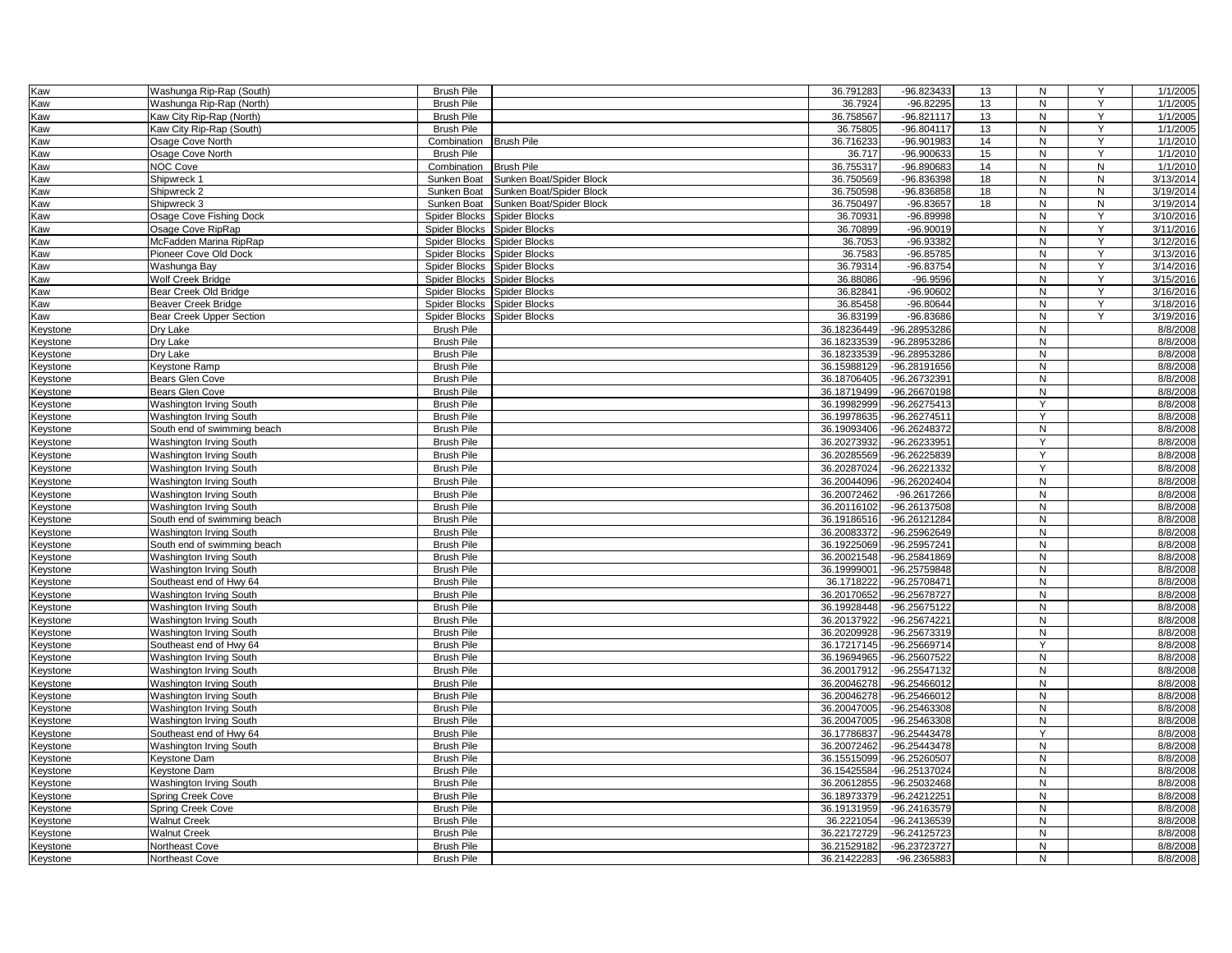| Kaw             | Washunga Rip-Rap (South)        | <b>Brush Pile</b>           |                          | 36.791283   | -96.823433   | 13 | N              | Y         | 1/1/2005  |
|-----------------|---------------------------------|-----------------------------|--------------------------|-------------|--------------|----|----------------|-----------|-----------|
| Kaw             | Washunga Rip-Rap (North)        | <b>Brush Pile</b>           |                          | 36.7924     | $-96.82295$  | 13 | N              | Y         | 1/1/2005  |
| Kaw             | Kaw City Rip-Rap (North)        | <b>Brush Pile</b>           |                          | 36.758567   | $-96.821117$ | 13 | N              | Y         | 1/1/2005  |
| Kaw             | Kaw City Rip-Rap (South)        | <b>Brush Pile</b>           |                          | 36.75805    | $-96.804117$ | 13 | N              | Y         | 1/1/2005  |
| Kaw             | Osage Cove North                | Combination                 | <b>Brush Pile</b>        | 36.716233   | -96.901983   | 14 | N              | Y         | 1/1/2010  |
| Kaw             | Osage Cove North                | <b>Brush Pile</b>           |                          | 36.717      | -96.900633   | 15 | N              | Y         | 1/1/2010  |
| Kaw             | <b>NOC Cove</b>                 | Combination                 | <b>Brush Pile</b>        | 36.755317   | -96.890683   | 14 | N              | N         | 1/1/2010  |
| Kaw             | Shipwreck 1                     | Sunken Boat                 | Sunken Boat/Spider Block | 36.750569   | -96.836398   | 18 | N              | N         | 3/13/2014 |
| Kaw             | Shipwreck 2                     | Sunken Boat                 | Sunken Boat/Spider Block | 36.750598   | -96.836858   | 18 | ${\sf N}$      | ${\sf N}$ | 3/19/2014 |
| Kaw             | Shipwreck 3                     | Sunken Boat                 | Sunken Boat/Spider Block | 36.750497   | $-96.83657$  | 18 | N              | N         | 3/19/2014 |
| Kaw             | Osage Cove Fishing Dock         | Spider Blocks               | Spider Blocks            | 36.70931    | $-96.89998$  |    | N              | Y         | 3/10/2016 |
| Kaw             | Osage Cove RipRap               | Spider Blocks               | Spider Blocks            | 36.70899    | $-96.90019$  |    | N              | Y         | 3/11/2016 |
|                 | McFadden Marina RipRap          | Spider Blocks               | <b>Spider Blocks</b>     | 36.7053     | $-96.93382$  |    | N              | Y         | 3/12/2016 |
| Kaw             |                                 |                             |                          |             |              |    |                | Y         |           |
| Kaw             | Pioneer Cove Old Dock           | Spider Blocks               | <b>Spider Blocks</b>     | 36.7583     | $-96.85785$  |    | N              |           | 3/13/2016 |
| Kaw             | Washunga Bay                    | Spider Blocks Spider Blocks |                          | 36.79314    | -96.83754    |    | N              | Y         | 3/14/2016 |
| Kaw             | Wolf Creek Bridge               | Spider Blocks               | <b>Spider Blocks</b>     | 36.88086    | $-96.9596$   |    | $\mathsf{N}$   | Y         | 3/15/2016 |
| Kaw             | Bear Creek Old Bridge           | Spider Blocks               | Spider Blocks            | 36.82841    | $-96.90602$  |    | N              | Y         | 3/16/2016 |
| Kaw             | <b>Beaver Creek Bridge</b>      | Spider Blocks               | <b>Spider Blocks</b>     | 36.85458    | $-96.80644$  |    | N              | Y         | 3/18/2016 |
| Kaw             | <b>Bear Creek Upper Section</b> | Spider Blocks               | <b>Spider Blocks</b>     | 36.83199    | $-96.83686$  |    | N              | $\vee$    | 3/19/2016 |
| Keystone        | Dry Lake                        | <b>Brush Pile</b>           |                          | 36.18236449 | -96.28953286 |    | N              |           | 8/8/2008  |
| Keystone        | Dry Lake                        | <b>Brush Pile</b>           |                          | 36.18233539 | -96.28953286 |    | N              |           | 8/8/2008  |
| Keystone        | Drv Lake                        | <b>Brush Pile</b>           |                          | 36.18233539 | -96.28953286 |    | N              |           | 8/8/2008  |
| Keystone        | Keystone Ramp                   | <b>Brush Pile</b>           |                          | 36.15988129 | -96.28191656 |    | N              |           | 8/8/2008  |
| Keystone        | Bears Glen Cove                 | <b>Brush Pile</b>           |                          | 36.18706405 | -96.26732391 |    | N              |           | 8/8/2008  |
| Keystone        | Bears Glen Cove                 | <b>Brush Pile</b>           |                          | 36.18719499 | -96.26670198 |    | N              |           | 8/8/2008  |
| Keystone        | Washington Irving South         | <b>Brush Pile</b>           |                          | 36.19982999 | -96.26275413 |    | Y              |           | 8/8/2008  |
| Keystone        | Washington Irving South         | <b>Brush Pile</b>           |                          | 36.19978635 | -96.26274511 |    | $\overline{Y}$ |           | 8/8/2008  |
| <b>Keystone</b> | South end of swimming beach     | <b>Brush Pile</b>           |                          | 36.19093406 | -96.26248372 |    | N              |           | 8/8/2008  |
| Keystone        | Washington Irving South         | <b>Brush Pile</b>           |                          | 36.20273932 | -96.26233951 |    | Y              |           | 8/8/2008  |
| Keystone        | Washington Irving South         | <b>Brush Pile</b>           |                          | 36.20285569 | -96.26225839 |    | Y              |           | 8/8/2008  |
| Keystone        | Washington Irving South         | <b>Brush Pile</b>           |                          | 36.20287024 | -96.26221332 |    | Y              |           | 8/8/2008  |
| Keystone        | Washington Irving South         | <b>Brush Pile</b>           |                          | 36.20044096 | -96.26202404 |    | N              |           | 8/8/2008  |
| Keystone        | Washington Irving South         | <b>Brush Pile</b>           |                          | 36.20072462 | -96.2617266  |    | N              |           | 8/8/2008  |
| Keystone        | Washington Irving South         | <b>Brush Pile</b>           |                          | 36.20116102 | -96.26137508 |    | N              |           | 8/8/2008  |
|                 |                                 | <b>Brush Pile</b>           |                          | 36.19186516 | -96.26121284 |    | N              |           | 8/8/2008  |
| Keystone        | South end of swimming beach     | <b>Brush Pile</b>           |                          | 36.20083372 | -96.25962649 |    | N              |           | 8/8/2008  |
| Keystone        | Washington Irving South         | <b>Brush Pile</b>           |                          | 36.19225069 | -96.25957241 |    | N              |           | 8/8/2008  |
| Keystone        | South end of swimming beach     |                             |                          |             |              |    | N              |           |           |
| Keystone        | Washington Irving South         | <b>Brush Pile</b>           |                          | 36.20021548 | -96.25841869 |    |                |           | 8/8/2008  |
| Keystone        | Washington Irving South         | <b>Brush Pile</b>           |                          | 36.19999001 | -96.25759848 |    | N              |           | 8/8/2008  |
| Keystone        | Southeast end of Hwy 64         | <b>Brush Pile</b>           |                          | 36.1718222  | -96.25708471 |    | $\mathsf{N}$   |           | 8/8/2008  |
| Keystone        | Washington Irving South         | <b>Brush Pile</b>           |                          | 36.20170652 | -96.25678727 |    | N              |           | 8/8/2008  |
| Keystone        | Washington Irving South         | <b>Brush Pile</b>           |                          | 36.19928448 | -96.25675122 |    | N              |           | 8/8/2008  |
| Keystone        | Washington Irving South         | <b>Brush Pile</b>           |                          | 36.20137922 | -96.25674221 |    | N              |           | 8/8/2008  |
| Keystone        | Washington Irving South         | <b>Brush Pile</b>           |                          | 36.20209928 | -96.25673319 |    | N              |           | 8/8/2008  |
| Keystone        | Southeast end of Hwy 64         | <b>Brush Pile</b>           |                          | 36.17217145 | -96.25669714 |    | Y              |           | 8/8/2008  |
| Keystone        | Washington Irving South         | <b>Brush Pile</b>           |                          | 36.19694965 | -96.25607522 |    | N              |           | 8/8/2008  |
| Keystone        | Washington Irving South         | <b>Brush Pile</b>           |                          | 36.20017912 | -96.25547132 |    | $\mathsf{N}$   |           | 8/8/2008  |
| Keystone        | Washington Irving South         | <b>Brush Pile</b>           |                          | 36.20046278 | -96.25466012 |    | $\overline{N}$ |           | 8/8/2008  |
| Keystone        | Washington Irving South         | <b>Brush Pile</b>           |                          | 36.20046278 | -96.25466012 |    | N              |           | 8/8/2008  |
| Keystone        | Washington Irving South         | <b>Brush Pile</b>           |                          | 36.20047005 | -96.25463308 |    | N              |           | 8/8/2008  |
| Keystone        | Washington Irving South         | <b>Brush Pile</b>           |                          | 36.20047005 | -96.25463308 |    | N              |           | 8/8/2008  |
| Keystone        | Southeast end of Hwy 64         | <b>Brush Pile</b>           |                          | 36.17786837 | -96.25443478 |    | Y              |           | 8/8/2008  |
| Keystone        | Washington Irving South         | <b>Brush Pile</b>           |                          | 36.20072462 | -96.25443478 |    | N              |           | 8/8/2008  |
| Keystone        | Keystone Dam                    | <b>Brush Pile</b>           |                          | 36.15515099 | -96.25260507 |    | N              |           | 8/8/2008  |
| Keystone        | Keystone Dam                    | <b>Brush Pile</b>           |                          | 36.15425584 | -96.25137024 |    | ${\sf N}$      |           | 8/8/2008  |
| Keystone        | Washington Irving South         | <b>Brush Pile</b>           |                          | 36.20612855 | -96.25032468 |    | N              |           | 8/8/2008  |
| Keystone        | Spring Creek Cove               | <b>Brush Pile</b>           |                          | 36.18973379 | -96.24212251 |    | N              |           | 8/8/2008  |
| Keystone        | Spring Creek Cove               | <b>Brush Pile</b>           |                          | 36.19131959 | -96.24163579 |    | N              |           | 8/8/2008  |
| Keystone        | <b>Walnut Creek</b>             | <b>Brush Pile</b>           |                          | 36.2221054  | -96.24136539 |    | N              |           | 8/8/2008  |
| <b>Keystone</b> | <b>Walnut Creek</b>             | <b>Brush Pile</b>           |                          | 36.22172729 | -96.24125723 |    | N              |           | 8/8/2008  |
| Keystone        | Northeast Cove                  | <b>Brush Pile</b>           |                          | 36.21529182 | -96.23723727 |    | N              |           | 8/8/2008  |
| Keystone        | Northeast Cove                  | <b>Brush Pile</b>           |                          | 36.21422283 | -96.2365883  |    | N              |           | 8/8/2008  |
|                 |                                 |                             |                          |             |              |    |                |           |           |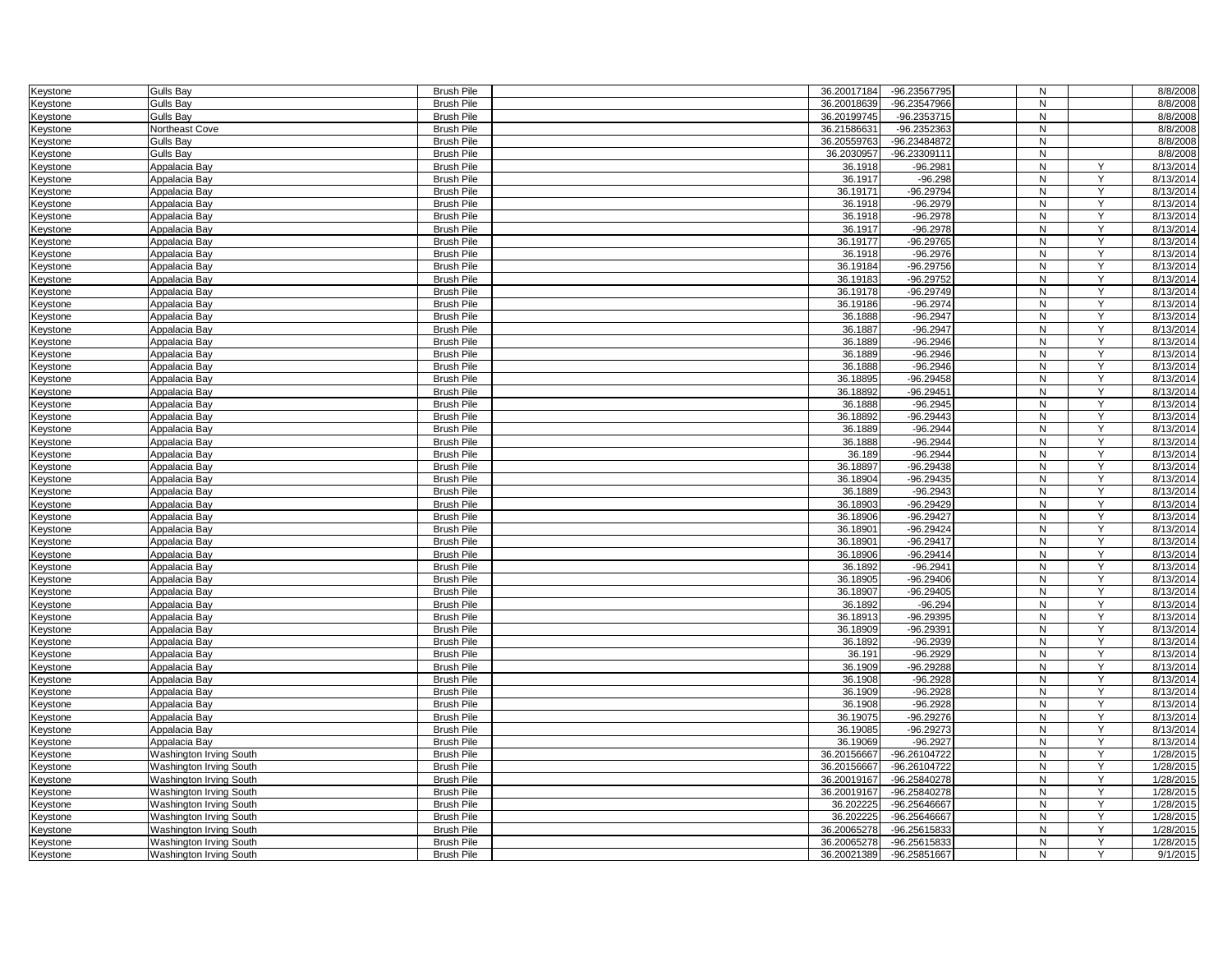| Keystone        | <b>Gulls Bay</b>        | <b>Brush Pile</b> | 36.20017184 | -96.23567795 | N            |                | 8/8/2008  |
|-----------------|-------------------------|-------------------|-------------|--------------|--------------|----------------|-----------|
| Keystone        | <b>Gulls Bay</b>        | <b>Brush Pile</b> | 36.20018639 | -96.23547966 | N            |                | 8/8/2008  |
|                 |                         |                   |             |              |              |                |           |
| Keystone        | <b>Gulls Bay</b>        | <b>Brush Pile</b> | 36.20199745 | -96.2353715  | N            |                | 8/8/2008  |
| Keystone        | Northeast Cove          | <b>Brush Pile</b> | 36.2158663  | -96.2352363  | N            |                | 8/8/2008  |
| Keystone        | Gulls Bay               | <b>Brush Pile</b> | 36.20559763 | -96.23484872 | N            |                | 8/8/2008  |
| Keystone        | <b>Gulls Bay</b>        | <b>Brush Pile</b> | 36.2030957  | -96.23309111 | N            |                | 8/8/2008  |
| Keystone        | Appalacia Bay           | <b>Brush Pile</b> | 36.1918     | $-96.2981$   | N            | Y              | 8/13/2014 |
| Keystone        | Appalacia Bay           | <b>Brush Pile</b> | 36.1917     | $-96.298$    | N            | Y              | 8/13/2014 |
| Keystone        | Appalacia Bay           | <b>Brush Pile</b> | 36.19171    | -96.29794    | N            | Y              | 8/13/2014 |
| Keystone        | Appalacia Bay           | <b>Brush Pile</b> | 36.1918     | $-96.2979$   | N            | Y              | 8/13/2014 |
| Keystone        | Appalacia Bay           | <b>Brush Pile</b> | 36.1918     | $-96.2978$   | $\mathsf{N}$ | Y              | 8/13/2014 |
| Keystone        | Appalacia Bay           | <b>Brush Pile</b> | 36.1917     | $-96.2978$   | N            | Y              | 8/13/2014 |
| Keystone        | Appalacia Bay           | <b>Brush Pile</b> | 36.19177    | $-96.29765$  | N            | Y              | 8/13/2014 |
|                 | Appalacia Bav           | <b>Brush Pile</b> | 36.1918     | $-96.2976$   | N            | Y              | 8/13/2014 |
| Keystone        |                         | <b>Brush Pile</b> | 36.19184    | $-96.29756$  | N            | Y              | 8/13/2014 |
| Keystone        | Appalacia Bay           |                   |             | -96.29752    | N            | Y              |           |
| Keystone        | Appalacia Bay           | <b>Brush Pile</b> | 36.19183    |              |              |                | 8/13/2014 |
| Keystone        | Appalacia Bay           | <b>Brush Pile</b> | 36.19178    | $-96.29749$  | N            | Y              | 8/13/2014 |
| Keystone        | Appalacia Bay           | <b>Brush Pile</b> | 36.19186    | -96.2974     | N            | Y              | 8/13/2014 |
| Keystone        | Appalacia Bay           | <b>Brush Pile</b> | 36.1888     | $-96.2947$   | N            | Y              | 8/13/2014 |
| Keystone        | Appalacia Bay           | <b>Brush Pile</b> | 36.1887     | $-96.2947$   | N            | Y              | 8/13/2014 |
| Keystone        | Appalacia Bay           | <b>Brush Pile</b> | 36.1889     | $-96.2946$   | N            | Y              | 8/13/2014 |
| Keystone        | Appalacia Bay           | <b>Brush Pile</b> | 36.1889     | $-96.2946$   | N            | Y              | 8/13/2014 |
| Keystone        | Appalacia Bay           | <b>Brush Pile</b> | 36.1888     | $-96.2946$   | ${\sf N}$    | Y              | 8/13/2014 |
| Keystone        | Appalacia Bay           | <b>Brush Pile</b> | 36.18895    | $-96.29458$  | N            | Y              | 8/13/2014 |
| Keystone        | Appalacia Bay           | <b>Brush Pile</b> | 36.18892    | $-96.29451$  | N            | Y              | 8/13/2014 |
| Keystone        | Appalacia Bay           | <b>Brush Pile</b> | 36.1888     | $-96.2945$   | N            | Y              | 8/13/2014 |
| Keystone        | Appalacia Bay           | <b>Brush Pile</b> | 36.18892    | $-96.29443$  | N            | Y              | 8/13/2014 |
| Keystone        | Appalacia Bay           | <b>Brush Pile</b> | 36.1889     | $-96.2944$   | ${\sf N}$    | Y              | 8/13/2014 |
| Keystone        | Appalacia Bay           | <b>Brush Pile</b> | 36.1888     | $-96.2944$   | N            | Y              | 8/13/2014 |
| Keystone        | Appalacia Bay           | <b>Brush Pile</b> | 36.189      | $-96.2944$   | $\mathsf{N}$ | Y              | 8/13/2014 |
| Keystone        | Appalacia Bay           | <b>Brush Pile</b> | 36.18897    | $-96.29438$  | N            | Y              | 8/13/2014 |
|                 |                         |                   | 36.18904    | $-96.29435$  |              | Y              | 8/13/2014 |
| Keystone        | Appalacia Bay           | <b>Brush Pile</b> |             |              | N            | Y              |           |
| Keystone        | Appalacia Bay           | <b>Brush Pile</b> | 36.1889     | $-96.2943$   | N            |                | 8/13/2014 |
| Keystone        | Appalacia Bay           | <b>Brush Pile</b> | 36.18903    | $-96.29429$  | N            | Y              | 8/13/2014 |
| Keystone        | Appalacia Bay           | <b>Brush Pile</b> | 36.18906    | $-96.29427$  | N            | Y              | 8/13/2014 |
| Keystone        | Appalacia Bay           | <b>Brush Pile</b> | 36.18901    | -96.29424    | N            | Y              | 8/13/2014 |
| Keystone        | Appalacia Bay           | <b>Brush Pile</b> | 36.18901    | $-96.29417$  | N            | Y              | 8/13/2014 |
| Keystone        | Appalacia Bay           | <b>Brush Pile</b> | 36.18906    | $-96.29414$  | N            | Y              | 8/13/2014 |
| Keystone        | Appalacia Bay           | <b>Brush Pile</b> | 36.1892     | $-96.2941$   | N            | Y              | 8/13/2014 |
| Keystone        | Appalacia Bay           | <b>Brush Pile</b> | 36.18905    | $-96.29406$  | N            | Y              | 8/13/2014 |
| Keystone        | Appalacia Bay           | <b>Brush Pile</b> | 36.18907    | $-96.29405$  | N            | Y              | 8/13/2014 |
| Keystone        | Appalacia Bay           | <b>Brush Pile</b> | 36.1892     | $-96.294$    | N            | Y              | 8/13/2014 |
| Keystone        | Appalacia Bay           | <b>Brush Pile</b> | 36.18913    | -96.29395    | N            | Y              | 8/13/2014 |
| Keystone        | Appalacia Bay           | <b>Brush Pile</b> | 36.18909    | -96.29391    | N            | Y              | 8/13/2014 |
| Keystone        | Appalacia Bay           | <b>Brush Pile</b> | 36.1892     | $-96.2939$   | ${\sf N}$    | Y              | 8/13/2014 |
| Keystone        | Appalacia Bay           | <b>Brush Pile</b> | 36.191      | $-96.2929$   | N            | Y              | 8/13/2014 |
| Keystone        | Appalacia Bay           | <b>Brush Pile</b> | 36.1909     | $-96.29288$  | N            | Y              | 8/13/2014 |
| Keystone        | Appalacia Bay           | <b>Brush Pile</b> | 36.1908     | $-96.2928$   | N            | $\overline{Y}$ | 8/13/2014 |
| Keystone        | Appalacia Bay           | <b>Brush Pile</b> | 36.1909     | $-96.2928$   | N            | Y              | 8/13/2014 |
|                 | Appalacia Bay           | <b>Brush Pile</b> | 36.1908     | $-96.2928$   | N            | Y              | 8/13/2014 |
| Keystone        |                         |                   |             |              |              |                |           |
| Keystone        | Appalacia Bay           | <b>Brush Pile</b> | 36.19075    | $-96.29276$  | ${\sf N}$    | Y              | 8/13/2014 |
| Keystone        | Appalacia Bay           | <b>Brush Pile</b> | 36.19085    | $-96.29273$  | N            | Y              | 8/13/2014 |
| Keystone        | Appalacia Bay           | <b>Brush Pile</b> | 36.19069    | $-96.2927$   | N            | Y              | 8/13/2014 |
| Keystone        | Washington Irving South | <b>Brush Pile</b> | 36.20156667 | -96.26104722 | N            | Y              | 1/28/2015 |
| Keystone        | Washington Irving South | <b>Brush Pile</b> | 36.20156667 | -96.26104722 | N            | Y              | 1/28/2015 |
| Keystone        | Washington Irving South | <b>Brush Pile</b> | 36.20019167 | -96.25840278 | N            | Y              | 1/28/2015 |
| Keystone        | Washington Irving South | <b>Brush Pile</b> | 36.20019167 | -96.25840278 | ${\sf N}$    | Y              | 1/28/2015 |
| Keystone        | Washington Irving South | <b>Brush Pile</b> | 36.202225   | -96.25646667 | N            | Y              | 1/28/2015 |
| Keystone        | Washington Irving South | <b>Brush Pile</b> | 36.202225   | -96.25646667 | N            | Y              | 1/28/2015 |
| <b>Keystone</b> | Washington Irving South | <b>Brush Pile</b> | 36.20065278 | -96.25615833 | N            | Y              | 1/28/2015 |
| Keystone        | Washington Irving South | <b>Brush Pile</b> | 36.20065278 | -96.25615833 | N            |                | 1/28/2015 |
| Keystone        | Washington Irving South | <b>Brush Pile</b> | 36.20021389 | -96.25851667 | N            | Y              | 9/1/2015  |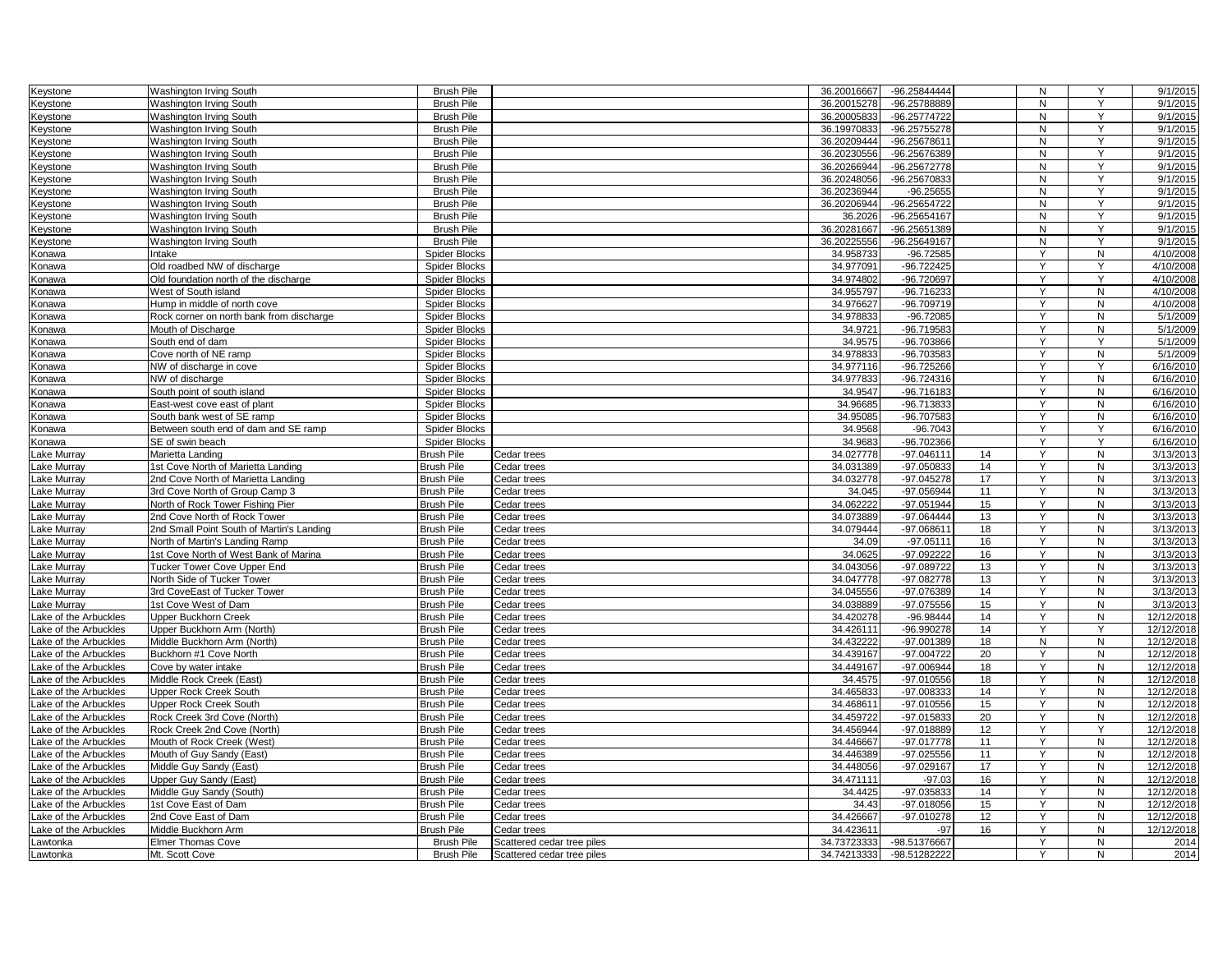| Keystone              | Washington Irving South                   | <b>Brush Pile</b>                     |                            | 36.20016667 | -96.25844444 |    | N         | Y              | 9/1/2015   |
|-----------------------|-------------------------------------------|---------------------------------------|----------------------------|-------------|--------------|----|-----------|----------------|------------|
| Keystone              | Washington Irving South                   | <b>Brush Pile</b>                     |                            | 36.20015278 | -96.25788889 |    | N         | Y              | 9/1/2015   |
| Keystone              | Washington Irving South                   | <b>Brush Pile</b>                     |                            | 36.20005833 | -96.25774722 |    | N         | Y              | 9/1/2015   |
| Keystone              | Washington Irving South                   | <b>Brush Pile</b>                     |                            | 36.19970833 | -96.25755278 |    | N         | Y              | 9/1/2015   |
| Keystone              | Washington Irving South                   | <b>Brush Pile</b>                     |                            | 36.20209444 | -96.25678611 |    | N         | Y              | 9/1/2015   |
| Keystone              | <b>Washington Irving South</b>            | <b>Brush Pile</b>                     |                            | 36.20230556 | -96.25676389 |    | N         | Y              | 9/1/2015   |
| Keystone              | Washington Irving South                   | <b>Brush Pile</b>                     |                            | 36.20266944 | -96.25672778 |    | N         | Y              | 9/1/2015   |
| Keystone              | Washington Irving South                   | <b>Brush Pile</b>                     |                            | 36.20248056 | -96.25670833 |    | N         | Y              | 9/1/2015   |
| Keystone              | <b>Washington Irving South</b>            | <b>Brush Pile</b>                     |                            | 36.20236944 | $-96.25655$  |    | N         | $\overline{Y}$ | 9/1/2015   |
| Keystone              | Washington Irving South                   | <b>Brush Pile</b>                     |                            | 36.20206944 | -96.25654722 |    | N         | Y              | 9/1/2015   |
| Keystone              | <b>Washington Irving South</b>            | <b>Brush Pile</b>                     |                            | 36.2026     | -96.25654167 |    | N         | Y              | 9/1/2015   |
| Keystone              | Washington Irving South                   | <b>Brush Pile</b>                     |                            | 36.20281667 | -96.25651389 |    | N         | Y              | 9/1/2015   |
| Keystone              | Washington Irving South                   | <b>Brush Pile</b>                     |                            | 36.20225556 | -96.25649167 |    | N         | Y              | 9/1/2015   |
| Konawa                | Intake                                    | Spider Blocks                         |                            | 34.958733   | $-96.72585$  |    | Y         | ${\sf N}$      | 4/10/2008  |
| Konawa                | Old roadbed NW of discharge               | <b>Spider Blocks</b>                  |                            | 34.977091   | $-96.722425$ |    | Y         | Y              | 4/10/2008  |
| Konawa                | Old foundation north of the discharge     | <b>Spider Blocks</b>                  |                            | 34.974802   | -96.720697   |    | Y         | Y              | 4/10/2008  |
| Konawa                | West of South island                      | <b>Spider Blocks</b>                  |                            | 34.955797   | -96.716233   |    | Y         | N              | 4/10/2008  |
| Konawa                | Hump in middle of north cove              | <b>Spider Blocks</b>                  |                            | 34.976627   | -96.709719   |    | Y         | N              | 4/10/2008  |
| Konawa                | Rock corner on north bank from discharge  | Spider Blocks                         |                            | 34.978833   | $-96.72085$  |    | Y         | N              | 5/1/2009   |
| Konawa                | Mouth of Discharge                        | <b>Spider Blocks</b>                  |                            | 34.9721     | -96.719583   |    | Y         | N              | 5/1/2009   |
| Konawa                | South end of dam                          | Spider Blocks                         |                            | 34.9575     | -96.703866   |    | Y         | Y              | 5/1/2009   |
|                       | Cove north of NE ramp                     | <b>Spider Blocks</b>                  |                            | 34.978833   | -96.703583   |    |           | N              | 5/1/2009   |
| Konawa<br>Konawa      | NW of discharge in cove                   | <b>Spider Blocks</b>                  |                            | 34.977116   | $-96.725266$ |    | Y         | Y              | 6/16/2010  |
|                       | NW of discharge                           | <b>Spider Blocks</b>                  |                            | 34.977833   | -96.724316   |    | Y         | N              | 6/16/2010  |
| Konawa<br>Konawa      | South point of south island               | <b>Spider Blocks</b>                  |                            | 34.9547     | $-96.716183$ |    | Y         | N              | 6/16/2010  |
|                       | East-west cove east of plant              |                                       |                            | 34.96685    | -96.713833   |    | Y         | $\mathsf{N}$   | 6/16/2010  |
| Konawa                | South bank west of SE ramp                | <b>Spider Blocks</b><br>Spider Blocks |                            | 34.95085    | -96.707583   |    |           | N              | 6/16/2010  |
| Konawa                |                                           |                                       |                            |             |              |    | Y         | Y              |            |
| Konawa                | Between south end of dam and SE ramp      | Spider Blocks                         |                            | 34.9568     | $-96.7043$   |    |           | Y              | 6/16/2010  |
| Konawa                | SE of swin beach                          | <b>Spider Blocks</b>                  |                            | 34.9683     | $-96.702366$ |    | Y         |                | 6/16/2010  |
| Lake Murray           | Marietta Landing                          | <b>Brush Pile</b>                     | Cedar trees                | 34.027778   | -97.046111   | 14 | Y<br>Y    | N              | 3/13/2013  |
| ake Murray            | 1st Cove North of Marietta Landing        | <b>Brush Pile</b>                     | Cedar trees                | 34.031389   | -97.050833   | 14 |           | N              | 3/13/2013  |
| ake Murray            | 2nd Cove North of Marietta Landing        | <b>Brush Pile</b>                     | Cedar trees                | 34.032778   | $-97.045278$ | 17 | Y         | ${\sf N}$      | 3/13/2013  |
| ake Murray            | 3rd Cove North of Group Camp 3            | <b>Brush Pile</b>                     | Cedar trees                | 34.045      | -97.056944   | 11 | Y         | N              | 3/13/2013  |
| ake Murray            | North of Rock Tower Fishing Pier          | <b>Brush Pile</b>                     | Cedar trees                | 34.062222   | -97.051944   | 15 | Y         | $\mathsf{N}$   | 3/13/2013  |
| Lake Murray           | 2nd Cove North of Rock Tower              | <b>Brush Pile</b>                     | Cedar trees                | 34.073889   | -97.064444   | 13 | Y         | ${\sf N}$      | 3/13/2013  |
| ake Murray            | 2nd Small Point South of Martin's Landing | <b>Brush Pile</b>                     | Cedar trees                | 34.079444   | -97.068611   | 18 | Y         | N              | 3/13/2013  |
| ake Murray            | North of Martin's Landing Ramp            | <b>Brush Pile</b>                     | Cedar trees                | 34.09       | $-97.05111$  | 16 | Y         | N              | 3/13/2013  |
| ake Murray            | 1st Cove North of West Bank of Marina     | <b>Brush Pile</b>                     | Cedar trees                | 34.0625     | -97.092222   | 16 | Y         | N              | 3/13/2013  |
| ake Murray            | Tucker Tower Cove Upper End               | <b>Brush Pile</b>                     | Cedar trees                | 34.043056   | -97.089722   | 13 |           | ${\sf N}$      | 3/13/2013  |
| ake Murray            | North Side of Tucker Tower                | <b>Brush Pile</b>                     | Cedar trees                | 34.047778   | $-97.082778$ | 13 | Y         | N              | 3/13/2013  |
| ake Murray            | 3rd CoveEast of Tucker Tower              | <b>Brush Pile</b>                     | Cedar trees                | 34.045556   | -97.076389   | 14 |           | N              | 3/13/2013  |
| ake Murray.           | 1st Cove West of Dam                      | <b>Brush Pile</b>                     | Cedar trees                | 34.038889   | $-97.075556$ | 15 | Y         | $\mathsf{N}$   | 3/13/2013  |
| ake of the Arbuckles  | Upper Buckhorn Creek                      | <b>Brush Pile</b>                     | Cedar trees                | 34.420278   | -96.98444    | 14 | Y         | N              | 12/12/2018 |
| ake of the Arbuckles. | Upper Buckhorn Arm (North)                | <b>Brush Pile</b>                     | Cedar trees                | 34.426111   | -96.990278   | 14 | Υ         | Y              | 12/12/2018 |
| ake of the Arbuckles  | Middle Buckhorn Arm (North)               | <b>Brush Pile</b>                     | Cedar trees                | 34.432222   | -97.001389   | 18 | ${\sf N}$ | N              | 12/12/2018 |
| ake of the Arbuckles  | Buckhorn #1 Cove North                    | <b>Brush Pile</b>                     | Cedar trees                | 34.439167   | -97.004722   | 20 | Y         | N              | 12/12/2018 |
| ake of the Arbuckles  | Cove by water intake                      | <b>Brush Pile</b>                     | Cedar trees                | 34.449167   | -97.006944   | 18 | Y         | N              | 12/12/2018 |
| ake of the Arbuckles  | Middle Rock Creek (East)                  | <b>Brush Pile</b>                     | Cedar trees                | 34.4575     | $-97.010556$ | 18 | Y         | N              | 12/12/2018 |
| ake of the Arbuckles  | Upper Rock Creek South                    | <b>Brush Pile</b>                     | Cedar trees                | 34.465833   | -97.008333   | 14 | Y         | N              | 12/12/2018 |
| ake of the Arbuckles  | <b>Upper Rock Creek South</b>             | <b>Brush Pile</b>                     | Cedar trees                | 34.468611   | $-97.010556$ | 15 | Y         | N              | 12/12/2018 |
| ake of the Arbuckles  | Rock Creek 3rd Cove (North)               | <b>Brush Pile</b>                     | Cedar trees                | 34.459722   | -97.015833   | 20 | Y         | N              | 12/12/2018 |
| ake of the Arbuckles  | Rock Creek 2nd Cove (North                | <b>Brush Pile</b>                     | Cedar trees                | 34.456944   | -97.018889   | 12 | Y         | Y              | 12/12/2018 |
| ake of the Arbuckles  | Mouth of Rock Creek (West)                | <b>Brush Pile</b>                     | Cedar trees                | 34.446667   | -97.017778   | 11 | Y         | ${\sf N}$      | 12/12/2018 |
| ake of the Arbuckles. | Mouth of Guy Sandy (East)                 | <b>Brush Pile</b>                     | Cedar trees                | 34.446389   | $-97.025556$ | 11 | Y         | ${\sf N}$      | 12/12/2018 |
| ake of the Arbuckles  | Middle Guy Sandy (East)                   | <b>Brush Pile</b>                     | Cedar trees                | 34.448056   | -97.029167   | 17 | Y         | N              | 12/12/2018 |
| ake of the Arbuckles  | Upper Guy Sandy (East)                    | <b>Brush Pile</b>                     | Cedar trees                | 34.471111   | $-97.03$     | 16 | Υ         | N              | 12/12/2018 |
| ake of the Arbuckles. | Middle Guy Sandy (South)                  | <b>Brush Pile</b>                     | Cedar trees                | 34.4425     | -97.035833   | 14 | Y         | $\mathsf{N}$   | 12/12/2018 |
| ake of the Arbuckles  | 1st Cove East of Dam                      | <b>Brush Pile</b>                     | Cedar trees                | 34.43       | $-97.018056$ | 15 | Y         | N              | 12/12/2018 |
| ake of the Arbuckles  | 2nd Cove East of Dam                      | <b>Brush Pile</b>                     | Cedar trees                | 34.426667   | -97.010278   | 12 | Y         | ${\sf N}$      | 12/12/2018 |
| ake of the Arbuckles  | Middle Buckhorn Arm                       | <b>Brush Pile</b>                     | Cedar trees                | 34.423611   | $-97$        | 16 | Y         | N              | 12/12/2018 |
| .awtonka              | <b>Elmer Thomas Cove</b>                  | <b>Brush Pile</b>                     | Scattered cedar tree piles | 34.73723333 | -98.51376667 |    |           | N              | 2014       |
| Lawtonka              | Mt. Scott Cove                            | <b>Brush Pile</b>                     | Scattered cedar tree piles | 34.74213333 | -98.51282222 |    | Y         | N              | 2014       |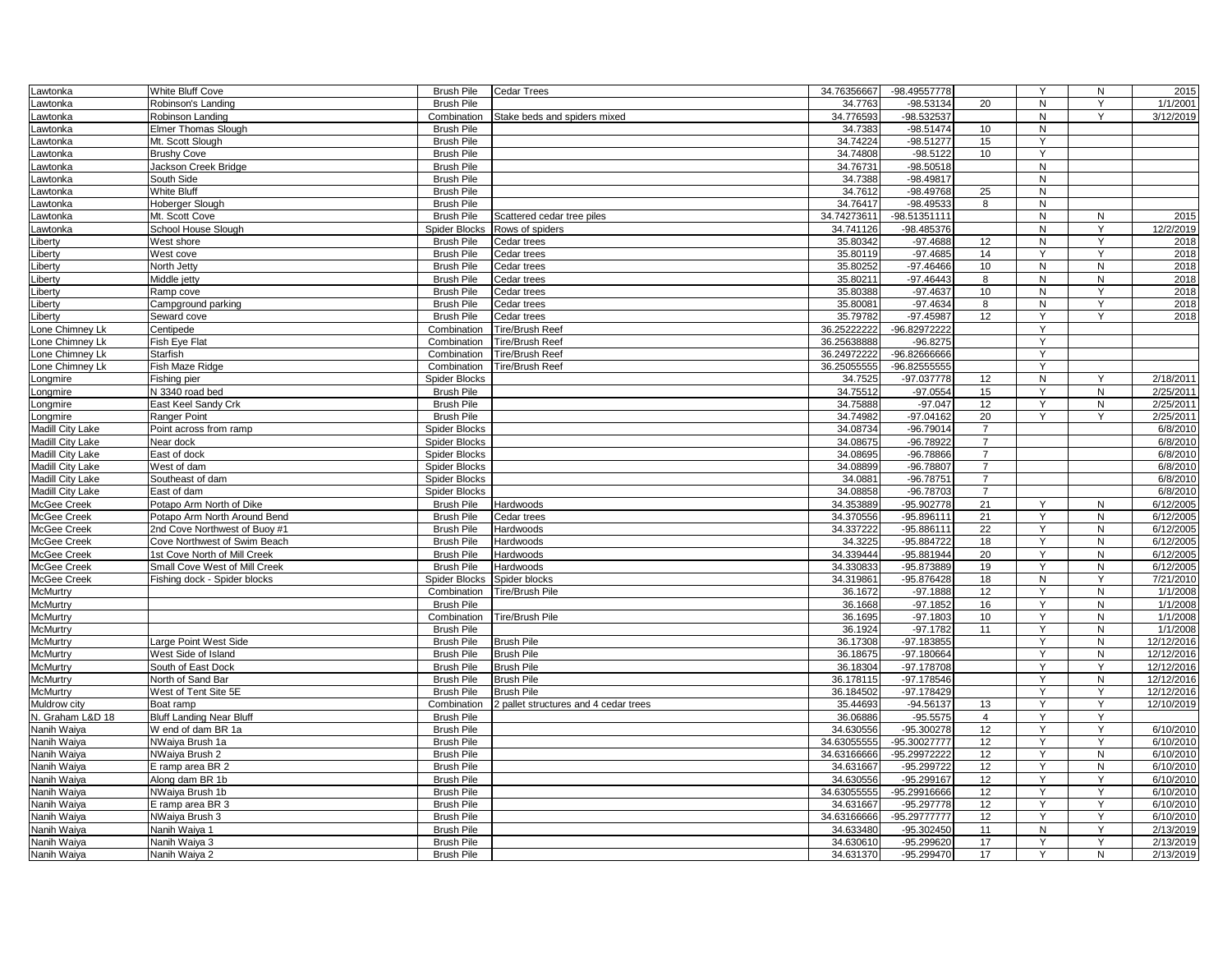| Lawtonka         | White Bluff Cove                | <b>Brush Pile</b>    | <b>Cedar Trees</b>                    | 34.76356667            | -98.49557778   |                 | Y              | N              | 2015       |
|------------------|---------------------------------|----------------------|---------------------------------------|------------------------|----------------|-----------------|----------------|----------------|------------|
| Lawtonka         | Robinson's Landing              | <b>Brush Pile</b>    |                                       | 34.7763                | -98.53134      | 20              | $\overline{N}$ | Y              | 1/1/2001   |
| Lawtonka         | Robinson Landing                | Combination          | Stake beds and spiders mixed          | 34.776593              | -98.532537     |                 | N              | Y              | 3/12/2019  |
| Lawtonka         | <b>Elmer Thomas Slough</b>      | <b>Brush Pile</b>    |                                       | 34.7383                | $-98.51474$    | 10              | N              |                |            |
| Lawtonka         | Mt. Scott Slough                | <b>Brush Pile</b>    |                                       | 34.74224               | $-98.51277$    | 15              | Y              |                |            |
| Lawtonka         | <b>Brushy Cove</b>              | <b>Brush Pile</b>    |                                       | 34.74808               | $-98.5122$     | 10              | Y              |                |            |
| awtonka          | Jackson Creek Bridge            | <b>Brush Pile</b>    |                                       | 34.76731               | $-98.50518$    |                 | ${\sf N}$      |                |            |
| Lawtonka         | South Side                      | <b>Brush Pile</b>    |                                       | 34.7388                | -98.49817      |                 | N              |                |            |
| Lawtonka         | White Bluff                     | <b>Brush Pile</b>    |                                       | 34.7612                | -98.49768      | 25              | ${\sf N}$      |                |            |
| Lawtonka         | Hoberger Slough                 | <b>Brush Pile</b>    |                                       | 34.76417               | -98.49533      | 8               | N              |                |            |
| Lawtonka         | Mt. Scott Cove                  | <b>Brush Pile</b>    | Scattered cedar tree piles            | 34.74273611            | 98.51351111    |                 | N              | N              | 2015       |
| Lawtonka         | School House Slough             | <b>Spider Blocks</b> | Rows of spiders                       | 34.741126              | -98.485376     |                 | N              | Y              | 12/2/2019  |
| Liberty          | West shore                      | <b>Brush Pile</b>    | Cedar trees                           | 35.80342               | $-97.4688$     | 12              | N              | Y              | 2018       |
| Liberty          | West cove                       | <b>Brush Pile</b>    | Cedar trees                           | 35.80119               | $-97.4685$     | 14              | Y              | Y              | 2018       |
| Liberty          | North Jetty                     | <b>Brush Pile</b>    | Cedar trees                           | 35.80252               | $-97.46466$    | 10              | N              | N              | 2018       |
| Liberty          | Middle jetty                    | <b>Brush Pile</b>    | Cedar trees                           | 35.80211               | $-97.46443$    | 8               | N              | ${\sf N}$      | 2018       |
| Liberty          | Ramp cove                       | <b>Brush Pile</b>    | Cedar trees                           | 35.80388               | $-97.4637$     | 10              | N              | Y              | 2018       |
| Liberty          | Campground parking              | <b>Brush Pile</b>    | Cedar trees                           | 35.80081               | $-97.4634$     | 8               | N              | Y              | 2018       |
| Liberty          | Seward cove                     | <b>Brush Pile</b>    | Cedar trees                           | 35.79782               | -97.45987      | 12              | Y              | $\mathsf{Y}$   | 2018       |
| Lone Chimney Lk  | Centipede                       | Combination          | <b>Tire/Brush Reef</b>                | 36.25222222            | -96.82972222   |                 | Y              |                |            |
| Lone Chimney Lk  | Fish Eye Flat                   | Combination          | <b>Tire/Brush Reef</b>                | 36.25638888            | $-96.8275$     |                 | Y              |                |            |
| Lone Chimney Lk  | Starfish                        | Combination          | <b>Tire/Brush Reef</b>                | 36.24972222            | -96.82666666   |                 | Y              |                |            |
|                  |                                 |                      |                                       |                        |                |                 |                |                |            |
| Lone Chimney Lk  | Fish Maze Ridge                 | Combination          | Tire/Brush Reef                       | 36.25055555<br>34.7525 | -96.82555555   | 12              | Y<br>N         | Y              | 2/18/2011  |
| Longmire         | Fishing pier                    | <b>Spider Blocks</b> |                                       | 34.75512               | -97.037778     |                 | Y              | ${\sf N}$      | 2/25/2011  |
| Longmire         | N 3340 road bed                 | <b>Brush Pile</b>    |                                       |                        | $-97.0554$     | 15              |                |                |            |
| Longmire         | East Keel Sandy Crk             | <b>Brush Pile</b>    |                                       | 34.75888               | $-97.047$      | 12              | Y<br>Y         | N<br>Y         | 2/25/2011  |
| Longmire         | Ranger Point                    | <b>Brush Pile</b>    |                                       | 34.74982               | $-97.04162$    | 20              |                |                | 2/25/2011  |
| Madill City Lake | Point across from ramp          | Spider Blocks        |                                       | 34.08734               | $-96.79014$    | $\overline{7}$  |                |                | 6/8/2010   |
| Madill City Lake | Near dock                       | <b>Spider Blocks</b> |                                       | 34.08675               | $-96.78922$    | $\overline{7}$  |                |                | 6/8/2010   |
| Madill City Lake | East of dock                    | <b>Spider Blocks</b> |                                       | 34.08695               | $-96.78866$    | $\overline{7}$  |                |                | 6/8/2010   |
| Madill City Lake | West of dam                     | Spider Blocks        |                                       | 34.08899               | -96.78807      | $\overline{7}$  |                |                | 6/8/2010   |
| Madill City Lake | Southeast of dam                | Spider Blocks        |                                       | 34.0881                | -96.78751      | $\overline{7}$  |                |                | 6/8/2010   |
| Madill City Lake | East of dam                     | Spider Blocks        |                                       | 34.08858               | -96.78703      | $\overline{7}$  |                |                | 6/8/2010   |
| McGee Creek      | Potapo Arm North of Dike        | <b>Brush Pile</b>    | Hardwoods                             | 34.353889              | $-95.902778$   | 21              | Y              | ${\sf N}$      | 6/12/2005  |
| McGee Creek      | Potapo Arm North Around Bend    | <b>Brush Pile</b>    | Cedar trees                           | 34.370556              | $-95.896111$   | 21              | Y              | ${\sf N}$      | 6/12/2005  |
| McGee Creek      | 2nd Cove Northwest of Buoy #1   | <b>Brush Pile</b>    | Hardwoods                             | 34.337222              | $-95.886111$   | $\overline{22}$ | Y              | N              | 6/12/2005  |
| McGee Creek      | Cove Northwest of Swim Beach    | <b>Brush Pile</b>    | Hardwoods                             | 34.3225                | -95.884722     | 18              | Y              | ${\sf N}$      | 6/12/2005  |
| McGee Creek      | 1st Cove North of Mill Creek    | <b>Brush Pile</b>    | Hardwoods                             | 34.339444              | -95.881944     | 20              | Y              | ${\sf N}$      | 6/12/2005  |
| McGee Creek      | Small Cove West of Mill Creek   | <b>Brush Pile</b>    | Hardwoods                             | 34.330833              | -95.873889     | 19              | Y              | ${\sf N}$      | 6/12/2005  |
| McGee Creek      | Fishing dock - Spider blocks    | Spider Blocks        | Spider blocks                         | 34.319861              | -95.876428     | 18              | N              | Y              | 7/21/2010  |
| <b>McMurtry</b>  |                                 | Combination          | <b>Tire/Brush Pile</b>                | 36.1672                | $-97.1888$     | 12              | Y              | N              | 1/1/2008   |
| McMurtry         |                                 | <b>Brush Pile</b>    |                                       | 36.1668                | $-97.1852$     | 16              | Y              | $\overline{N}$ | 1/1/2008   |
| McMurtry         |                                 | Combination          | <b>Tire/Brush Pile</b>                | 36.1695                | $-97.1803$     | 10              | Y              | N              | 1/1/2008   |
| McMurtry         |                                 | <b>Brush Pile</b>    |                                       | 36.1924                | $-97.1782$     | 11              | Y              | ${\sf N}$      | 1/1/2008   |
| <b>McMurtry</b>  | Large Point West Side           | <b>Brush Pile</b>    | <b>Brush Pile</b>                     | 36.17308               | -97.183855     |                 | Y              | N              | 12/12/2016 |
| <b>McMurtry</b>  | West Side of Island             | <b>Brush Pile</b>    | <b>Brush Pile</b>                     | 36.18675               | -97.180664     |                 | Y              | ${\sf N}$      | 12/12/2016 |
| McMurtry         | South of East Dock              | <b>Brush Pile</b>    | <b>Brush Pile</b>                     | 36.18304               | $-97.178708$   |                 | Y              | Y              | 12/12/2016 |
| McMurtry         | North of Sand Bar               | <b>Brush Pile</b>    | <b>Brush Pile</b>                     | 36.178115              | $-97.178546$   |                 | Y              | N              | 12/12/2016 |
| McMurtry         | West of Tent Site 5E            | <b>Brush Pile</b>    | <b>Brush Pile</b>                     | 36.184502              | $-97.178429$   |                 | Y              | Y              | 12/12/2016 |
| Muldrow city     | Boat ramp                       | Combination          | 2 pallet structures and 4 cedar trees | 35.44693               | $-94.56137$    | 13              | Y              | Y              | 12/10/2019 |
| N. Graham L&D 18 | <b>Bluff Landing Near Bluff</b> | <b>Brush Pile</b>    |                                       | 36.06886               | $-95.5575$     | $\overline{4}$  | Y              | Y              |            |
| Nanih Waiya      | W end of dam BR 1a              | <b>Brush Pile</b>    |                                       | 34.630556              | $-95.300278$   | 12              | Υ              | Y              | 6/10/2010  |
| Nanih Waiya      | NWaiya Brush 1a                 | <b>Brush Pile</b>    |                                       | 34.63055555            | -95.30027777   | 12              | Y              | Y              | 6/10/2010  |
| Nanih Waiya      | NWaiya Brush 2                  | <b>Brush Pile</b>    |                                       | 34.63166666            | $-95.29972222$ | 12              | Y              | N              | 6/10/2010  |
| Nanih Waiya      | E ramp area BR 2                | <b>Brush Pile</b>    |                                       | 34.631667              | $-95.299722$   | 12              | Y              | ${\sf N}$      | 6/10/2010  |
| Nanih Waiya      | Along dam BR 1b                 | <b>Brush Pile</b>    |                                       | 34.630556              | $-95.299167$   | 12              | Y              | Y              | 6/10/2010  |
| Nanih Waiya      | NWaiya Brush 1b                 | <b>Brush Pile</b>    |                                       | 34.63055555            | 95.29916666    | 12              | Y              | Y              | 6/10/2010  |
| Nanih Waiya      | E ramp area BR 3                | <b>Brush Pile</b>    |                                       | 34.631667              | $-95.297778$   | 12              | Y              | Y              | 6/10/2010  |
| Nanih Waiya      | NWaiya Brush 3                  | <b>Brush Pile</b>    |                                       | 34.63166666            | -95.29777777   | 12              | Y              | Y              | 6/10/2010  |
| Nanih Waiya      | Nanih Waiya 1                   | <b>Brush Pile</b>    |                                       | 34.633480              | $-95.302450$   | 11              | $\mathsf{N}$   | Y              | 2/13/2019  |
| Nanih Waiya      | Nanih Waiya 3                   | <b>Brush Pile</b>    |                                       | 34.630610              | $-95.299620$   | 17              | Y              |                | 2/13/2019  |
| Nanih Waiya      | Nanih Waiya 2                   | <b>Brush Pile</b>    |                                       | 34.631370              | -95.299470     | 17              | Y              | N              | 2/13/2019  |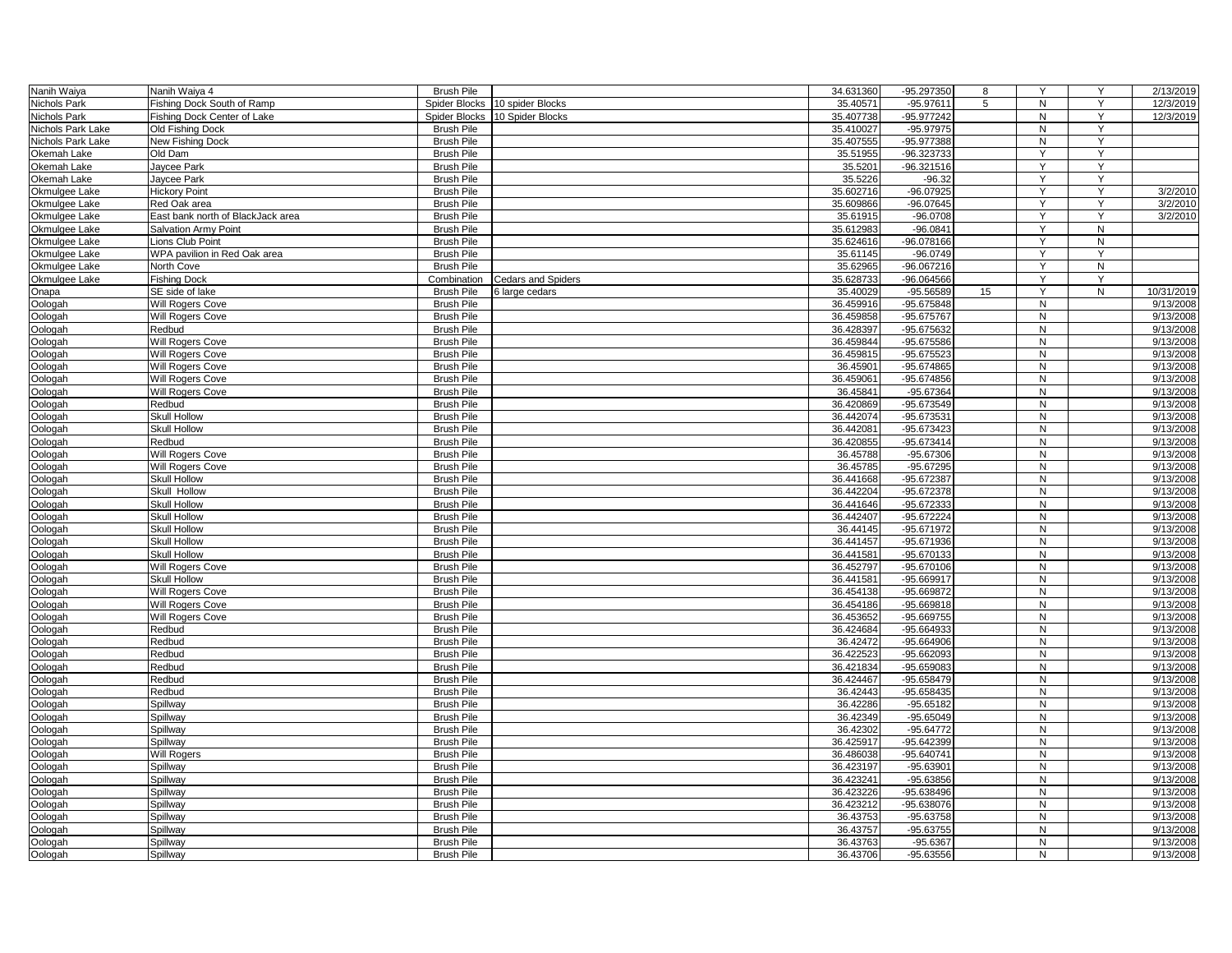| Nanih Waiya       | Nanih Waiya 4                     | <b>Brush Pile</b>                      |                           | 34.631360            | -95.297350                 | 8  | Y                              | Y         | 2/13/2019              |
|-------------------|-----------------------------------|----------------------------------------|---------------------------|----------------------|----------------------------|----|--------------------------------|-----------|------------------------|
| Nichols Park      | Fishing Dock South of Ramp        | Spider Blocks                          | 10 spider Blocks          | 35.40571             | $-95.97611$                | 5  | N                              | Y         | 12/3/2019              |
| Nichols Park      | Fishing Dock Center of Lake       | Spider Blocks                          | 10 Spider Blocks          | 35.407738            | -95.977242                 |    | N                              | Y         | 12/3/2019              |
| Nichols Park Lake | Old Fishing Dock                  | <b>Brush Pile</b>                      |                           | 35.410027            | $-95.97975$                |    | N                              | Y         |                        |
| Nichols Park Lake | New Fishing Dock                  | <b>Brush Pile</b>                      |                           | 35.407555            | -95.977388                 |    | N                              | Y         |                        |
| Okemah Lake       | Old Dam                           | <b>Brush Pile</b>                      |                           | 35.51955             | -96.323733                 |    | Y                              | Y         |                        |
| Okemah Lake       | Jaycee Park                       | <b>Brush Pile</b>                      |                           | 35.5201              | $-96.321516$               |    | Y                              | Y         |                        |
| Okemah Lake       | Jaycee Park                       | <b>Brush Pile</b>                      |                           | 35.5226              | $-96.32$                   |    | Y                              | Y         |                        |
| Okmulgee Lake     | <b>Hickory Point</b>              | <b>Brush Pile</b>                      |                           | 35.602716            | $-96.07925$                |    | Ÿ                              | Ÿ         | 3/2/2010               |
| Okmulgee Lake     | Red Oak area                      | <b>Brush Pile</b>                      |                           | 35.609866            | $-96.07645$                |    | Y                              | Y         | 3/2/2010               |
| Okmulgee Lake     | East bank north of BlackJack area | <b>Brush Pile</b>                      |                           | 35.61915             | $-96.0708$                 |    | Y                              | Y         | 3/2/2010               |
| Okmulgee Lake     | Salvation Army Point              | <b>Brush Pile</b>                      |                           | 35.612983            | $-96.0841$                 |    | Y                              | ${\sf N}$ |                        |
| Okmulgee Lake     | Lions Club Point                  | <b>Brush Pile</b>                      |                           | 35.624616            | -96.078166                 |    | Y                              | ${\sf N}$ |                        |
| Okmulgee Lake     | WPA pavilion in Red Oak area      | <b>Brush Pile</b>                      |                           | 35.61145             | $-96.0749$                 |    | Y                              | Y         |                        |
| Okmulgee Lake     | North Cove                        | <b>Brush Pile</b>                      |                           | 35.62965             | -96.067216                 |    | Y                              | ${\sf N}$ |                        |
| Okmulgee Lake     | <b>Fishing Dock</b>               | Combination                            | <b>Cedars and Spiders</b> | 35.628733            | $-96.064566$               |    | Y                              | Y         |                        |
| Onapa             | SE side of lake                   | <b>Brush Pile</b>                      | 6 large cedars            | 35.40029             | $-95.56589$                | 15 |                                | N         | 10/31/2019             |
| Oologah           | Will Rogers Cove                  | <b>Brush Pile</b>                      |                           | 36.459916            | $-95.675848$               |    | N                              |           | 9/13/2008              |
| Oologah           | Will Rogers Cove                  | <b>Brush Pile</b>                      |                           | 36.459858            | -95.675767                 |    | $\mathsf{N}$                   |           | 9/13/2008              |
| Oologah           | Redbud                            | <b>Brush Pile</b>                      |                           | 36.428397            | -95.675632                 |    | N                              |           | 9/13/2008              |
| Oologah           | Will Rogers Cove                  | <b>Brush Pile</b>                      |                           | 36.459844            | -95.675586                 |    | N                              |           | 9/13/2008              |
| Oologah           | Will Rogers Cove                  | <b>Brush Pile</b>                      |                           | 36.459815            | $-95.675523$               |    | N                              |           | 9/13/2008              |
| Oologah           | Will Rogers Cove                  | <b>Brush Pile</b>                      |                           | 36.45901             | $-95.674865$               |    | N                              |           | 9/13/2008              |
| Oologah           | Will Rogers Cove                  | <b>Brush Pile</b>                      |                           | 36.459061            | $-95.674856$               |    | N                              |           | 9/13/2008              |
| Oologah           | Will Rogers Cove                  | <b>Brush Pile</b>                      |                           | 36.45841             | $-95.67364$                |    | N                              |           | 9/13/2008              |
| Oologah           | Redbud                            | <b>Brush Pile</b>                      |                           | 36.420869            | $-95.673549$               |    | $\mathsf{N}$                   |           | 9/13/2008              |
| Oologah           | Skull Hollow                      | <b>Brush Pile</b>                      |                           | 36.442074            | -95.67353                  |    | ${\sf N}$                      |           | 9/13/2008              |
| Oologah           | <b>Skull Hollow</b>               | <b>Brush Pile</b>                      |                           | 36.442081            | -95.673423                 |    | N                              |           | 9/13/2008              |
|                   | Redbud                            | <b>Brush Pile</b>                      |                           | 36.420855            | -95.673414                 |    | N                              |           | 9/13/2008              |
| Oologah           |                                   |                                        |                           |                      |                            |    |                                |           |                        |
| Oologah           | Will Rogers Cove                  | <b>Brush Pile</b><br><b>Brush Pile</b> |                           | 36.45788<br>36.45785 | $-95.67306$<br>$-95.67295$ |    | N<br>N                         |           | 9/13/2008<br>9/13/2008 |
| Oologah           | <b>Will Rogers Cove</b>           |                                        |                           |                      |                            |    | $\mathsf{N}$                   |           |                        |
| Oologah           | <b>Skull Hollow</b>               | <b>Brush Pile</b>                      |                           | 36.441668            | -95.672387                 |    |                                |           | 9/13/2008              |
| Oologah           | Skull Hollow                      | <b>Brush Pile</b>                      |                           | 36.442204            | -95.672378                 |    | ${\sf N}$<br>N                 |           | 9/13/2008<br>9/13/2008 |
| Oologah           | <b>Skull Hollow</b>               | <b>Brush Pile</b>                      |                           | 36.441646            | -95.672333                 |    |                                |           |                        |
| Oologah           | Skull Hollow                      | <b>Brush Pile</b>                      |                           | 36.442407            | -95.672224                 |    | $\mathsf{N}$<br>$\overline{N}$ |           | 9/13/2008              |
| Oologah           | <b>Skull Hollow</b>               | <b>Brush Pile</b>                      |                           | 36.44145             | -95.671972                 |    |                                |           | 9/13/2008              |
| Oologah           | <b>Skull Hollow</b>               | <b>Brush Pile</b>                      |                           | 36.441457            | -95.671936                 |    | N                              |           | 9/13/2008              |
| Oologah           | <b>Skull Hollow</b>               | <b>Brush Pile</b>                      |                           | 36.441581            | $-95.670133$               |    | N                              |           | 9/13/2008              |
| Oologah           | Will Rogers Cove                  | <b>Brush Pile</b>                      |                           | 36.452797            | -95.670106                 |    | N                              |           | 9/13/2008              |
| Oologah           | Skull Hollow                      | <b>Brush Pile</b>                      |                           | 36.441581            | -95.669917                 |    | N                              |           | 9/13/2008              |
| Oologah           | Will Rogers Cove                  | <b>Brush Pile</b>                      |                           | 36.454138            | -95.669872                 |    | N                              |           | 9/13/2008              |
| Oologah           | <b>Will Rogers Cove</b>           | <b>Brush Pile</b>                      |                           | 36.454186            | $-95.669818$               |    | ${\sf N}$                      |           | 9/13/2008              |
| Oologah           | Will Rogers Cove                  | <b>Brush Pile</b>                      |                           | 36.453652            | $-95.669755$               |    | N                              |           | 9/13/2008              |
| Oologah           | Redbud                            | <b>Brush Pile</b>                      |                           | 36.424684            | $-95.664933$               |    | N                              |           | 9/13/2008              |
| Oologah           | Redbud                            | <b>Brush Pile</b>                      |                           | 36.42472             | -95.664906                 |    | N                              |           | 9/13/2008              |
| Oologah           | Redbud                            | <b>Brush Pile</b>                      |                           | 36.422523            | -95.662093                 |    | N                              |           | 9/13/2008              |
| Oologah           | Redbud                            | <b>Brush Pile</b>                      |                           | 36.421834            | $-95.659083$               |    | N                              |           | 9/13/2008              |
| Oologah           | Redbud                            | <b>Brush Pile</b>                      |                           | 36.424467            | -95.658479                 |    | N                              |           | 9/13/2008              |
| Oologah           | Redbud                            | <b>Brush Pile</b>                      |                           | 36.42443             | $-95.658435$               |    | N                              |           | 9/13/2008              |
| Oologah           | Spillway                          | <b>Brush Pile</b>                      |                           | 36.42286             | $-95.65182$                |    | N                              |           | 9/13/2008              |
| Oologah           | Spillway                          | <b>Brush Pile</b>                      |                           | 36.42349             | $-95.65049$                |    | N                              |           | 9/13/2008              |
| Oologah           | Spillway                          | <b>Brush Pile</b>                      |                           | 36.42302             | $-95.64772$                |    | N                              |           | 9/13/2008              |
| Oologah           | Spillway                          | <b>Brush Pile</b>                      |                           | 36.425917            | -95.642399                 |    | N                              |           | 9/13/2008              |
| Oologah           | <b>Will Rogers</b>                | <b>Brush Pile</b>                      |                           | 36.486038            | -95.640741                 |    | N                              |           | 9/13/2008              |
| Oologah           | Spillway                          | <b>Brush Pile</b>                      |                           | 36.423197            | $-95.63901$                |    | N                              |           | 9/13/2008              |
| Oologah           | Spillway                          | <b>Brush Pile</b>                      |                           | 36.423241            | $-95.63856$                |    | N                              |           | 9/13/2008              |
| Oologah           | Spillway                          | <b>Brush Pile</b>                      |                           | 36.423226            | -95.638496                 |    | N                              |           | 9/13/2008              |
| Oologah           | Spillway                          | <b>Brush Pile</b>                      |                           | 36.423212            | -95.638076                 |    | N                              |           | 9/13/2008              |
| Oologah           | Spillway                          | <b>Brush Pile</b>                      |                           | 36.43753             | $-95.63758$                |    | N                              |           | 9/13/2008              |
| Oologah           | Spillway                          | <b>Brush Pile</b>                      |                           | 36.43757             | $-95.63755$                |    | N                              |           | 9/13/2008              |
| Oologah           | Spillway                          | <b>Brush Pile</b>                      |                           | 36.43763             | $-95.6367$                 |    | N                              |           | 9/13/2008              |
| Oologah           | Spillway                          | <b>Brush Pile</b>                      |                           | 36.43706             | -95.63556                  |    | N                              |           | 9/13/2008              |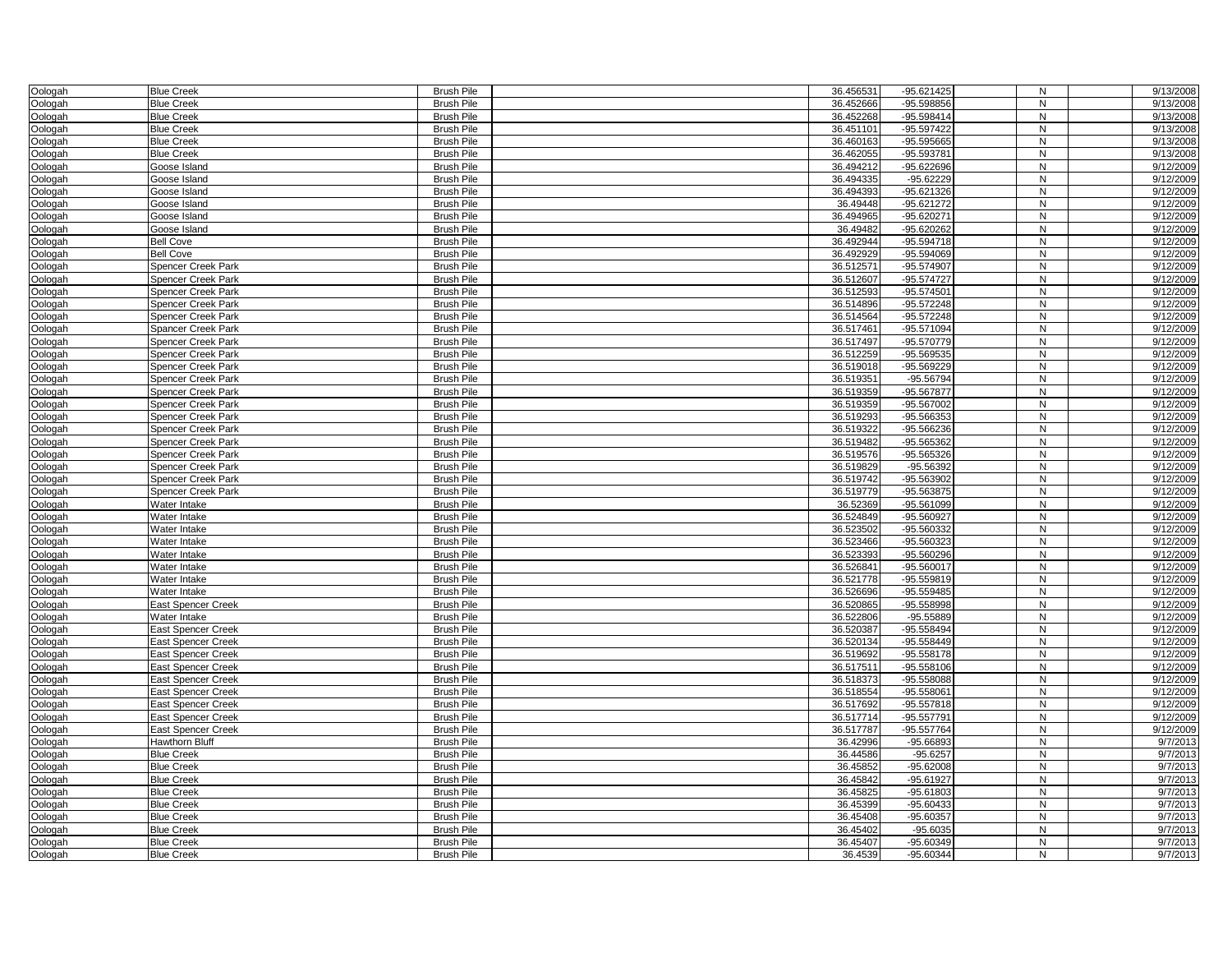| Oologah            | <b>Blue Creek</b>                         | <b>Brush Pile</b>                      | 36.456531              | $-95.621425$                 | N              | 9/13/2008              |
|--------------------|-------------------------------------------|----------------------------------------|------------------------|------------------------------|----------------|------------------------|
| Oologah            | <b>Blue Creek</b>                         | <b>Brush Pile</b>                      | 36.452666              | $-95.598856$                 | $\overline{N}$ | 9/13/2008              |
| Oologah            | <b>Blue Creek</b>                         | <b>Brush Pile</b>                      | 36.452268              | -95.598414                   | N              | 9/13/2008              |
| Oologah            | <b>Blue Creek</b>                         | <b>Brush Pile</b>                      | 36.451101              | $-95.597422$                 | N              | 9/13/2008              |
| Oologah            | <b>Blue Creek</b>                         | <b>Brush Pile</b>                      | 36.460163              | $-95.595665$                 | N              | 9/13/2008              |
| Oologah            | <b>Blue Creek</b>                         | <b>Brush Pile</b>                      | 36.462055              | -95.593781                   | N              | 9/13/2008              |
| Oologah            | Goose Island                              | <b>Brush Pile</b>                      | 36.494212              | -95.622696                   | N              | 9/12/2009              |
| Oologah            | Goose Island                              | <b>Brush Pile</b>                      | 36.494335              | $-95.62229$                  | N              | 9/12/2009              |
| Oologah            | Goose Island                              | <b>Brush Pile</b>                      | 36.494393              | $-95.621326$                 | N              | 9/12/2009              |
| Oologah            | Goose Island                              | <b>Brush Pile</b>                      | 36.49448               | $-95.621272$                 | N              | 9/12/2009              |
| Oologah            | Goose Island                              | <b>Brush Pile</b>                      | 36.494965              | $-95.620271$                 | N              | 9/12/2009              |
| Oologah            | Goose Island                              | <b>Brush Pile</b>                      | 36.49482               | -95.620262                   | N              | 9/12/2009              |
| Oologah            | <b>Bell Cove</b>                          | <b>Brush Pile</b>                      | 36.492944              | $-95.594718$                 | N              | 9/12/2009              |
| Oologah            | <b>Bell Cove</b>                          | <b>Brush Pile</b>                      | 36.492929              | -95.594069                   | N              | 9/12/2009              |
| Oologah            | <b>Spencer Creek Park</b>                 | <b>Brush Pile</b>                      | 36.512571              | -95.574907                   | N              | 9/12/2009              |
| Oologah            | <b>Spencer Creek Park</b>                 | <b>Brush Pile</b>                      | 36.512607              | $-95.574727$                 | $\mathsf{N}$   | 9/12/2009              |
| Oologah            | <b>Spencer Creek Park</b>                 | <b>Brush Pile</b>                      | 36.512593              | $-95.574501$                 | N              | 9/12/2009              |
| Oologah            | Spencer Creek Park                        | <b>Brush Pile</b>                      | 36.514896              | $-95.572248$                 | N              | 9/12/2009              |
| Oologah            | Spencer Creek Park                        | <b>Brush Pile</b>                      | 36.514564              | $-95.572248$                 | N              | 9/12/2009              |
| Oologah            | Spancer Creek Park                        | <b>Brush Pile</b>                      | 36.517461              | -95.571094                   | N              | 9/12/2009              |
| Oologah            | <b>Spencer Creek Park</b>                 | <b>Brush Pile</b>                      | 36.517497              | -95.570779                   | ${\sf N}$      | 9/12/2009              |
| Oologah            | Spencer Creek Park                        | <b>Brush Pile</b>                      | 36.512259              | -95.569535                   | N              | 9/12/2009              |
| Oologah            | <b>Spencer Creek Park</b>                 | <b>Brush Pile</b>                      | 36.519018              | $-95.569229$                 | N              | 9/12/2009              |
| Oologah            | <b>Spencer Creek Park</b>                 | <b>Brush Pile</b>                      | 36.519351              | -95.56794                    | N              | 9/12/2009              |
| Oologah            | <b>Spencer Creek Park</b>                 | <b>Brush Pile</b>                      | 36.519359              | -95.567877                   | N              | 9/12/2009              |
| Oologah            | Spencer Creek Park                        | <b>Brush Pile</b>                      | 36.519359              | -95.567002                   | N              | 9/12/2009              |
| Oologah            | Spencer Creek Park                        | <b>Brush Pile</b>                      | 36.519293              | $-95.566353$                 | N              | 9/12/2009              |
|                    | <b>Spencer Creek Park</b>                 | <b>Brush Pile</b>                      | 36.519322              | -95.566236                   | $\mathsf{N}$   | 9/12/2009              |
| Oologah<br>Oologah | <b>Spencer Creek Park</b>                 | <b>Brush Pile</b>                      | 36.519482              | -95.565362                   | $\overline{N}$ | 9/12/2009              |
|                    | <b>Spencer Creek Park</b>                 | <b>Brush Pile</b>                      | 36.519576              | -95.565326                   | ${\sf N}$      | 9/12/2009              |
| Oologah            | <b>Spencer Creek Park</b>                 | Brush Pile                             | 36.519829              | -95.56392                    | N              | 9/12/2009              |
| Oologah            | Spencer Creek Park                        | <b>Brush Pile</b>                      | 36.519742              | -95.563902                   | N              | 9/12/2009              |
| Oologah            |                                           |                                        | 36.519779              | -95.563875                   | N              | 9/12/2009              |
| Oologah            | <b>Spencer Creek Park</b><br>Water Intake | <b>Brush Pile</b><br><b>Brush Pile</b> | 36.52369               | -95.561099                   | N              | 9/12/2009              |
| Oologah            | Water Intake                              | <b>Brush Pile</b>                      | 36.524849              | -95.560927                   | ${\sf N}$      | 9/12/2009              |
| Oologah            |                                           | <b>Brush Pile</b>                      | 36.523502              | -95.560332                   | $\overline{N}$ | 9/12/2009              |
| Oologah            | Water Intake                              | <b>Brush Pile</b>                      |                        | -95.560323                   | N              | 9/12/2009              |
| Oologah            | Water Intake                              |                                        | 36.523466<br>36.523393 |                              | N              | 9/12/2009              |
| Oologah            | Water Intake                              | <b>Brush Pile</b>                      |                        | $-95.560296$                 |                |                        |
| Oologah            | Water Intake                              | <b>Brush Pile</b>                      | 36.526841              | $-95.560017$                 | N              | 9/12/2009              |
| Oologah            | Water Intake                              | <b>Brush Pile</b>                      | 36.521778              | $-95.559819$                 | N<br>N         | 9/12/2009              |
| Oologah            | Water Intake                              | <b>Brush Pile</b>                      | 36.526696              | $-95.559485$<br>$-95.558998$ | N              | 9/12/2009<br>9/12/2009 |
| Oologah            | <b>East Spencer Creek</b>                 | <b>Brush Pile</b>                      | 36.520865              |                              |                | 9/12/2009              |
| Oologah            | Water Intake                              | <b>Brush Pile</b>                      | 36.522806              | $-95.55889$                  | N              |                        |
| Oologah            | <b>East Spencer Creek</b>                 | <b>Brush Pile</b><br><b>Brush Pile</b> | 36.520387<br>36.520134 | -95.558494<br>$-95.558449$   | N              | 9/12/2009<br>9/12/2009 |
| Oologah            | <b>East Spencer Creek</b>                 |                                        |                        |                              | N              |                        |
| Oologah            | East Spencer Creek                        | <b>Brush Pile</b>                      | 36.519692              | $-95.558178$                 | N              | 9/12/2009              |
| Oologah            | <b>East Spencer Creek</b>                 | <b>Brush Pile</b>                      | 36.517511              | $-95.558106$                 | N              | 9/12/2009              |
| Oologah            | <b>East Spencer Creek</b>                 | <b>Brush Pile</b>                      | 36.518373              | -95.558088                   | N              | 9/12/2009              |
| Oologah            | <b>East Spencer Creek</b>                 | <b>Brush Pile</b>                      | 36.518554              | $-95.55806$                  | N              | 9/12/2009              |
| Oologah            | <b>East Spencer Creek</b>                 | <b>Brush Pile</b>                      | 36.517692              | $-95.557818$                 | N              | 9/12/2009              |
| Oologah            | <b>East Spencer Creek</b>                 | <b>Brush Pile</b>                      | 36.517714              | $-95.557791$                 | N              | 9/12/2009              |
| Oologah            | East Spencer Creek                        | <b>Brush Pile</b>                      | 36.517787              | -95.557764                   | N              | 9/12/2009              |
| Oologah            | <b>Hawthorn Bluff</b>                     | <b>Brush Pile</b>                      | 36.42996               | -95.66893                    | N              | 9/7/2013               |
| Oologah            | <b>Blue Creek</b>                         | <b>Brush Pile</b>                      | 36.44586               | $-95.6257$                   | N              | 9/7/2013               |
| Oologah            | <b>Blue Creek</b>                         | <b>Brush Pile</b>                      | 36.45852               | $-95.62008$                  | $\mathsf{N}$   | 9/7/2013               |
| Oologah            | <b>Blue Creek</b>                         | <b>Brush Pile</b>                      | 36.45842               | $-95.61927$                  | N              | 9/7/2013               |
| Oologah            | <b>Blue Creek</b>                         | <b>Brush Pile</b>                      | 36.45825               | $-95.61803$                  | N              | 9/7/2013               |
| Oologah            | <b>Blue Creek</b>                         | <b>Brush Pile</b>                      | 36.45399               | $-95.60433$                  | N              | 9/7/2013               |
| Oologah            | <b>Blue Creek</b>                         | <b>Brush Pile</b>                      | 36.45408               | -95.60357                    | N              | 9/7/2013               |
| Oologah            | <b>Blue Creek</b>                         | <b>Brush Pile</b>                      | 36.45402               | $-95.6035$                   | ${\sf N}$      | 9/7/2013               |
| Oologah            | <b>Blue Creek</b>                         | <b>Brush Pile</b>                      | 36.45407               | -95.60349                    | N              | 9/7/2013               |
| Oologah            | <b>Blue Creek</b>                         | <b>Brush Pile</b>                      | 36.4539                | $-95.60344$                  | N              | 9/7/2013               |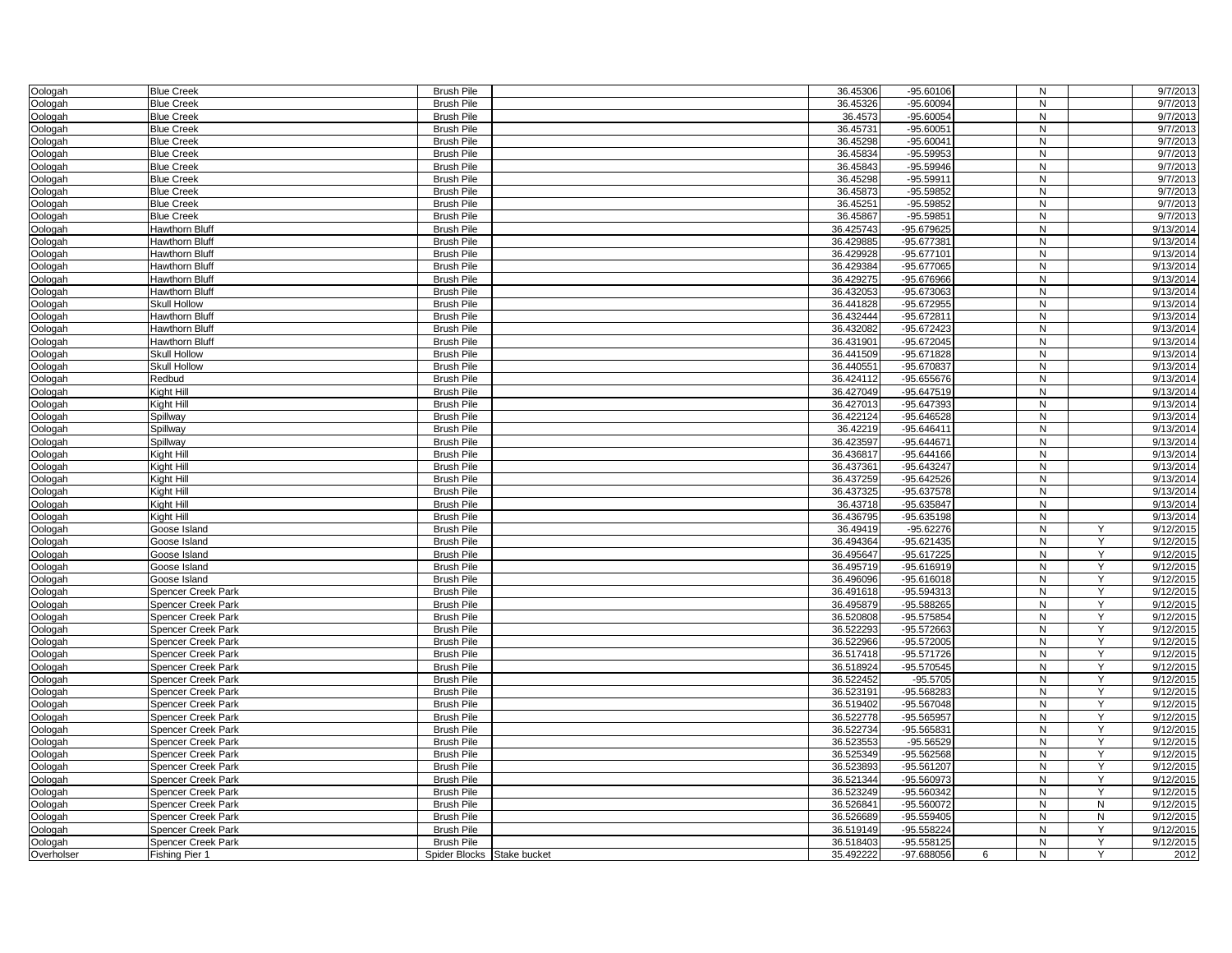| Oologah            | <b>Blue Creek</b>            | <b>Brush Pile</b>          | 36.45306               | $-95.60106$                  | N                 |              | 9/7/2013               |
|--------------------|------------------------------|----------------------------|------------------------|------------------------------|-------------------|--------------|------------------------|
| Oologah            | <b>Blue Creek</b>            | <b>Brush Pile</b>          | 36.45326               | $-95.60094$                  | $\overline{N}$    |              | 9/7/2013               |
| Oologah            | <b>Blue Creek</b>            | <b>Brush Pile</b>          | 36.4573                | $-95.60054$                  | N                 |              | 9/7/2013               |
| Oologah            | <b>Blue Creek</b>            | <b>Brush Pile</b>          | 36.45731               | $-95.60051$                  | N                 |              | 9/7/2013               |
| Oologah            | <b>Blue Creek</b>            | <b>Brush Pile</b>          | 36.45298               | $-95.60041$                  | N                 |              | 9/7/2013               |
| Oologah            | <b>Blue Creek</b>            | <b>Brush Pile</b>          | 36.45834               | $-95.59953$                  | N                 |              | $\frac{1}{977/2013}$   |
| Oologah            | <b>Blue Creek</b>            | <b>Brush Pile</b>          | 36.45843               | $-95.59946$                  | N                 |              | $\frac{1}{977/2013}$   |
| Oologah            | <b>Blue Creek</b>            | <b>Brush Pile</b>          | 36.45298               | $-95.59911$                  | N                 |              | 9/7/2013               |
| Oologah            | <b>Blue Creek</b>            | <b>Brush Pile</b>          | 36.45873               | -95.59852                    | N                 |              | 9/7/2013               |
| Oologah            | <b>Blue Creek</b>            | <b>Brush Pile</b>          | 36.45251               | -95.59852                    | N                 |              | 9/7/2013               |
| Oologah            | <b>Blue Creek</b>            | <b>Brush Pile</b>          | 36.45867               | $-95.59851$                  | N                 |              | 9/7/2013               |
| Oologah            | <b>Hawthorn Bluff</b>        | <b>Brush Pile</b>          | 36.425743              | -95.679625                   | $\mathsf{N}$      |              | 9/13/2014              |
| Oologah            | <b>Hawthorn Bluff</b>        | <b>Brush Pile</b>          | 36.429885              | -95.677381                   | N                 |              | 9/13/2014              |
| Oologah            | <b>Hawthorn Bluff</b>        | <b>Brush Pile</b>          | 36.429928              | -95.677101                   | ${\sf N}$         |              | 9/13/2014              |
| Oologah            | Hawthorn Bluff               | <b>Brush Pile</b>          | 36.429384              | -95.677065                   | N                 |              | 9/13/2014              |
| Oologah            | <b>Hawthorn Bluff</b>        | <b>Brush Pile</b>          | 36.429275              | -95.676966                   | N                 |              | 9/13/2014              |
| Oologah            | <b>Hawthorn Bluff</b>        | <b>Brush Pile</b>          | 36.432053              | -95.673063                   | N                 |              | 9/13/2014              |
| Oologah            | <b>Skull Hollow</b>          | <b>Brush Pile</b>          | 36.441828              | -95.672955                   | N                 |              | 9/13/2014              |
| Oologah            | <b>Hawthorn Bluff</b>        | <b>Brush Pile</b>          | 36.432444              | -95.672811                   | N                 |              | 9/13/2014              |
| Oologah            | <b>Hawthorn Bluff</b>        | <b>Brush Pile</b>          | 36.432082              | -95.672423                   | N                 |              | 9/13/2014              |
| Oologah            | <b>Hawthorn Bluff</b>        | <b>Brush Pile</b>          | 36.431901              | -95.672045                   | $\mathsf{N}$      |              | 9/13/2014              |
| Oologah            | Skull Hollow                 | <b>Brush Pile</b>          | 36.441509              | -95.671828                   | N                 |              | 9/13/2014              |
| Oologah            | <b>Skull Hollow</b>          | <b>Brush Pile</b>          | 36.440551              | -95.670837                   | N                 |              | 9/13/2014              |
| Oologah            | Redbud                       | <b>Brush Pile</b>          | 36.424112              | $-95.655676$                 | N                 |              | 9/13/2014              |
| Oologah            | Kight Hill                   | <b>Brush Pile</b>          | 36.427049              | $-95.647519$                 | N                 |              | 9/13/2014              |
| Oologah            | Kight Hill                   | <b>Brush Pile</b>          | 36.427013              | -95.647393                   | N                 |              | 9/13/2014              |
| Oologah            | Spillway                     | <b>Brush Pile</b>          | 36.422124              | -95.646528                   | N                 |              | 9/13/2014              |
| Oologah            | Spillway                     | <b>Brush Pile</b>          | 36.42219               | $-95.646411$                 | $\mathsf{N}$      |              | 9/13/2014              |
| Oologah            | Spillway                     | <b>Brush Pile</b>          | 36.423597              | $-95.644671$                 | $\overline{N}$    |              | 9/13/2014              |
| Oologah            | Kight Hill                   | <b>Brush Pile</b>          | 36.436817              | $-95.644166$                 | $\mathsf{N}$      |              | 9/13/2014              |
| Oologah            | Kight Hill                   | <b>Brush Pile</b>          | 36.437361              | -95.643247                   | N                 |              | 9/13/2014              |
|                    | Kight Hill                   | <b>Brush Pile</b>          | 36.437259              | -95.642526                   | N                 |              | 9/13/2014              |
| Oologah<br>Oologah | Kight Hill                   | <b>Brush Pile</b>          | 36.437325              | -95.637578                   | $\mathsf{N}$      |              | 9/13/2014              |
| Oologah            | Kight Hill                   | <b>Brush Pile</b>          | 36.43718               | -95.635847                   | $\overline{N}$    |              | 9/13/2014              |
| Oologah            | Kight Hill                   | <b>Brush Pile</b>          | 36.436795              | -95.635198                   | $\mathsf{N}$      |              | 9/13/2014              |
|                    | Goose Island                 | <b>Brush Pile</b>          | 36.49419               | $-95.62276$                  | $\overline{N}$    | Y            | 9/12/2015              |
| Oologah            |                              | <b>Brush Pile</b>          |                        |                              |                   | Y            | 9/12/2015              |
| Oologah            | Goose Island<br>Goose Island | <b>Brush Pile</b>          | 36.494364<br>36.495647 | $-95.621435$<br>$-95.617225$ | N<br>N            | Y            |                        |
| Oologah            |                              |                            |                        |                              | N                 | Y            | 9/12/2015              |
| Oologah            | Goose Island                 | <b>Brush Pile</b>          | 36.495719              | -95.616919                   |                   | Y            | 9/12/2015              |
| Oologah            | Goose Island                 | <b>Brush Pile</b>          | 36.496096              | $-95.616018$<br>$-95.594313$ | N<br>$\mathsf{N}$ | Y            | 9/12/2015<br>9/12/2015 |
| Oologah            | <b>Spencer Creek Park</b>    | <b>Brush Pile</b>          | 36.491618              |                              |                   |              |                        |
| Oologah            | <b>Spencer Creek Park</b>    | <b>Brush Pile</b>          | 36.495879              | -95.588265                   | $\mathsf{N}$      | Y            | 9/12/2015              |
| Oologah            | <b>Spencer Creek Park</b>    | <b>Brush Pile</b>          | 36.520808              | -95.575854                   | N                 | Y            | 9/12/2015              |
| Oologah            | <b>Spencer Creek Park</b>    | <b>Brush Pile</b>          | 36.522293              | $-95.572663$                 | N                 | Y            | 9/12/2015              |
| Oologah            | Spencer Creek Park           | <b>Brush Pile</b>          | 36.522966              | $-95.572005$                 | N                 | Y            | 9/12/2015              |
| Oologah            | Spencer Creek Park           | <b>Brush Pile</b>          | 36.517418              | $-95.571726$                 | $\mathsf{N}$      | Y            | 9/12/2015              |
| Oologah            | <b>Spencer Creek Park</b>    | <b>Brush Pile</b>          | 36.518924              | -95.570545                   | N                 | Y            | 9/12/2015              |
| Oologah            | <b>Spencer Creek Park</b>    | <b>Brush Pile</b>          | 36.522452              | $-95.5705$                   | N                 | Y            | 9/12/2015              |
| Oologah            | Spencer Creek Park           | <b>Brush Pile</b>          | 36.523191              | -95.568283                   | N                 | Y            | 9/12/2015              |
| Oologah            | Spencer Creek Park           | <b>Brush Pile</b>          | 36.519402              | $-95.567048$                 | N                 | Y            | 9/12/2015              |
| Oologah            | Spencer Creek Park           | <b>Brush Pile</b>          | 36.522778              | $-95.565957$                 | N                 | Y            | 9/12/2015              |
| Oologah            | Spencer Creek Park           | <b>Brush Pile</b>          | 36.522734              | -95.565831                   | N                 | Y            | 9/12/2015              |
| Oologah            | <b>Spencer Creek Park</b>    | <b>Brush Pile</b>          | 36.523553              | $-95.56529$                  | $\mathsf{N}$      | Y            | 9/12/2015              |
| Oologah            | <b>Spencer Creek Park</b>    | <b>Brush Pile</b>          | 36.525349              | -95.562568                   | N                 | Y            | 9/12/2015              |
| Oologah            | <b>Spencer Creek Park</b>    | <b>Brush Pile</b>          | 36.523893              | $-95.561207$                 | $\mathsf{N}$      | Y            | 9/12/2015              |
| Oologah            | <b>Spencer Creek Park</b>    | <b>Brush Pile</b>          | 36.521344              | -95.560973                   | N                 | Y            | 9/12/2015              |
| Oologah            | <b>Spencer Creek Park</b>    | <b>Brush Pile</b>          | 36.523249              | -95.560342                   | N                 | Y            | 9/12/2015              |
| Oologah            | Spencer Creek Park           | <b>Brush Pile</b>          | 36.526841              | $-95.560072$                 | N                 | $\mathsf{N}$ | 9/12/2015              |
| Oologah            | Spencer Creek Park           | <b>Brush Pile</b>          | 36.526689              | $-95.559405$                 | N                 | N            | 9/12/2015              |
| Oologah            | <b>Spencer Creek Park</b>    | <b>Brush Pile</b>          | 36.519149              | $-95.558224$                 | $\mathsf{N}$      | Y            | 9/12/2015              |
| Oologah            | Spencer Creek Park           | <b>Brush Pile</b>          | 36.518403              | $-95.558125$                 | N                 | Y            | 9/12/2015              |
| Overholser         | Fishing Pier 1               | Spider Blocks Stake bucket | 35.492222              | -97.688056<br>6              | N                 | Y            | 2012                   |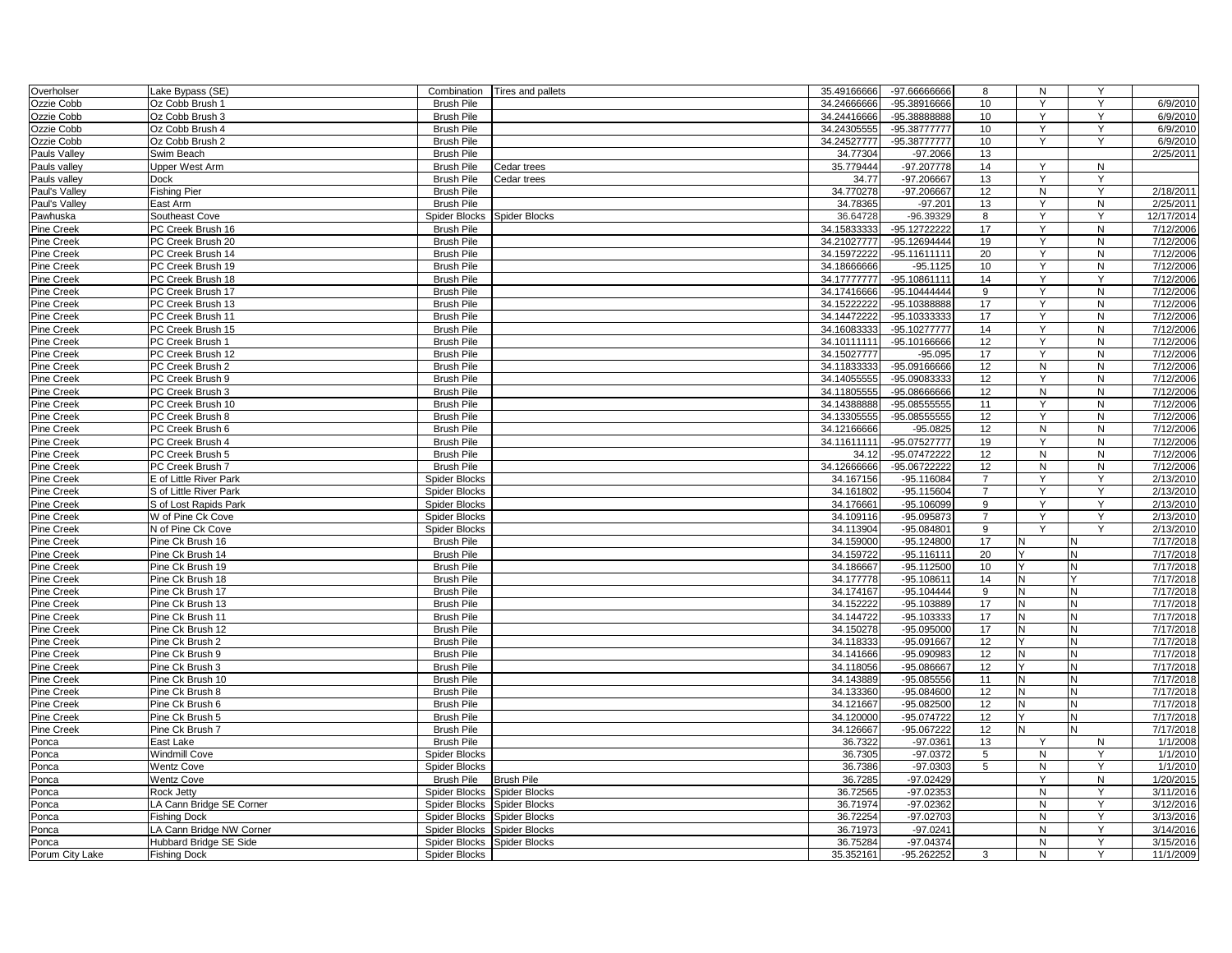| Overholser        | Lake Bypass (SE)         |                      | Combination   Tires and pallets | 35.49166666 | -97.66666666   | 8              | N            | Y            |                       |
|-------------------|--------------------------|----------------------|---------------------------------|-------------|----------------|----------------|--------------|--------------|-----------------------|
| Ozzie Cobb        | Oz Cobb Brush 1          | <b>Brush Pile</b>    |                                 | 34.24666666 | -95.38916666   | 10             | Y            | Υ            | 6/9/2010              |
| Ozzie Cobb        | Oz Cobb Brush 3          | <b>Brush Pile</b>    |                                 | 34.24416666 | -95.38888888   | 10             | Y            | Y            | 6/9/2010              |
| Ozzie Cobb        | Oz Cobb Brush 4          | <b>Brush Pile</b>    |                                 | 34.24305555 | -95.38777777   | 10             | Y            | Y            | 6/9/2010              |
| Ozzie Cobb        | Oz Cobb Brush 2          | <b>Brush Pile</b>    |                                 | 34.24527777 | -95.38777777   | 10             | Y            | Y            | 6/9/2010              |
| Pauls Valley      | Swim Beach               | <b>Brush Pile</b>    |                                 | 34.77304    | $-97.2066$     | 13             |              |              | 2/25/2011             |
| Pauls valley      | Upper West Arm           | <b>Brush Pile</b>    | Cedar trees                     | 35.779444   | $-97.207778$   | 14             | Y            | N            |                       |
| Pauls valley      | <b>Dock</b>              | <b>Brush Pile</b>    | Cedar trees                     | 34.77       | -97.206667     | 13             | Y            | Y            |                       |
| Paul's Valley     | <b>Fishing Pier</b>      | <b>Brush Pile</b>    |                                 | 34.770278   | -97.206667     | 12             | $\mathsf{N}$ | Y            | 2/18/2011             |
| Paul's Valley     | East Arm                 | <b>Brush Pile</b>    |                                 | 34.78365    | $-97.201$      | 13             | Υ            | ${\sf N}$    | 2/25/2011             |
| Pawhuska          | Southeast Cove           | Spider Blocks        | Spider Blocks                   | 36.64728    | $-96.39329$    | 8              | Y            | Y            | 12/17/2014            |
| Pine Creek        | PC Creek Brush 16        | <b>Brush Pile</b>    |                                 | 34.15833333 | -95.12722222   | 17             | Y            | N            | 7/12/2006             |
| Pine Creek        | PC Creek Brush 20        | <b>Brush Pile</b>    |                                 | 34.21027777 | -95.12694444   | 19             | Y            | N            | 7/12/2006             |
| Pine Creek        | PC Creek Brush 14        | <b>Brush Pile</b>    |                                 | 34.15972222 | -95.11611111   | 20             | Y            | N            | 7/12/2006             |
| Pine Creek        | PC Creek Brush 19        | <b>Brush Pile</b>    |                                 | 34.18666666 | $-95.1125$     | 10             | Y            | N            | 7/12/2006             |
| Pine Creek        | PC Creek Brush 18        | <b>Brush Pile</b>    |                                 | 34.17777777 | -95.10861111   | 14             | Y            | Y            | 7/12/2006             |
| Pine Creek        | PC Creek Brush 17        | <b>Brush Pile</b>    |                                 | 34.17416666 | $-95.10444444$ | 9              | Y            | N            | 7/12/2006             |
| Pine Creek        | PC Creek Brush 13        | <b>Brush Pile</b>    |                                 | 34.15222222 | -95.10388888   | 17             | Y            | N            | 7/12/2006             |
| Pine Creek        | PC Creek Brush 11        | <b>Brush Pile</b>    |                                 | 34.14472222 | -95.10333333   | 17             | Y            | N            | 7/12/2006             |
| Pine Creek        | PC Creek Brush 15        | <b>Brush Pile</b>    |                                 | 34.16083333 | -95.10277777   | 14             | Υ            | N            | 7/12/2006             |
| Pine Creek        | PC Creek Brush 1         | <b>Brush Pile</b>    |                                 | 34.10111111 | -95.10166666   | 12             | Y            | ${\sf N}$    | 7/12/2006             |
|                   | PC Creek Brush 12        | <b>Brush Pile</b>    |                                 | 34.15027777 | $-95.095$      | 17             | Y            | N            | 7/12/2006             |
| Pine Creek        |                          | <b>Brush Pile</b>    |                                 |             | -95.09166666   | 12             | $\mathsf{N}$ | $\mathsf{N}$ |                       |
| Pine Creek        | PC Creek Brush 2         |                      |                                 | 34.11833333 |                |                | Y            |              | 7/12/2006             |
| Pine Creek        | PC Creek Brush 9         | <b>Brush Pile</b>    |                                 | 34.14055555 | -95.09083333   | 12             |              | N            | 7/12/2006             |
| Pine Creek        | PC Creek Brush 3         | <b>Brush Pile</b>    |                                 | 34.11805555 | -95.08666666   | 12             | N            | ${\sf N}$    | 7/12/2006             |
| Pine Creek        | PC Creek Brush 10        | <b>Brush Pile</b>    |                                 | 34.14388888 | -95.08555555   | 11             | Y            | N            | 7/12/2006             |
| Pine Creek        | PC Creek Brush 8         | <b>Brush Pile</b>    |                                 | 34.13305555 | -95.08555555   | 12             | Y            | N            | 7/12/2006             |
| Pine Creek        | PC Creek Brush 6         | <b>Brush Pile</b>    |                                 | 34.12166666 | $-95.0825$     | 12             | N            | N            | 7/12/2006             |
| Pine Creek        | PC Creek Brush 4         | <b>Brush Pile</b>    |                                 | 34.11611111 | -95.07527777   | 19             | Y            | N            | 7/12/2006             |
| Pine Creek        | PC Creek Brush 5         | <b>Brush Pile</b>    |                                 | 34.12       | -95.07472222   | 12             | $\mathsf{N}$ | ${\sf N}$    | 7/12/2006             |
| Pine Creek        | PC Creek Brush 7         | <b>Brush Pile</b>    |                                 | 34.12666666 | -95.06722222   | 12             | $\mathsf{N}$ | N            | 7/12/2006             |
| Pine Creek        | E of Little River Park   | Spider Blocks        |                                 | 34.167156   | $-95.116084$   | $\overline{7}$ | Y            | Y            | 2/13/2010             |
| <b>Pine Creek</b> | S of Little River Park   | Spider Blocks        |                                 | 34.161802   | $-95.115604$   | $\overline{7}$ | Y            | Y            | 2/13/2010             |
| Pine Creek        | S of Lost Rapids Park    | Spider Blocks        |                                 | 34.176661   | $-95.106099$   | 9              | Y            | Y            | 2/13/2010             |
| Pine Creek        | W of Pine Ck Cove        | <b>Spider Blocks</b> |                                 | 34.109116   | -95.095873     | $\overline{7}$ | Y            | Y            | 2/13/2010             |
| Pine Creek        | N of Pine Ck Cove        | <b>Spider Blocks</b> |                                 | 34.113904   | -95.084801     | 9              | Y            | Y            | 2/13/2010             |
| Pine Creek        | Pine Ck Brush 16         | <b>Brush Pile</b>    |                                 | 34.159000   | $-95.124800$   | 17             | N            |              | 7/17/2018             |
| Pine Creek        | Pine Ck Brush 14         | <b>Brush Pile</b>    |                                 | 34.159722   | $-95.116111$   | 20             | $\checkmark$ | N            | 7/17/2018             |
| Pine Creek        | Pine Ck Brush 19         | <b>Brush Pile</b>    |                                 | 34.186667   | $-95.112500$   | 10             |              | N            | $\frac{1}{7/17/2018}$ |
| <b>Pine Creek</b> | Pine Ck Brush 18         | <b>Brush Pile</b>    |                                 | 34.177778   | $-95.108611$   | 14             | N            |              | 7/17/2018             |
| Pine Creek        | Pine Ck Brush 17         | <b>Brush Pile</b>    |                                 | 34.174167   | $-95.104444$   | 9              | N            | N            | 7/17/2018             |
| Pine Creek        | Pine Ck Brush 13         | <b>Brush Pile</b>    |                                 | 34.152222   | -95.103889     | 17             | N            | N            | 7/17/2018             |
| Pine Creek        | Pine Ck Brush 11         | <b>Brush Pile</b>    |                                 | 34.144722   | -95.103333     | 17             | $\mathsf{N}$ | N            | 7/17/2018             |
| Pine Creek        | Pine Ck Brush 12         | <b>Brush Pile</b>    |                                 | 34.150278   | -95.095000     | 17             | N            | N            | 7/17/2018             |
| Pine Creek        | Pine Ck Brush 2          | <b>Brush Pile</b>    |                                 | 34.118333   | -95.091667     | 12             | Y            | N            | 7/17/2018             |
| Pine Creek        | Pine Ck Brush 9          | <b>Brush Pile</b>    |                                 | 34.141666   | -95.090983     | 12             | $\mathsf{N}$ | N            | 7/17/2018             |
| Pine Creek        | Pine Ck Brush 3          | <b>Brush Pile</b>    |                                 | 34.118056   | -95.086667     | 12             |              | N            | 7/17/2018             |
| Pine Creek        | Pine Ck Brush 10         | <b>Brush Pile</b>    |                                 | 34.143889   | $-95.085556$   | 11             | N            | N            | 7/17/2018             |
| Pine Creek        | Pine Ck Brush 8          | <b>Brush Pile</b>    |                                 | 34.133360   | $-95.084600$   | 12             | N            | N            | 7/17/2018             |
| Pine Creek        | Pine Ck Brush 6          | <b>Brush Pile</b>    |                                 | 34.121667   | $-95.082500$   | 12             | N            | N            | 7/17/2018             |
| Pine Creek        | Pine Ck Brush 5          | <b>Brush Pile</b>    |                                 | 34.120000   | -95.074722     | 12             |              | N            | 7/17/2018             |
| Pine Creek        | Pine Ck Brush 7          | <b>Brush Pile</b>    |                                 | 34.126667   | -95.067222     | 12             | N            | N            | 7/17/2018             |
| Ponca             | East Lake                | <b>Brush Pile</b>    |                                 | 36.7322     | $-97.0361$     | 13             | Y            | N            | 1/1/2008              |
| Ponca             | Windmill Cove            | <b>Spider Blocks</b> |                                 | 36.7305     | $-97.0372$     | 5              | N            | Y            | 1/1/2010              |
| Ponca             | <b>Wentz Cove</b>        | Spider Blocks        |                                 | 36.7386     | $-97.0303$     | 5              | N            | Y            | 1/1/2010              |
| Ponca             | <b>Wentz Cove</b>        | <b>Brush Pile</b>    | <b>Brush Pile</b>               | 36.7285     | -97.02429      |                | Y            | N            | 1/20/2015             |
|                   | Rock Jetty               | Spider Blocks        | Spider Blocks                   | 36.72565    | -97.02353      |                | N            | Y            | 3/11/2016             |
| Ponca<br>Ponca    | LA Cann Bridge SE Corner | Spider Blocks        | Spider Blocks                   | 36.71974    | -97.02362      |                | N            | Y            | 3/12/2016             |
|                   | <b>Fishing Dock</b>      | Spider Blocks        | Spider Blocks                   | 36.72254    | -97.02703      |                | N            | Y            | 3/13/2016             |
| Ponca             |                          |                      |                                 |             |                |                |              |              |                       |
| Ponca             | LA Cann Bridge NW Corner | Spider Blocks        | <b>Spider Blocks</b>            | 36.71973    | $-97.0241$     |                | $\mathsf{N}$ | Y            | 3/14/2016             |
| Ponca             | Hubbard Bridge SE Side   | Spider Blocks        | <b>Spider Blocks</b>            | 36.75284    | $-97.04374$    |                | N            | Y            | 3/15/2016             |
| Porum City Lake   | <b>Fishing Dock</b>      | Spider Blocks        |                                 | 35.352161   | -95.262252     | 3              | N            | Y            | 11/1/2009             |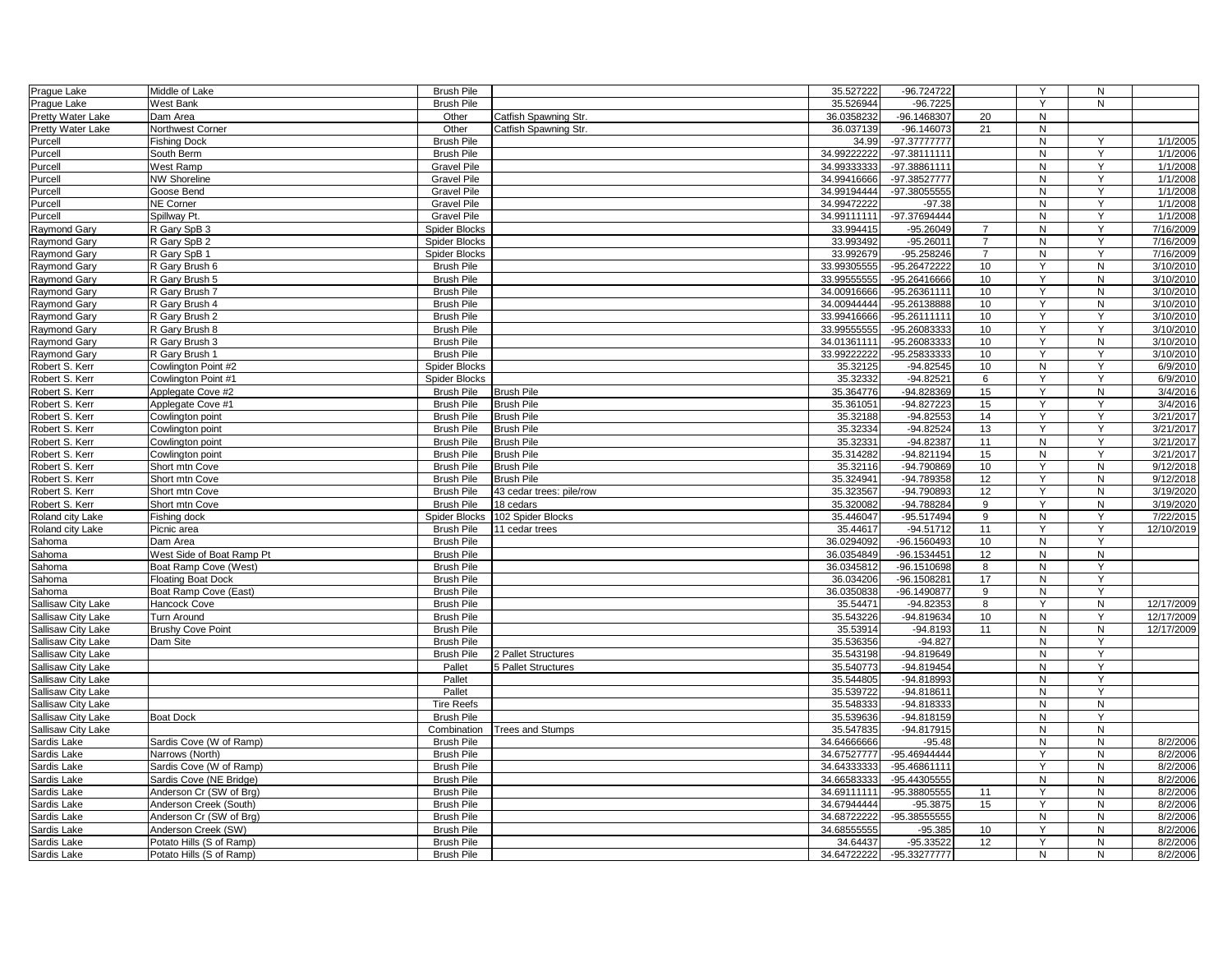| Prague Lake        | Middle of Lake            | <b>Brush Pile</b>    |                          | 35.527222    | -96.724722    |                | Y              | N              |                       |
|--------------------|---------------------------|----------------------|--------------------------|--------------|---------------|----------------|----------------|----------------|-----------------------|
| Prague Lake        | West Bank                 | <b>Brush Pile</b>    |                          | 35.526944    | $-96.7225$    |                | $\overline{Y}$ | N              |                       |
| Pretty Water Lake  | Dam Area                  | Other                | Catfish Spawning Str.    | 36.0358232   | -96.1468307   | 20             | N              |                |                       |
| Pretty Water Lake  | Northwest Corner          | Other                | Catfish Spawning Str.    | 36.037139    | $-96.146073$  | 21             | N              |                |                       |
| Purcell            | <b>Fishing Dock</b>       | <b>Brush Pile</b>    |                          | 34.99        | -97.37777777  |                | N              | Υ              | 1/1/2005              |
| Purcell            | South Berm                | <b>Brush Pile</b>    |                          | 34.99222222  | -97.38111111  |                | N              | Y              | $\frac{1}{1/1}$ /2006 |
| Purcell            | West Ramp                 | <b>Gravel Pile</b>   |                          | 34.99333333  | -97.38861111  |                | N              | Y              | 1/1/2008              |
| Purcell            | <b>NW Shoreline</b>       | Gravel Pile          |                          | 34.99416666  | -97.38527777  |                | N              | Y              | 1/1/2008              |
| Purcell            | Goose Bend                | <b>Gravel Pile</b>   |                          | 34.99194444  | -97.38055555  |                | N              | Y              | 1/1/2008              |
| Purcell            | NE Corner                 | <b>Gravel Pile</b>   |                          | 34.99472222  | $-97.38$      |                | N              | Y              | 1/1/2008              |
| Purcell            | Spillway Pt.              | <b>Gravel Pile</b>   |                          | 34.99111111  | -97.37694444  |                | $\mathsf{N}$   | Y              | 1/1/2008              |
| Raymond Gary       | R Gary SpB 3              | <b>Spider Blocks</b> |                          | 33.994415    | $-95.26049$   | $\overline{7}$ | N              | Y              | 7/16/2009             |
| Raymond Gary       | R Gary SpB 2              | <b>Spider Blocks</b> |                          | 33.993492    | $-95.26011$   | $\overline{7}$ | N              | Y              | 7/16/2009             |
| Raymond Gary       | R Gary SpB 1              | Spider Blocks        |                          | 33.992679    | $-95.258246$  | $\overline{7}$ | N              | Y              | 7/16/2009             |
| Raymond Gary       | R Gary Brush 6            | <b>Brush Pile</b>    |                          | 33.99305555  | -95.26472222  | 10             | Y              | N              | 3/10/2010             |
| Raymond Gary       | R Gary Brush 5            | <b>Brush Pile</b>    |                          | 33.995555555 | -95.26416666  | 10             | Y              | ${\sf N}$      | 3/10/2010             |
| Raymond Gary       | R Gary Brush 7            | <b>Brush Pile</b>    |                          | 34.00916666  | -95.26361111  | 10             | Y              | N              | 3/10/2010             |
| Raymond Gary       | R Gary Brush 4            | <b>Brush Pile</b>    |                          | 34.00944444  | -95.26138888  | 10             | Y              | $\overline{N}$ | 3/10/2010             |
| Raymond Gary       | R Gary Brush 2            | <b>Brush Pile</b>    |                          | 33.99416666  | -95.26111111  | 10             | Y              | Y              | 3/10/2010             |
| Raymond Gary       | R Gary Brush 8            | <b>Brush Pile</b>    |                          | 33.99555555  | -95.26083333  | 10             | Y              | Y              | 3/10/2010             |
|                    |                           |                      |                          |              |               |                | Y              |                |                       |
| Raymond Gary       | R Gary Brush 3            | <b>Brush Pile</b>    |                          | 34.01361111  | -95.26083333  | 10             |                | N              | 3/10/2010             |
| Raymond Gary       | R Gary Brush 1            | <b>Brush Pile</b>    |                          | 33.99222222  | -95.25833333  | 10             | Y              | Y              | 3/10/2010             |
| Robert S. Kerr     | Cowlington Point #2       | <b>Spider Blocks</b> |                          | 35.32125     | $-94.82545$   | 10             | ${\sf N}$      | Y              | 6/9/2010              |
| Robert S. Kerr     | Cowlington Point #1       | <b>Spider Blocks</b> |                          | 35.32332     | $-94.82521$   | 6              | Y              | Y              | 6/9/2010              |
| Robert S. Kerr     | Applegate Cove #2         | <b>Brush Pile</b>    | <b>Brush Pile</b>        | 35.364776    | -94.828369    | 15             | Y              | ${\sf N}$      | 3/4/2016              |
| Robert S. Kerr     | Applegate Cove #1         | <b>Brush Pile</b>    | <b>Brush Pile</b>        | 35.361051    | $-94.827223$  | 15             | Y              | Y              | 3/4/2016              |
| Robert S. Kerr     | Cowlington point          | <b>Brush Pile</b>    | <b>Brush Pile</b>        | 35.32188     | $-94.82553$   | 14             | Y              | Y              | 3/21/2017             |
| Robert S. Kerr     | Cowlington point          | <b>Brush Pile</b>    | <b>Brush Pile</b>        | 35.32334     | -94.82524     | 13             | Y              | Y              | 3/21/2017             |
| Robert S. Kerr     | Cowlington point          | <b>Brush Pile</b>    | <b>Brush Pile</b>        | 35.32331     | $-94.82387$   | 11             | N              | Y              | 3/21/2017             |
| Robert S. Kerr     | Cowlington point          | <b>Brush Pile</b>    | <b>Brush Pile</b>        | 35.314282    | -94.821194    | 15             | $\mathsf{N}$   | Y              | 3/21/2017             |
| Robert S. Kerr     | Short mtn Cove            | <b>Brush Pile</b>    | <b>Brush Pile</b>        | 35.32116     | $-94.790869$  | 10             | Y              | $\mathsf{N}$   | 9/12/2018             |
| Robert S. Kerr     | Short mtn Cove            | <b>Brush Pile</b>    | <b>Brush Pile</b>        | 35.324941    | $-94.789358$  | 12             | Υ              | ${\sf N}$      | 9/12/2018             |
| Robert S. Kerr     | Short mtn Cove            | <b>Brush Pile</b>    | 43 cedar trees: pile/row | 35.323567    | -94.790893    | 12             | Y              | N              | 3/19/2020             |
| Robert S. Kerr     | Short mtn Cove            | <b>Brush Pile</b>    | 18 cedars                | 35.320082    | -94.788284    | 9              | Y              | N              | 3/19/2020             |
| Roland city Lake   | Fishing dock              | Spider Blocks        | 102 Spider Blocks        | 35.446047    | -95.517494    | 9              | N              | Y              | 7/22/2015             |
| Roland city Lake   | Picnic area               | <b>Brush Pile</b>    | 11 cedar trees           | 35.44617     | $-94.51712$   | 11             | $\vee$         | Y              | 12/10/2019            |
| Sahoma             | Dam Area                  | <b>Brush Pile</b>    |                          | 36.0294092   | -96.1560493   | 10             | N              | Y              |                       |
| Sahoma             | West Side of Boat Ramp Pt | <b>Brush Pile</b>    |                          | 36.0354849   | -96.1534451   | 12             | N              | N              |                       |
| Sahoma             | Boat Ramp Cove (West)     | <b>Brush Pile</b>    |                          | 36.0345812   | -96.1510698   | 8              | N              | Y              |                       |
| Sahoma             | <b>Floating Boat Dock</b> | <b>Brush Pile</b>    |                          | 36.034206    | -96.1508281   | 17             | N              | Y              |                       |
| Sahoma             | Boat Ramp Cove (East)     | <b>Brush Pile</b>    |                          | 36.0350838   | -96.1490877   | 9              | N              | Y              |                       |
| Sallisaw City Lake | Hancock Cove              | <b>Brush Pile</b>    |                          | 35.54471     | $-94.82353$   | 8              | Y              | N              | 12/17/2009            |
| Sallisaw City Lake | Turn Around               | <b>Brush Pile</b>    |                          | 35.543226    | -94.819634    | 10             | N              | Y              | 12/17/2009            |
| Sallisaw City Lake | <b>Brushy Cove Point</b>  | <b>Brush Pile</b>    |                          | 35.53914     | $-94.8193$    | 11             | N              | $\mathsf{N}$   | 12/17/2009            |
| Sallisaw City Lake | Dam Site                  | <b>Brush Pile</b>    |                          | 35.536356    | $-94.827$     |                | $\mathsf{N}$   | Y              |                       |
| Sallisaw City Lake |                           | <b>Brush Pile</b>    | 2 Pallet Structures      | 35.543198    | $-94.819649$  |                | N              | Y              |                       |
| Sallisaw City Lake |                           | Pallet               | 5 Pallet Structures      | 35.540773    | -94.819454    |                | N              | Y              |                       |
| Sallisaw City Lake |                           | Pallet               |                          | 35.544805    | $-94.818993$  |                | N              | $\overline{Y}$ |                       |
| Sallisaw City Lake |                           | Pallet               |                          | 35.539722    | -94.818611    |                | N              | Y              |                       |
| Sallisaw City Lake |                           | <b>Tire Reefs</b>    |                          | 35.548333    | -94.818333    |                | $\mathsf{N}$   | ${\sf N}$      |                       |
| Sallisaw City Lake | <b>Boat Dock</b>          | <b>Brush Pile</b>    |                          | 35.539636    | -94.818159    |                | ${\sf N}$      | Y              |                       |
|                    |                           |                      | <b>Trees and Stumps</b>  | 35.547835    | $-94.817915$  |                | $\mathsf{N}$   | $\overline{N}$ |                       |
| Sallisaw City Lake |                           | Combination          |                          |              | $-95.48$      |                |                | N              |                       |
| Sardis Lake        | Sardis Cove (W of Ramp)   | <b>Brush Pile</b>    |                          | 34.64666666  | -95.46944444  |                | N<br>Y         |                | 8/2/2006<br>8/2/2006  |
| Sardis Lake        | Narrows (North)           | <b>Brush Pile</b>    |                          | 34.67527777  |               |                |                | ${\sf N}$      |                       |
| Sardis Lake        | Sardis Cove (W of Ramp)   | <b>Brush Pile</b>    |                          | 34.64333333  | -95.46861111  |                | Y              | N              | 8/2/2006              |
| Sardis Lake        | Sardis Cove (NE Bridge)   | <b>Brush Pile</b>    |                          | 34.66583333  | -95.44305555  |                | N              | ${\sf N}$      | 8/2/2006              |
| Sardis Lake        | Anderson Cr (SW of Brg)   | <b>Brush Pile</b>    |                          | 34.69111111  | -95.38805555  | 11             | Y              | ${\sf N}$      | 8/2/2006              |
| Sardis Lake        | Anderson Creek (South)    | <b>Brush Pile</b>    |                          | 34.67944444  | $-95.3875$    | 15             | Y              | ${\sf N}$      | 8/2/2006              |
| Sardis Lake        | Anderson Cr (SW of Brg)   | <b>Brush Pile</b>    |                          | 34.68722222  | -95.385555555 |                | N              | ${\sf N}$      | 8/2/2006              |
| Sardis Lake        | Anderson Creek (SW)       | <b>Brush Pile</b>    |                          | 34.68555555  | $-95.385$     | 10             | Y              | N              | 8/2/2006              |
| Sardis Lake        | Potato Hills (S of Ramp)  | <b>Brush Pile</b>    |                          | 34.64437     | -95.33522     | 12             |                | N              | 8/2/2006              |
| Sardis Lake        | Potato Hills (S of Ramp)  | <b>Brush Pile</b>    |                          | 34.64722222  | -95.33277777  |                | N              | N              | 8/2/2006              |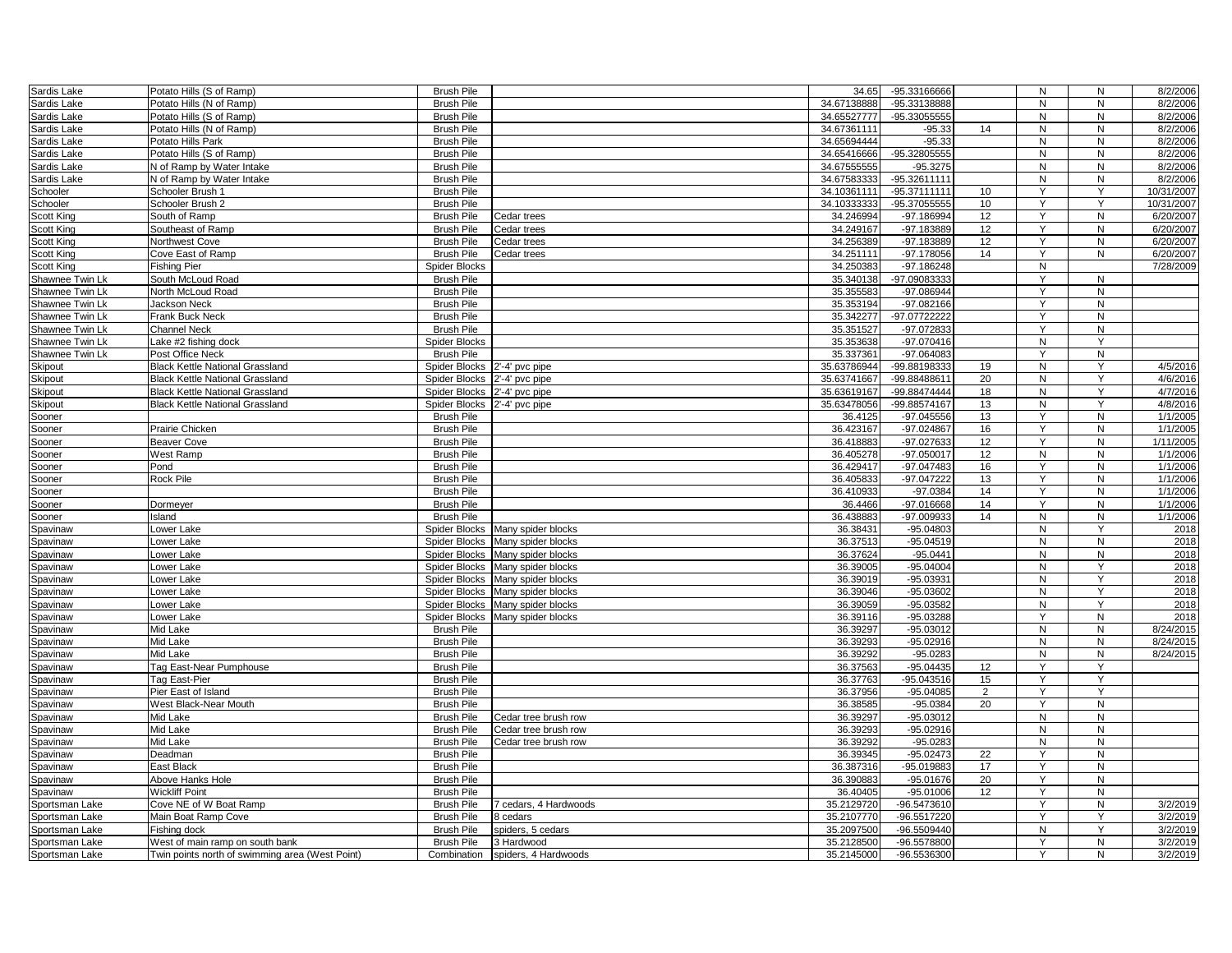| Sardis Lake     | Potato Hills (S of Ramp)                        | <b>Brush Pile</b>    |                                  | 34.65       | -95.33166666  |    | ${\sf N}$ | $\mathsf{N}$   | 8/2/2006   |
|-----------------|-------------------------------------------------|----------------------|----------------------------------|-------------|---------------|----|-----------|----------------|------------|
| Sardis Lake     | Potato Hills (N of Ramp)                        | <b>Brush Pile</b>    |                                  | 34.67138888 | -95.33138888  |    | N         | N              | 8/2/2006   |
|                 |                                                 | <b>Brush Pile</b>    |                                  | 34.65527777 | -95.33055555  |    | N         | N              | 8/2/2006   |
| Sardis Lake     | Potato Hills (S of Ramp)                        |                      |                                  |             |               |    |           | N              | 8/2/2006   |
| Sardis Lake     | Potato Hills (N of Ramp)                        | <b>Brush Pile</b>    |                                  | 34.67361111 | $-95.33$      | 14 | N         |                |            |
| Sardis Lake     | Potato Hills Park                               | <b>Brush Pile</b>    |                                  | 34.65694444 | $-95.33$      |    | N         | N              | 8/2/2006   |
| Sardis Lake     | Potato Hills (S of Ramp)                        | <b>Brush Pile</b>    |                                  | 34.65416666 | -95.32805555  |    | N         | $\mathsf{N}$   | 8/2/2006   |
| Sardis Lake     | N of Ramp by Water Intake                       | <b>Brush Pile</b>    |                                  | 34.67555555 | $-95.3275$    |    | N         | $\mathsf{N}$   | 8/2/2006   |
| Sardis Lake     | N of Ramp by Water Intake                       | <b>Brush Pile</b>    |                                  | 34.67583333 | -95.32611111  |    | N         | N              | 8/2/2006   |
| Schooler        | Schooler Brush 1                                | <b>Brush Pile</b>    |                                  | 34.10361111 | -95.37111111  | 10 | Y         | Y              | 10/31/2007 |
| Schooler        | Schooler Brush 2                                | <b>Brush Pile</b>    |                                  | 34.10333333 | -95.37055555  | 10 | Y         | Y              | 10/31/2007 |
| Scott King      | South of Ramp                                   | <b>Brush Pile</b>    | Cedar trees                      | 34.246994   | -97.186994    | 12 | Y         | $\mathsf{N}$   | 6/20/2007  |
| Scott King      | Southeast of Ramp                               | <b>Brush Pile</b>    | Cedar trees                      | 34.249167   | -97.183889    | 12 |           | $\mathsf{N}$   | 6/20/2007  |
| Scott King      | Northwest Cove                                  | <b>Brush Pile</b>    | Cedar trees                      | 34.256389   | -97.183889    | 12 | Y         | N              | 6/20/2007  |
| Scott King      | Cove East of Ramp                               | <b>Brush Pile</b>    | Cedar trees                      | 34.251111   | -97.178056    | 14 | Y         | N              | 6/20/2007  |
| Scott King      | Fishina Pier                                    | <b>Spider Blocks</b> |                                  | 34.250383   | -97.186248    |    | N         |                | 7/28/2009  |
| Shawnee Twin Lk | South McLoud Road                               | <b>Brush Pile</b>    |                                  | 35.340138   | -97.09083333  |    | Y         | ${\sf N}$      |            |
|                 |                                                 |                      |                                  |             |               |    |           |                |            |
| Shawnee Twin Lk | North McLoud Road                               | <b>Brush Pile</b>    |                                  | 35.355583   | -97.086944    |    |           | N              |            |
| Shawnee Twin Lk | <b>Jackson Neck</b>                             | <b>Brush Pile</b>    |                                  | 35.353194   | -97.082166    |    | Y         | N              |            |
| Shawnee Twin Lk | Frank Buck Neck                                 | <b>Brush Pile</b>    |                                  | 35.342277   | -97.07722222  |    | Y         | N              |            |
| Shawnee Twin Lk | <b>Channel Neck</b>                             | <b>Brush Pile</b>    |                                  | 35.351527   | -97.072833    |    | Y         | N              |            |
| Shawnee Twin Lk | Lake #2 fishing dock                            | <b>Spider Blocks</b> |                                  | 35.353638   | $-97.070416$  |    | ${\sf N}$ | Y              |            |
| Shawnee Twin Lk | Post Office Neck                                | <b>Brush Pile</b>    |                                  | 35.337361   | -97.064083    |    |           | N              |            |
| Skipout         | <b>Black Kettle National Grassland</b>          | Spider Blocks        | 2'-4' pvc pipe                   | 35.63786944 | -99.88198333  | 19 | ${\sf N}$ | Y              | 4/5/2016   |
| Skipout         | <b>Black Kettle National Grassland</b>          | Spider Blocks        | 2'-4' pvc pipe                   | 35.63741667 | -99.88488611  | 20 | N         | Y              | 4/6/2016   |
| Skipout         | <b>Black Kettle National Grassland</b>          | Spider Blocks        | 2'-4' pvc pipe                   | 35.63619167 | -99.88474444  | 18 | N         | Y              | 4/7/2016   |
| Skipout         | <b>Black Kettle National Grassland</b>          | Spider Blocks        | 2'-4' pvc pipe                   | 35.63478056 | -99.88574167  | 13 | N         | Y              | 4/8/2016   |
| Sooner          |                                                 | <b>Brush Pile</b>    |                                  | 36.4125     | -97.045556    | 13 |           | N              | 1/1/2005   |
|                 | Prairie Chicken                                 | <b>Brush Pile</b>    |                                  | 36.423167   | -97.024867    | 16 | Y         | $\mathsf{N}$   |            |
| Sooner          |                                                 |                      |                                  |             |               |    | Y         |                | 1/1/2005   |
| Sooner          | Beaver Cove                                     | <b>Brush Pile</b>    |                                  | 36.418883   | -97.027633    | 12 |           | $\mathsf{N}$   | 1/11/2005  |
| Sooner          | West Ramp                                       | <b>Brush Pile</b>    |                                  | 36.405278   | -97.050017    | 12 | N         | N              | 1/1/2006   |
| Sooner          | Pond                                            | <b>Brush Pile</b>    |                                  | 36.429417   | -97.047483    | 16 | Y         | N              | 1/1/2006   |
| Sooner          | Rock Pile                                       | <b>Brush Pile</b>    |                                  | 36.405833   | -97.047222    | 13 | Y         | $\mathsf{N}$   | 1/1/2006   |
| Sooner          |                                                 | <b>Brush Pile</b>    |                                  | 36.410933   | $-97.0384$    | 14 | Y         | $\mathsf{N}$   | 1/1/2006   |
| Sooner          | Dormeyer                                        | <b>Brush Pile</b>    |                                  | 36.4466     | -97.016668    | 14 | Y         | $\mathsf{N}$   | 1/1/2006   |
| Sooner          | Island                                          | <b>Brush Pile</b>    |                                  | 36.438883   | -97.009933    | 14 | N         | N              | 1/1/2006   |
| Spavinaw        | Lower Lake                                      | Spider Blocks        | Many spider blocks               | 36.38431    | $-95.04803$   |    | N         | Y              | 2018       |
| Spavinaw        | Lower Lake                                      | Spider Blocks        | Many spider blocks               | 36.37513    | $-95.04519$   |    | N         | N              | 2018       |
| Spavinaw        | Lower Lake                                      | Spider Blocks        | Many spider blocks               | 36.37624    | $-95.0441$    |    | N         | $\mathsf{N}$   | 2018       |
| Spavinaw        | Lower Lake                                      |                      | Spider Blocks Many spider blocks | 36.39005    | -95.04004     |    | N         | Y              | 2018       |
| Spavinaw        | Lower Lake                                      | Spider Blocks        | Many spider blocks               | 36.39019    | -95.03931     |    | N         | Y              | 2018       |
| Spavinaw        | Lower Lake                                      | Spider Blocks        | Many spider blocks               | 36.39046    | -95.03602     |    | N         | Y              | 2018       |
|                 |                                                 |                      |                                  |             |               |    |           |                |            |
| Spavinaw        | Lower Lake                                      | Spider Blocks        | Many spider blocks               | 36.39059    | -95.03582     |    | N         | Υ              | 2018       |
| Spavinaw        | Lower Lake                                      | Spider Blocks        | Many spider blocks               | 36.39116    | -95.03288     |    | Y         | N              | 2018       |
| Spavinaw        | Mid Lake                                        | <b>Brush Pile</b>    |                                  | 36.39297    | -95.03012     |    | N         | N              | 8/24/2015  |
| Spavinaw        | Mid Lake                                        | <b>Brush Pile</b>    |                                  | 36.39293    | $-95.02916$   |    | N         | N              | 8/24/2015  |
| Spavinaw        | Mid Lake                                        | <b>Brush Pile</b>    |                                  | 36.39292    | $-95.0283$    |    | N         | N              | 8/24/2015  |
| Spavinaw        | Tag East-Near Pumphouse                         | <b>Brush Pile</b>    |                                  | 36.37563    | $-95.04435$   | 12 | Y         | Y              |            |
| Spavinaw        | Tag East-Pier                                   | <b>Brush Pile</b>    |                                  | 36.37763    | -95.043516    | 15 | Y         | Y              |            |
| Spavinaw        | Pier East of Island                             | <b>Brush Pile</b>    |                                  | 36.37956    | -95.04085     | 2  | Υ         | Y              |            |
| Spavinaw        | West Black-Near Mouth                           | <b>Brush Pile</b>    |                                  | 36.38585    | $-95.0384$    | 20 | Y         | $\mathsf{N}$   |            |
| Spavinaw        | Mid Lake                                        | <b>Brush Pile</b>    | Cedar tree brush row             | 36.39297    | $-95.03012$   |    | ${\sf N}$ | N              |            |
| Spavinaw        | Mid Lake                                        | <b>Brush Pile</b>    | Cedar tree brush row             | 36.39293    | $-95.02916$   |    | N         | $\overline{N}$ |            |
|                 | Mid Lake                                        | <b>Brush Pile</b>    | Cedar tree brush row             | 36.39292    | $-95.0283$    |    | N         | N              |            |
| Spavinaw        | Deadman                                         |                      |                                  |             |               |    | Y         | N              |            |
| Spavinaw        |                                                 | <b>Brush Pile</b>    |                                  | 36.39345    | $-95.02473$   | 22 |           |                |            |
| Spavinaw        | East Black                                      | <b>Brush Pile</b>    |                                  | 36.387316   | -95.019883    | 17 | Υ         | N              |            |
| Spavinaw        | Above Hanks Hole                                | <b>Brush Pile</b>    |                                  | 36.390883   | $-95.01676$   | 20 | Y         | $\mathsf{N}$   |            |
| Spavinaw        | <b>Wickliff Point</b>                           | <b>Brush Pile</b>    |                                  | 36.40405    | $-95.01006$   | 12 | Y         | N              |            |
| Sportsman Lake  | Cove NE of W Boat Ramp                          | <b>Brush Pile</b>    | 7 cedars, 4 Hardwoods            | 35.2129720  | -96.5473610   |    | Y         | $\mathsf{N}$   | 3/2/2019   |
| Sportsman Lake  | Main Boat Ramp Cove                             | <b>Brush Pile</b>    | 8 cedars                         | 35.2107770  | $-96.5517220$ |    | Υ         | Y              | 3/2/2019   |
| Sportsman Lake  | Fishing dock                                    | <b>Brush Pile</b>    | spiders, 5 cedars                | 35.2097500  | -96.5509440   |    | N         | Y              | 3/2/2019   |
| Sportsman Lake  | West of main ramp on south bank                 | <b>Brush Pile</b>    | 3 Hardwood                       | 35.2128500  | -96.5578800   |    | Y         | N              | 3/2/2019   |
| Sportsman Lake  | Twin points north of swimming area (West Point) |                      | Combination spiders, 4 Hardwoods | 35.2145000  | -96.5536300   |    | Y         | N              | 3/2/2019   |
|                 |                                                 |                      |                                  |             |               |    |           |                |            |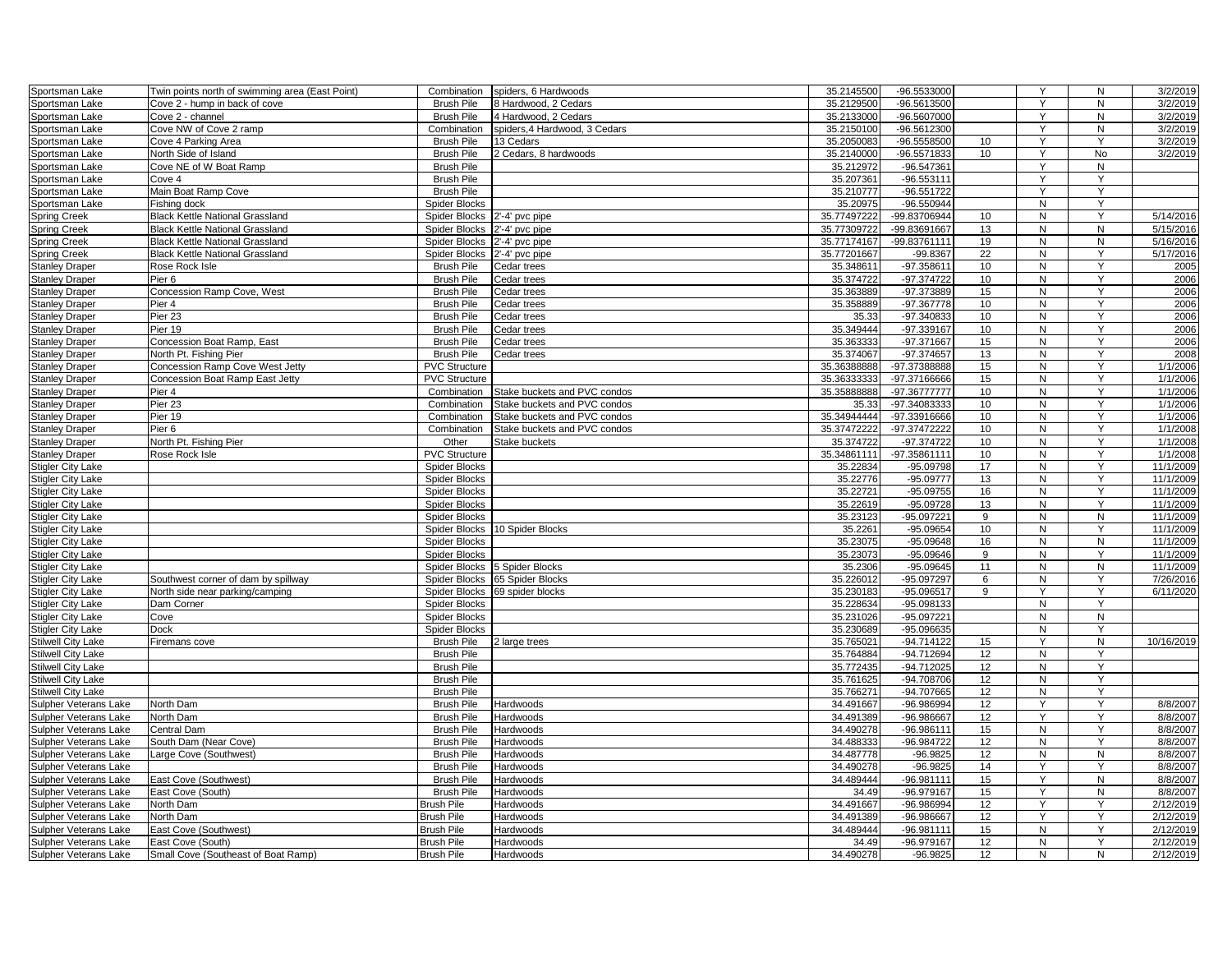| Sportsman Lake            | Twin points north of swimming area (East Point) | Combination          | spiders, 6 Hardwoods          | 35.2145500  | -96.5533000   |                  | Y            | N  | 3/2/2019   |
|---------------------------|-------------------------------------------------|----------------------|-------------------------------|-------------|---------------|------------------|--------------|----|------------|
| Sportsman Lake            | Cove 2 - hump in back of cove                   | <b>Brush Pile</b>    | 8 Hardwood, 2 Cedars          | 35.2129500  | -96.5613500   |                  | Y            | N  | 3/2/2019   |
| Sportsman Lake            | Cove 2 - channel                                | <b>Brush Pile</b>    | 4 Hardwood, 2 Cedars          | 35.2133000  | -96.5607000   |                  | Y            | N  | 3/2/2019   |
| Sportsman Lake            | Cove NW of Cove 2 ramp                          | Combination          | spiders, 4 Hardwood, 3 Cedars | 35.2150100  | $-96.5612300$ |                  | Y            | N  | 3/2/2019   |
| Sportsman Lake            | Cove 4 Parking Area                             | <b>Brush Pile</b>    | 13 Cedars                     | 35.2050083  | -96.5558500   | 10 <sup>10</sup> | Y            | Y  | 3/2/2019   |
| Sportsman Lake            | North Side of Island                            | <b>Brush Pile</b>    | 2 Cedars, 8 hardwoods         | 35.2140000  | -96.5571833   | 10               | Y            | No | 3/2/2019   |
| Sportsman Lake            | Cove NE of W Boat Ramp                          | <b>Brush Pile</b>    |                               | 35.212972   | -96.547361    |                  | Y            | N  |            |
| Sportsman Lake            | Cove 4                                          | <b>Brush Pile</b>    |                               | 35.207361   | $-96.553111$  |                  | Y            | Y  |            |
| Sportsman Lake            | Main Boat Ramp Cove                             | <b>Brush Pile</b>    |                               | 35.210777   | $-96.551722$  |                  | Y            | Υ  |            |
| Sportsman Lake            | Fishing dock                                    | Spider Blocks        |                               | 35.20975    | -96.550944    |                  | N            | Y  |            |
| <b>Spring Creek</b>       | <b>Black Kettle National Grassland</b>          | Spider Blocks        | 2'-4' pvc pipe                | 35.77497222 | -99.83706944  | 10               | N            | Y  | 5/14/2016  |
| <b>Spring Creek</b>       | <b>Black Kettle National Grassland</b>          | Spider Blocks        | 2'-4' pvc pipe                | 35.77309722 | -99.83691667  | 13               | N            | N  | 5/15/2016  |
| <b>Spring Creek</b>       | <b>Black Kettle National Grassland</b>          | <b>Spider Blocks</b> | 2'-4' pvc pipe                | 35.77174167 | -99.83761111  | 19               | N            | N  | 5/16/2016  |
| <b>Spring Creek</b>       | <b>Black Kettle National Grassland</b>          | Spider Blocks        | 2'-4' pvc pipe                | 35.77201667 | -99.8367      | 22               | N            | Y  | 5/17/2016  |
| <b>Stanley Draper</b>     | Rose Rock Isle                                  | <b>Brush Pile</b>    | Cedar trees                   | 35.34861    | -97.358611    | 10               | N            | Y  | 2005       |
| <b>Stanley Draper</b>     | Pier 6                                          | <b>Brush Pile</b>    | Cedar trees                   | 35.374722   | -97.374722    | 10               | N            | Υ  | 2006       |
| <b>Stanley Draper</b>     | Concession Ramp Cove, West                      | <b>Brush Pile</b>    | Cedar trees                   | 35.363889   | -97.373889    | 15               | N            | Y  | 2006       |
| <b>Stanley Draper</b>     | Pier 4                                          | <b>Brush Pile</b>    | Cedar trees                   | 35.358889   | -97.367778    | 10               | N            | Y  | 2006       |
| <b>Stanley Draper</b>     | Pier 23                                         | <b>Brush Pile</b>    | Cedar trees                   | 35.33       | -97.340833    | 10               | N            | Y  | 2006       |
| <b>Stanley Draper</b>     | Pier 19                                         | <b>Brush Pile</b>    | Cedar trees                   | 35.349444   | -97.339167    | 10               | N            | Y  | 2006       |
| <b>Stanley Draper</b>     | Concession Boat Ramp, East                      | <b>Brush Pile</b>    | Cedar trees                   | 35.363333   | -97.371667    | 15               | N            | Y  | 2006       |
| <b>Stanley Draper</b>     | North Pt. Fishing Pier                          | <b>Brush Pile</b>    | Cedar trees                   | 35.374067   | -97.374657    | 13               | N            | Υ  | 2008       |
| <b>Stanley Draper</b>     | Concession Ramp Cove West Jetty                 | <b>PVC Structure</b> |                               | 35.36388888 | -97.37388888  | 15               | N            | Y  | 1/1/2006   |
| <b>Stanley Draper</b>     | Concession Boat Ramp East Jetty                 | <b>PVC Structure</b> |                               | 35.36333333 | -97.37166666  | 15               | N            | Y  | 1/1/2006   |
| <b>Stanley Draper</b>     | Pier 4                                          | Combination          | Stake buckets and PVC condos  | 35.35888888 | -97.36777777  | 10               | N            | Y  | 1/1/2006   |
| <b>Stanley Draper</b>     | Pier 23                                         | Combination          | Stake buckets and PVC condos  | 35.33       | -97.34083333  | 10               | N            | Y  | 1/1/2006   |
| <b>Stanley Draper</b>     | Pier 19                                         | Combination          | Stake buckets and PVC condos  | 35.34944444 | -97.33916666  | 10               | N            | Y  | 1/1/2006   |
| <b>Stanley Draper</b>     | Pier 6                                          | Combination          | Stake buckets and PVC condos  | 35.37472222 | -97.37472222  | 10               | N            | Y  | 1/1/2008   |
| <b>Stanley Draper</b>     | North Pt. Fishing Pier                          | Other                | Stake buckets                 | 35.374722   | -97.374722    | 10               | N            | Y  | 1/1/2008   |
| <b>Stanley Draper</b>     | Rose Rock Isle                                  | <b>PVC Structure</b> |                               | 35.34861111 | -97.35861111  | 10 <sup>1</sup>  | N            | Y  | 1/1/2008   |
| <b>Stigler City Lake</b>  |                                                 | <b>Spider Blocks</b> |                               | 35.22834    | $-95.09798$   | 17               | N            | Y  | 11/1/2009  |
| <b>Stigler City Lake</b>  |                                                 | <b>Spider Blocks</b> |                               | 35.22776    | $-95.09777$   | 13               | N            | Y  | 11/1/2009  |
| <b>Stigler City Lake</b>  |                                                 | <b>Spider Blocks</b> |                               | 35.22721    | $-95.09755$   | 16               | N            | Y  | 11/1/2009  |
| <b>Stigler City Lake</b>  |                                                 | <b>Spider Blocks</b> |                               | 35.22619    | $-95.09728$   | 13               | N            | Y  | 11/1/2009  |
| <b>Stigler City Lake</b>  |                                                 | <b>Spider Blocks</b> |                               | 35.23123    | -95.097221    | 9                | N            | N  | 11/1/2009  |
| Stigler City Lake         |                                                 | Spider Blocks        | 10 Spider Blocks              | 35.2261     | -95.09654     | 10               | N            | Y  | 11/1/2009  |
| <b>Stigler City Lake</b>  |                                                 | <b>Spider Blocks</b> |                               | 35.23075    | $-95.09648$   | 16               | N            | N  | 11/1/2009  |
| <b>Stigler City Lake</b>  |                                                 | Spider Blocks        |                               | 35.23073    | $-95.09646$   | 9                | ${\sf N}$    | Υ  | 11/1/2009  |
| <b>Stigler City Lake</b>  |                                                 | Spider Blocks        | 5 Spider Blocks               | 35.2306     | $-95.09645$   | 11               | N            | N  | 11/1/2009  |
| <b>Stigler City Lake</b>  | Southwest corner of dam by spillway             | Spider Blocks        | 65 Spider Blocks              | 35.226012   | -95.097297    | 6                | N            | Y  | 7/26/2016  |
| Stigler City Lake         | North side near parking/camping                 | <b>Spider Blocks</b> | 69 spider blocks              | 35.230183   | -95.096517    | 9                | Y            | Y  | 6/11/2020  |
| <b>Stigler City Lake</b>  | Dam Corner                                      | <b>Spider Blocks</b> |                               | 35.228634   | -95.098133    |                  | N            | Y  |            |
| <b>Stigler City Lake</b>  | Cove                                            | <b>Spider Blocks</b> |                               | 35.231026   | -95.097221    |                  | N            | N  |            |
| <b>Stigler City Lake</b>  | Dock                                            | Spider Blocks        |                               | 35.230689   | -95.096635    |                  | N            | Y  |            |
| Stilwell City Lake        | Firemans cove                                   | <b>Brush Pile</b>    | 2 large trees                 | 35.76502    | $-94.714122$  | 15               | Y            | N  | 10/16/2019 |
| <b>Stilwell City Lake</b> |                                                 | <b>Brush Pile</b>    |                               | 35.764884   | -94.712694    | 12               | N            | Y  |            |
| Stilwell City Lake        |                                                 | <b>Brush Pile</b>    |                               | 35.77243    | $-94.712025$  | 12               | N            | Y  |            |
| <b>Stilwell City Lake</b> |                                                 | <b>Brush Pile</b>    |                               | 35.761625   | -94.708706    | 12               | N            | Y  |            |
| <b>Stilwell City Lake</b> |                                                 | <b>Brush Pile</b>    |                               | 35.76627    | -94.707665    | 12               | N            | Y  |            |
| Sulpher Veterans Lake     | North Dam                                       | <b>Brush Pile</b>    | Hardwoods                     | 34.491667   | -96.986994    | 12               | Y            | Y  | 8/8/2007   |
| Sulpher Veterans Lake     | North Dam                                       | <b>Brush Pile</b>    | Hardwoods                     | 34.491389   | -96.986667    | 12               | Y            | Υ  | 8/8/2007   |
| Sulpher Veterans Lake     | Central Dam                                     | <b>Brush Pile</b>    | Hardwoods                     | 34.490278   | -96.986111    | 15               | N            | Υ  | 8/8/2007   |
| Sulpher Veterans Lake     | South Dam (Near Cove)                           | <b>Brush Pile</b>    | Hardwoods                     | 34.488333   | -96.984722    | 12               | $\mathsf{N}$ | Y  | 8/8/2007   |
| Sulpher Veterans Lake     | Large Cove (Southwest)                          | <b>Brush Pile</b>    | Hardwoods                     | 34.487778   | $-96.9825$    | 12               | N            | N  | 8/8/2007   |
| Sulpher Veterans Lake     |                                                 | <b>Brush Pile</b>    | Hardwoods                     | 34.490278   | $-96.9825$    | 14               | Y            | Y  | 8/8/2007   |
| Sulpher Veterans Lake     | East Cove (Southwest)                           | <b>Brush Pile</b>    | Hardwoods                     | 34.489444   | $-96.981111$  | 15               | Y            | N  | 8/8/2007   |
| Sulpher Veterans Lake     | East Cove (South)                               | <b>Brush Pile</b>    | Hardwoods                     | 34.49       | -96.979167    | 15               | Y            | N  | 8/8/2007   |
| Sulpher Veterans Lake     | North Dam                                       | <b>Brush Pile</b>    | Hardwoods                     | 34.491667   | -96.986994    | 12               | Y            | Y  | 2/12/2019  |
| Sulpher Veterans Lake     | North Dam                                       | <b>Brush Pile</b>    | Hardwoods                     | 34.491389   | -96.986667    | 12               | Y            | Υ  | 2/12/2019  |
| Sulpher Veterans Lake     | East Cove (Southwest)                           | <b>Brush Pile</b>    | Hardwoods                     | 34.489444   | -96.981111    | 15               | N            | Y  | 2/12/2019  |
| Sulpher Veterans Lake     | East Cove (South)                               | Brush Pile           | Hardwoods                     | 34.49       | -96.979167    | 12               | N            | Υ  | 2/12/2019  |
| Sulpher Veterans Lake     | Small Cove (Southeast of Boat Ramp)             | <b>Brush Pile</b>    | Hardwoods                     | 34.490278   | $-96.9825$    | 12               | N            | N  | 2/12/2019  |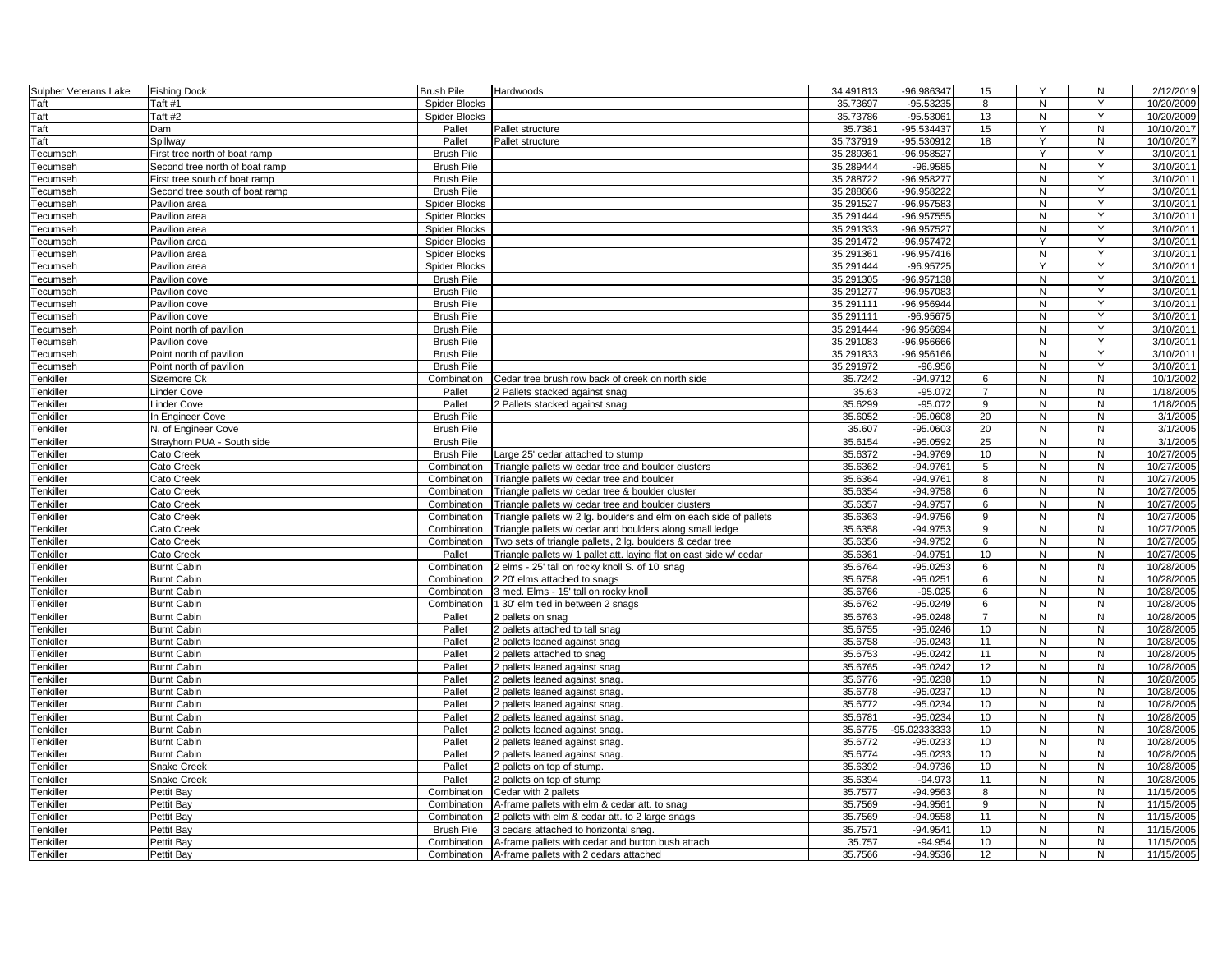| Sulpher Veterans Lake           | <b>Fishing Dock</b>            | <b>Brush Pile</b><br>Hardwoods                                                    | 34.491813 | -96.986347   | 15              | Y            | N         | 2/12/2019  |
|---------------------------------|--------------------------------|-----------------------------------------------------------------------------------|-----------|--------------|-----------------|--------------|-----------|------------|
| Taft                            | Taft #1                        | <b>Spider Blocks</b>                                                              | 35.73697  | -95.53235    | 8               | N            | Y         | 10/20/2009 |
| Taft                            | Taft #2                        | <b>Spider Blocks</b>                                                              | 35.73786  | $-95.53061$  | 13              | N            | Y         | 10/20/2009 |
| Taft                            | Dam                            | Pallet<br>Pallet structure                                                        | 35.738    | -95.534437   | 15              | Y            | N         | 10/10/2017 |
| Taft                            | Spillway                       | Pallet<br>Pallet structure                                                        | 35.737919 | -95.530912   | 18              | Y            | N         | 10/10/2017 |
| Tecumseh                        | First tree north of boat ramp  | <b>Brush Pile</b>                                                                 | 35.28936  | -96.958527   |                 | Y            | Y         | 3/10/2011  |
| Tecumseh                        | Second tree north of boat ramp | <b>Brush Pile</b>                                                                 | 35.289444 | $-96.9585$   |                 | N            | Y         | 3/10/2011  |
| <b>Tecumseh</b>                 | First tree south of boat ramp  | <b>Brush Pile</b>                                                                 | 35.288722 | -96.958277   |                 | N            | Y         | 3/10/2011  |
| <b>Tecumseh</b>                 | Second tree south of boat ramp | <b>Brush Pile</b>                                                                 | 35.288666 | -96.958222   |                 | N            | Y         | 3/10/2011  |
| <b>Tecumseh</b>                 | Pavilion area                  | Spider Blocks                                                                     | 35.291527 | -96.957583   |                 | N            | Y         | 3/10/2011  |
| <b>Tecumseh</b>                 | Pavilion area                  | Spider Blocks                                                                     | 35.291444 | -96.957555   |                 | N            | Y         | 3/10/2011  |
|                                 | Pavilion area                  | Spider Blocks                                                                     | 35.291333 | -96.957527   |                 | N            | Y         | 3/10/2011  |
| ecumseh<br><sup>-</sup> ecumseh | Pavilion area                  | Spider Blocks                                                                     | 35.291472 | -96.957472   |                 | Y            | Y         | 3/10/2011  |
|                                 | Pavilion area                  | <b>Spider Blocks</b>                                                              | 35.291361 | $-96.957416$ |                 | N            | Y         | 3/10/2011  |
| <b>Tecumseh</b>                 | Pavilion area                  | Spider Blocks                                                                     | 35.291444 | $-96.95725$  |                 |              | Y         | 3/10/2011  |
| ecumseh                         |                                |                                                                                   |           |              |                 |              | Y         |            |
| ecumseh                         | Pavilion cove                  | <b>Brush Pile</b>                                                                 | 35.291305 | -96.957138   |                 | N            |           | 3/10/2011  |
| ecumseh                         | Pavilion cove                  | <b>Brush Pile</b>                                                                 | 35.291277 | -96.957083   |                 | N            | Υ         | 3/10/2011  |
| <b>Fecumseh</b>                 | Pavilion cove                  | <b>Brush Pile</b>                                                                 | 35.291111 | -96.956944   |                 | N            | Y         | 3/10/2011  |
| <sup>-</sup> ecumseh            | Pavilion cove                  | <b>Brush Pile</b>                                                                 | 35.291111 | $-96.95675$  |                 | N            | $\vee$    | 3/10/201   |
| ecumseh <sup>-</sup>            | Point north of pavilion        | <b>Brush Pile</b>                                                                 | 35.291444 | -96.956694   |                 | N            | Y         | 3/10/2011  |
| ecumseh                         | Pavilion cove                  | <b>Brush Pile</b>                                                                 | 35.291083 | $-96.956666$ |                 | ${\sf N}$    | Y         | 3/10/2011  |
| ecumseh                         | Point north of pavilion        | <b>Brush Pile</b>                                                                 | 35.291833 | -96.956166   |                 | N            | Y         | 3/10/2011  |
| Tecumseh                        | Point north of pavilion        | <b>Brush Pile</b>                                                                 | 35.291972 | $-96.956$    |                 | N            | Y         | 3/10/2011  |
| Tenkiller                       | Sizemore Ck                    | Combination<br>Cedar tree brush row back of creek on north side                   | 35.7242   | $-94.9712$   | 6               | N            | N         | 10/1/2002  |
| Tenkiller                       | inder Cove                     | Pallet<br>2 Pallets stacked against snag                                          | 35.63     | $-95.072$    | $\overline{7}$  | N            | N         | 1/18/2005  |
| <b>Tenkiller</b>                | Linder Cove                    | Pallet<br>2 Pallets stacked against snag                                          | 35.6299   | $-95.072$    | 9               | N            | N         | 1/18/2005  |
| <b>Fenkiller</b>                | n Engineer Cove                | <b>Brush Pile</b>                                                                 | 35.6052   | $-95.0608$   | 20              | N            | N         | 3/1/2005   |
| Tenkiller                       | N. of Engineer Cove            | <b>Brush Pile</b>                                                                 | 35.607    | $-95.0603$   | 20              | N            | N         | 3/1/2005   |
| Tenkiller                       | Strayhorn PUA - South side     | <b>Brush Pile</b>                                                                 | 35.6154   | $-95.0592$   | 25              | N            | N         | 3/1/2005   |
| Tenkiller                       | Cato Creek                     | <b>Brush Pile</b><br>Large 25' cedar attached to stump                            | 35.6372   | -94.9769     | 10              | N            | N         | 10/27/2005 |
| <b>Fenkiller</b>                | Cato Creek                     | Combination<br>Triangle pallets w/ cedar tree and boulder clusters                | 35.6362   | $-94.9761$   | 5               | N            | N         | 10/27/2005 |
| enkiller <sup>-</sup>           | Cato Creek                     | Combination<br>Triangle pallets w/ cedar tree and boulder                         | 35.6364   | $-94.9761$   | 8               | N            | N         | 10/27/2005 |
| Tenkiller                       | Cato Creek                     | Combination<br>Triangle pallets w/ cedar tree & boulder cluster                   | 35.6354   | $-94.9758$   | 6               | N            | N         | 10/27/2005 |
| Tenkiller                       | Cato Creek                     | Combination<br>Triangle pallets w/ cedar tree and boulder clusters                | 35.6357   | $-94.9757$   | 6               | N            | N         | 10/27/2005 |
| Tenkiller                       | Cato Creek                     | Combination<br>Triangle pallets w/ 2 lg. boulders and elm on each side of pallets | 35.6363   | $-94.9756$   | 9               | N            | ${\sf N}$ | 10/27/2005 |
| Tenkiller                       | Cato Creek                     | Combination<br>Triangle pallets w/ cedar and boulders along small ledge           | 35.6358   | $-94.9753$   | 9               | N            | N         | 10/27/2005 |
| enkiller                        | Cato Creek                     | Combination<br>Two sets of triangle pallets, 2 lg. boulders & cedar tree          | 35.6356   | -94.9752     | 6               | N            | N         | 10/27/2005 |
| Tenkiller                       | Cato Creek                     | Pallet<br>Triangle pallets w/ 1 pallet att. laying flat on east side w/ cedar     | 35.636    | $-94.9751$   | 10              | N            | N         | 10/27/2005 |
| Tenkiller                       | <b>Burnt Cabin</b>             | Combination<br>2 elms - 25' tall on rocky knoll S. of 10' snag                    | 35.6764   | $-95.0253$   | 6               | N            | N         | 10/28/2005 |
| enkiller                        | <b>Burnt Cabin</b>             | Combination<br>2 20' elms attached to snags                                       | 35.6758   | $-95.0251$   | 6               | N            | N         | 10/28/2005 |
| enkiller                        | <b>Burnt Cabin</b>             | 3 med. Elms - 15' tall on rocky knoll<br>Combination                              | 35.6766   | $-95.025$    | 6               | ${\sf N}$    | N         | 10/28/2005 |
| <b>Tenkiller</b>                | <b>Burnt Cabin</b>             | 1 30' elm tied in between 2 snags<br>Combination                                  | 35.6762   | $-95.0249$   | 6               | $\mathsf{N}$ | N         | 10/28/2005 |
| Tenkiller                       | <b>Burnt Cabin</b>             | Pallet<br>2 pallets on snag                                                       | 35.6763   | $-95.0248$   | $\overline{7}$  | N            | N         | 10/28/2005 |
| enkiller                        | <b>Burnt Cabin</b>             | Pallet<br>2 pallets attached to tall snag                                         | 35.6755   | $-95.0246$   | 10              | N            | N         | 10/28/2005 |
| Tenkiller                       | <b>Burnt Cabin</b>             | Pallet<br>2 pallets leaned against snag                                           | 35.6758   | $-95.0243$   | 11              | N            | N         | 10/28/2005 |
| enkiller                        | <b>Burnt Cabin</b>             | Pallet<br>2 pallets attached to snag                                              | 35.6753   | $-95.0242$   | 11              | N            | N         | 10/28/2005 |
| <b>Tenkiller</b>                | <b>Burnt Cabin</b>             | Pallet<br>2 pallets leaned against snag                                           | 35.6765   | $-95.0242$   | 12              | N            | N         | 10/28/2005 |
| <b>Tenkiller</b>                | <b>Burnt Cabin</b>             | Pallet<br>2 pallets leaned against snag                                           | 35.6776   | $-95.0238$   | 10              | N            | N         | 10/28/2005 |
| Tenkiller                       | <b>Burnt Cabin</b>             | Pallet<br>2 pallets leaned against snag                                           | 35.6778   | $-95.0237$   | 10              | N            | N         | 10/28/2005 |
| Tenkiller                       | <b>Burnt Cabin</b>             | Pallet<br>2 pallets leaned against snag                                           | 35.6772   | $-95.0234$   | 10              | N            | N         | 10/28/2005 |
| Tenkiller                       | <b>Burnt Cabin</b>             | Pallet<br>2 pallets leaned against snag.                                          | 35.6781   | $-95.0234$   | 10 <sup>1</sup> | N            | N         | 10/28/2005 |
|                                 | <b>Burnt Cabin</b>             | Pallet                                                                            | 35.6775   | -95.02333333 | 10              | N            | N         | 10/28/2005 |
| Tenkiller                       |                                | 2 pallets leaned against snag<br>Pallet                                           | 35.6772   | $-95.0233$   | 10              | N            | N         | 10/28/2005 |
| enkiller                        | <b>Burnt Cabin</b>             | 2 pallets leaned against snag                                                     |           |              |                 |              |           |            |
| <b>Fenkiller</b>                | <b>Burnt Cabin</b>             | Pallet<br>2 pallets leaned against snag                                           | 35.6774   | $-95.0233$   | 10              | N            | N         | 10/28/2005 |
| Tenkiller                       | <b>Snake Creek</b>             | Pallet<br>2 pallets on top of stump.                                              | 35.6392   | $-94.9736$   | 10              | ${\sf N}$    | N         | 10/28/2005 |
| Tenkiller                       | <b>Snake Creek</b>             | Pallet<br>2 pallets on top of stump                                               | 35.6394   | $-94.973$    | 11              | N            | N         | 10/28/2005 |
| Tenkiller                       | Pettit Bay                     | Combination<br>Cedar with 2 pallets                                               | 35.7577   | $-94.9563$   | 8               | N            | N         | 11/15/2005 |
| Tenkiller                       | Pettit Bav                     | A-frame pallets with elm & cedar att. to snag<br>Combination                      | 35.7569   | $-94.9561$   | 9               | N            | N         | 11/15/2005 |
| <b>Fenkiller</b>                | Pettit Bay                     | Combination<br>2 pallets with elm & cedar att. to 2 large snags                   | 35.7569   | $-94.9558$   | 11              | N            | N         | 11/15/2005 |
| <b>Fenkiller</b>                | Pettit Bay                     | <b>Brush Pile</b><br>3 cedars attached to horizontal snag.                        | 35.7571   | $-94.9541$   | 10              | ${\sf N}$    | N         | 11/15/2005 |
| Tenkiller                       | Pettit Bay                     | Combination<br>A-frame pallets with cedar and button bush attach                  | 35.757    | $-94.954$    | 10              | N            | N         | 11/15/2005 |
| Tenkiller                       | Pettit Bay                     | Combination<br>A-frame pallets with 2 cedars attached                             | 35.7566   | -94.9536     | 12              | $\mathsf{N}$ | N         | 11/15/2005 |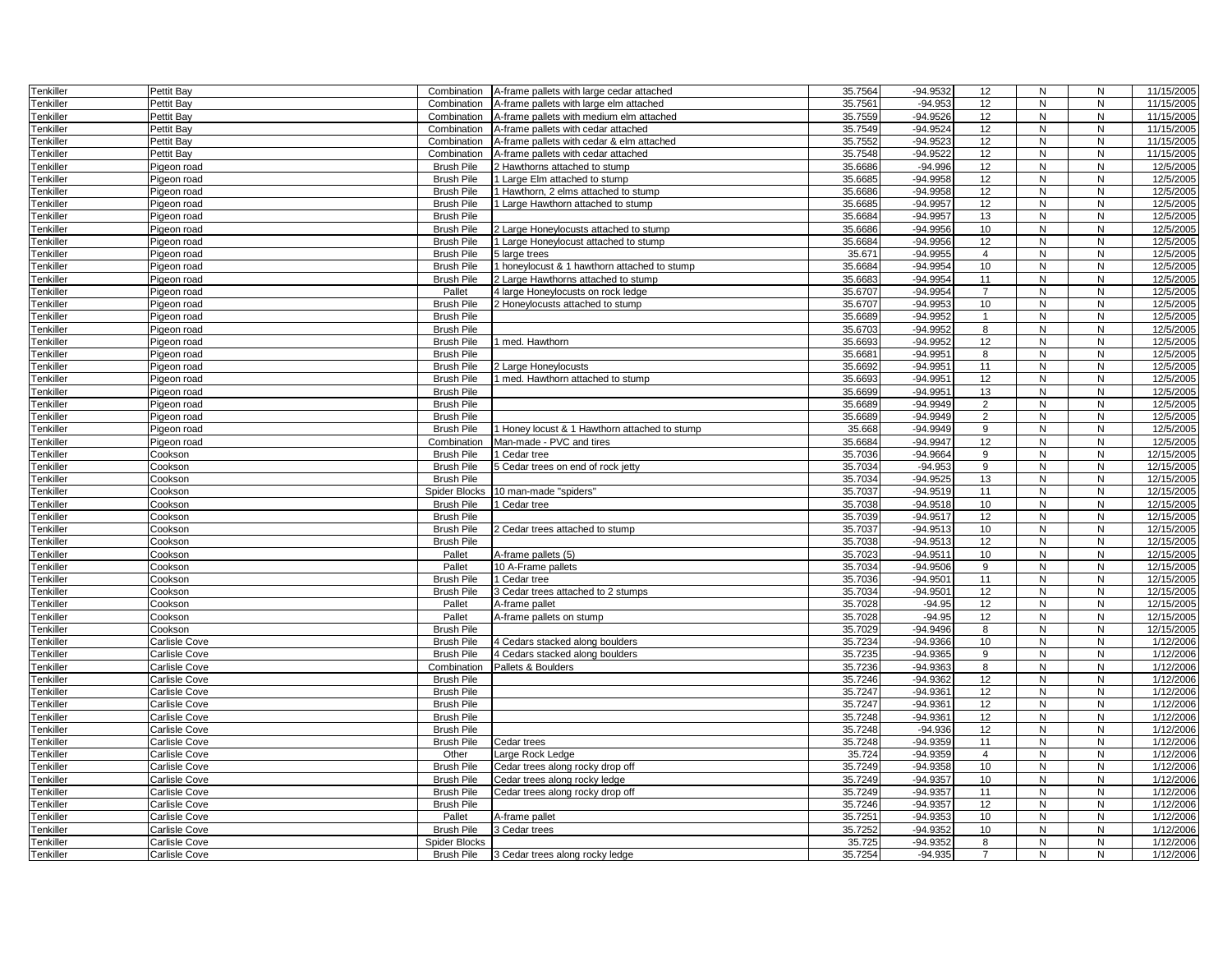| Tenkiller | Pettit Bay    | Combination          | A-frame pallets with large cedar attached     | 35.7564 | -94.9532   | 12 <sup>2</sup> | N              | Ν              | 11/15/2005 |
|-----------|---------------|----------------------|-----------------------------------------------|---------|------------|-----------------|----------------|----------------|------------|
| Tenkiller | Pettit Bay    | Combination          | A-frame pallets with large elm attached       | 35.756  | $-94.953$  | 12              | ${\sf N}$      | N              | 11/15/2005 |
| Tenkiller | Pettit Bay    | Combination          | A-frame pallets with medium elm attached      | 35.7559 | $-94.9526$ | 12              | $\mathsf{N}$   | N              | 11/15/2005 |
| Tenkiller | Pettit Bay    | Combination          | A-frame pallets with cedar attached           | 35.7549 | $-94.9524$ | 12              | $\mathsf{N}$   | N              | 11/15/2005 |
| Tenkiller | Pettit Bay    | Combination          | A-frame pallets with cedar & elm attached     | 35.7552 | $-94.9523$ | 12 <sup>2</sup> | N              | N              | 11/15/2005 |
| Tenkiller | Pettit Bav    | Combination          | A-frame pallets with cedar attached           | 35.7548 | $-94.9522$ | 12              | N              | N              | 11/15/2005 |
| Tenkiller | Pigeon road   | <b>Brush Pile</b>    | 2 Hawthorns attached to stump                 | 35.6686 | $-94.996$  | 12              | N              | N              | 12/5/2005  |
| Tenkiller | Pigeon road   | <b>Brush Pile</b>    | 1 Large Elm attached to stump                 | 35.6685 | $-94.9958$ | 12              | ${\sf N}$      | N              | 12/5/2005  |
| Tenkiller | Pigeon road   | <b>Brush Pile</b>    | 1 Hawthorn, 2 elms attached to stump          | 35.6686 | $-94.9958$ | 12              | N              | N              | 12/5/2005  |
| Tenkiller | Pigeon road   | <b>Brush Pile</b>    | 1 Large Hawthorn attached to stump            | 35.668  | $-94.9957$ | 12              | N              | N              | 12/5/2005  |
| Tenkiller | Pigeon road   | <b>Brush Pile</b>    |                                               | 35.6684 | $-94.9957$ | 13              | N              | N              | 12/5/2005  |
| Tenkiller | Pigeon road   | <b>Brush Pile</b>    | 2 Large Honeylocusts attached to stump        | 35.6686 | $-94.9956$ | 10              | N              | N              | 12/5/2005  |
| Tenkiller | Pigeon road   | <b>Brush Pile</b>    | 1 Large Honeylocust attached to stump         | 35.6684 | $-94.9956$ | 12 <sup>2</sup> | $\mathsf{N}$   | N              | 12/5/2005  |
| Tenkiller | Pigeon road   | <b>Brush Pile</b>    | 5 large trees                                 | 35.671  | $-94.9955$ | $\overline{4}$  | ${\sf N}$      | N              | 12/5/2005  |
| Tenkiller | Pigeon road   | <b>Brush Pile</b>    | 1 honeylocust & 1 hawthorn attached to stump  | 35.6684 | -94.9954   | 10              | N              | N              | 12/5/2005  |
| Tenkiller | Pigeon road   | <b>Brush Pile</b>    | 2 Large Hawthorns attached to stump           | 35.6683 | $-94.9954$ | 11              | N              | ${\sf N}$      | 12/5/2005  |
| Tenkiller | Pigeon road   | Pallet               | 4 large Honeylocusts on rock ledge            | 35.6707 | $-94.9954$ | $\overline{7}$  | $\mathsf{N}$   | N              | 12/5/2005  |
| Tenkiller | Pigeon road   | <b>Brush Pile</b>    | 2 Honeylocusts attached to stump              | 35.6707 | $-94.9953$ | 10              | N              | $\overline{N}$ | 12/5/2005  |
| Tenkiller | Pigeon road   | <b>Brush Pile</b>    |                                               | 35.6689 | $-94.9952$ | $\overline{1}$  | $\mathsf{N}$   | N              | 12/5/2005  |
| Tenkiller | Pigeon road   | <b>Brush Pile</b>    |                                               | 35.6703 | -94.9952   | 8               | N              | N              | 12/5/2005  |
| Tenkiller | Pigeon road   | <b>Brush Pile</b>    | 1 med. Hawthorn                               | 35.6693 | -94.9952   | 12              | ${\sf N}$      | ${\sf N}$      | 12/5/2005  |
| Tenkiller | Pigeon road   | <b>Brush Pile</b>    |                                               | 35.6681 | $-94.9951$ | 8               | N              | N              | 12/5/2005  |
| Tenkiller | Pigeon road   | <b>Brush Pile</b>    | 2 Large Honeylocusts                          | 35.6692 | $-94.9951$ | 11              | N              | N              | 12/5/2005  |
| Tenkiller | Pigeon road   | <b>Brush Pile</b>    | 1 med. Hawthorn attached to stump             | 35.6693 | $-94.9951$ | 12              | $\overline{N}$ | $\overline{N}$ | 12/5/2005  |
| Tenkiller | Pigeon road   | <b>Brush Pile</b>    |                                               | 35.6699 | $-94.9951$ | 13              | N              | N              | 12/5/2005  |
| Tenkiller | Pigeon road   | <b>Brush Pile</b>    |                                               | 35.6689 | $-94.9949$ | $\overline{2}$  | N              | ${\sf N}$      | 12/5/2005  |
| Tenkiller | Pigeon road   | <b>Brush Pile</b>    |                                               | 35.6689 | $-94.9949$ | $\overline{2}$  | N              | N              | 12/5/2005  |
| Tenkiller | Pigeon road   | <b>Brush Pile</b>    | 1 Honey locust & 1 Hawthorn attached to stump | 35.668  | $-94.9949$ | 9               | N              | ${\sf N}$      | 12/5/2005  |
| Tenkiller | Pigeon road   | Combination          | Man-made - PVC and tires                      | 35.6684 | $-94.9947$ | 12              | $\mathsf{N}$   | $\overline{N}$ | 12/5/2005  |
| Tenkiller | Cookson       | <b>Brush Pile</b>    | 1 Cedar tree                                  | 35.7036 | -94.9664   | 9               | N              | N              | 12/15/2005 |
| Tenkiller | Cookson       | <b>Brush Pile</b>    | 5 Cedar trees on end of rock jetty            | 35.7034 | $-94.953$  | 9               | N              | N              | 12/15/2005 |
| Tenkiller | Cookson       | <b>Brush Pile</b>    |                                               | 35.7034 | $-94.9525$ | 13              | N              | N              | 12/15/2005 |
| Tenkiller | Cookson       | Spider Blocks        | 10 man-made "spiders"                         | 35.7037 | $-94.9519$ | 11              | N              | N              | 12/15/2005 |
| Tenkiller | Cookson       | <b>Brush Pile</b>    | 1 Cedar tree                                  | 35.7038 | $-94.9518$ | 10              | ${\sf N}$      | N              | 12/15/2005 |
| Tenkiller | Cookson       | <b>Brush Pile</b>    |                                               | 35.7039 | $-94.9517$ | 12              | N              | N              | 12/15/2005 |
| Tenkiller | Cookson       | <b>Brush Pile</b>    | 2 Cedar trees attached to stump               | 35.7037 | $-94.9513$ | 10              | ${\sf N}$      | N              | 12/15/2005 |
| Tenkiller | Cookson       | <b>Brush Pile</b>    |                                               | 35.7038 | $-94.9513$ | 12              | N              | N              | 12/15/2005 |
| Tenkiller | Cookson       | Pallet               | A-frame pallets (5)                           | 35.7023 | $-94.9511$ | 10              | N              | N              | 12/15/2005 |
| Tenkiller | Cookson       | Pallet               | 10 A-Frame pallets                            | 35.7034 | $-94.9506$ | 9               | N              | N              | 12/15/2005 |
| Tenkiller | Cookson       | <b>Brush Pile</b>    | 1 Cedar tree                                  | 35.7036 | $-94.9501$ | 11              | N              | N              | 12/15/2005 |
| Tenkiller | Cookson       | <b>Brush Pile</b>    | 3 Cedar trees attached to 2 stumps            | 35.7034 | $-94.9501$ | 12              | $\mathsf{N}$   | N              | 12/15/2005 |
| Tenkiller | Cookson       | Pallet               | A-frame pallet                                | 35.7028 | $-94.95$   | 12              | N              | N              | 12/15/2005 |
| Tenkiller | Cookson       | Pallet               | A-frame pallets on stump                      | 35.7028 | $-94.95$   | 12              | ${\sf N}$      | N              | 12/15/2005 |
| Tenkiller | Cookson       | <b>Brush Pile</b>    |                                               | 35.7029 | $-94.9496$ | 8               | N              | N              | 12/15/2005 |
| Tenkiller | Carlisle Cove | <b>Brush Pile</b>    | 4 Cedars stacked along boulders               | 35.7234 | $-94.9366$ | 10              | N              | N              | 1/12/2006  |
| Tenkiller | Carlisle Cove | <b>Brush Pile</b>    | 4 Cedars stacked along boulders               | 35.7235 | -94.9365   | 9               | N              | N              | 1/12/2006  |
| Tenkiller | Carlisle Cove | Combination          | Pallets & Boulders                            | 35.7236 | $-94.9363$ | 8               | ${\sf N}$      | N              | 1/12/2006  |
| Tenkiller | Carlisle Cove | <b>Brush Pile</b>    |                                               | 35.7246 | -94.9362   | 12              | ${\sf N}$      | N              | 1/12/2006  |
| Tenkiller | Carlisle Cove | <b>Brush Pile</b>    |                                               | 35.7247 | $-94.9361$ | 12              | N              | N              | 1/12/2006  |
| Tenkiller | Carlisle Cove | <b>Brush Pile</b>    |                                               | 35.7247 | $-94.9361$ | 12              | N              | ${\sf N}$      | 1/12/2006  |
| Tenkiller | Carlisle Cove | <b>Brush Pile</b>    |                                               | 35.7248 | -94.9361   | 12              | N              | N              | 1/12/2006  |
| Tenkiller | Carlisle Cove | <b>Brush Pile</b>    |                                               | 35.7248 | $-94.936$  | 12              | N              | N              | 1/12/2006  |
| Tenkiller | Carlisle Cove | <b>Brush Pile</b>    | Cedar trees                                   | 35.7248 | $-94.9359$ | 11              | ${\sf N}$      | N              | 1/12/2006  |
| Tenkiller | Carlisle Cove | Other                | Large Rock Ledge                              | 35.724  | $-94.9359$ | $\overline{4}$  | N              | N              | 1/12/2006  |
| Tenkiller | Carlisle Cove | <b>Brush Pile</b>    | Cedar trees along rocky drop off              | 35.7249 | $-94.9358$ | 10              | ${\sf N}$      | ${\sf N}$      | 1/12/2006  |
| Tenkiller | Carlisle Cove | <b>Brush Pile</b>    | Cedar trees along rocky ledge                 | 35.7249 | $-94.9357$ | 10              | N              | N              | 1/12/2006  |
| Tenkiller | Carlisle Cove | <b>Brush Pile</b>    | Cedar trees along rocky drop off              | 35.7249 | $-94.9357$ | 11              | N              | N              | 1/12/2006  |
| Tenkiller | Carlisle Cove | <b>Brush Pile</b>    |                                               | 35.7246 | $-94.9357$ | 12              | N              | N              | 1/12/2006  |
| Tenkiller | Carlisle Cove | Pallet               | A-frame pallet                                | 35.7251 | $-94.9353$ | 10              | N              | N              | 1/12/2006  |
| Tenkiller | Carlisle Cove | <b>Brush Pile</b>    | 3 Cedar trees                                 | 35.7252 | -94.9352   | 10              | ${\sf N}$      | ${\sf N}$      | 1/12/2006  |
| Tenkiller | Carlisle Cove | <b>Spider Blocks</b> |                                               | 35.725  | -94.9352   | 8               | N              | N              | 1/12/2006  |
| Tenkiller | Carlisle Cove | <b>Brush Pile</b>    | 3 Cedar trees along rocky ledge               | 35.7254 | $-94.935$  | $\overline{7}$  | N              | N              | 1/12/2006  |
|           |               |                      |                                               |         |            |                 |                |                |            |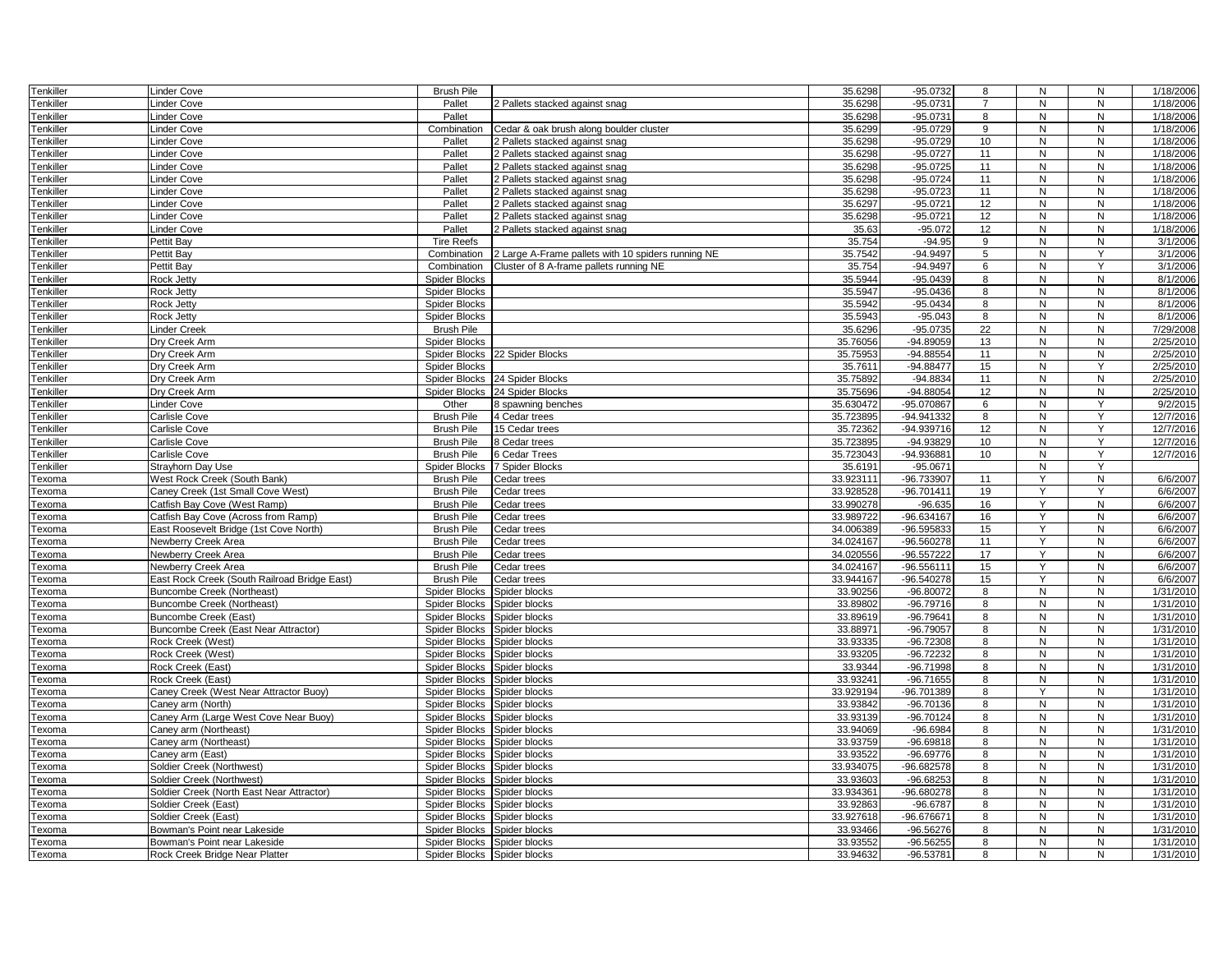| Tenkiller        | Linder Cove                                                                | <b>Brush Pile</b>                         |                                                    | 35.6298               | $-95.0732$                | 8              | N            | N              | 1/18/2006             |
|------------------|----------------------------------------------------------------------------|-------------------------------------------|----------------------------------------------------|-----------------------|---------------------------|----------------|--------------|----------------|-----------------------|
| <b>Tenkiller</b> | inder Cove                                                                 | Pallet                                    | 2 Pallets stacked against snag                     | 35.6298               | $-95.0731$                | $\overline{7}$ | N            | N              | 1/18/2006             |
| Tenkiller        | Linder Cove                                                                | Pallet                                    |                                                    | 35.6298               | $-95.0731$                | 8              | N            | N              | 1/18/2006             |
| Tenkiller        | inder Cove                                                                 | Combination                               | Cedar & oak brush along boulder cluster            | 35.6299               | $-95.0729$                | 9              | $\mathsf{N}$ | N              | 1/18/2006             |
| <b>Tenkiller</b> | Linder Cove                                                                | Pallet                                    | 2 Pallets stacked against snag                     | 35.6298               | $-95.0729$                | 10             | N            | N              | 1/18/2006             |
| <b>Tenkiller</b> | Linder Cove                                                                | Pallet                                    | 2 Pallets stacked against snag                     | 35.6298               | $-95.0727$                | 11             | N            | N              | 1/18/2006             |
| <b>Tenkiller</b> | inder Cove                                                                 | Pallet                                    | Pallets stacked against snag                       | 35.6298               | $-95.0725$                | 11             | N            | N              | 1/18/2006             |
| <b>Tenkiller</b> | inder Cove                                                                 | Pallet                                    | 2 Pallets stacked against snag                     | 35.6298               | $-95.0724$                | 11             | N            | N              | 1/18/2006             |
| Tenkiller        | inder Cove                                                                 | Pallet                                    | Pallets stacked against snag                       | 35.6298               | $-95.0723$                | 11             | ${\sf N}$    | N              | 1/18/2006             |
| <b>Tenkiller</b> | Linder Cove                                                                | Pallet                                    | 2 Pallets stacked against snag                     | 35.6297               | $-95.0721$                | 12             | N            | N              | 1/18/2006             |
| <b>Tenkiller</b> | Linder Cove                                                                | Pallet                                    | 2 Pallets stacked against snag                     | 35.6298               | $-95.0721$                | 12             | N            | N              | 1/18/2006             |
| <b>Tenkiller</b> | Linder Cove                                                                | Pallet                                    | 2 Pallets stacked against snag                     | 35.63                 | $-95.072$                 | 12             | N            | N              | 1/18/2006             |
| Tenkiller        | Pettit Bay                                                                 | <b>Tire Reefs</b>                         |                                                    | 35.754                | $-94.95$                  | 9              | N            | N              | 3/1/2006              |
| <b>Tenkiller</b> | Pettit Bay                                                                 | Combination                               | 2 Large A-Frame pallets with 10 spiders running NE | 35.7542               | $-94.9497$                | 5              | N            | Y              | 3/1/2006              |
| <b>Tenkiller</b> | Pettit Bay                                                                 | Combination                               | Cluster of 8 A-frame pallets running NE            | 35.754                | $-94.9497$                | 6              | N            | Y              | 3/1/2006              |
| <b>Tenkiller</b> | Rock Jetty                                                                 | Spider Blocks                             |                                                    | 35.5944               | $-95.0439$                | 8              | N            | N              | 8/1/2006              |
| <b>Tenkiller</b> | Rock Jetty                                                                 | Spider Blocks                             |                                                    | 35.5947               | $-95.0436$                | 8              | N            | N              | 8/1/2006              |
| Tenkiller        | <b>Rock Jetty</b>                                                          | <b>Spider Blocks</b>                      |                                                    | 35.5942               | $-95.0434$                | 8              | N            | N              | 8/1/2006              |
| <b>Tenkiller</b> | Rock Jetty                                                                 | Spider Blocks                             |                                                    | 35.5943               | $-95.043$                 | 8              | N            | N              | 8/1/2006              |
| <b>Tenkiller</b> | Linder Creek                                                               | <b>Brush Pile</b>                         |                                                    | 35.6296               | $-95.0735$                | 22             | N            | N              | 7/29/2008             |
| <b>Tenkiller</b> | Dry Creek Arm                                                              | <b>Spider Blocks</b>                      |                                                    | 35.76056              | -94.89059                 | 13             | ${\sf N}$    | N              | 2/25/2010             |
| <b>Tenkiller</b> | Dry Creek Arm                                                              | Spider Blocks                             | 22 Spider Blocks                                   | 35.75953              | $-94.88554$               | 11             | N            | N              | 2/25/2010             |
| <b>Tenkiller</b> | Dry Creek Arm                                                              | <b>Spider Blocks</b>                      |                                                    | 35.7611               | $-94.88477$               | 15             | N            | Y              | 2/25/2010             |
| Tenkiller        | Dry Creek Arm                                                              | Spider Blocks                             | 24 Spider Blocks                                   | 35.75892              | $-94.8834$                | 11             | N            | N              | 2/25/2010             |
| <b>Tenkiller</b> | Dry Creek Arm                                                              | Spider Blocks                             | 24 Spider Blocks                                   | 35.75696              | $-94.88054$               | 12             | N            | N              | 2/25/2010             |
| <b>Tenkiller</b> | inder Cove                                                                 | Other                                     | 3 spawning benches                                 | 35.630472             | -95.070867                | 6              | N            | Y              | 9/2/2015              |
| <b>Tenkiller</b> | Carlisle Cove                                                              | <b>Brush Pile</b>                         | 4 Cedar trees                                      | 35.723895             | -94.941332                | 8              | N            | Υ              | 12/7/2016             |
| <b>Tenkiller</b> | Carlisle Cove                                                              | <b>Brush Pile</b>                         | 15 Cedar trees                                     | 35.72362              | -94.939716                | 12             | N            | Υ              | 12/7/2016             |
| Tenkiller        | Carlisle Cove                                                              | <b>Brush Pile</b>                         | 8 Cedar trees                                      | 35.723895             | $-94.93829$               | 10             | N            | Y              | 12/7/2016             |
| <b>Tenkiller</b> | Carlisle Cove                                                              | <b>Brush Pile</b>                         | 6 Cedar Trees                                      | 35.723043             | -94.936881                | 10             | N            | Y              | 12/7/2016             |
| <b>Tenkiller</b> | Strayhorn Day Use                                                          | <b>Spider Blocks</b>                      | <b>7 Spider Blocks</b>                             | 35.6191               | $-95.0671$                |                | N            | Y              |                       |
| Texoma           | West Rock Creek (South Bank)                                               | <b>Brush Pile</b>                         | Cedar trees                                        | 33.923111             | -96.733907                | 11             | Y            | N              | 6/6/2007              |
| Texoma           | Caney Creek (1st Small Cove West)                                          | <b>Brush Pile</b>                         | Cedar trees                                        | 33.928528             | -96.701411                | 19             | Y            | Υ              | 6/6/2007              |
| Texoma           | Catfish Bay Cove (West Ramp)                                               | <b>Brush Pile</b>                         | Cedar trees                                        | 33.990278             | $-96.635$                 | 16             | Y            | N              | 6/6/2007              |
| Гехота           | Catfish Bay Cove (Across from Ramp)                                        | <b>Brush Pile</b>                         | Cedar trees                                        | 33.989722             | -96.634167                | 16             | Y            | ${\sf N}$      | 6/6/2007              |
| Гехота           | East Roosevelt Bridge (1st Cove North)                                     | <b>Brush Pile</b>                         | Cedar trees                                        | 34.006389             | -96.595833                | 15             | Y            | N              | 6/6/2007              |
| Гехота           | Newberry Creek Area                                                        | <b>Brush Pile</b>                         | Cedar trees                                        | 34.024167             | -96.560278                | 11             | Y            | N              | 6/6/2007              |
| Гехота           | Newberry Creek Area                                                        | <b>Brush Pile</b>                         | Cedar trees                                        | 34.020556             | -96.557222                | 17             | Y<br>Y       | N              | 6/6/2007              |
| Texoma           | Newberry Creek Area                                                        | <b>Brush Pile</b>                         | Cedar trees                                        | 34.024167             | $-96.556111$              | 15             | Y            | N              | 6/6/2007              |
| Texoma<br>Texoma | East Rock Creek (South Railroad Bridge East)<br>Buncombe Creek (Northeast) | <b>Brush Pile</b><br><b>Spider Blocks</b> | Cedar trees<br>Spider blocks                       | 33.944167<br>33.90256 | -96.540278<br>$-96.80072$ | 15<br>8        | $\mathsf{N}$ | ${\sf N}$<br>N | 6/6/2007<br>1/31/2010 |
|                  | Buncombe Creek (Northeast)                                                 | <b>Spider Blocks</b>                      |                                                    | 33.89802              | $-96.79716$               | 8              | N            | N              | 1/31/2010             |
| Гехота           | Buncombe Creek (East)                                                      | Spider Blocks                             | Spider blocks<br>Spider blocks                     | 33.89619              | $-96.79641$               | 8              | $\mathsf{N}$ | N              | 1/31/2010             |
| Texoma<br>Гехота | Buncombe Creek (East Near Attractor)                                       | Spider Blocks                             | Spider blocks                                      | 33.88971              | $-96.79057$               | 8              | N            | N              | 1/31/2010             |
| Texoma           | Rock Creek (West)                                                          | Spider Blocks                             | Spider blocks                                      | 33.93335              | $-96.72308$               | 8              | N            | N              | 1/31/2010             |
| Texoma           | Rock Creek (West)                                                          | Spider Blocks                             | Spider blocks                                      | 33.93205              | $-96.72232$               | 8              | N            | N              | 1/31/2010             |
| Texoma           | Rock Creek (East)                                                          | Spider Blocks                             | Spider blocks                                      | 33.9344               | $-96.71998$               | 8              | N            | N              | 1/31/2010             |
| Гехота           | Rock Creek (East)                                                          | Spider Blocks                             | Spider blocks                                      | 33.93241              | $-96.71655$               | 8              | N            | N              | 1/31/2010             |
| Гехота           | Caney Creek (West Near Attractor Buoy)                                     | Spider Blocks Spider blocks               |                                                    | 33.929194             | -96.701389                | 8              |              | N              | 1/31/2010             |
| Texoma           | Caney arm (North)                                                          | Spider Blocks                             | Spider blocks                                      | 33.93842              | $-96.70136$               | 8              | N            | N              | 1/31/2010             |
| Гехота           | Caney Arm (Large West Cove Near Buoy)                                      | Spider Blocks                             | Spider blocks                                      | 33.93139              | $-96.70124$               | 8              | N            | N              | 1/31/2010             |
| Texoma           | Caney arm (Northeast)                                                      | Spider Blocks                             | Spider blocks                                      | 33.94069              | $-96.6984$                | 8              | N            | N              | 1/31/2010             |
| <b>Fexoma</b>    | Caney arm (Northeast)                                                      | Spider Blocks                             | Spider blocks                                      | 33.93759              | $-96.69818$               | 8              | N            | N              | 1/31/2010             |
| Гехота           | Caney arm (East)                                                           | Spider Blocks                             | Spider blocks                                      | 33.93522              | $-96.69776$               | 8              | N            | N              | 1/31/2010             |
| Гехота           | Soldier Creek (Northwest)                                                  | Spider Blocks                             | Spider blocks                                      | 33.934075             | -96.682578                | 8              | ${\sf N}$    | N              | 1/31/2010             |
| Texoma           | Soldier Creek (Northwest)                                                  | Spider Blocks                             | Spider blocks                                      | 33.93603              | -96.68253                 | 8              | N            | N              | 1/31/2010             |
| Texoma           | Soldier Creek (North East Near Attractor)                                  | Spider Blocks                             | Spider blocks                                      | 33.934361             | -96.680278                | 8              | N            | N              | 1/31/2010             |
| Texoma           | Soldier Creek (East)                                                       | Spider Blocks                             | Spider blocks                                      | 33.92863              | $-96.6787$                | 8              | N            | N              | 1/31/2010             |
| Texoma           | Soldier Creek (East)                                                       | Spider Blocks                             | Spider blocks                                      | 33.927618             | -96.676671                | 8              | N            | N              | 1/31/2010             |
| Гехота           | Bowman's Point near Lakeside                                               | Spider Blocks                             | Spider blocks                                      | 33.93466              | $-96.56276$               | 8              | N            | N              | 1/31/2010             |
| Texoma           | Bowman's Point near Lakeside                                               | Spider Blocks Spider blocks               |                                                    | 33.93552              | $-96.56255$               | 8              | N            | N              | 1/31/2010             |
| Texoma           | Rock Creek Bridge Near Platter                                             | Spider Blocks Spider blocks               |                                                    | 33.94632              | $-96.53781$               | 8              | $\mathsf{N}$ | N              | 1/31/2010             |
|                  |                                                                            |                                           |                                                    |                       |                           |                |              |                |                       |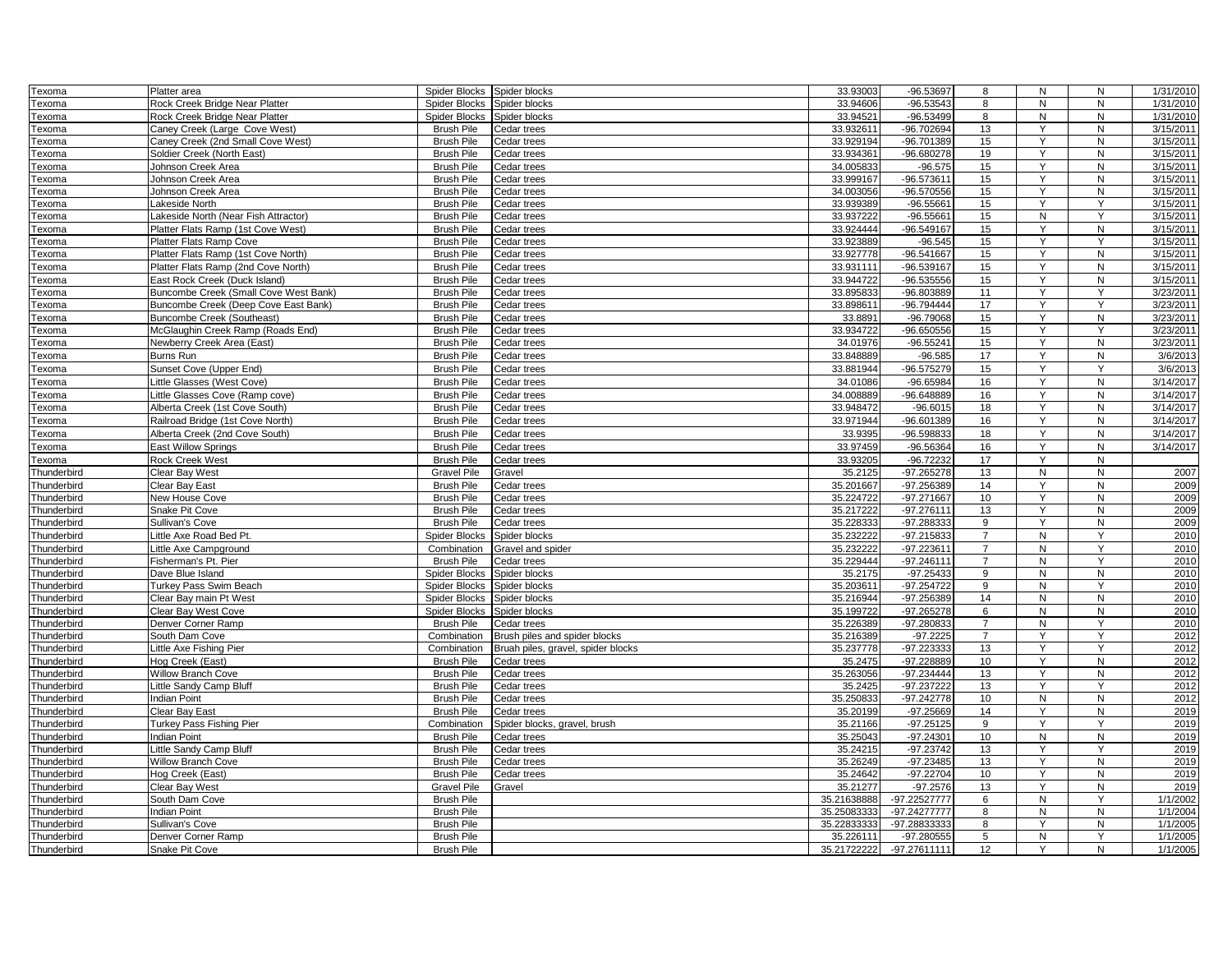| Texoma      | Platter area                          | Spider Blocks        | Spider blocks                      | 33.93003    | -96.53697    | 8              | ${\sf N}$    | ${\sf N}$      | 1/31/2010 |
|-------------|---------------------------------------|----------------------|------------------------------------|-------------|--------------|----------------|--------------|----------------|-----------|
| Texoma      | Rock Creek Bridge Near Platter        | Spider Blocks        | Spider blocks                      | 33.94606    | $-96.53543$  | 8              | N            | ${\sf N}$      | 1/31/2010 |
| Texoma      | Rock Creek Bridge Near Platter        | Spider Blocks        | Spider blocks                      | 33.94521    | $-96.53499$  | 8              | ${\sf N}$    | ${\sf N}$      | 1/31/2010 |
| Texoma      | Caney Creek (Large Cove West)         | <b>Brush Pile</b>    | Cedar trees                        | 33.932611   | -96.702694   | 13             | Y            | N              | 3/15/2011 |
| Texoma      | Caney Creek (2nd Small Cove West)     | <b>Brush Pile</b>    | Cedar trees                        | 33.929194   | -96.701389   | 15             | Y            | ${\sf N}$      | 3/15/2011 |
| Texoma      | Soldier Creek (North East)            | <b>Brush Pile</b>    | Cedar trees                        | 33.934361   | $-96.680278$ | 19             | Y            | N              | 3/15/2011 |
|             |                                       | <b>Brush Pile</b>    |                                    | 34.005833   | $-96.575$    | 15             | Y            | N              | 3/15/2011 |
| Texoma      | Johnson Creek Area                    |                      | Cedar trees                        |             |              |                | Y            |                |           |
| Texoma      | Johnson Creek Area                    | <b>Brush Pile</b>    | Cedar trees                        | 33.999167   | $-96.57361$  | 15             | Y            | N              | 3/15/2011 |
| Texoma      | Johnson Creek Area                    | <b>Brush Pile</b>    | Cedar trees                        | 34.003056   | $-96.570556$ | 15             |              | N              | 3/15/2011 |
| Texoma      | Lakeside North                        | <b>Brush Pile</b>    | Cedar trees                        | 33.939389   | $-96.55661$  | 15             | Y            | Y              | 3/15/2011 |
| Texoma      | Lakeside North (Near Fish Attractor)  | <b>Brush Pile</b>    | Cedar trees                        | 33.937222   | $-96.55661$  | 15             | N            | Y              | 3/15/2011 |
| Texoma      | Platter Flats Ramp (1st Cove West)    | <b>Brush Pile</b>    | Cedar trees                        | 33.924444   | -96.549167   | 15             | Y            | $\mathsf{N}$   | 3/15/2011 |
| Texoma      | Platter Flats Ramp Cove               | <b>Brush Pile</b>    | Cedar trees                        | 33.923889   | $-96.545$    | 15             | Ÿ            | $\overline{Y}$ | 3/15/2011 |
| Texoma      | Platter Flats Ramp (1st Cove North)   | <b>Brush Pile</b>    | Cedar trees                        | 33.927778   | -96.541667   | 15             | Y            | N              | 3/15/2011 |
| Texoma      | Platter Flats Ramp (2nd Cove North)   | <b>Brush Pile</b>    | Cedar trees                        | 33.931111   | -96.539167   | 15             | Y            | N              | 3/15/2011 |
| Texoma      | East Rock Creek (Duck Island)         | <b>Brush Pile</b>    | Cedar trees                        | 33.944722   | $-96.535556$ | 15             | Y            | N              | 3/15/2011 |
| Texoma      | Buncombe Creek (Small Cove West Bank) | <b>Brush Pile</b>    | Cedar trees                        | 33.89583    | $-96.803889$ | 11             | Y            | Y              | 3/23/2011 |
| Texoma      | Buncombe Creek (Deep Cove East Bank)  | <b>Brush Pile</b>    | Cedar trees                        | 33.898611   | $-96.794444$ | 17             | Y            | Y              | 3/23/2011 |
| Texoma      | <b>Buncombe Creek (Southeast)</b>     | <b>Brush Pile</b>    | Cedar trees                        | 33.889      | $-96.79068$  | 15             | Y            | ${\sf N}$      | 3/23/2011 |
| Texoma      | McGlaughin Creek Ramp (Roads End)     | <b>Brush Pile</b>    | Cedar trees                        | 33.934722   | $-96.650556$ | 15             | Y            | Y              | 3/23/2011 |
| Texoma      | Newberry Creek Area (East)            | <b>Brush Pile</b>    | Cedar trees                        | 34.01976    | $-96.55241$  | 15             | Y            | ${\sf N}$      | 3/23/2011 |
| Texoma      | Burns Run                             | <b>Brush Pile</b>    | Cedar trees                        | 33.848889   | $-96.585$    | 17             | Y            | ${\sf N}$      | 3/6/2013  |
| Texoma      | Sunset Cove (Upper End)               | <b>Brush Pile</b>    | Cedar trees                        | 33.881944   | $-96.575279$ | 15             | Y            | Y              | 3/6/2013  |
| Texoma      | Little Glasses (West Cove)            | <b>Brush Pile</b>    | Cedar trees                        | 34.01086    | $-96.65984$  | 16             | Y            | ${\sf N}$      | 3/14/2017 |
| Texoma      | Little Glasses Cove (Ramp cove)       | <b>Brush Pile</b>    | Cedar trees                        | 34.008889   | -96.648889   | 16             | Y            | ${\sf N}$      | 3/14/2017 |
| Texoma      | Alberta Creek (1st Cove South)        | <b>Brush Pile</b>    | Cedar trees                        | 33.948472   | $-96.6015$   | 18             | Y            | $\mathsf{N}$   | 3/14/2017 |
| Texoma      | Railroad Bridge (1st Cove North)      | <b>Brush Pile</b>    | Cedar trees                        | 33.971944   | $-96.601389$ | 16             | Y            | $\mathsf{N}$   | 3/14/2017 |
| Texoma      | Alberta Creek (2nd Cove South)        | <b>Brush Pile</b>    | Cedar trees                        | 33.9395     | -96.598833   | 18             | Y            | ${\sf N}$      | 3/14/2017 |
|             |                                       |                      |                                    |             |              |                | Y            |                |           |
| Texoma      | <b>East Willow Springs</b>            | <b>Brush Pile</b>    | Cedar trees                        | 33.97459    | -96.56364    | 16             |              | ${\sf N}$      | 3/14/2017 |
| Texoma      | <b>Rock Creek West</b>                | <b>Brush Pile</b>    | Cedar trees                        | 33.93205    | $-96.72232$  | 17             | Y            | ${\sf N}$      |           |
| Thunderbird | Clear Bay West                        | <b>Gravel Pile</b>   | Gravel                             | 35.2125     | $-97.265278$ | 13             | N            | N              | 2007      |
| Thunderbird | Clear Bay East                        | <b>Brush Pile</b>    | Cedar trees                        | 35.201667   | -97.256389   | 14             | Y            | ${\sf N}$      | 2009      |
| Thunderbird | New House Cove                        | <b>Brush Pile</b>    | Cedar trees                        | 35.224722   | -97.271667   | 10             | Y            | ${\sf N}$      | 2009      |
| Thunderbird | Snake Pit Cove                        | <b>Brush Pile</b>    | Cedar trees                        | 35.217222   | $-97.276111$ | 13             | Y            | N              | 2009      |
| Thunderbird | Sullivan's Cove                       | <b>Brush Pile</b>    | Cedar trees                        | 35.228333   | -97.288333   | 9              | Y            | N              | 2009      |
| Thunderbird | Little Axe Road Bed Pt.               | <b>Spider Blocks</b> | Spider blocks                      | 35.232222   | -97.215833   | $\overline{7}$ | $\mathsf{N}$ | Y              | 2010      |
| Thunderbird | Little Axe Campground                 | Combination          | Gravel and spider                  | 35.232222   | $-97.22361$  | $\overline{7}$ | N            | Y              | 2010      |
| Thunderbird | Fisherman's Pt. Pier                  | <b>Brush Pile</b>    | Cedar trees                        | 35.229444   | $-97.246111$ | $\overline{7}$ | N            | Y              | 2010      |
| Thunderbird | Dave Blue Island                      | Spider Blocks        | Spider blocks                      | 35.2175     | $-97.25433$  | 9              | N            | N              | 2010      |
| Thunderbird | Turkey Pass Swim Beach                | Spider Blocks        | Spider blocks                      | 35.203611   | $-97.254722$ | 9              | ${\sf N}$    | Y              | 2010      |
| Thunderbird | Clear Bay main Pt West                | Spider Blocks        | Spider blocks                      | 35.216944   | -97.256389   | 14             | N            | ${\sf N}$      | 2010      |
| Thunderbird | Clear Bay West Cove                   | Spider Blocks        | Spider blocks                      | 35.199722   | $-97.265278$ | 6              | N            | ${\sf N}$      | 2010      |
| Thunderbird | Denver Corner Ramp                    | <b>Brush Pile</b>    | Cedar trees                        | 35.226389   | $-97.280833$ | $\overline{7}$ | ${\sf N}$    | $\mathsf{v}$   | 2010      |
| Thunderbird | South Dam Cove                        | Combination          | Brush piles and spider blocks      | 35.216389   | $-97.2225$   | $\overline{7}$ | Y            | Y              | 2012      |
| Thunderbird | Little Axe Fishing Pier               | Combination          | Bruah piles, gravel, spider blocks | 35.237778   | -97.223333   | 13             | Y            | Y              | 2012      |
| Thunderbird | Hog Creek (East)                      | <b>Brush Pile</b>    | Cedar trees                        | 35.2475     | -97.228889   | 10             | Y            | ${\sf N}$      | 2012      |
| Thunderbird | <b>Willow Branch Cove</b>             | <b>Brush Pile</b>    | Cedar trees                        | 35.263056   | -97.234444   | 13             | Y            | ${\sf N}$      | 2012      |
| Thunderbird | Little Sandy Camp Bluff               | <b>Brush Pile</b>    | Cedar trees                        | 35.2425     | -97.237222   | 13             | Y            | Y              | 2012      |
| Thunderbird | <b>Indian Point</b>                   | <b>Brush Pile</b>    | Cedar trees                        | 35.250833   | $-97.242778$ | 10             | $\mathsf{N}$ | ${\sf N}$      | 2012      |
| Thunderbird | Clear Bay East                        | <b>Brush Pile</b>    | Cedar trees                        | 35.20199    | $-97.25669$  | 14             | Y            | N              | 2019      |
| Thunderbird | <b>Turkey Pass Fishing Pier</b>       | Combination          | Spider blocks, gravel, brush       | 35.21166    | $-97.25125$  | 9              | Y            | Y              | 2019      |
| Thunderbird | <b>Indian Point</b>                   | <b>Brush Pile</b>    | Cedar trees                        | 35.25043    | $-97.24301$  | 10             | ${\sf N}$    | N              | 2019      |
| Thunderbird | Little Sandy Camp Bluff               | <b>Brush Pile</b>    | Cedar trees                        | 35.24215    | -97.23742    | 13             | Y            | Y              | 2019      |
| Thunderbird | <b>Willow Branch Cove</b>             | <b>Brush Pile</b>    | Cedar trees                        | 35.26249    | $-97.23485$  | 13             | Y            | N              | 2019      |
| Thunderbird | Hog Creek (East)                      | <b>Brush Pile</b>    | Cedar trees                        | 35.24642    | $-97.22704$  | 10             | Υ            | ${\sf N}$      | 2019      |
| Thunderbird | Clear Bay West                        | <b>Gravel Pile</b>   | Gravel                             | 35.21277    | $-97.2576$   | 13             | Y            | ${\sf N}$      | 2019      |
| Thunderbird | South Dam Cove                        | <b>Brush Pile</b>    |                                    | 35.21638888 | -97.22527777 | 6              | N            | Y              | 1/1/2002  |
| Thunderbird | Indian Point                          | <b>Brush Pile</b>    |                                    | 35.25083333 | -97.24277777 | 8              | N            | ${\sf N}$      | 1/1/2004  |
| Thunderbird | Sullivan's Cove                       | <b>Brush Pile</b>    |                                    | 35.22833333 | -97.28833333 | 8              | Y            | N              | 1/1/2005  |
| Thunderbird | Denver Corner Ramp                    | <b>Brush Pile</b>    |                                    | 35.226111   | $-97.280555$ | 5              | N            | Y              | 1/1/2005  |
| Thunderbird | Snake Pit Cove                        | <b>Brush Pile</b>    |                                    | 35.21722222 | -97.27611111 | 12             | Y            | N              | 1/1/2005  |
|             |                                       |                      |                                    |             |              |                |              |                |           |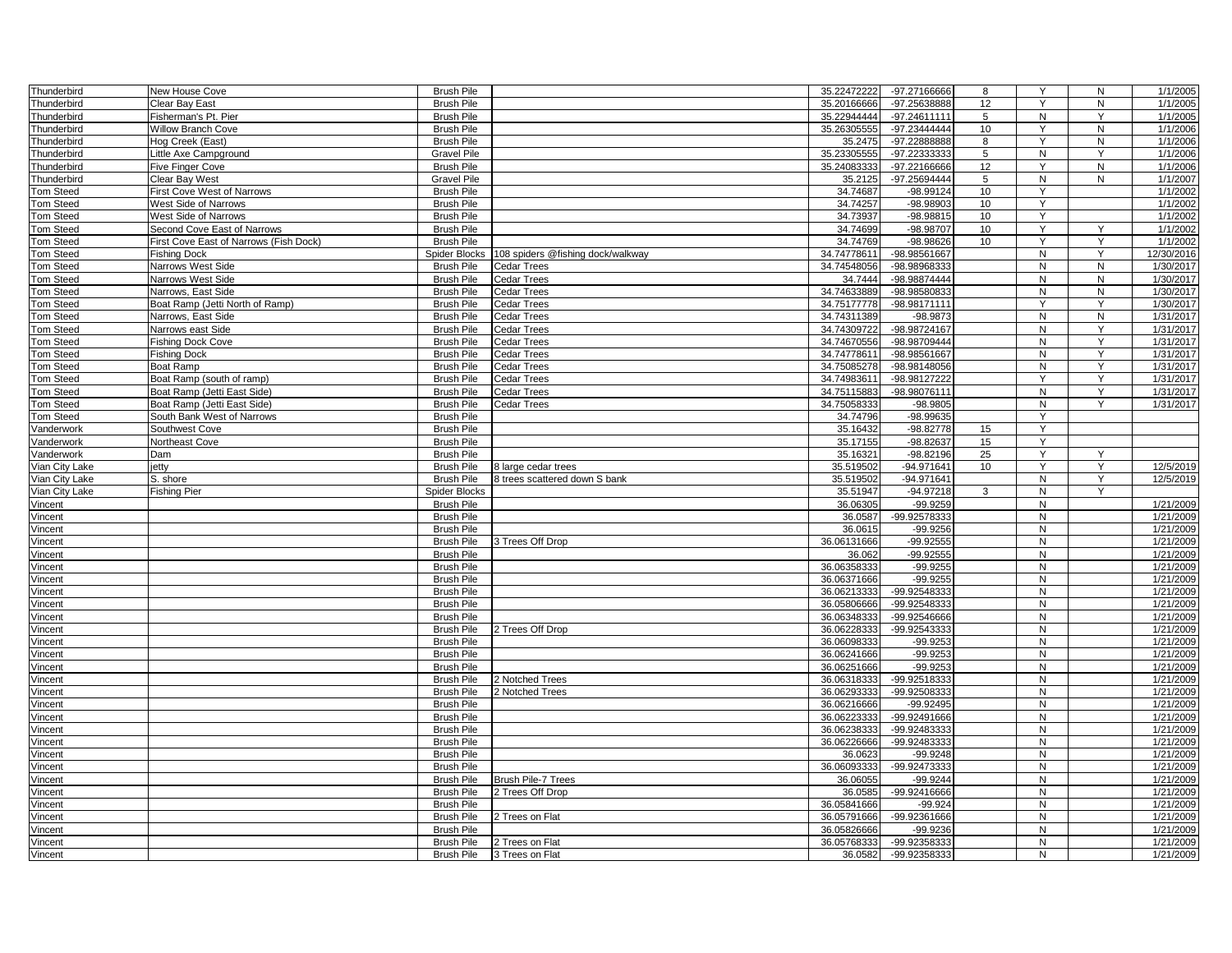| Thunderbird               | New House Cove                         | <b>Brush Pile</b>                      |                                    | 35.22472222            | -97.27166666                 | 8               | Y              | ${\sf N}$ | 1/1/2005               |
|---------------------------|----------------------------------------|----------------------------------------|------------------------------------|------------------------|------------------------------|-----------------|----------------|-----------|------------------------|
| Thunderbird               | Clear Bay East                         | <b>Brush Pile</b>                      |                                    | 35.20166666            | -97.25638888                 | 12              | Y              | N         | 1/1/2005               |
| Thunderbird               | Fisherman's Pt. Pier                   | <b>Brush Pile</b>                      |                                    | 35.22944444            | -97.24611111                 | 5               | N              | Y         | 1/1/2005               |
| Thunderbird               | <b>Willow Branch Cove</b>              | <b>Brush Pile</b>                      |                                    | 35.26305555            | -97.23444444                 | 10              | Y              | N         | 1/1/2006               |
| Thunderbird               | Hog Creek (East)                       | <b>Brush Pile</b>                      |                                    | 35.2475                | -97.22888888                 | 8               | Υ              | N         | 1/1/2006               |
| Thunderbird               | Little Axe Campground                  | <b>Gravel Pile</b>                     |                                    | 35.23305555            | -97.22333333                 | 5               | N              | Y         | 1/1/2006               |
| Thunderbird               | Five Finger Cove                       | <b>Brush Pile</b>                      |                                    | 35.24083333            | -97.22166666                 | 12              | Y              | ${\sf N}$ | 1/1/2006               |
| Thunderbird               | Clear Bay West                         | <b>Gravel Pile</b>                     |                                    | 35.2125                | -97.25694444                 | 5               | N              | N         | 1/1/2007               |
| <b>Tom Steed</b>          | <b>First Cove West of Narrows</b>      | <b>Brush Pile</b>                      |                                    | 34.74687               | -98.99124                    | 10              | Y              |           | 1/1/2002               |
| Tom Steed                 | West Side of Narrows                   | <b>Brush Pile</b>                      |                                    | 34.74257               | -98.98903                    | 10              | Υ              |           | 1/1/2002               |
| <b>Tom Steed</b>          | West Side of Narrows                   | <b>Brush Pile</b>                      |                                    | 34.73937               | -98.98815                    | 10              | Y              |           | 1/1/2002               |
| <b>Tom Steed</b>          | Second Cove East of Narrows            | <b>Brush Pile</b>                      |                                    | 34.74699               | -98.98707                    | 10 <sup>1</sup> | Y              | Y         | 1/1/2002               |
| <b>Tom Steed</b>          | First Cove East of Narrows (Fish Dock) | <b>Brush Pile</b>                      |                                    | 34.74769               | $-98.98626$                  | 10              | Y              | Y         | 1/1/2002               |
| <b>Tom Steed</b>          | Fishina Dock                           | Spider Blocks                          | 108 spiders @fishing dock/walkway  | 34.74778611            | -98.98561667                 |                 | N              | Y         | 12/30/2016             |
| Tom Steed                 | Narrows West Side                      | <b>Brush Pile</b>                      | Cedar Trees                        | 34.74548056            | -98.98968333                 |                 | N              | N         | 1/30/2017              |
| Tom Steed                 | Narrows West Side                      | <b>Brush Pile</b>                      | Cedar Trees                        | 34.7444                | -98.98874444                 |                 | $\mathsf{N}$   | ${\sf N}$ | 1/30/2017              |
| <b>Tom Steed</b>          | Narrows, East Side                     | <b>Brush Pile</b>                      | Cedar Trees                        | 34.74633889            | -98.98580833                 |                 | N              | ${\sf N}$ | 1/30/2017              |
| <b>Tom Steed</b>          | Boat Ramp (Jetti North of Ramp)        | <b>Brush Pile</b>                      | Cedar Trees                        | 34.75177778            | -98.98171111                 |                 | Y              | Y         | 1/30/2017              |
| <b>Tom Steed</b>          | Narrows, East Side                     | <b>Brush Pile</b>                      | Cedar Trees                        | 34.74311389            | -98.9873                     |                 | N              | N         | 1/31/2017              |
| Tom Steed                 | Narrows east Side                      | <b>Brush Pile</b>                      | <b>Cedar Trees</b>                 | 34.74309722            | -98.98724167                 |                 | N              | Y         | 1/31/2017              |
| Tom Steed                 | <b>Fishing Dock Cove</b>               | <b>Brush Pile</b>                      | <b>Cedar Trees</b>                 | 34.74670556            | -98.98709444                 |                 | N              | Υ         | 1/31/2017              |
| Tom Steed                 | <b>Fishing Dock</b>                    | <b>Brush Pile</b>                      | <b>Cedar Trees</b>                 | 34.74778611            | -98.98561667                 |                 | N              | Y         | 1/31/2017              |
| <b>Tom Steed</b>          | Boat Ramp                              | <b>Brush Pile</b>                      | Cedar Trees                        | 34.75085278            | -98.98148056                 |                 | N              | Y         | 1/31/2017              |
| <b>Tom Steed</b>          | Boat Ramp (south of ramp)              | <b>Brush Pile</b>                      | Cedar Trees                        | 34.74983611            | -98.98127222                 |                 | Y              | Y         | 1/31/2017              |
| <b>Tom Steed</b>          | Boat Ramp (Jetti East Side)            | <b>Brush Pile</b>                      | <b>Cedar Trees</b>                 | 34.75115883            | -98.98076111                 |                 | N              | Y         | 1/31/2017              |
| <b>Tom Steed</b>          | Boat Ramp (Jetti East Side)            | <b>Brush Pile</b>                      | <b>Cedar Trees</b>                 | 34.75058333            | $-98.9805$                   |                 | N              | Y         | 1/31/2017              |
| <b>Tom Steed</b>          | South Bank West of Narrows             | <b>Brush Pile</b>                      |                                    | 34.74796               | -98.99635                    |                 | Y              |           |                        |
| Vanderwork                | Southwest Cove                         | <b>Brush Pile</b>                      |                                    | 35.16432               | $-98.82778$                  | 15              | Y              |           |                        |
| Vanderwork                | Northeast Cove                         | <b>Brush Pile</b>                      |                                    | 35.17155               | -98.82637                    | 15              | Y              |           |                        |
| Vanderwork                | Dam                                    | <b>Brush Pile</b>                      |                                    | 35.16321               | $-98.82196$                  | 25              | Y              | Y         |                        |
| Vian City Lake            | jetty                                  | <b>Brush Pile</b>                      | 8 large cedar trees                | 35.519502              | -94.971641                   | 10              | Y              | Y         | 12/5/2019              |
| Vian City Lake            | S. shore                               | <b>Brush Pile</b>                      | 8 trees scattered down S bank      | 35.519502              | -94.971641                   |                 | N              | Y         | 12/5/2019              |
|                           |                                        | <b>Spider Blocks</b>                   |                                    | 35.51947               | $-94.97218$                  | 3               | N              | Y         |                        |
| Vian City Lake<br>Vincent | Fishing Pier                           | <b>Brush Pile</b>                      |                                    | 36.06305               | $-99.9259$                   |                 | N              |           | 1/21/2009              |
|                           |                                        | <b>Brush Pile</b>                      |                                    | 36.0587                | $-99.92578333$               |                 | N              |           | 1/21/2009              |
| Vincent                   |                                        | <b>Brush Pile</b>                      |                                    | 36.0615                | $-99.9256$                   |                 | ${\sf N}$      |           | 1/21/2009              |
| Vincent                   |                                        | <b>Brush Pile</b>                      |                                    |                        |                              |                 | N              |           | 1/21/2009              |
| Vincent                   |                                        |                                        | 3 Trees Off Drop                   | 36.06131666<br>36.062  | $-99.92555$<br>$-99.92555$   |                 | N              |           |                        |
| Vincent                   |                                        | <b>Brush Pile</b>                      |                                    |                        |                              |                 | N              |           | 1/21/2009              |
| Vincent                   |                                        | <b>Brush Pile</b>                      |                                    | 36.06358333            | $-99.9255$<br>$-99.9255$     |                 |                |           | 1/21/2009<br>1/21/2009 |
| Vincent                   |                                        | <b>Brush Pile</b><br><b>Brush Pile</b> |                                    | 36.06371666            | -99.92548333                 |                 | N<br>N         |           |                        |
| Vincent                   |                                        |                                        |                                    | 36.06213333            |                              |                 |                |           | 1/21/2009              |
| Vincent                   |                                        | <b>Brush Pile</b>                      |                                    | 36.05806666            | -99.92548333                 |                 | N              |           | 1/21/2009              |
| Vincent                   |                                        | <b>Brush Pile</b>                      |                                    | 36.06348333            | -99.92546666                 |                 | ${\sf N}$      |           | 1/21/2009              |
| Vincent                   |                                        | <b>Brush Pile</b>                      | 2 Trees Off Drop                   | 36.06228333            | -99.92543333                 |                 | N              |           | 1/21/2009              |
| Vincent                   |                                        | <b>Brush Pile</b>                      |                                    | 36.06098333            | $-99.9253$                   |                 | N<br>N         |           | 1/21/2009              |
| Vincent                   |                                        | <b>Brush Pile</b>                      |                                    | 36.06241666            | $-99.9253$                   |                 |                |           | 1/21/2009              |
| Vincent                   |                                        | <b>Brush Pile</b>                      |                                    | 36.06251666            | $-99.9253$                   |                 | N              |           | 1/21/2009              |
| Vincent                   |                                        | <b>Brush Pile</b>                      | 2 Notched Trees                    | 36.06318333            | -99.92518333                 |                 | N              |           | 1/21/2009              |
| Vincent                   |                                        | <b>Brush Pile</b>                      | 2 Notched Trees                    | 36.06293333            | -99.92508333                 |                 | N              |           | 1/21/2009              |
| Vincent                   |                                        | <b>Brush Pile</b>                      |                                    | 36.06216666            | $-99.92495$                  |                 | N              |           | 1/21/2009              |
| Vincent                   |                                        | <b>Brush Pile</b><br><b>Brush Pile</b> |                                    | 36.06223333            | -99.92491666                 |                 | N              |           | 1/21/2009              |
| Vincent                   |                                        |                                        |                                    | 36.06238333            | -99.92483333                 |                 | N              |           | 1/21/2009              |
| Vincent                   |                                        |                                        |                                    |                        |                              |                 |                |           | 1/21/2009              |
|                           |                                        | <b>Brush Pile</b>                      |                                    | 36.06226666            | -99.92483333                 |                 | N              |           |                        |
| Vincent                   |                                        | <b>Brush Pile</b>                      |                                    | 36.0623                | $-99.9248$                   |                 | N              |           | 1/21/2009              |
| Vincent                   |                                        | <b>Brush Pile</b>                      |                                    | 36.06093333            | -99.92473333                 |                 | N              |           | 1/21/2009              |
| Vincent                   |                                        | <b>Brush Pile</b>                      | <b>Brush Pile-7 Trees</b>          | 36.06055               | -99.9244                     |                 | N              |           | 1/21/2009              |
| Vincent                   |                                        | <b>Brush Pile</b>                      | 2 Trees Off Drop                   | 36.0585                | -99.92416666                 |                 | N              |           | 1/21/2009              |
| Vincent                   |                                        | <b>Brush Pile</b>                      |                                    | 36.05841666            | $-99.924$                    |                 | N              |           | 1/21/2009              |
| Vincent                   |                                        | <b>Brush Pile</b>                      | 2 Trees on Flat                    | 36.05791666            | -99.92361666                 |                 | N              |           | 1/21/2009              |
| Vincent                   |                                        | <b>Brush Pile</b>                      |                                    | 36.05826666            | $-99.9236$                   |                 | N              |           | 1/21/2009              |
| Vincent<br>Vincent        |                                        | <b>Brush Pile</b><br><b>Brush Pile</b> | 2 Trees on Flat<br>3 Trees on Flat | 36.05768333<br>36.0582 | -99.92358333<br>-99.92358333 |                 | ${\sf N}$<br>N |           | 1/21/2009<br>1/21/2009 |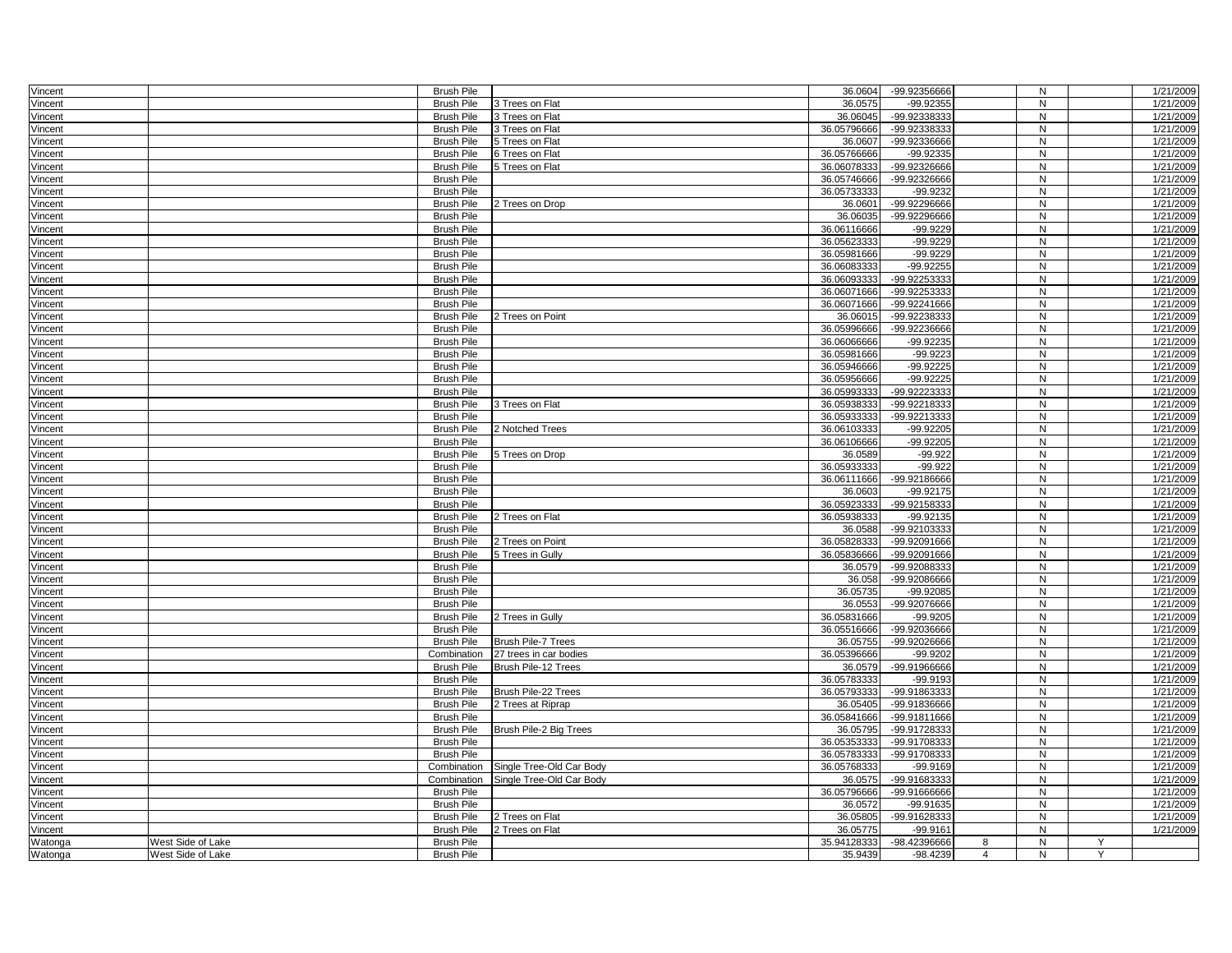| Vincent            |                   | <b>Brush Pile</b>                      |                           | 36.0604                    | -99.92356666             |                | N            |   | 1/21/2009              |
|--------------------|-------------------|----------------------------------------|---------------------------|----------------------------|--------------------------|----------------|--------------|---|------------------------|
| Vincent            |                   | <b>Brush Pile</b>                      | 3 Trees on Flat           | 36.0575                    | $-99.92355$              |                | N            |   | 1/21/2009              |
| Vincent            |                   | <b>Brush Pile</b>                      | 3 Trees on Flat           | 36.06045                   | -99.92338333             |                | N            |   | 1/21/2009              |
| Vincent            |                   | <b>Brush Pile</b>                      | 3 Trees on Flat           | 36.05796666                | -99.92338333             |                | $\mathsf{N}$ |   | 1/21/2009              |
| Vincent            |                   | <b>Brush Pile</b>                      | 5 Trees on Flat           | 36.0607                    | -99.92336666             |                | N            |   | 1/21/2009              |
| Vincent            |                   | <b>Brush Pile</b>                      | 6 Trees on Flat           | 36.05766666                | $-99.92335$              |                | N            |   | 1/21/2009              |
| Vincent            |                   | <b>Brush Pile</b>                      | 5 Trees on Flat           | 36.06078333                | -99.92326666             |                | N            |   | 1/21/2009              |
| Vincent            |                   | <b>Brush Pile</b>                      |                           | 36.05746666                | -99.92326666             |                | N            |   | 1/21/2009              |
| Vincent            |                   | <b>Brush Pile</b>                      |                           | 36.05733333                | -99.9232                 |                | ${\sf N}$    |   | 1/21/2009              |
| Vincent            |                   | <b>Brush Pile</b>                      | 2 Trees on Drop           | 36.0601                    | -99.92296666             |                | N            |   | 1/21/2009              |
| Vincent            |                   | <b>Brush Pile</b>                      |                           | 36.06035                   | -99.92296666             |                | N            |   | 1/21/2009              |
| Vincent            |                   | <b>Brush Pile</b>                      |                           | 36.06116666                | -99.9229                 |                | N            |   | 1/21/2009              |
| Vincent            |                   | <b>Brush Pile</b>                      |                           | 36.05623333                | $-99.9229$               |                | N            |   | 1/21/2009              |
| Vincent            |                   | <b>Brush Pile</b>                      |                           | 36.05981666                | $-99.9229$               |                | N            |   | 1/21/2009              |
| Vincent            |                   | <b>Brush Pile</b>                      |                           | 36.06083333                | $-99.92255$              |                | N            |   | 1/21/2009              |
| Vincent            |                   | <b>Brush Pile</b>                      |                           | 36.06093333                | -99.92253333             |                | N            |   | 1/21/2009              |
| Vincent            |                   | <b>Brush Pile</b>                      |                           | 36.06071666                | -99.92253333             |                | N            |   | 1/21/2009              |
| Vincent            |                   | <b>Brush Pile</b>                      |                           | 36.06071666                | -99.92241666             |                | N            |   | 1/21/2009              |
| Vincent            |                   | <b>Brush Pile</b>                      | 2 Trees on Point          | 36.06015                   | -99.92238333             |                | N            |   | 1/21/2009              |
| Vincent            |                   | <b>Brush Pile</b>                      |                           | 36.05996666                | -99.92236666             |                | N            |   | 1/21/2009              |
| Vincent            |                   | <b>Brush Pile</b>                      |                           | 36.06066666                | $-99.92235$              |                | ${\sf N}$    |   | 1/21/2009              |
| Vincent            |                   | <b>Brush Pile</b>                      |                           | 36.05981666                | $-99.9223$               |                | N            |   | 1/21/2009              |
| Vincent            |                   | <b>Brush Pile</b>                      |                           | 36.05946666                | $-99.92225$              |                | N            |   | 1/21/2009              |
| Vincent            |                   | <b>Brush Pile</b>                      |                           | 36.05956666                | $-99.92225$              |                | N            |   | 1/21/2009              |
| Vincent            |                   | <b>Brush Pile</b>                      |                           | 36.05993333                | -99.92223333             |                | N            |   | 1/21/2009              |
| Vincent            |                   | <b>Brush Pile</b>                      | 3 Trees on Flat           | 36.05938333                | -99.92218333             |                | ${\sf N}$    |   | 1/21/2009              |
| Vincent            |                   | <b>Brush Pile</b>                      |                           | 36.05933333                | -99.92213333             |                | ${\sf N}$    |   | 1/21/2009              |
| Vincent            |                   | <b>Brush Pile</b>                      | 2 Notched Trees           | 36.06103333                | $-99.92205$              |                | N            |   | 1/21/2009              |
| Vincent            |                   | <b>Brush Pile</b>                      |                           | 36.06106666                | $-99.92205$              |                | N            |   | 1/21/2009              |
| Vincent            |                   | <b>Brush Pile</b>                      | 5 Trees on Drop           | 36.0589                    | $-99.922$                |                | N            |   | 1/21/2009              |
| Vincent            |                   | <b>Brush Pile</b>                      |                           | 36.05933333                | $-99.922$                |                | ${\sf N}$    |   | 1/21/2009              |
| Vincent            |                   | <b>Brush Pile</b>                      |                           | 36.06111666                | -99.92186666             |                | N            |   | 1/21/2009              |
| Vincent            |                   | <b>Brush Pile</b>                      |                           | 36.0603                    | $-99.92175$              |                | N            |   | 1/21/2009              |
| Vincent            |                   | <b>Brush Pile</b>                      |                           | 36.05923333                | -99.92158333             |                | N            |   | 1/21/2009              |
| Vincent            |                   | <b>Brush Pile</b>                      | 2 Trees on Flat           | 36.05938333                | -99.92135                |                | N            |   | 1/21/2009              |
| Vincent            |                   | <b>Brush Pile</b>                      |                           | 36.0588                    | -99.92103333             |                | N            |   | 1/21/2009              |
| Vincent            |                   | <b>Brush Pile</b>                      | 2 Trees on Point          | 36.05828333                | -99.92091666             |                | N            |   | 1/21/2009              |
| Vincent            |                   | <b>Brush Pile</b>                      | 5 Trees in Gully          | 36.05836666                | -99.92091666             |                | ${\sf N}$    |   | 1/21/2009              |
| Vincent            |                   | <b>Brush Pile</b>                      |                           | 36.0579                    | -99.92088333             |                | N            |   | 1/21/2009              |
| Vincent            |                   | <b>Brush Pile</b>                      |                           | 36.058                     | -99.92086666             |                | N            |   | 1/21/2009              |
| Vincent            |                   | <b>Brush Pile</b>                      |                           | 36.05735                   | -99.92085                |                | $\mathsf{N}$ |   | 1/21/2009              |
| Vincent            |                   | <b>Brush Pile</b>                      |                           | 36.0553                    | -99.92076666             |                | N            |   | 1/21/2009              |
| Vincent            |                   | <b>Brush Pile</b>                      | 2 Trees in Gully          | 36.05831666                | $-99.9205$               |                | ${\sf N}$    |   | 1/21/2009              |
|                    |                   | <b>Brush Pile</b>                      |                           | 36.05516666                | -99.92036666             |                | ${\sf N}$    |   | 1/21/2009              |
| Vincent            |                   | <b>Brush Pile</b>                      | <b>Brush Pile-7 Trees</b> | 36.05755                   | -99.92026666             |                | N            |   | 1/21/2009              |
| Vincent            |                   | Combination                            | 27 trees in car bodies    | 36.05396666                | -99.9202                 |                | N            |   | 1/21/2009              |
| Vincent<br>Vincent |                   | <b>Brush Pile</b>                      | Brush Pile-12 Trees       | 36.0579                    | -99.91966666             |                | N            |   | 1/21/2009              |
|                    |                   |                                        |                           |                            |                          |                |              |   |                        |
| Vincent            |                   | <b>Brush Pile</b><br><b>Brush Pile</b> | Brush Pile-22 Trees       | 36.05783333<br>36.05793333 | -99.9193<br>-99.91863333 |                | N<br>N       |   | 1/21/2009<br>1/21/2009 |
| Vincent            |                   | <b>Brush Pile</b>                      | 2 Trees at Riprap         | 36.05405                   | -99.91836666             |                | $\mathsf{N}$ |   | 1/21/2009              |
| Vincent            |                   |                                        |                           |                            |                          |                | N            |   | 1/21/2009              |
| Vincent            |                   | <b>Brush Pile</b>                      |                           | 36.05841666                | -99.91811666             |                | N            |   | 1/21/2009              |
| Vincent            |                   | <b>Brush Pile</b>                      | Brush Pile-2 Big Trees    | 36.05795                   | -99.91728333             |                |              |   |                        |
| Vincent            |                   | <b>Brush Pile</b>                      |                           | 36.05353333                | -99.91708333             |                | N            |   | 1/21/2009              |
| Vincent            |                   | <b>Brush Pile</b>                      |                           | 36.05783333                | -99.91708333             |                | N            |   | 1/21/2009              |
| Vincent            |                   | Combination                            | Single Tree-Old Car Body  | 36.05768333                | $-99.9169$               |                | ${\sf N}$    |   | 1/21/2009              |
| Vincent            |                   | Combination                            | Single Tree-Old Car Body  | 36.0575                    | -99.91683333             |                | N            |   | 1/21/2009              |
| Vincent            |                   | <b>Brush Pile</b>                      |                           | 36.05796666                | -99.91666666             |                | $\mathsf{N}$ |   | 1/21/2009              |
| Vincent            |                   | <b>Brush Pile</b>                      |                           | 36.0572                    | $-99.91635$              |                | N            |   | 1/21/2009              |
| Vincent            |                   | <b>Brush Pile</b>                      | 2 Trees on Flat           | 36.05805                   | -99.91628333             |                | N            |   | 1/21/2009              |
| Vincent            |                   | <b>Brush Pile</b>                      | 2 Trees on Flat           | 36.05775                   | $-99.9161$               |                | ${\sf N}$    |   | 1/21/2009              |
| Watonga            | West Side of Lake | <b>Brush Pile</b>                      |                           | 35.94128333                | -98.42396666             | 8              | N            | Y |                        |
| Watonga            | West Side of Lake | <b>Brush Pile</b>                      |                           | 35.9439                    | $-98.4239$               | $\overline{4}$ | N            | Y |                        |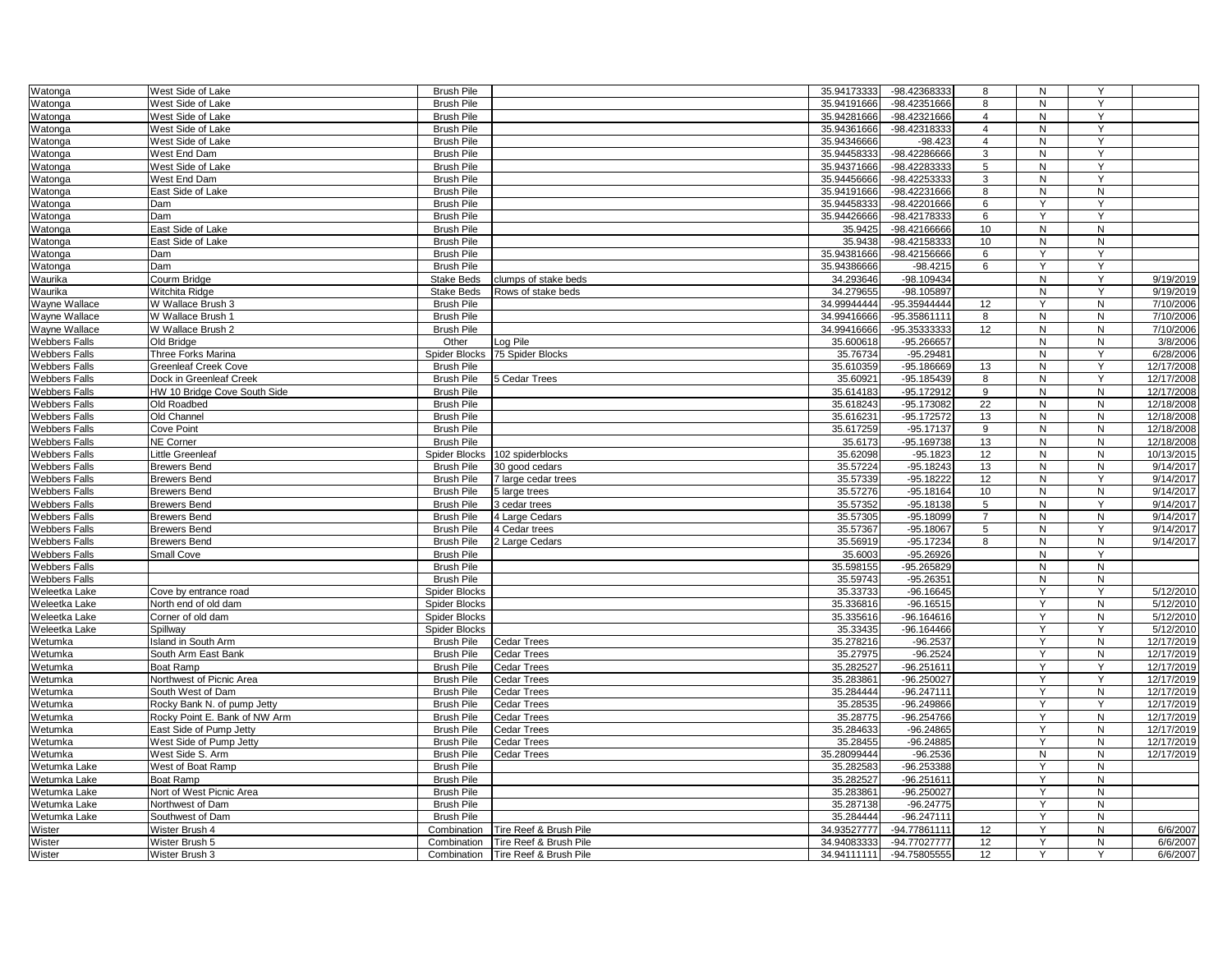| Watonga              | West Side of Lake             | <b>Brush Pile</b>    |                        | 35.94173333 | -98.42368333 | 8                 | N              | Y              |            |
|----------------------|-------------------------------|----------------------|------------------------|-------------|--------------|-------------------|----------------|----------------|------------|
| Watonga              | West Side of Lake             | <b>Brush Pile</b>    |                        | 35.94191666 | -98.42351666 | 8                 | N              | Y              |            |
|                      |                               |                      |                        |             |              |                   |                |                |            |
| Watonga              | West Side of Lake             | <b>Brush Pile</b>    |                        | 35.94281666 | -98.42321666 | $\overline{4}$    | N              | Y              |            |
| Watonga              | West Side of Lake             | <b>Brush Pile</b>    |                        | 35.94361666 | -98.42318333 | $\overline{4}$    | $\overline{N}$ | Ÿ              |            |
| Watonga              | West Side of Lake             | <b>Brush Pile</b>    |                        | 35.94346666 | $-98.423$    | 4                 | N              | Y              |            |
| Watonga              | West End Dam                  | <b>Brush Pile</b>    |                        | 35.94458333 | -98.42286666 | 3                 | N              | Y              |            |
| Watonga              | West Side of Lake             | <b>Brush Pile</b>    |                        | 35.94371666 | -98.42283333 | 5                 | N              | Y              |            |
| Watonga              | West End Dam                  | <b>Brush Pile</b>    |                        | 35.94456666 | -98.42253333 | 3                 | N              | Y              |            |
| Watonga              | East Side of Lake             | <b>Brush Pile</b>    |                        | 35.94191666 | -98.42231666 | 8                 | $\overline{N}$ | $\overline{N}$ |            |
|                      | Dam                           | <b>Brush Pile</b>    |                        | 35.94458333 | -98.42201666 |                   | Y              | Y              |            |
| Watonga              |                               |                      |                        |             |              | 6                 |                | Y              |            |
| Watonga              | Dam                           | <b>Brush Pile</b>    |                        | 35.94426666 | -98.42178333 | 6                 | Y              |                |            |
| Watonga              | East Side of Lake             | <b>Brush Pile</b>    |                        | 35.9425     | -98.42166666 | 10                | N              | $\mathsf{N}$   |            |
| Watonga              | East Side of Lake             | <b>Brush Pile</b>    |                        | 35.9438     | -98.42158333 | 10                | N              | ${\sf N}$      |            |
| Watonga              | Dam                           | <b>Brush Pile</b>    |                        | 35.94381666 | -98.42156666 | 6                 | Y              | Y              |            |
| Watonga              | Dam                           | <b>Brush Pile</b>    |                        | 35.94386666 | $-98.4215$   | 6                 | Y              | Y              |            |
| Waurika              | Courm Bridge                  | <b>Stake Beds</b>    | clumps of stake beds   | 34.293646   | -98.109434   |                   | N              | Υ              | 9/19/2019  |
| Waurika              | Witchita Ridge                | <b>Stake Beds</b>    | Rows of stake beds     | 34.279655   | $-98.105897$ |                   | N              | Y              | 9/19/2019  |
| Wayne Wallace        | W Wallace Brush 3             | <b>Brush Pile</b>    |                        | 34.99944444 | -95.35944444 | 12                | Y              | ${\sf N}$      | 7/10/2006  |
|                      |                               |                      |                        |             |              |                   |                |                |            |
| Wayne Wallace        | W Wallace Brush 1             | <b>Brush Pile</b>    |                        | 34.99416666 | -95.35861111 | 8                 | N              | ${\sf N}$      | 7/10/2006  |
| Wayne Wallace        | W Wallace Brush 2             | <b>Brush Pile</b>    |                        | 34.99416666 | -95.35333333 | 12                | N              | N              | 7/10/2006  |
| <b>Webbers Falls</b> | Old Bridge                    | Other                | Log Pile               | 35.600618   | -95.266657   |                   | N              | N              | 3/8/2006   |
| <b>Webbers Falls</b> | Three Forks Marina            | Spider Blocks        | 75 Spider Blocks       | 35.76734    | $-95.29481$  |                   | N              | Y              | 6/28/2006  |
| <b>Webbers Falls</b> | <b>Greenleaf Creek Cove</b>   | <b>Brush Pile</b>    |                        | 35.610359   | $-95.186669$ | 13                | N              | Y              | 12/17/2008 |
| <b>Webbers Falls</b> | Dock in Greenleaf Creek       | <b>Brush Pile</b>    | 5 Cedar Trees          | 35.60921    | $-95.185439$ | 8                 | N              | Y              | 12/17/2008 |
| <b>Webbers Falls</b> | HW 10 Bridge Cove South Side  | <b>Brush Pile</b>    |                        | 35.614183   | $-95.172912$ | 9                 | N              | ${\sf N}$      | 12/17/2008 |
|                      |                               | <b>Brush Pile</b>    |                        |             | $-95.173082$ | 22                | N              | N              |            |
| <b>Webbers Falls</b> | Old Roadbed                   |                      |                        | 35.618243   |              |                   |                |                | 12/18/2008 |
| <b>Webbers Falls</b> | Old Channel                   | <b>Brush Pile</b>    |                        | 35.616231   | $-95.172572$ | 13                | N              | N              | 12/18/2008 |
| <b>Webbers Falls</b> | Cove Point                    | <b>Brush Pile</b>    |                        | 35.617259   | $-95.17137$  | 9                 | N              | N              | 12/18/2008 |
| <b>Webbers Falls</b> | NE Corner                     | <b>Brush Pile</b>    |                        | 35.6173     | -95.169738   | 13                | N              | ${\sf N}$      | 12/18/2008 |
| <b>Webbers Falls</b> | Little Greenleaf              | Spider Blocks        | 102 spiderblocks       | 35.62098    | $-95.1823$   | 12                | $\mathsf{N}$   | ${\sf N}$      | 10/13/2015 |
| <b>Webbers Falls</b> | <b>Brewers Bend</b>           | <b>Brush Pile</b>    | 30 good cedars         | 35.57224    | $-95.18243$  | 13                | N              | N              | 9/14/2017  |
| <b>Webbers Falls</b> | <b>Brewers Bend</b>           | <b>Brush Pile</b>    | 7 large cedar trees    | 35.57339    | $-95.18222$  | 12                | N              | Y              | 9/14/2017  |
| <b>Webbers Falls</b> | <b>Brewers Bend</b>           | <b>Brush Pile</b>    | 5 large trees          | 35.57276    | $-95.18164$  | 10                | N              | N              | 9/14/2017  |
|                      |                               |                      |                        |             |              |                   | N              | Y              | 9/14/2017  |
| <b>Webbers Falls</b> | <b>Brewers Bend</b>           | <b>Brush Pile</b>    | 3 cedar trees          | 35.57352    | $-95.18138$  | 5                 |                |                |            |
| <b>Webbers Falls</b> | <b>Brewers Bend</b>           | <b>Brush Pile</b>    | 4 Large Cedars         | 35.57305    | $-95.18099$  | $\overline{7}$    | N              | ${\sf N}$      | 9/14/2017  |
| <b>Webbers Falls</b> | <b>Brewers Bend</b>           | <b>Brush Pile</b>    | 4 Cedar trees          | 35.57367    | -95.18067    | 5                 | N              | Y              | 9/14/2017  |
| <b>Webbers Falls</b> | <b>Brewers Bend</b>           | <b>Brush Pile</b>    | 2 Large Cedars         | 35.56919    | $-95.17234$  | 8                 | N              | ${\sf N}$      | 9/14/2017  |
| <b>Webbers Falls</b> | Small Cove                    | <b>Brush Pile</b>    |                        | 35.6003     | $-95.26926$  |                   | $\overline{N}$ | Y              |            |
| <b>Webbers Falls</b> |                               | <b>Brush Pile</b>    |                        | 35.598155   | $-95.265829$ |                   | N              | N              |            |
| <b>Webbers Falls</b> |                               | <b>Brush Pile</b>    |                        | 35.59743    | $-95.26351$  |                   | N              | N              |            |
| Weleetka Lake        | Cove by entrance road         | Spider Blocks        |                        | 35.33733    | $-96.16645$  |                   | Y              | Υ              | 5/12/2010  |
| Weleetka Lake        | North end of old dam          | Spider Blocks        |                        | 35.336816   | $-96.16515$  |                   | Y              | N              | 5/12/2010  |
|                      |                               |                      |                        |             | $-96.164616$ |                   | Y              | N              |            |
| Weleetka Lake        | Corner of old dam             | Spider Blocks        |                        | 35.335616   |              |                   |                |                | 5/12/2010  |
| Weleetka Lake        | Spillway                      | <b>Spider Blocks</b> |                        | 35.33435    | $-96.164466$ |                   | Y              | Y              | 5/12/2010  |
| Wetumka              | Island in South Arm           | <b>Brush Pile</b>    | <b>Cedar Trees</b>     | 35.278216   | $-96.2537$   |                   | Y              | N              | 12/17/2019 |
| Wetumka              | South Arm East Bank           | <b>Brush Pile</b>    | <b>Cedar Trees</b>     | 35.27975    | $-96.2524$   |                   | Y              | $\mathsf{N}$   | 12/17/2019 |
| Wetumka              | Boat Ramp                     | <b>Brush Pile</b>    | <b>Cedar Trees</b>     | 35.282527   | -96.251611   |                   | Y              | Y              | 12/17/2019 |
| Wetumka              | Northwest of Picnic Area      | <b>Brush Pile</b>    | <b>Cedar Trees</b>     | 35.283861   | $-96.250027$ |                   | Y              | Y              | 12/17/2019 |
| Wetumka              | South West of Dam             | <b>Brush Pile</b>    | <b>Cedar Trees</b>     | 35.284444   | $-96.247111$ |                   | Y              | ${\sf N}$      | 12/17/2019 |
| Wetumka              | Rocky Bank N. of pump Jetty   | <b>Brush Pile</b>    | Cedar Trees            | 35.28535    | $-96.249866$ |                   | Y              | Y              | 12/17/2019 |
|                      |                               |                      |                        |             |              |                   | Y              |                |            |
| Wetumka              | Rocky Point E. Bank of NW Arm | <b>Brush Pile</b>    | <b>Cedar Trees</b>     | 35.28775    | -96.254766   |                   |                | ${\sf N}$      | 12/17/2019 |
| Wetumka              | East Side of Pump Jetty       | <b>Brush Pile</b>    | Cedar Trees            | 35.284633   | $-96.24865$  |                   | Y              | ${\sf N}$      | 12/17/2019 |
| Wetumka              | West Side of Pump Jetty       | <b>Brush Pile</b>    | <b>Cedar Trees</b>     | 35.28455    | $-96.24885$  |                   | Y              | ${\sf N}$      | 12/17/2019 |
| Wetumka              | West Side S. Arm              | <b>Brush Pile</b>    | <b>Cedar Trees</b>     | 35.28099444 | $-96.2536$   |                   | N              | N              | 12/17/2019 |
| Wetumka Lake         | West of Boat Ramp             | <b>Brush Pile</b>    |                        | 35.282583   | -96.253388   |                   | Y              | N              |            |
| Wetumka Lake         | Boat Ramp                     | <b>Brush Pile</b>    |                        | 35.282527   | $-96.251611$ |                   | Y              | N              |            |
| Wetumka Lake         | Nort of West Picnic Area      | <b>Brush Pile</b>    |                        | 35.283861   | $-96.250027$ |                   | Y              | $\mathsf{N}$   |            |
| Wetumka Lake         | Northwest of Dam              | <b>Brush Pile</b>    |                        | 35.287138   | $-96.24775$  |                   | Y              | ${\sf N}$      |            |
| Wetumka Lake         | Southwest of Dam              | <b>Brush Pile</b>    |                        | 35.284444   | $-96.247111$ |                   | Y              | N              |            |
|                      |                               | Combination          | Tire Reef & Brush Pile |             | -94.77861111 |                   | Y              |                | 6/6/2007   |
| Wister               | Wister Brush 4                |                      |                        | 34.93527777 |              | $12 \overline{ }$ |                | $\mathsf{N}$   |            |
| Wister               | Wister Brush 5                | Combination          | Tire Reef & Brush Pile | 34.94083333 | -94.77027777 | 12                | Y              | N              | 6/6/2007   |
| Wister               | Wister Brush 3                | Combination          | Tire Reef & Brush Pile | 34.94111111 | -94.75805555 | 12                | Y              | Y              | 6/6/2007   |